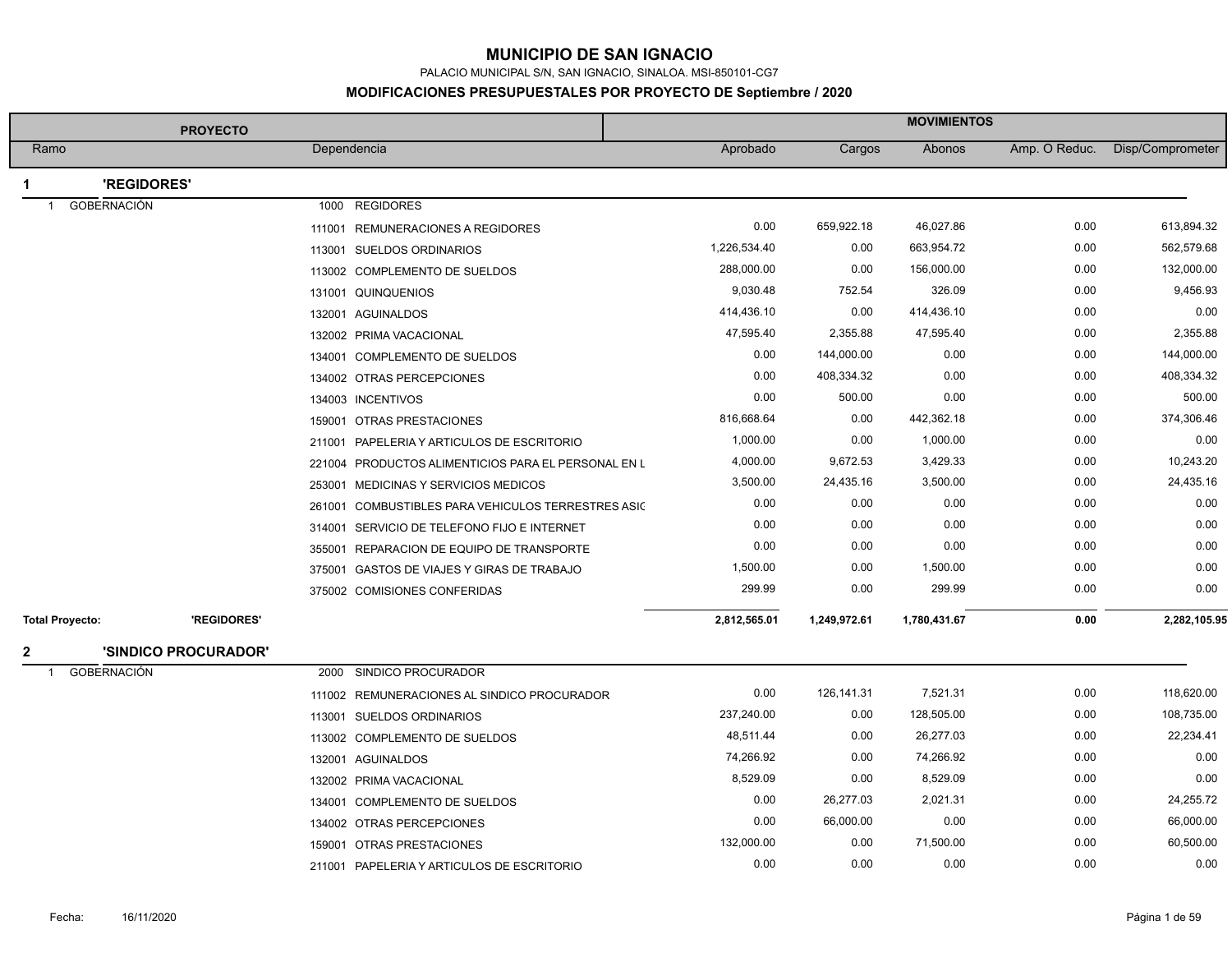PALACIO MUNICIPAL S/N, SAN IGNACIO, SINALOA. MSI-850101-CG7

|                                    | <b>PROYECTO</b>      |             |                                                     |              |              | <b>MOVIMIENTOS</b> |               |                  |
|------------------------------------|----------------------|-------------|-----------------------------------------------------|--------------|--------------|--------------------|---------------|------------------|
| Ramo                               |                      | Dependencia |                                                     | Aprobado     | Cargos       | Abonos             | Amp. O Reduc. | Disp/Comprometer |
| 'REGIDORES'                        |                      |             |                                                     |              |              |                    |               |                  |
| <b>GOBERNACIÓN</b><br>$\mathbf{1}$ |                      |             | 1000 REGIDORES                                      |              |              |                    |               |                  |
|                                    |                      | 111001      | REMUNERACIONES A REGIDORES                          | 0.00         | 659,922.18   | 46,027.86          | 0.00          | 613,894.32       |
|                                    |                      |             | 113001 SUELDOS ORDINARIOS                           | 1,226,534.40 | 0.00         | 663,954.72         | 0.00          | 562,579.68       |
|                                    |                      |             | 113002 COMPLEMENTO DE SUELDOS                       | 288,000.00   | 0.00         | 156,000.00         | 0.00          | 132,000.00       |
|                                    |                      |             | 131001 QUINQUENIOS                                  | 9,030.48     | 752.54       | 326.09             | 0.00          | 9,456.93         |
|                                    |                      |             | 132001 AGUINALDOS                                   | 414,436.10   | 0.00         | 414,436.10         | 0.00          | 0.00             |
|                                    |                      |             | 132002 PRIMA VACACIONAL                             | 47,595.40    | 2,355.88     | 47,595.40          | 0.00          | 2,355.88         |
|                                    |                      |             | 134001 COMPLEMENTO DE SUELDOS                       | 0.00         | 144,000.00   | 0.00               | 0.00          | 144,000.00       |
|                                    |                      |             | 134002 OTRAS PERCEPCIONES                           | 0.00         | 408,334.32   | 0.00               | 0.00          | 408,334.32       |
|                                    |                      |             | 134003 INCENTIVOS                                   | 0.00         | 500.00       | 0.00               | 0.00          | 500.00           |
|                                    |                      |             | 159001 OTRAS PRESTACIONES                           | 816,668.64   | 0.00         | 442,362.18         | 0.00          | 374,306.46       |
|                                    |                      |             | 211001 PAPELERIA Y ARTICULOS DE ESCRITORIO          | 1,000.00     | 0.00         | 1,000.00           | 0.00          | 0.00             |
|                                    |                      |             | 221004 PRODUCTOS ALIMENTICIOS PARA EL PERSONAL EN L | 4,000.00     | 9,672.53     | 3,429.33           | 0.00          | 10,243.20        |
|                                    |                      |             | 253001 MEDICINAS Y SERVICIOS MEDICOS                | 3,500.00     | 24,435.16    | 3,500.00           | 0.00          | 24,435.16        |
|                                    |                      |             | 261001 COMBUSTIBLES PARA VEHICULOS TERRESTRES ASIC  | 0.00         | 0.00         | 0.00               | 0.00          | 0.00             |
|                                    |                      |             | 314001 SERVICIO DE TELEFONO FIJO E INTERNET         | 0.00         | 0.00         | 0.00               | 0.00          | 0.00             |
|                                    |                      |             | 355001 REPARACION DE EQUIPO DE TRANSPORTE           | 0.00         | 0.00         | 0.00               | 0.00          | 0.00             |
|                                    |                      |             | 375001 GASTOS DE VIAJES Y GIRAS DE TRABAJO          | 1,500.00     | 0.00         | 1,500.00           | 0.00          | 0.00             |
|                                    |                      |             | 375002 COMISIONES CONFERIDAS                        | 299.99       | 0.00         | 299.99             | 0.00          | 0.00             |
| <b>Total Proyecto:</b>             | 'REGIDORES'          |             |                                                     | 2,812,565.01 | 1,249,972.61 | 1,780,431.67       | 0.00          | 2,282,105.95     |
| 2                                  | 'SINDICO PROCURADOR' |             |                                                     |              |              |                    |               |                  |
| GOBERNACIÓN<br>$\mathbf{1}$        |                      |             | 2000 SINDICO PROCURADOR                             |              |              |                    |               |                  |
|                                    |                      |             | 111002 REMUNERACIONES AL SINDICO PROCURADOR         | 0.00         | 126,141.31   | 7,521.31           | 0.00          | 118,620.00       |
|                                    |                      |             | 113001 SUELDOS ORDINARIOS                           | 237,240.00   | 0.00         | 128,505.00         | 0.00          | 108,735.00       |
|                                    |                      |             | 113002 COMPLEMENTO DE SUELDOS                       | 48,511.44    | 0.00         | 26,277.03          | 0.00          | 22,234.41        |
|                                    |                      |             | 132001 AGUINALDOS                                   | 74,266.92    | 0.00         | 74,266.92          | 0.00          | 0.00             |
|                                    |                      |             | 132002 PRIMA VACACIONAL                             | 8,529.09     | 0.00         | 8,529.09           | 0.00          | 0.00             |
|                                    |                      |             | 134001 COMPLEMENTO DE SUELDOS                       | 0.00         | 26,277.03    | 2,021.31           | 0.00          | 24,255.72        |
|                                    |                      |             | 134002 OTRAS PERCEPCIONES                           | 0.00         | 66,000.00    | 0.00               | 0.00          | 66,000.00        |
|                                    |                      |             | 159001 OTRAS PRESTACIONES                           | 132,000.00   | 0.00         | 71,500.00          | 0.00          | 60,500.00        |
|                                    |                      |             | 211001 PAPELERIA Y ARTICULOS DE ESCRITORIO          | 0.00         | 0.00         | 0.00               | 0.00          | 0.00             |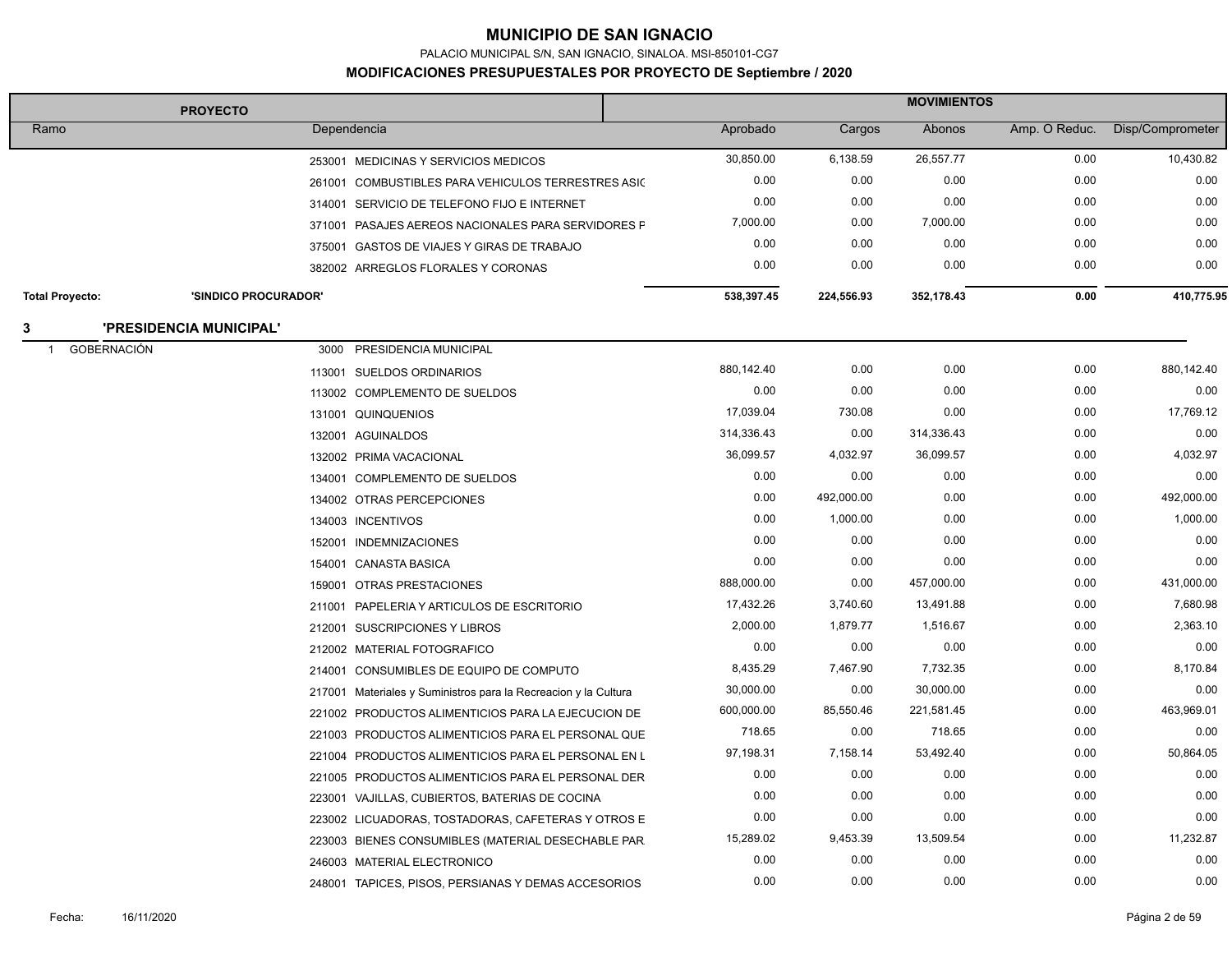PALACIO MUNICIPAL S/N, SAN IGNACIO, SINALOA. MSI-850101-CG7

| <b>PROYECTO</b>        |                         |                                                                 | <b>MOVIMIENTOS</b> |            |            |               |                  |
|------------------------|-------------------------|-----------------------------------------------------------------|--------------------|------------|------------|---------------|------------------|
| Ramo                   |                         | Dependencia                                                     | Aprobado           | Cargos     | Abonos     | Amp. O Reduc. | Disp/Comprometer |
|                        |                         | 253001 MEDICINAS Y SERVICIOS MEDICOS                            | 30,850.00          | 6,138.59   | 26,557.77  | 0.00          | 10,430.82        |
|                        |                         | 261001 COMBUSTIBLES PARA VEHICULOS TERRESTRES ASIC              | 0.00               | 0.00       | 0.00       | 0.00          | 0.00             |
|                        |                         | 314001 SERVICIO DE TELEFONO FIJO E INTERNET                     | 0.00               | 0.00       | 0.00       | 0.00          | 0.00             |
|                        |                         | 371001 PASAJES AEREOS NACIONALES PARA SERVIDORES F              | 7,000.00           | 0.00       | 7,000.00   | 0.00          | 0.00             |
|                        |                         | 375001 GASTOS DE VIAJES Y GIRAS DE TRABAJO                      | 0.00               | 0.00       | 0.00       | 0.00          | 0.00             |
|                        |                         | 382002 ARREGLOS FLORALES Y CORONAS                              | 0.00               | 0.00       | 0.00       | 0.00          | 0.00             |
| <b>Total Proyecto:</b> | 'SINDICO PROCURADOR'    |                                                                 | 538,397.45         | 224,556.93 | 352,178.43 | 0.00          | 410,775.95       |
| 3                      | 'PRESIDENCIA MUNICIPAL' |                                                                 |                    |            |            |               |                  |
| <b>GOBERNACIÓN</b>     |                         | 3000 PRESIDENCIA MUNICIPAL                                      |                    |            |            |               |                  |
|                        |                         | 113001 SUELDOS ORDINARIOS                                       | 880,142.40         | 0.00       | 0.00       | 0.00          | 880,142.40       |
|                        |                         | 113002 COMPLEMENTO DE SUELDOS                                   | 0.00               | 0.00       | 0.00       | 0.00          | 0.00             |
|                        |                         | 131001 QUINQUENIOS                                              | 17,039.04          | 730.08     | 0.00       | 0.00          | 17,769.12        |
|                        |                         | 132001 AGUINALDOS                                               | 314,336.43         | 0.00       | 314,336.43 | 0.00          | 0.00             |
|                        |                         | 132002 PRIMA VACACIONAL                                         | 36,099.57          | 4,032.97   | 36,099.57  | 0.00          | 4,032.97         |
|                        |                         | 134001 COMPLEMENTO DE SUELDOS                                   | 0.00               | 0.00       | 0.00       | 0.00          | 0.00             |
|                        |                         | 134002 OTRAS PERCEPCIONES                                       | 0.00               | 492,000.00 | 0.00       | 0.00          | 492,000.00       |
|                        |                         | 134003 INCENTIVOS                                               | 0.00               | 1,000.00   | 0.00       | 0.00          | 1,000.00         |
|                        |                         | 152001 INDEMNIZACIONES                                          | 0.00               | 0.00       | 0.00       | 0.00          | 0.00             |
|                        |                         | 154001 CANASTA BASICA                                           | 0.00               | 0.00       | 0.00       | 0.00          | 0.00             |
|                        |                         | 159001 OTRAS PRESTACIONES                                       | 888,000.00         | 0.00       | 457,000.00 | 0.00          | 431,000.00       |
|                        |                         | 211001 PAPELERIA Y ARTICULOS DE ESCRITORIO                      | 17,432.26          | 3,740.60   | 13,491.88  | 0.00          | 7,680.98         |
|                        |                         | 212001 SUSCRIPCIONES Y LIBROS                                   | 2,000.00           | 1,879.77   | 1,516.67   | 0.00          | 2,363.10         |
|                        |                         | 212002 MATERIAL FOTOGRAFICO                                     | 0.00               | 0.00       | 0.00       | 0.00          | 0.00             |
|                        |                         | 214001 CONSUMIBLES DE EQUIPO DE COMPUTO                         | 8,435.29           | 7,467.90   | 7,732.35   | 0.00          | 8,170.84         |
|                        |                         | 217001 Materiales y Suministros para la Recreacion y la Cultura | 30,000.00          | 0.00       | 30,000.00  | 0.00          | 0.00             |
|                        |                         | 221002 PRODUCTOS ALIMENTICIOS PARA LA EJECUCION DE              | 600,000.00         | 85,550.46  | 221,581.45 | 0.00          | 463,969.01       |
|                        |                         | 221003 PRODUCTOS ALIMENTICIOS PARA EL PERSONAL QUE              | 718.65             | 0.00       | 718.65     | 0.00          | 0.00             |
|                        |                         | 221004 PRODUCTOS ALIMENTICIOS PARA EL PERSONAL EN L             | 97,198.31          | 7,158.14   | 53,492.40  | 0.00          | 50,864.05        |
|                        |                         | 221005 PRODUCTOS ALIMENTICIOS PARA EL PERSONAL DER              | 0.00               | 0.00       | 0.00       | 0.00          | 0.00             |
|                        |                         | 223001 VAJILLAS, CUBIERTOS, BATERIAS DE COCINA                  | 0.00               | 0.00       | 0.00       | 0.00          | 0.00             |
|                        |                         | 223002 LICUADORAS, TOSTADORAS, CAFETERAS Y OTROS E              | 0.00               | 0.00       | 0.00       | 0.00          | 0.00             |
|                        |                         | 223003 BIENES CONSUMIBLES (MATERIAL DESECHABLE PAR              | 15,289.02          | 9,453.39   | 13,509.54  | 0.00          | 11,232.87        |
|                        |                         | 246003 MATERIAL ELECTRONICO                                     | 0.00               | 0.00       | 0.00       | 0.00          | 0.00             |
|                        |                         | 248001 TAPICES, PISOS, PERSIANAS Y DEMAS ACCESORIOS             | 0.00               | 0.00       | 0.00       | 0.00          | 0.00             |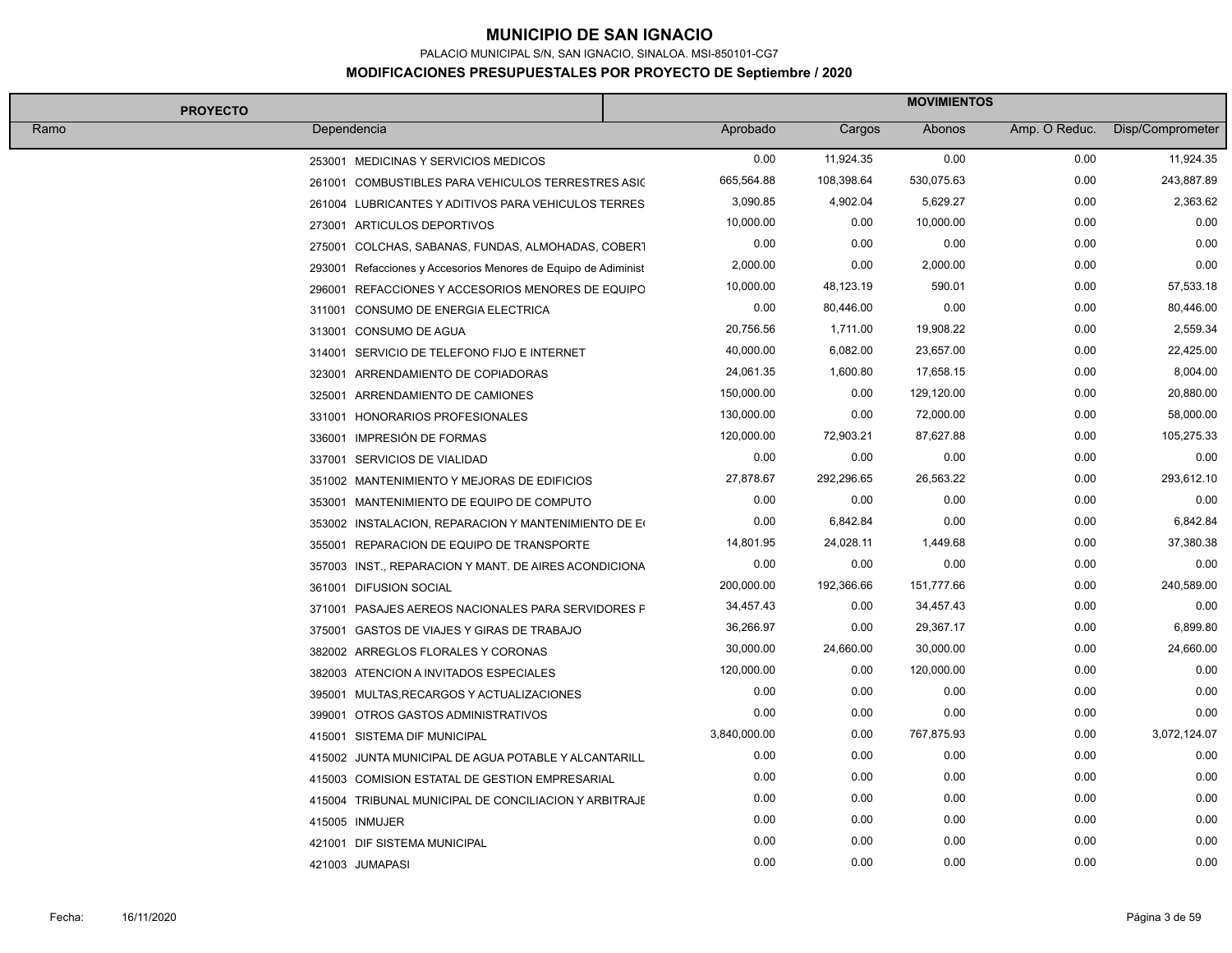PALACIO MUNICIPAL S/N, SAN IGNACIO, SINALOA. MSI-850101-CG7

| <b>PROYECTO</b>                                                | <b>MOVIMIENTOS</b> |            |            |               |                  |  |
|----------------------------------------------------------------|--------------------|------------|------------|---------------|------------------|--|
| Ramo<br>Dependencia                                            | Aprobado           | Cargos     | Abonos     | Amp. O Reduc. | Disp/Comprometer |  |
| 253001 MEDICINAS Y SERVICIOS MEDICOS                           | 0.00               | 11,924.35  | 0.00       | 0.00          | 11,924.35        |  |
| 261001 COMBUSTIBLES PARA VEHICULOS TERRESTRES ASIC             | 665,564.88         | 108,398.64 | 530,075.63 | 0.00          | 243,887.89       |  |
| 261004 LUBRICANTES Y ADITIVOS PARA VEHICULOS TERRES            | 3,090.85           | 4,902.04   | 5,629.27   | 0.00          | 2,363.62         |  |
| 273001 ARTICULOS DEPORTIVOS                                    | 10,000.00          | 0.00       | 10,000.00  | 0.00          | 0.00             |  |
| 275001 COLCHAS, SABANAS, FUNDAS, ALMOHADAS, COBERT             | 0.00               | 0.00       | 0.00       | 0.00          | 0.00             |  |
| 293001 Refacciones y Accesorios Menores de Equipo de Adiminist | 2,000.00           | 0.00       | 2,000.00   | 0.00          | 0.00             |  |
| 296001 REFACCIONES Y ACCESORIOS MENORES DE EQUIPO              | 10,000.00          | 48,123.19  | 590.01     | 0.00          | 57,533.18        |  |
| 311001 CONSUMO DE ENERGIA ELECTRICA                            | 0.00               | 80,446.00  | 0.00       | 0.00          | 80,446.00        |  |
| 313001 CONSUMO DE AGUA                                         | 20,756.56          | 1,711.00   | 19,908.22  | 0.00          | 2,559.34         |  |
| 314001 SERVICIO DE TELEFONO FIJO E INTERNET                    | 40,000.00          | 6,082.00   | 23,657.00  | 0.00          | 22,425.00        |  |
| 323001 ARRENDAMIENTO DE COPIADORAS                             | 24,061.35          | 1,600.80   | 17,658.15  | 0.00          | 8,004.00         |  |
| 325001 ARRENDAMIENTO DE CAMIONES                               | 150,000.00         | 0.00       | 129,120.00 | 0.00          | 20,880.00        |  |
| 331001 HONORARIOS PROFESIONALES                                | 130,000.00         | 0.00       | 72,000.00  | 0.00          | 58,000.00        |  |
| 336001 IMPRESIÓN DE FORMAS                                     | 120,000.00         | 72,903.21  | 87,627.88  | 0.00          | 105,275.33       |  |
| 337001 SERVICIOS DE VIALIDAD                                   | 0.00               | 0.00       | 0.00       | 0.00          | 0.00             |  |
| 351002 MANTENIMIENTO Y MEJORAS DE EDIFICIOS                    | 27,878.67          | 292,296.65 | 26,563.22  | 0.00          | 293,612.10       |  |
| 353001 MANTENIMIENTO DE EQUIPO DE COMPUTO                      | 0.00               | 0.00       | 0.00       | 0.00          | 0.00             |  |
| 353002 INSTALACION, REPARACION Y MANTENIMIENTO DE EQ           | 0.00               | 6,842.84   | 0.00       | 0.00          | 6,842.84         |  |
| 355001 REPARACION DE EQUIPO DE TRANSPORTE                      | 14,801.95          | 24,028.11  | 1,449.68   | 0.00          | 37,380.38        |  |
| 357003 INST., REPARACION Y MANT. DE AIRES ACONDICIONA          | 0.00               | 0.00       | 0.00       | 0.00          | 0.00             |  |
| 361001 DIFUSION SOCIAL                                         | 200,000.00         | 192,366.66 | 151,777.66 | 0.00          | 240,589.00       |  |
| 371001 PASAJES AEREOS NACIONALES PARA SERVIDORES F             | 34,457.43          | 0.00       | 34,457.43  | 0.00          | 0.00             |  |
| 375001 GASTOS DE VIAJES Y GIRAS DE TRABAJO                     | 36,266.97          | 0.00       | 29,367.17  | 0.00          | 6,899.80         |  |
| 382002 ARREGLOS FLORALES Y CORONAS                             | 30,000.00          | 24,660.00  | 30,000.00  | 0.00          | 24,660.00        |  |
| 382003 ATENCION A INVITADOS ESPECIALES                         | 120,000.00         | 0.00       | 120,000.00 | 0.00          | 0.00             |  |
| 395001 MULTAS, RECARGOS Y ACTUALIZACIONES                      | 0.00               | 0.00       | 0.00       | 0.00          | 0.00             |  |
| 399001 OTROS GASTOS ADMINISTRATIVOS                            | 0.00               | 0.00       | 0.00       | 0.00          | 0.00             |  |
| 415001 SISTEMA DIF MUNICIPAL                                   | 3,840,000.00       | 0.00       | 767,875.93 | 0.00          | 3,072,124.07     |  |
| 415002 JUNTA MUNICIPAL DE AGUA POTABLE Y ALCANTARILL           | 0.00               | 0.00       | 0.00       | 0.00          | 0.00             |  |
| 415003 COMISION ESTATAL DE GESTION EMPRESARIAL                 | 0.00               | 0.00       | 0.00       | 0.00          | 0.00             |  |
| 415004 TRIBUNAL MUNICIPAL DE CONCILIACION Y ARBITRAJE          | 0.00               | 0.00       | 0.00       | 0.00          | 0.00             |  |
| 415005 INMUJER                                                 | 0.00               | 0.00       | 0.00       | 0.00          | 0.00             |  |
| 421001 DIF SISTEMA MUNICIPAL                                   | 0.00               | 0.00       | 0.00       | 0.00          | 0.00             |  |
| 421003 JUMAPASI                                                | 0.00               | 0.00       | 0.00       | 0.00          | 0.00             |  |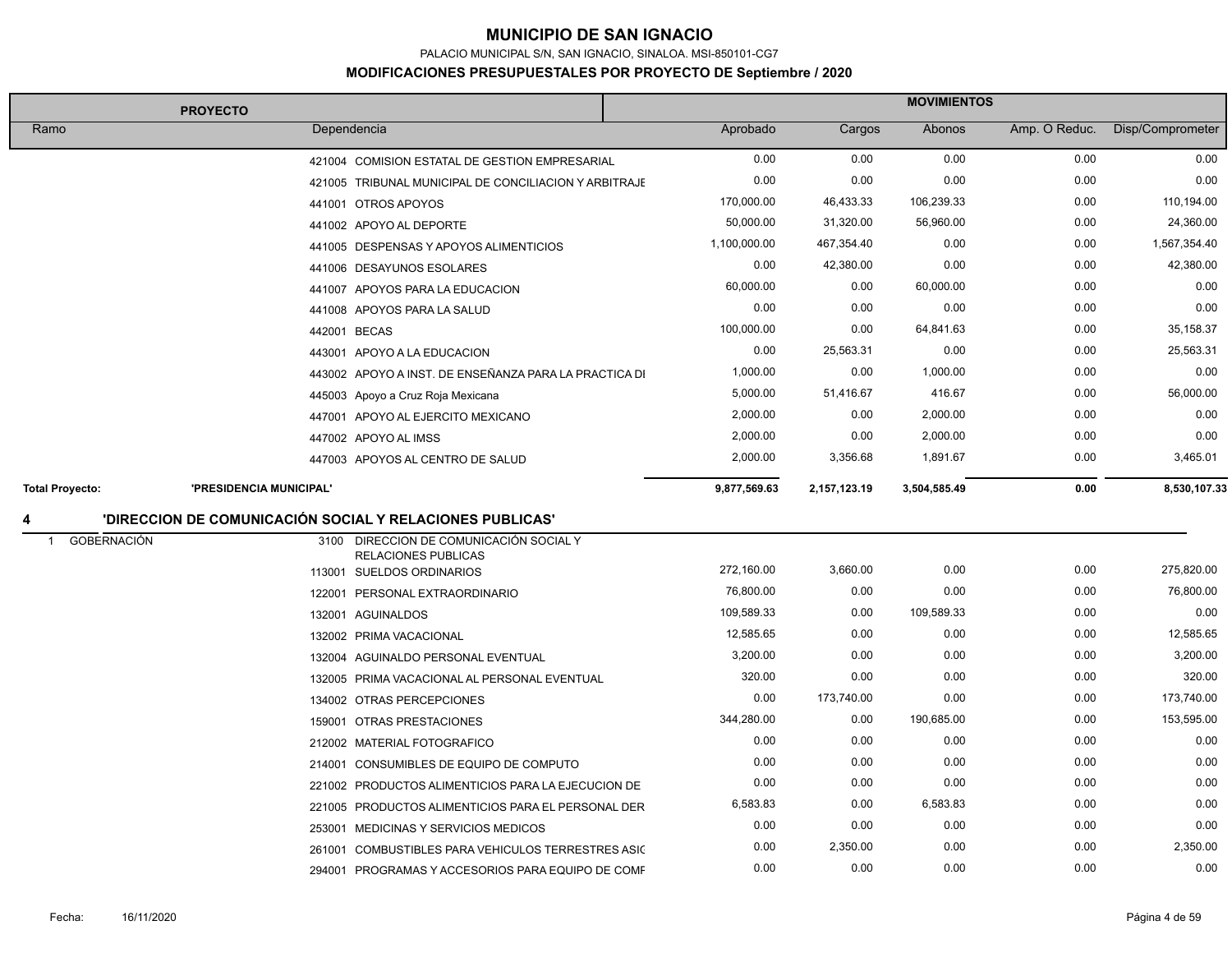PALACIO MUNICIPAL S/N, SAN IGNACIO, SINALOA. MSI-850101-CG7

| <b>PROYECTO</b>                      |                         | <b>MOVIMIENTOS</b>                                                    |              |              |              |               |                  |
|--------------------------------------|-------------------------|-----------------------------------------------------------------------|--------------|--------------|--------------|---------------|------------------|
| Ramo                                 |                         | Dependencia                                                           | Aprobado     | Cargos       | Abonos       | Amp. O Reduc. | Disp/Comprometer |
|                                      |                         | 421004 COMISION ESTATAL DE GESTION EMPRESARIAL                        | 0.00         | 0.00         | 0.00         | 0.00          | 0.00             |
|                                      |                         | 421005 TRIBUNAL MUNICIPAL DE CONCILIACION Y ARBITRAJE                 | 0.00         | 0.00         | 0.00         | 0.00          | 0.00             |
|                                      |                         | 441001 OTROS APOYOS                                                   | 170,000.00   | 46,433.33    | 106,239.33   | 0.00          | 110,194.00       |
|                                      |                         | 441002 APOYO AL DEPORTE                                               | 50,000.00    | 31,320.00    | 56,960.00    | 0.00          | 24,360.00        |
|                                      |                         | 441005 DESPENSAS Y APOYOS ALIMENTICIOS                                | 1,100,000.00 | 467,354.40   | 0.00         | 0.00          | 1,567,354.40     |
|                                      |                         | 441006 DESAYUNOS ESOLARES                                             | 0.00         | 42,380.00    | 0.00         | 0.00          | 42,380.00        |
|                                      |                         | 441007 APOYOS PARA LA EDUCACION                                       | 60,000.00    | 0.00         | 60,000.00    | 0.00          | 0.00             |
|                                      |                         | 441008 APOYOS PARA LA SALUD                                           | 0.00         | 0.00         | 0.00         | 0.00          | 0.00             |
|                                      |                         | 442001 BECAS                                                          | 100,000.00   | 0.00         | 64,841.63    | 0.00          | 35,158.37        |
|                                      |                         | 443001 APOYO A LA EDUCACION                                           | 0.00         | 25,563.31    | 0.00         | 0.00          | 25,563.31        |
|                                      |                         | 443002 APOYO A INST. DE ENSEÑANZA PARA LA PRACTICA DI                 | 1,000.00     | 0.00         | 1,000.00     | 0.00          | 0.00             |
|                                      |                         | 445003 Apoyo a Cruz Roja Mexicana                                     | 5,000.00     | 51,416.67    | 416.67       | 0.00          | 56,000.00        |
|                                      |                         | 447001 APOYO AL EJERCITO MEXICANO                                     | 2,000.00     | 0.00         | 2,000.00     | 0.00          | 0.00             |
|                                      |                         | 447002 APOYO AL IMSS                                                  | 2,000.00     | 0.00         | 2,000.00     | 0.00          | 0.00             |
|                                      |                         | 447003 APOYOS AL CENTRO DE SALUD                                      | 2,000.00     | 3,356.68     | 1,891.67     | 0.00          | 3,465.01         |
| <b>Total Proyecto:</b>               | 'PRESIDENCIA MUNICIPAL' |                                                                       | 9,877,569.63 | 2,157,123.19 | 3,504,585.49 | 0.00          | 8,530,107.33     |
| 4                                    |                         | 'DIRECCION DE COMUNICACIÓN SOCIAL Y RELACIONES PUBLICAS'              |              |              |              |               |                  |
| <b>GOBERNACIÓN</b><br>$\overline{1}$ |                         | 3100 DIRECCION DE COMUNICACIÓN SOCIAL Y<br><b>RELACIONES PUBLICAS</b> |              |              |              |               |                  |
|                                      |                         | 113001 SUELDOS ORDINARIOS                                             | 272,160.00   | 3,660.00     | 0.00         | 0.00          | 275,820.00       |
|                                      |                         | 122001 PERSONAL EXTRAORDINARIO                                        | 76,800.00    | 0.00         | 0.00         | 0.00          | 76,800.00        |
|                                      |                         | 132001 AGUINALDOS                                                     | 109,589.33   | 0.00         | 109,589.33   | 0.00          | 0.00             |
|                                      |                         | 132002 PRIMA VACACIONAL                                               | 12,585.65    | 0.00         | 0.00         | 0.00          | 12,585.65        |
|                                      |                         | 132004 AGUINALDO PERSONAL EVENTUAL                                    | 3,200.00     | 0.00         | 0.00         | 0.00          | 3,200.00         |
|                                      |                         | 132005 PRIMA VACACIONAL AL PERSONAL EVENTUAL                          | 320.00       | 0.00         | 0.00         | 0.00          | 320.00           |
|                                      |                         | 134002 OTRAS PERCEPCIONES                                             | 0.00         | 173,740.00   | 0.00         | 0.00          | 173,740.00       |
|                                      |                         | 159001 OTRAS PRESTACIONES                                             | 344,280.00   | 0.00         | 190,685.00   | 0.00          | 153,595.00       |
|                                      |                         | 212002 MATERIAL FOTOGRAFICO                                           | 0.00         | 0.00         | 0.00         | 0.00          | 0.00             |
|                                      |                         | 214001 CONSUMIBLES DE EQUIPO DE COMPUTO                               | 0.00         | 0.00         | 0.00         | 0.00          | 0.00             |
|                                      |                         | 221002 PRODUCTOS ALIMENTICIOS PARA LA EJECUCION DE                    | 0.00         | 0.00         | 0.00         | 0.00          | 0.00             |
|                                      |                         | 221005 PRODUCTOS ALIMENTICIOS PARA EL PERSONAL DER                    | 6,583.83     | 0.00         | 6,583.83     | 0.00          | 0.00             |
|                                      |                         | 253001 MEDICINAS Y SERVICIOS MEDICOS                                  | 0.00         | 0.00         | 0.00         | 0.00          | 0.00             |
|                                      |                         | 261001 COMBUSTIBLES PARA VEHICULOS TERRESTRES ASIC                    | 0.00         | 2,350.00     | 0.00         | 0.00          | 2,350.00         |
|                                      |                         | 294001 PROGRAMAS Y ACCESORIOS PARA EQUIPO DE COMF                     | 0.00         | 0.00         | 0.00         | 0.00          | 0.00             |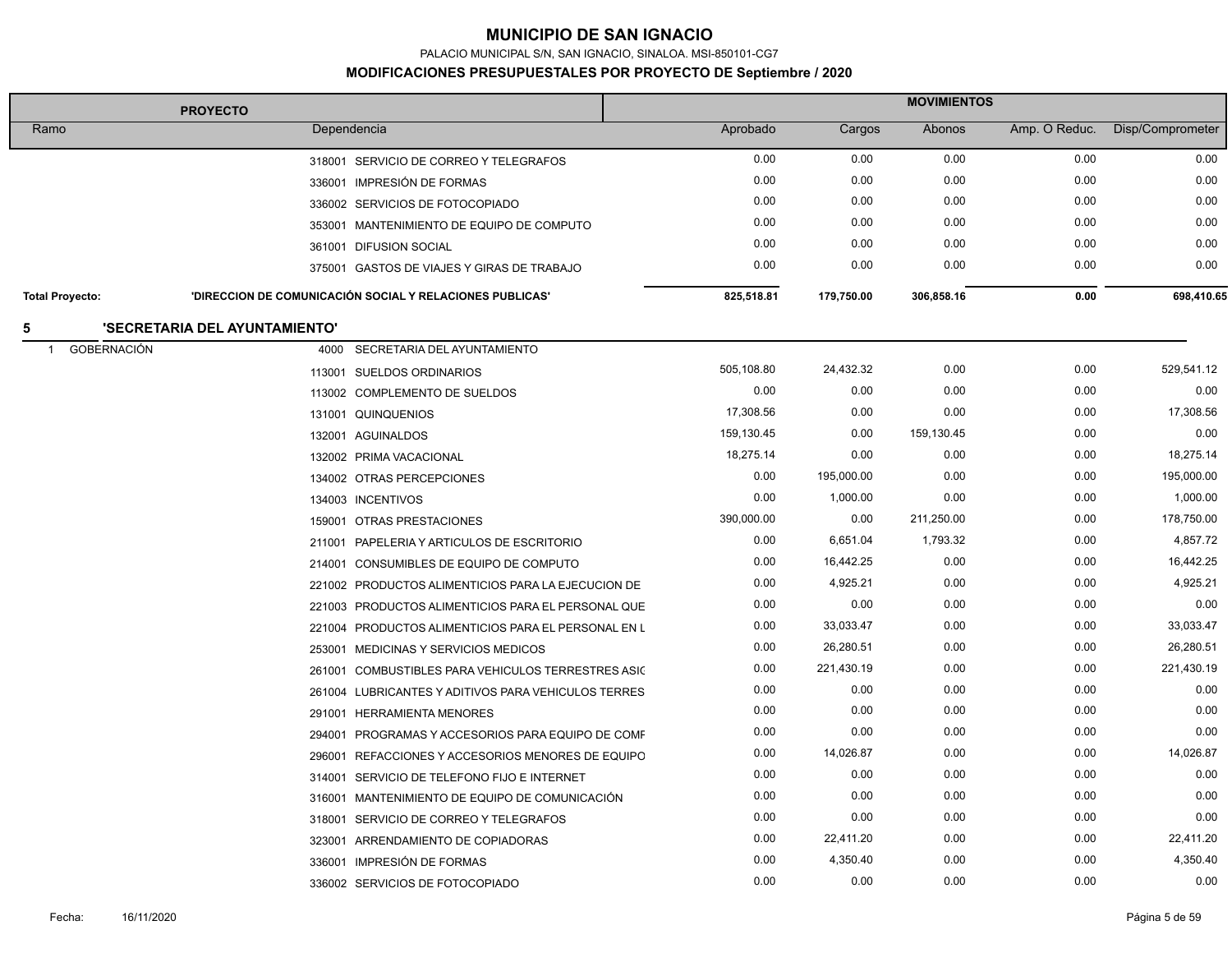PALACIO MUNICIPAL S/N, SAN IGNACIO, SINALOA. MSI-850101-CG7

| <b>PROYECTO</b>                    |                                                          | <b>MOVIMIENTOS</b> |            |            |               |                  |
|------------------------------------|----------------------------------------------------------|--------------------|------------|------------|---------------|------------------|
| Ramo                               | Dependencia                                              | Aprobado           | Cargos     | Abonos     | Amp. O Reduc. | Disp/Comprometer |
|                                    | 318001 SERVICIO DE CORREO Y TELEGRAFOS                   | 0.00               | 0.00       | 0.00       | 0.00          | 0.00             |
|                                    | 336001 IMPRESIÓN DE FORMAS                               | 0.00               | 0.00       | 0.00       | 0.00          | 0.00             |
|                                    | 336002 SERVICIOS DE FOTOCOPIADO                          | 0.00               | 0.00       | 0.00       | 0.00          | 0.00             |
|                                    | 353001 MANTENIMIENTO DE EQUIPO DE COMPUTO                | 0.00               | 0.00       | 0.00       | 0.00          | 0.00             |
|                                    | 361001 DIFUSION SOCIAL                                   | 0.00               | 0.00       | 0.00       | 0.00          | 0.00             |
|                                    | 375001 GASTOS DE VIAJES Y GIRAS DE TRABAJO               | 0.00               | 0.00       | 0.00       | 0.00          | 0.00             |
| <b>Total Proyecto:</b>             | 'DIRECCION DE COMUNICACIÓN SOCIAL Y RELACIONES PUBLICAS' | 825,518.81         | 179,750.00 | 306,858.16 | 0.00          | 698,410.65       |
|                                    | 'SECRETARIA DEL AYUNTAMIENTO'                            |                    |            |            |               |                  |
| <b>GOBERNACIÓN</b><br>$\mathbf{1}$ | 4000<br>SECRETARIA DEL AYUNTAMIENTO                      |                    |            |            |               |                  |
|                                    | 113001 SUELDOS ORDINARIOS                                | 505,108.80         | 24,432.32  | 0.00       | 0.00          | 529,541.12       |
|                                    | 113002 COMPLEMENTO DE SUELDOS                            | 0.00               | 0.00       | 0.00       | 0.00          | 0.00             |
|                                    | 131001 QUINQUENIOS                                       | 17,308.56          | 0.00       | 0.00       | 0.00          | 17,308.56        |
|                                    | 132001 AGUINALDOS                                        | 159,130.45         | 0.00       | 159,130.45 | 0.00          | 0.00             |
|                                    | 132002 PRIMA VACACIONAL                                  | 18,275.14          | 0.00       | 0.00       | 0.00          | 18,275.14        |
|                                    | 134002 OTRAS PERCEPCIONES                                | 0.00               | 195,000.00 | 0.00       | 0.00          | 195,000.00       |
|                                    | 134003 INCENTIVOS                                        | 0.00               | 1,000.00   | 0.00       | 0.00          | 1,000.00         |
|                                    | 159001 OTRAS PRESTACIONES                                | 390,000.00         | 0.00       | 211,250.00 | 0.00          | 178,750.00       |
|                                    | PAPELERIA Y ARTICULOS DE ESCRITORIO<br>211001            | 0.00               | 6,651.04   | 1,793.32   | 0.00          | 4,857.72         |
|                                    | 214001 CONSUMIBLES DE EQUIPO DE COMPUTO                  | 0.00               | 16,442.25  | 0.00       | 0.00          | 16,442.25        |
|                                    | 221002 PRODUCTOS ALIMENTICIOS PARA LA EJECUCION DE       | 0.00               | 4,925.21   | 0.00       | 0.00          | 4,925.21         |
|                                    | 221003 PRODUCTOS ALIMENTICIOS PARA EL PERSONAL QUE       | 0.00               | 0.00       | 0.00       | 0.00          | 0.00             |
|                                    | 221004 PRODUCTOS ALIMENTICIOS PARA EL PERSONAL EN L      | 0.00               | 33,033.47  | 0.00       | 0.00          | 33,033.47        |
|                                    | 253001 MEDICINAS Y SERVICIOS MEDICOS                     | 0.00               | 26,280.51  | 0.00       | 0.00          | 26,280.51        |
|                                    | 261001 COMBUSTIBLES PARA VEHICULOS TERRESTRES ASIC       | 0.00               | 221,430.19 | 0.00       | 0.00          | 221,430.19       |
|                                    | 261004 LUBRICANTES Y ADITIVOS PARA VEHICULOS TERRES      | 0.00               | 0.00       | 0.00       | 0.00          | 0.00             |
|                                    | 291001 HERRAMIENTA MENORES                               | 0.00               | 0.00       | 0.00       | 0.00          | 0.00             |
|                                    | 294001 PROGRAMAS Y ACCESORIOS PARA EQUIPO DE COMF        | 0.00               | 0.00       | 0.00       | 0.00          | 0.00             |
|                                    | 296001 REFACCIONES Y ACCESORIOS MENORES DE EQUIPO        | 0.00               | 14,026.87  | 0.00       | 0.00          | 14,026.87        |
|                                    | 314001<br>SERVICIO DE TELEFONO FIJO E INTERNET           | 0.00               | 0.00       | 0.00       | 0.00          | 0.00             |
|                                    | 316001 MANTENIMIENTO DE EQUIPO DE COMUNICACIÓN           | 0.00               | 0.00       | 0.00       | 0.00          | 0.00             |
|                                    | 318001 SERVICIO DE CORREO Y TELEGRAFOS                   | 0.00               | 0.00       | 0.00       | 0.00          | 0.00             |
|                                    | 323001 ARRENDAMIENTO DE COPIADORAS                       | 0.00               | 22,411.20  | 0.00       | 0.00          | 22,411.20        |
|                                    | 336001 IMPRESIÓN DE FORMAS                               | 0.00               | 4,350.40   | 0.00       | 0.00          | 4,350.40         |
|                                    | 336002 SERVICIOS DE FOTOCOPIADO                          | 0.00               | 0.00       | 0.00       | 0.00          | 0.00             |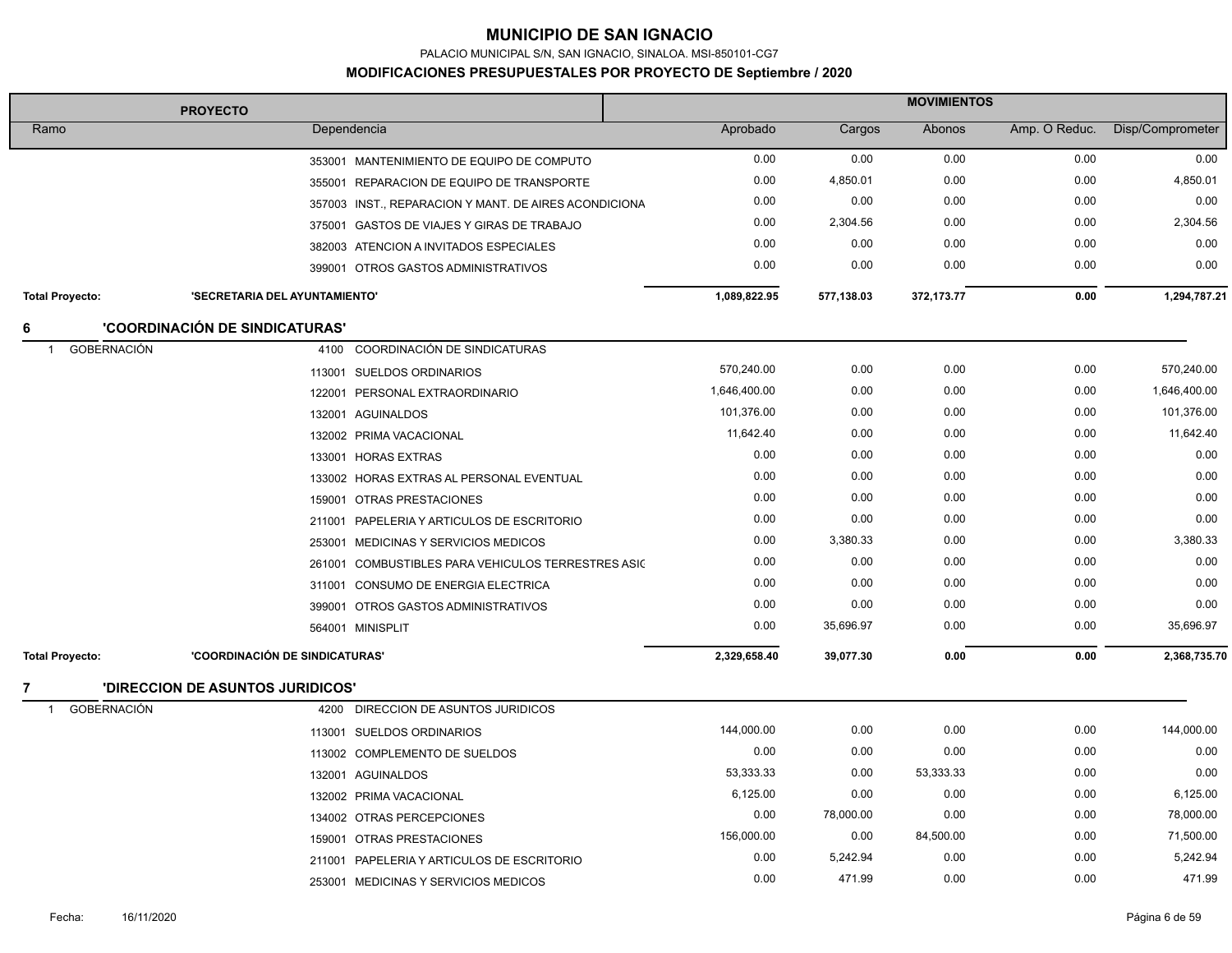PALACIO MUNICIPAL S/N, SAN IGNACIO, SINALOA. MSI-850101-CG7

| <b>PROYECTO</b>                      |                                         | <b>MOVIMIENTOS</b>                                    |              |            |              |               |                  |
|--------------------------------------|-----------------------------------------|-------------------------------------------------------|--------------|------------|--------------|---------------|------------------|
| Ramo                                 |                                         | Dependencia                                           | Aprobado     | Cargos     | Abonos       | Amp. O Reduc. | Disp/Comprometer |
|                                      |                                         | 353001 MANTENIMIENTO DE EQUIPO DE COMPUTO             | 0.00         | 0.00       | 0.00         | 0.00          | 0.00             |
|                                      |                                         | 355001 REPARACION DE EQUIPO DE TRANSPORTE             | 0.00         | 4,850.01   | 0.00         | 0.00          | 4,850.01         |
|                                      |                                         | 357003 INST., REPARACION Y MANT. DE AIRES ACONDICIONA | 0.00         | 0.00       | 0.00         | 0.00          | 0.00             |
|                                      |                                         | 375001 GASTOS DE VIAJES Y GIRAS DE TRABAJO            | 0.00         | 2,304.56   | 0.00         | 0.00          | 2,304.56         |
|                                      |                                         | 382003 ATENCION A INVITADOS ESPECIALES                | 0.00         | 0.00       | 0.00         | 0.00          | 0.00             |
|                                      |                                         | 399001 OTROS GASTOS ADMINISTRATIVOS                   | 0.00         | 0.00       | 0.00         | 0.00          | 0.00             |
| <b>Total Proyecto:</b>               | 'SECRETARIA DEL AYUNTAMIENTO'           |                                                       | 1,089,822.95 | 577,138.03 | 372, 173. 77 | 0.00          | 1,294,787.21     |
| 6                                    | <b>'COORDINACIÓN DE SINDICATURAS'</b>   |                                                       |              |            |              |               |                  |
| <b>GOBERNACIÓN</b><br>$\overline{1}$ | 4100                                    | COORDINACIÓN DE SINDICATURAS                          |              |            |              |               |                  |
|                                      |                                         | 113001 SUELDOS ORDINARIOS                             | 570,240.00   | 0.00       | 0.00         | 0.00          | 570,240.00       |
|                                      |                                         | 122001 PERSONAL EXTRAORDINARIO                        | 1,646,400.00 | 0.00       | 0.00         | 0.00          | 1,646,400.00     |
|                                      |                                         | 132001 AGUINALDOS                                     | 101,376.00   | 0.00       | 0.00         | 0.00          | 101,376.00       |
|                                      |                                         | 132002 PRIMA VACACIONAL                               | 11,642.40    | 0.00       | 0.00         | 0.00          | 11,642.40        |
|                                      |                                         | 133001 HORAS EXTRAS                                   | 0.00         | 0.00       | 0.00         | 0.00          | 0.00             |
|                                      |                                         | 133002 HORAS EXTRAS AL PERSONAL EVENTUAL              | 0.00         | 0.00       | 0.00         | 0.00          | 0.00             |
|                                      |                                         | 159001 OTRAS PRESTACIONES                             | 0.00         | 0.00       | 0.00         | 0.00          | 0.00             |
|                                      |                                         | 211001 PAPELERIA Y ARTICULOS DE ESCRITORIO            | 0.00         | 0.00       | 0.00         | 0.00          | 0.00             |
|                                      |                                         | 253001 MEDICINAS Y SERVICIOS MEDICOS                  | 0.00         | 3,380.33   | 0.00         | 0.00          | 3,380.33         |
|                                      |                                         | 261001 COMBUSTIBLES PARA VEHICULOS TERRESTRES ASIC    | 0.00         | 0.00       | 0.00         | 0.00          | 0.00             |
|                                      |                                         | 311001 CONSUMO DE ENERGIA ELECTRICA                   | 0.00         | 0.00       | 0.00         | 0.00          | 0.00             |
|                                      |                                         | 399001 OTROS GASTOS ADMINISTRATIVOS                   | 0.00         | 0.00       | 0.00         | 0.00          | 0.00             |
|                                      |                                         | 564001 MINISPLIT                                      | 0.00         | 35,696.97  | 0.00         | 0.00          | 35,696.97        |
| <b>Total Proyecto:</b>               | 'COORDINACIÓN DE SINDICATURAS'          |                                                       | 2,329,658.40 | 39,077.30  | 0.00         | 0.00          | 2,368,735.70     |
|                                      | <b>'DIRECCION DE ASUNTOS JURIDICOS'</b> |                                                       |              |            |              |               |                  |
| <b>GOBERNACIÓN</b><br>-1             |                                         | 4200 DIRECCION DE ASUNTOS JURIDICOS                   |              |            |              |               |                  |
|                                      |                                         | 113001 SUELDOS ORDINARIOS                             | 144,000.00   | 0.00       | 0.00         | 0.00          | 144,000.00       |
|                                      |                                         | 113002 COMPLEMENTO DE SUELDOS                         | 0.00         | 0.00       | 0.00         | 0.00          | 0.00             |
|                                      |                                         | 132001 AGUINALDOS                                     | 53,333.33    | 0.00       | 53,333.33    | 0.00          | 0.00             |
|                                      |                                         | 132002 PRIMA VACACIONAL                               | 6,125.00     | 0.00       | 0.00         | 0.00          | 6,125.00         |
|                                      |                                         | 134002 OTRAS PERCEPCIONES                             | 0.00         | 78,000.00  | 0.00         | 0.00          | 78,000.00        |
|                                      |                                         | 159001 OTRAS PRESTACIONES                             | 156,000.00   | 0.00       | 84,500.00    | 0.00          | 71,500.00        |
|                                      |                                         | 211001 PAPELERIA Y ARTICULOS DE ESCRITORIO            | 0.00         | 5,242.94   | 0.00         | 0.00          | 5,242.94         |
|                                      |                                         | 253001 MEDICINAS Y SERVICIOS MEDICOS                  | 0.00         | 471.99     | 0.00         | 0.00          | 471.99           |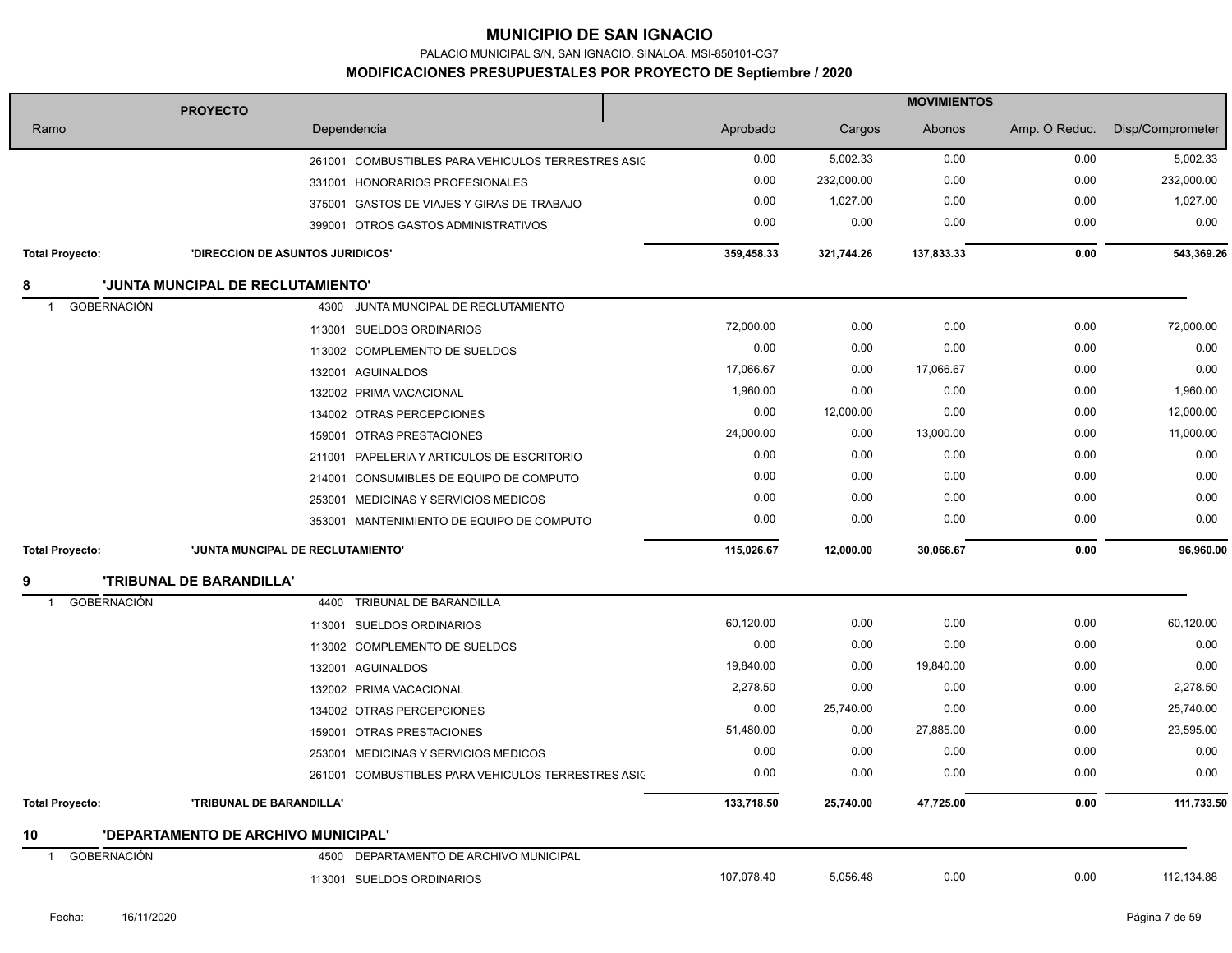PALACIO MUNICIPAL S/N, SAN IGNACIO, SINALOA. MSI-850101-CG7

| <b>PROYECTO</b>                      |                                     |                                                    | <b>MOVIMIENTOS</b> |            |            |               |                  |  |
|--------------------------------------|-------------------------------------|----------------------------------------------------|--------------------|------------|------------|---------------|------------------|--|
| Ramo                                 |                                     | Dependencia                                        | Aprobado           | Cargos     | Abonos     | Amp. O Reduc. | Disp/Comprometer |  |
|                                      |                                     | 261001 COMBUSTIBLES PARA VEHICULOS TERRESTRES ASIC | 0.00               | 5,002.33   | 0.00       | 0.00          | 5,002.33         |  |
|                                      |                                     | 331001 HONORARIOS PROFESIONALES                    | 0.00               | 232,000.00 | 0.00       | 0.00          | 232,000.00       |  |
|                                      |                                     | 375001 GASTOS DE VIAJES Y GIRAS DE TRABAJO         | 0.00               | 1,027.00   | 0.00       | 0.00          | 1,027.00         |  |
|                                      |                                     | 399001 OTROS GASTOS ADMINISTRATIVOS                | 0.00               | 0.00       | 0.00       | 0.00          | 0.00             |  |
| <b>Total Proyecto:</b>               | 'DIRECCION DE ASUNTOS JURIDICOS'    |                                                    | 359,458.33         | 321,744.26 | 137,833.33 | 0.00          | 543,369.26       |  |
| 8                                    | 'JUNTA MUNCIPAL DE RECLUTAMIENTO'   |                                                    |                    |            |            |               |                  |  |
| <b>GOBERNACIÓN</b><br>$\overline{1}$ | 4300                                | JUNTA MUNCIPAL DE RECLUTAMIENTO                    |                    |            |            |               |                  |  |
|                                      |                                     | 113001 SUELDOS ORDINARIOS                          | 72,000.00          | 0.00       | 0.00       | 0.00          | 72,000.00        |  |
|                                      |                                     | 113002 COMPLEMENTO DE SUELDOS                      | 0.00               | 0.00       | 0.00       | 0.00          | 0.00             |  |
|                                      |                                     | 132001 AGUINALDOS                                  | 17,066.67          | 0.00       | 17,066.67  | 0.00          | 0.00             |  |
|                                      |                                     | 132002 PRIMA VACACIONAL                            | 1,960.00           | 0.00       | 0.00       | 0.00          | 1,960.00         |  |
|                                      |                                     | 134002 OTRAS PERCEPCIONES                          | 0.00               | 12,000.00  | 0.00       | 0.00          | 12,000.00        |  |
|                                      |                                     | 159001 OTRAS PRESTACIONES                          | 24,000.00          | 0.00       | 13,000.00  | 0.00          | 11,000.00        |  |
|                                      |                                     | 211001 PAPELERIA Y ARTICULOS DE ESCRITORIO         | 0.00               | 0.00       | 0.00       | 0.00          | 0.00             |  |
|                                      |                                     | 214001 CONSUMIBLES DE EQUIPO DE COMPUTO            | 0.00               | 0.00       | 0.00       | 0.00          | 0.00             |  |
|                                      |                                     | 253001 MEDICINAS Y SERVICIOS MEDICOS               | 0.00               | 0.00       | 0.00       | 0.00          | 0.00             |  |
|                                      |                                     | 353001 MANTENIMIENTO DE EQUIPO DE COMPUTO          | 0.00               | 0.00       | 0.00       | 0.00          | 0.00             |  |
| <b>Total Proyecto:</b>               | 'JUNTA MUNCIPAL DE RECLUTAMIENTO'   |                                                    | 115,026.67         | 12,000.00  | 30,066.67  | 0.00          | 96,960.00        |  |
|                                      | <b>'TRIBUNAL DE BARANDILLA'</b>     |                                                    |                    |            |            |               |                  |  |
| <b>GOBERNACIÓN</b><br>-1             | 4400                                | <b>TRIBUNAL DE BARANDILLA</b>                      |                    |            |            |               |                  |  |
|                                      |                                     | 113001 SUELDOS ORDINARIOS                          | 60,120.00          | 0.00       | 0.00       | 0.00          | 60,120.00        |  |
|                                      |                                     | 113002 COMPLEMENTO DE SUELDOS                      | 0.00               | 0.00       | 0.00       | 0.00          | 0.00             |  |
|                                      |                                     | 132001 AGUINALDOS                                  | 19,840.00          | 0.00       | 19,840.00  | 0.00          | 0.00             |  |
|                                      |                                     | 132002 PRIMA VACACIONAL                            | 2,278.50           | 0.00       | 0.00       | 0.00          | 2,278.50         |  |
|                                      |                                     | 134002 OTRAS PERCEPCIONES                          | 0.00               | 25,740.00  | 0.00       | 0.00          | 25,740.00        |  |
|                                      | 159001                              | OTRAS PRESTACIONES                                 | 51,480.00          | 0.00       | 27,885.00  | 0.00          | 23,595.00        |  |
|                                      |                                     | 253001 MEDICINAS Y SERVICIOS MEDICOS               | 0.00               | 0.00       | 0.00       | 0.00          | 0.00             |  |
|                                      | 261001                              | COMBUSTIBLES PARA VEHICULOS TERRESTRES ASIC        | 0.00               | 0.00       | 0.00       | 0.00          | 0.00             |  |
| <b>Total Proyecto:</b>               | 'TRIBUNAL DE BARANDILLA'            |                                                    | 133,718.50         | 25,740.00  | 47,725.00  | 0.00          | 111,733.50       |  |
| 10                                   | 'DEPARTAMENTO DE ARCHIVO MUNICIPAL' |                                                    |                    |            |            |               |                  |  |
| <b>GOBERNACIÓN</b><br>$\overline{1}$ | 4500                                | DEPARTAMENTO DE ARCHIVO MUNICIPAL                  |                    |            |            |               |                  |  |
|                                      |                                     | 113001 SUELDOS ORDINARIOS                          | 107,078.40         | 5,056.48   | 0.00       | 0.00          | 112,134.88       |  |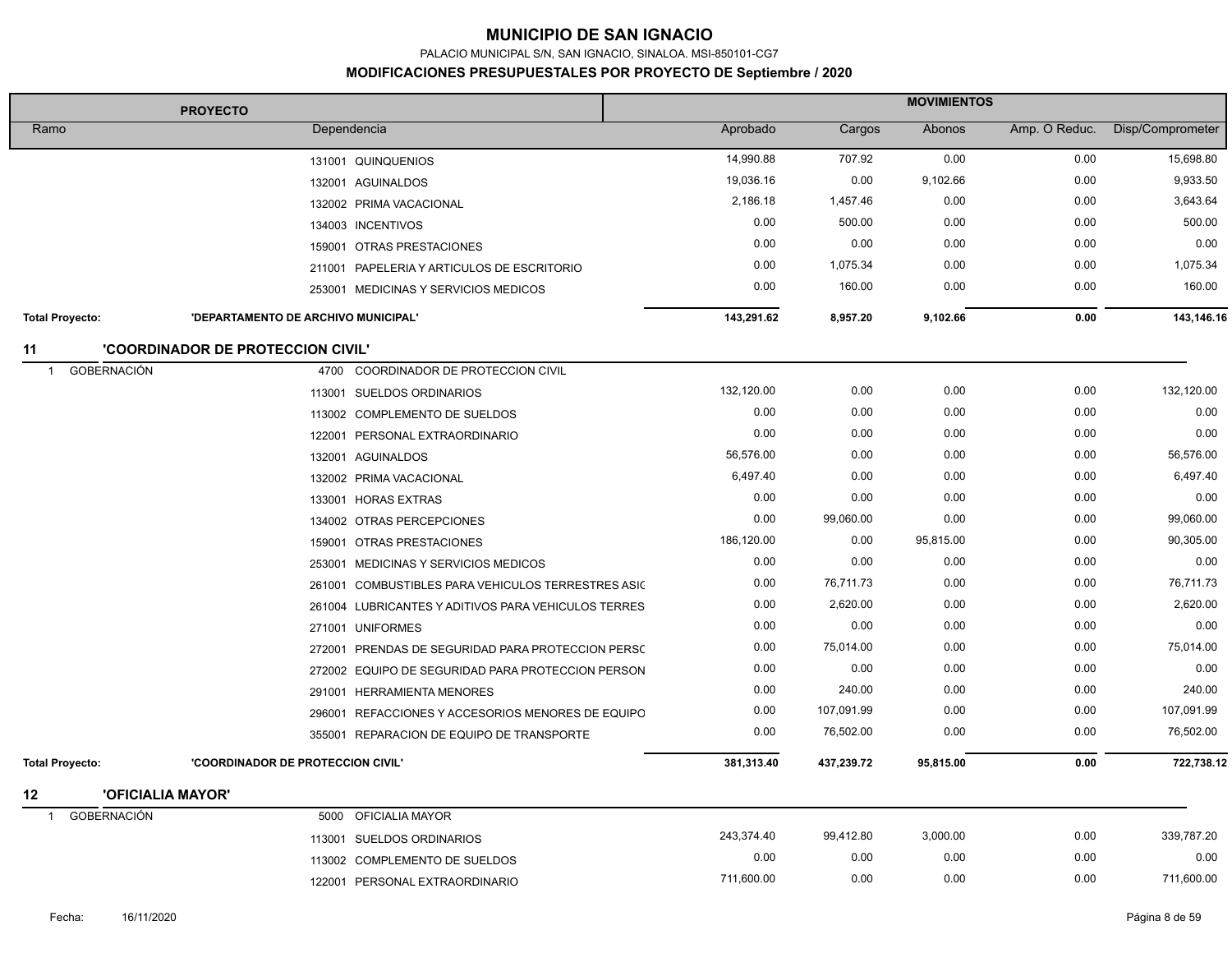PALACIO MUNICIPAL S/N, SAN IGNACIO, SINALOA. MSI-850101-CG7

| <b>PROYECTO</b>                      |                                          | <b>MOVIMIENTOS</b>                                  |            |            |           |               |                  |
|--------------------------------------|------------------------------------------|-----------------------------------------------------|------------|------------|-----------|---------------|------------------|
| Ramo                                 | Dependencia                              |                                                     | Aprobado   | Cargos     | Abonos    | Amp. O Reduc. | Disp/Comprometer |
|                                      |                                          | 131001 QUINQUENIOS                                  | 14,990.88  | 707.92     | 0.00      | 0.00          | 15,698.80        |
|                                      |                                          | 132001 AGUINALDOS                                   | 19,036.16  | 0.00       | 9,102.66  | 0.00          | 9,933.50         |
|                                      |                                          | 132002 PRIMA VACACIONAL                             | 2,186.18   | 1,457.46   | 0.00      | 0.00          | 3,643.64         |
|                                      |                                          | 134003 INCENTIVOS                                   | 0.00       | 500.00     | 0.00      | 0.00          | 500.00           |
|                                      |                                          | 159001 OTRAS PRESTACIONES                           | 0.00       | 0.00       | 0.00      | 0.00          | 0.00             |
|                                      |                                          | 211001 PAPELERIA Y ARTICULOS DE ESCRITORIO          | 0.00       | 1,075.34   | 0.00      | 0.00          | 1,075.34         |
|                                      |                                          | 253001 MEDICINAS Y SERVICIOS MEDICOS                | 0.00       | 160.00     | 0.00      | 0.00          | 160.00           |
| <b>Total Proyecto:</b>               | 'DEPARTAMENTO DE ARCHIVO MUNICIPAL'      |                                                     | 143,291.62 | 8,957.20   | 9,102.66  | 0.00          | 143,146.16       |
| 11                                   | <b>'COORDINADOR DE PROTECCION CIVIL'</b> |                                                     |            |            |           |               |                  |
| <b>GOBERNACIÓN</b><br>$\overline{1}$ |                                          | 4700 COORDINADOR DE PROTECCION CIVIL                |            |            |           |               |                  |
|                                      |                                          | 113001 SUELDOS ORDINARIOS                           | 132,120.00 | 0.00       | 0.00      | 0.00          | 132,120.00       |
|                                      |                                          | 113002 COMPLEMENTO DE SUELDOS                       | 0.00       | 0.00       | 0.00      | 0.00          | 0.00             |
|                                      |                                          | 122001 PERSONAL EXTRAORDINARIO                      | 0.00       | 0.00       | 0.00      | 0.00          | 0.00             |
|                                      |                                          | 132001 AGUINALDOS                                   | 56,576.00  | 0.00       | 0.00      | 0.00          | 56,576.00        |
|                                      |                                          | 132002 PRIMA VACACIONAL                             | 6,497.40   | 0.00       | 0.00      | 0.00          | 6,497.40         |
|                                      |                                          | 133001 HORAS EXTRAS                                 | 0.00       | 0.00       | 0.00      | 0.00          | 0.00             |
|                                      |                                          | 134002 OTRAS PERCEPCIONES                           | 0.00       | 99,060.00  | 0.00      | 0.00          | 99,060.00        |
|                                      |                                          | 159001 OTRAS PRESTACIONES                           | 186,120.00 | 0.00       | 95,815.00 | 0.00          | 90,305.00        |
|                                      |                                          | 253001 MEDICINAS Y SERVICIOS MEDICOS                | 0.00       | 0.00       | 0.00      | 0.00          | 0.00             |
|                                      |                                          | 261001 COMBUSTIBLES PARA VEHICULOS TERRESTRES ASIC  | 0.00       | 76,711.73  | 0.00      | 0.00          | 76,711.73        |
|                                      |                                          | 261004 LUBRICANTES Y ADITIVOS PARA VEHICULOS TERRES | 0.00       | 2,620.00   | 0.00      | 0.00          | 2,620.00         |
|                                      |                                          | 271001 UNIFORMES                                    | 0.00       | 0.00       | 0.00      | 0.00          | 0.00             |
|                                      |                                          | 272001 PRENDAS DE SEGURIDAD PARA PROTECCION PERSC   | 0.00       | 75,014.00  | 0.00      | 0.00          | 75,014.00        |
|                                      |                                          | 272002 EQUIPO DE SEGURIDAD PARA PROTECCION PERSON   | 0.00       | 0.00       | 0.00      | 0.00          | 0.00             |
|                                      |                                          | 291001 HERRAMIENTA MENORES                          | 0.00       | 240.00     | 0.00      | 0.00          | 240.00           |
|                                      |                                          | 296001 REFACCIONES Y ACCESORIOS MENORES DE EQUIPO   | 0.00       | 107,091.99 | 0.00      | 0.00          | 107,091.99       |
|                                      |                                          | 355001 REPARACION DE EQUIPO DE TRANSPORTE           | 0.00       | 76,502.00  | 0.00      | 0.00          | 76,502.00        |
| <b>Total Proyecto:</b>               | 'COORDINADOR DE PROTECCION CIVIL'        |                                                     | 381,313.40 | 437,239.72 | 95,815.00 | 0.00          | 722,738.12       |
| <b>'OFICIALIA MAYOR'</b><br>12       |                                          |                                                     |            |            |           |               |                  |
| <b>GOBERNACIÓN</b><br>$\overline{1}$ | 5000                                     | <b>OFICIALIA MAYOR</b>                              |            |            |           |               |                  |
|                                      |                                          | 113001 SUELDOS ORDINARIOS                           | 243,374.40 | 99,412.80  | 3,000.00  | 0.00          | 339,787.20       |
|                                      |                                          | 113002 COMPLEMENTO DE SUELDOS                       | 0.00       | 0.00       | 0.00      | 0.00          | 0.00             |
|                                      |                                          | 122001 PERSONAL EXTRAORDINARIO                      | 711,600.00 | 0.00       | 0.00      | 0.00          | 711,600.00       |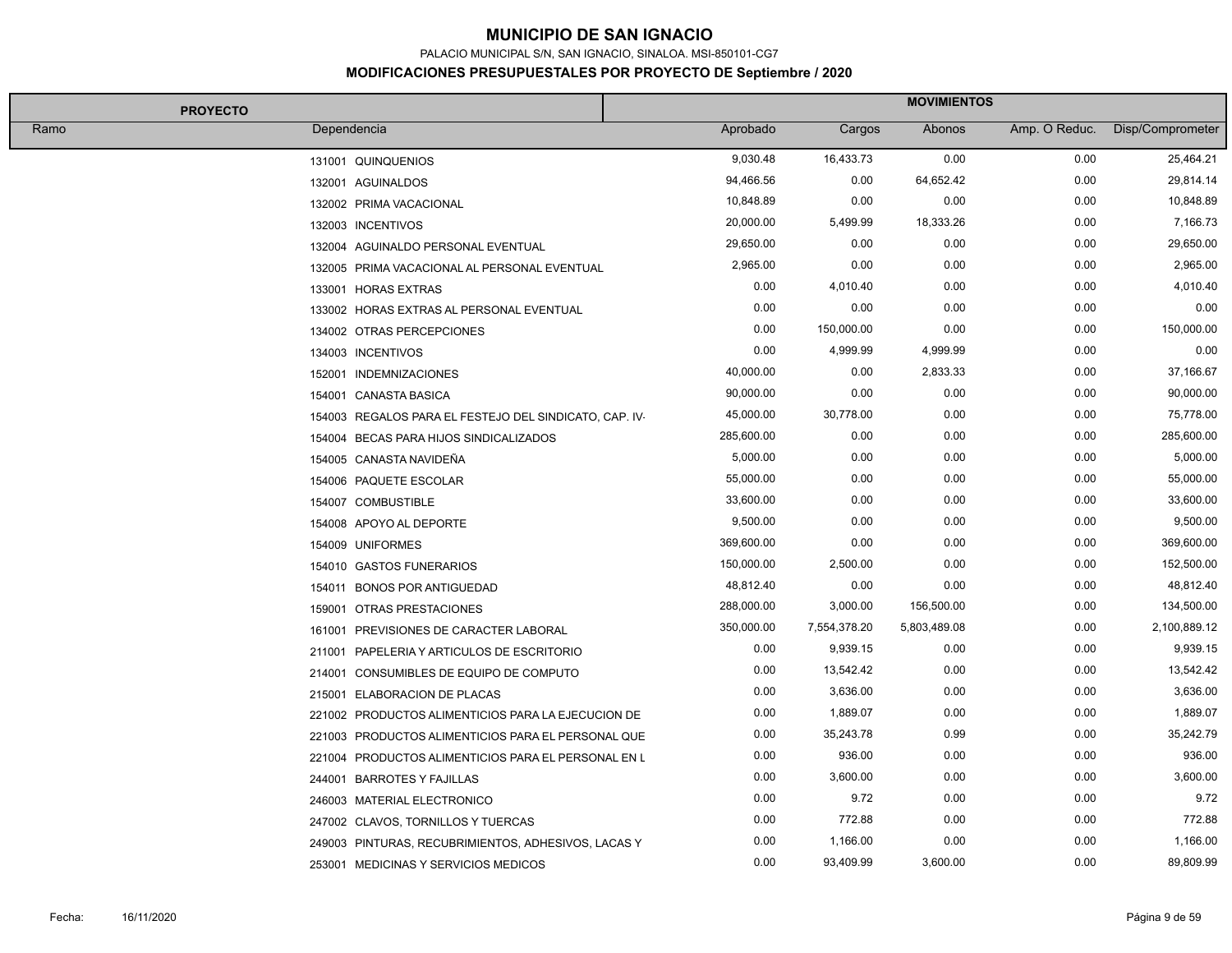PALACIO MUNICIPAL S/N, SAN IGNACIO, SINALOA. MSI-850101-CG7

#### **MODIFICACIONES PRESUPUESTALES POR PROYECTO DE Septiembre / 2020**

| <b>PROYECTO</b>                                        |            | <b>MOVIMIENTOS</b> |              |               |                  |  |  |
|--------------------------------------------------------|------------|--------------------|--------------|---------------|------------------|--|--|
| Ramo<br>Dependencia                                    | Aprobado   | Cargos             | Abonos       | Amp. O Reduc. | Disp/Comprometer |  |  |
| 131001 QUINQUENIOS                                     | 9,030.48   | 16,433.73          | 0.00         | 0.00          | 25,464.21        |  |  |
| 132001 AGUINALDOS                                      | 94,466.56  | 0.00               | 64,652.42    | 0.00          | 29,814.14        |  |  |
| 132002 PRIMA VACACIONAL                                | 10,848.89  | 0.00               | 0.00         | 0.00          | 10,848.89        |  |  |
| 132003 INCENTIVOS                                      | 20,000.00  | 5,499.99           | 18,333.26    | 0.00          | 7,166.73         |  |  |
| 132004 AGUINALDO PERSONAL EVENTUAL                     | 29,650.00  | 0.00               | 0.00         | 0.00          | 29,650.00        |  |  |
| 132005 PRIMA VACACIONAL AL PERSONAL EVENTUAL           | 2,965.00   | 0.00               | 0.00         | 0.00          | 2,965.00         |  |  |
| 133001 HORAS EXTRAS                                    | 0.00       | 4,010.40           | 0.00         | 0.00          | 4,010.40         |  |  |
| 133002 HORAS EXTRAS AL PERSONAL EVENTUAL               | 0.00       | 0.00               | 0.00         | 0.00          | 0.00             |  |  |
| 134002 OTRAS PERCEPCIONES                              | 0.00       | 150,000.00         | 0.00         | 0.00          | 150,000.00       |  |  |
| 134003 INCENTIVOS                                      | 0.00       | 4,999.99           | 4,999.99     | 0.00          | 0.00             |  |  |
| 152001 INDEMNIZACIONES                                 | 40,000.00  | 0.00               | 2,833.33     | 0.00          | 37,166.67        |  |  |
| 154001 CANASTA BASICA                                  | 90,000.00  | 0.00               | 0.00         | 0.00          | 90,000.00        |  |  |
| 154003 REGALOS PARA EL FESTEJO DEL SINDICATO, CAP. IV- | 45,000.00  | 30,778.00          | 0.00         | 0.00          | 75,778.00        |  |  |
| 154004 BECAS PARA HIJOS SINDICALIZADOS                 | 285,600.00 | 0.00               | 0.00         | 0.00          | 285,600.00       |  |  |
| 154005 CANASTA NAVIDEÑA                                | 5,000.00   | 0.00               | 0.00         | 0.00          | 5,000.00         |  |  |
| 154006 PAQUETE ESCOLAR                                 | 55,000.00  | 0.00               | 0.00         | 0.00          | 55,000.00        |  |  |
| 154007 COMBUSTIBLE                                     | 33,600.00  | 0.00               | 0.00         | 0.00          | 33,600.00        |  |  |
| 154008 APOYO AL DEPORTE                                | 9,500.00   | 0.00               | 0.00         | 0.00          | 9,500.00         |  |  |
| 154009 UNIFORMES                                       | 369,600.00 | 0.00               | 0.00         | 0.00          | 369,600.00       |  |  |
| 154010 GASTOS FUNERARIOS                               | 150,000.00 | 2,500.00           | 0.00         | 0.00          | 152,500.00       |  |  |
| 154011 BONOS POR ANTIGUEDAD                            | 48,812.40  | 0.00               | 0.00         | 0.00          | 48,812.40        |  |  |
| 159001 OTRAS PRESTACIONES                              | 288,000.00 | 3,000.00           | 156,500.00   | 0.00          | 134,500.00       |  |  |
| 161001 PREVISIONES DE CARACTER LABORAL                 | 350,000.00 | 7,554,378.20       | 5,803,489.08 | 0.00          | 2,100,889.12     |  |  |
| 211001 PAPELERIA Y ARTICULOS DE ESCRITORIO             | 0.00       | 9,939.15           | 0.00         | 0.00          | 9,939.15         |  |  |
| 214001 CONSUMIBLES DE EQUIPO DE COMPUTO                | 0.00       | 13,542.42          | 0.00         | 0.00          | 13,542.42        |  |  |
| 215001 ELABORACION DE PLACAS                           | 0.00       | 3,636.00           | 0.00         | 0.00          | 3,636.00         |  |  |
| 221002 PRODUCTOS ALIMENTICIOS PARA LA EJECUCION DE     | 0.00       | 1,889.07           | 0.00         | 0.00          | 1,889.07         |  |  |
| 221003 PRODUCTOS ALIMENTICIOS PARA EL PERSONAL QUE     | 0.00       | 35,243.78          | 0.99         | 0.00          | 35,242.79        |  |  |
| 221004 PRODUCTOS ALIMENTICIOS PARA EL PERSONAL EN L    | 0.00       | 936.00             | 0.00         | 0.00          | 936.00           |  |  |
| 244001 BARROTES Y FAJILLAS                             | 0.00       | 3,600.00           | 0.00         | 0.00          | 3,600.00         |  |  |
| 246003 MATERIAL ELECTRONICO                            | 0.00       | 9.72               | 0.00         | 0.00          | 9.72             |  |  |
| 247002 CLAVOS, TORNILLOS Y TUERCAS                     | 0.00       | 772.88             | 0.00         | 0.00          | 772.88           |  |  |
| 249003 PINTURAS, RECUBRIMIENTOS, ADHESIVOS, LACAS Y    | 0.00       | 1,166.00           | 0.00         | 0.00          | 1,166.00         |  |  |
| 253001 MEDICINAS Y SERVICIOS MEDICOS                   | 0.00       | 93,409.99          | 3,600.00     | 0.00          | 89,809.99        |  |  |

H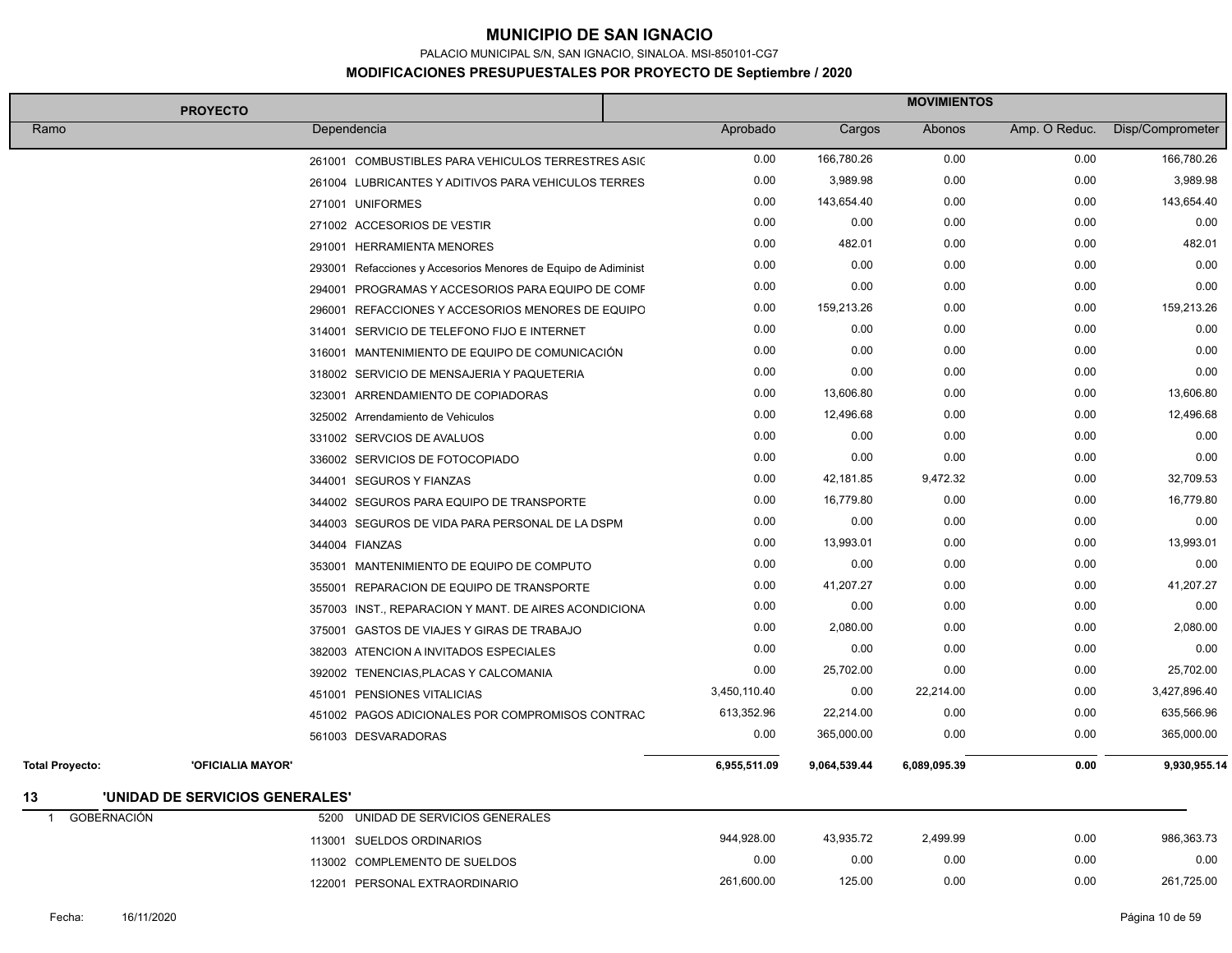PALACIO MUNICIPAL S/N, SAN IGNACIO, SINALOA. MSI-850101-CG7

| <b>PROYECTO</b>          |                                 |                                                                | <b>MOVIMIENTOS</b> |              |              |               |                  |  |
|--------------------------|---------------------------------|----------------------------------------------------------------|--------------------|--------------|--------------|---------------|------------------|--|
| Ramo                     |                                 | Dependencia                                                    | Aprobado           | Cargos       | Abonos       | Amp. O Reduc. | Disp/Comprometer |  |
|                          |                                 | 261001 COMBUSTIBLES PARA VEHICULOS TERRESTRES ASIC             | 0.00               | 166,780.26   | 0.00         | 0.00          | 166,780.26       |  |
|                          |                                 | 261004 LUBRICANTES Y ADITIVOS PARA VEHICULOS TERRES            | 0.00               | 3,989.98     | 0.00         | 0.00          | 3,989.98         |  |
|                          |                                 | 271001 UNIFORMES                                               | 0.00               | 143,654.40   | 0.00         | 0.00          | 143,654.40       |  |
|                          |                                 | 271002 ACCESORIOS DE VESTIR                                    | 0.00               | 0.00         | 0.00         | 0.00          | 0.00             |  |
|                          |                                 | 291001 HERRAMIENTA MENORES                                     | 0.00               | 482.01       | 0.00         | 0.00          | 482.01           |  |
|                          |                                 | 293001 Refacciones y Accesorios Menores de Equipo de Adiminist | 0.00               | 0.00         | 0.00         | 0.00          | 0.00             |  |
|                          |                                 | 294001 PROGRAMAS Y ACCESORIOS PARA EQUIPO DE COMF              | 0.00               | 0.00         | 0.00         | 0.00          | 0.00             |  |
|                          |                                 | 296001 REFACCIONES Y ACCESORIOS MENORES DE EQUIPO              | 0.00               | 159,213.26   | 0.00         | 0.00          | 159,213.26       |  |
|                          |                                 | 314001 SERVICIO DE TELEFONO FIJO E INTERNET                    | 0.00               | 0.00         | 0.00         | 0.00          | 0.00             |  |
|                          |                                 | 316001 MANTENIMIENTO DE EQUIPO DE COMUNICACIÓN                 | 0.00               | 0.00         | 0.00         | 0.00          | 0.00             |  |
|                          |                                 | 318002 SERVICIO DE MENSAJERIA Y PAQUETERIA                     | 0.00               | 0.00         | 0.00         | 0.00          | 0.00             |  |
|                          |                                 | 323001 ARRENDAMIENTO DE COPIADORAS                             | 0.00               | 13,606.80    | 0.00         | 0.00          | 13,606.80        |  |
|                          |                                 | 325002 Arrendamiento de Vehiculos                              | 0.00               | 12,496.68    | 0.00         | 0.00          | 12,496.68        |  |
|                          |                                 | 331002 SERVCIOS DE AVALUOS                                     | 0.00               | 0.00         | 0.00         | 0.00          | 0.00             |  |
|                          |                                 | 336002 SERVICIOS DE FOTOCOPIADO                                | 0.00               | 0.00         | 0.00         | 0.00          | 0.00             |  |
|                          |                                 | 344001 SEGUROS Y FIANZAS                                       | 0.00               | 42,181.85    | 9,472.32     | 0.00          | 32,709.53        |  |
|                          |                                 | 344002 SEGUROS PARA EQUIPO DE TRANSPORTE                       | 0.00               | 16,779.80    | 0.00         | 0.00          | 16,779.80        |  |
|                          |                                 | 344003 SEGUROS DE VIDA PARA PERSONAL DE LA DSPM                | 0.00               | 0.00         | 0.00         | 0.00          | 0.00             |  |
|                          |                                 | 344004 FIANZAS                                                 | 0.00               | 13,993.01    | 0.00         | 0.00          | 13,993.01        |  |
|                          |                                 | 353001 MANTENIMIENTO DE EQUIPO DE COMPUTO                      | 0.00               | 0.00         | 0.00         | 0.00          | 0.00             |  |
|                          |                                 | REPARACION DE EQUIPO DE TRANSPORTE<br>355001                   | 0.00               | 41,207.27    | 0.00         | 0.00          | 41,207.27        |  |
|                          |                                 | 357003 INST., REPARACION Y MANT. DE AIRES ACONDICIONA          | 0.00               | 0.00         | 0.00         | 0.00          | 0.00             |  |
|                          |                                 | 375001 GASTOS DE VIAJES Y GIRAS DE TRABAJO                     | 0.00               | 2,080.00     | 0.00         | 0.00          | 2,080.00         |  |
|                          |                                 | 382003 ATENCION A INVITADOS ESPECIALES                         | 0.00               | 0.00         | 0.00         | 0.00          | 0.00             |  |
|                          |                                 | 392002 TENENCIAS, PLACAS Y CALCOMANIA                          | 0.00               | 25,702.00    | 0.00         | 0.00          | 25,702.00        |  |
|                          |                                 | 451001 PENSIONES VITALICIAS                                    | 3,450,110.40       | 0.00         | 22,214.00    | 0.00          | 3,427,896.40     |  |
|                          |                                 | 451002 PAGOS ADICIONALES POR COMPROMISOS CONTRAC               | 613,352.96         | 22,214.00    | 0.00         | 0.00          | 635,566.96       |  |
|                          |                                 | 561003 DESVARADORAS                                            | 0.00               | 365,000.00   | 0.00         | 0.00          | 365,000.00       |  |
| <b>Total Proyecto:</b>   | <b>'OFICIALIA MAYOR'</b>        |                                                                | 6,955,511.09       | 9,064,539.44 | 6,089,095.39 | 0.00          | 9,930,955.14     |  |
| 13                       | 'UNIDAD DE SERVICIOS GENERALES' |                                                                |                    |              |              |               |                  |  |
| <b>GOBERNACIÓN</b><br>-1 |                                 | UNIDAD DE SERVICIOS GENERALES<br>5200                          |                    |              |              |               |                  |  |
|                          |                                 | 113001 SUELDOS ORDINARIOS                                      | 944,928.00         | 43,935.72    | 2,499.99     | 0.00          | 986,363.73       |  |
|                          |                                 | <b>COMPLEMENTO DE SUELDOS</b><br>113002                        | 0.00               | 0.00         | 0.00         | 0.00          | 0.00             |  |
|                          |                                 | 122001 PERSONAL EXTRAORDINARIO                                 | 261,600.00         | 125.00       | 0.00         | 0.00          | 261,725.00       |  |
|                          |                                 |                                                                |                    |              |              |               |                  |  |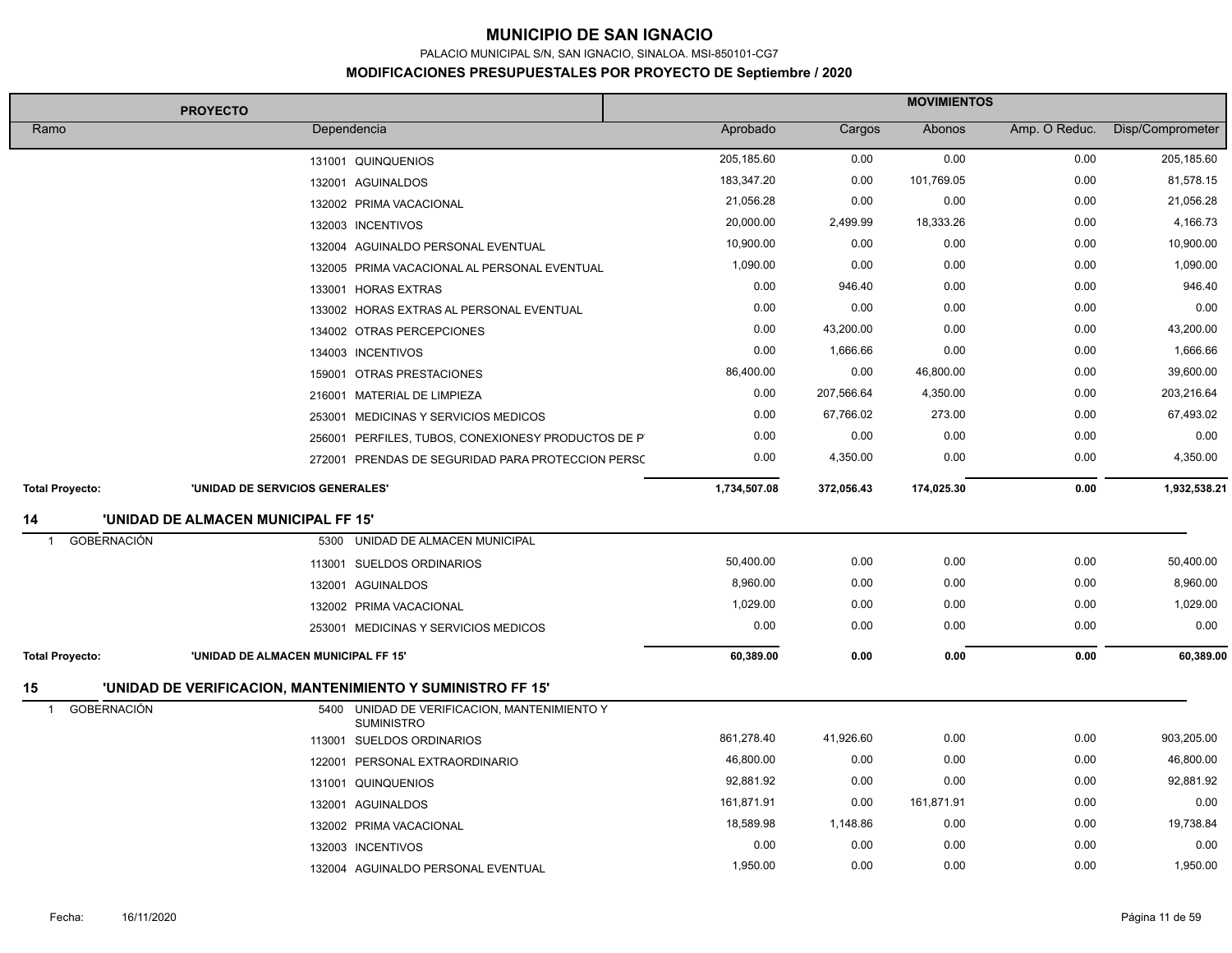PALACIO MUNICIPAL S/N, SAN IGNACIO, SINALOA. MSI-850101-CG7

| <b>PROYECTO</b>                      |                                     |                                                                   | <b>MOVIMIENTOS</b> |            |            |               |                  |  |
|--------------------------------------|-------------------------------------|-------------------------------------------------------------------|--------------------|------------|------------|---------------|------------------|--|
| Ramo                                 |                                     | Dependencia                                                       | Aprobado           | Cargos     | Abonos     | Amp. O Reduc. | Disp/Comprometer |  |
|                                      |                                     | 131001 QUINQUENIOS                                                | 205,185.60         | 0.00       | 0.00       | 0.00          | 205,185.60       |  |
|                                      |                                     | 132001 AGUINALDOS                                                 | 183,347.20         | 0.00       | 101,769.05 | 0.00          | 81,578.15        |  |
|                                      |                                     | 132002 PRIMA VACACIONAL                                           | 21,056.28          | 0.00       | 0.00       | 0.00          | 21,056.28        |  |
|                                      |                                     | 132003 INCENTIVOS                                                 | 20,000.00          | 2,499.99   | 18,333.26  | 0.00          | 4,166.73         |  |
|                                      |                                     | 132004 AGUINALDO PERSONAL EVENTUAL                                | 10,900.00          | 0.00       | 0.00       | 0.00          | 10,900.00        |  |
|                                      |                                     | 132005 PRIMA VACACIONAL AL PERSONAL EVENTUAL                      | 1,090.00           | 0.00       | 0.00       | 0.00          | 1,090.00         |  |
|                                      |                                     | 133001 HORAS EXTRAS                                               | 0.00               | 946.40     | 0.00       | 0.00          | 946.40           |  |
|                                      |                                     | 133002 HORAS EXTRAS AL PERSONAL EVENTUAL                          | 0.00               | 0.00       | 0.00       | 0.00          | 0.00             |  |
|                                      |                                     | 134002 OTRAS PERCEPCIONES                                         | 0.00               | 43,200.00  | 0.00       | 0.00          | 43,200.00        |  |
|                                      |                                     | 134003 INCENTIVOS                                                 | 0.00               | 1,666.66   | 0.00       | 0.00          | 1,666.66         |  |
|                                      |                                     | 159001 OTRAS PRESTACIONES                                         | 86,400.00          | 0.00       | 46,800.00  | 0.00          | 39,600.00        |  |
|                                      |                                     | 216001 MATERIAL DE LIMPIEZA                                       | 0.00               | 207,566.64 | 4,350.00   | 0.00          | 203,216.64       |  |
|                                      |                                     | 253001 MEDICINAS Y SERVICIOS MEDICOS                              | 0.00               | 67,766.02  | 273.00     | 0.00          | 67,493.02        |  |
|                                      |                                     | 256001 PERFILES, TUBOS, CONEXIONESY PRODUCTOS DE P                | 0.00               | 0.00       | 0.00       | 0.00          | 0.00             |  |
|                                      |                                     | 272001 PRENDAS DE SEGURIDAD PARA PROTECCION PERSC                 | 0.00               | 4,350.00   | 0.00       | 0.00          | 4,350.00         |  |
| <b>Total Proyecto:</b>               | 'UNIDAD DE SERVICIOS GENERALES'     |                                                                   | 1,734,507.08       | 372,056.43 | 174,025.30 | 0.00          | 1,932,538.21     |  |
| 14                                   | 'UNIDAD DE ALMACEN MUNICIPAL FF 15' |                                                                   |                    |            |            |               |                  |  |
| <b>GOBERNACIÓN</b><br>$\overline{1}$ | 5300                                | UNIDAD DE ALMACEN MUNICIPAL                                       |                    |            |            |               |                  |  |
|                                      |                                     | 113001 SUELDOS ORDINARIOS                                         | 50,400.00          | 0.00       | 0.00       | 0.00          | 50,400.00        |  |
|                                      |                                     | 132001 AGUINALDOS                                                 | 8,960.00           | 0.00       | 0.00       | 0.00          | 8,960.00         |  |
|                                      |                                     | 132002 PRIMA VACACIONAL                                           | 1,029.00           | 0.00       | 0.00       | 0.00          | 1,029.00         |  |
|                                      |                                     | 253001 MEDICINAS Y SERVICIOS MEDICOS                              | 0.00               | 0.00       | 0.00       | 0.00          | 0.00             |  |
| <b>Total Proyecto:</b>               | 'UNIDAD DE ALMACEN MUNICIPAL FF 15' |                                                                   | 60,389.00          | 0.00       | 0.00       | 0.00          | 60,389.00        |  |
| 15                                   |                                     | 'UNIDAD DE VERIFICACION, MANTENIMIENTO Y SUMINISTRO FF 15'        |                    |            |            |               |                  |  |
| <b>GOBERNACIÓN</b><br>$\mathbf{1}$   |                                     | 5400 UNIDAD DE VERIFICACION, MANTENIMIENTO Y<br><b>SUMINISTRO</b> |                    |            |            |               |                  |  |
|                                      |                                     | 113001 SUELDOS ORDINARIOS                                         | 861,278.40         | 41,926.60  | 0.00       | 0.00          | 903,205.00       |  |
|                                      |                                     | 122001 PERSONAL EXTRAORDINARIO                                    | 46,800.00          | 0.00       | 0.00       | 0.00          | 46,800.00        |  |
|                                      |                                     | 131001 QUINQUENIOS                                                | 92,881.92          | 0.00       | 0.00       | 0.00          | 92,881.92        |  |
|                                      |                                     | 132001 AGUINALDOS                                                 | 161,871.91         | 0.00       | 161,871.91 | 0.00          | 0.00             |  |
|                                      |                                     | 132002 PRIMA VACACIONAL                                           | 18,589.98          | 1,148.86   | 0.00       | 0.00          | 19,738.84        |  |
|                                      |                                     | 132003 INCENTIVOS                                                 | 0.00               | 0.00       | 0.00       | 0.00          | 0.00             |  |
|                                      |                                     | 132004 AGUINALDO PERSONAL EVENTUAL                                | 1,950.00           | 0.00       | 0.00       | 0.00          | 1,950.00         |  |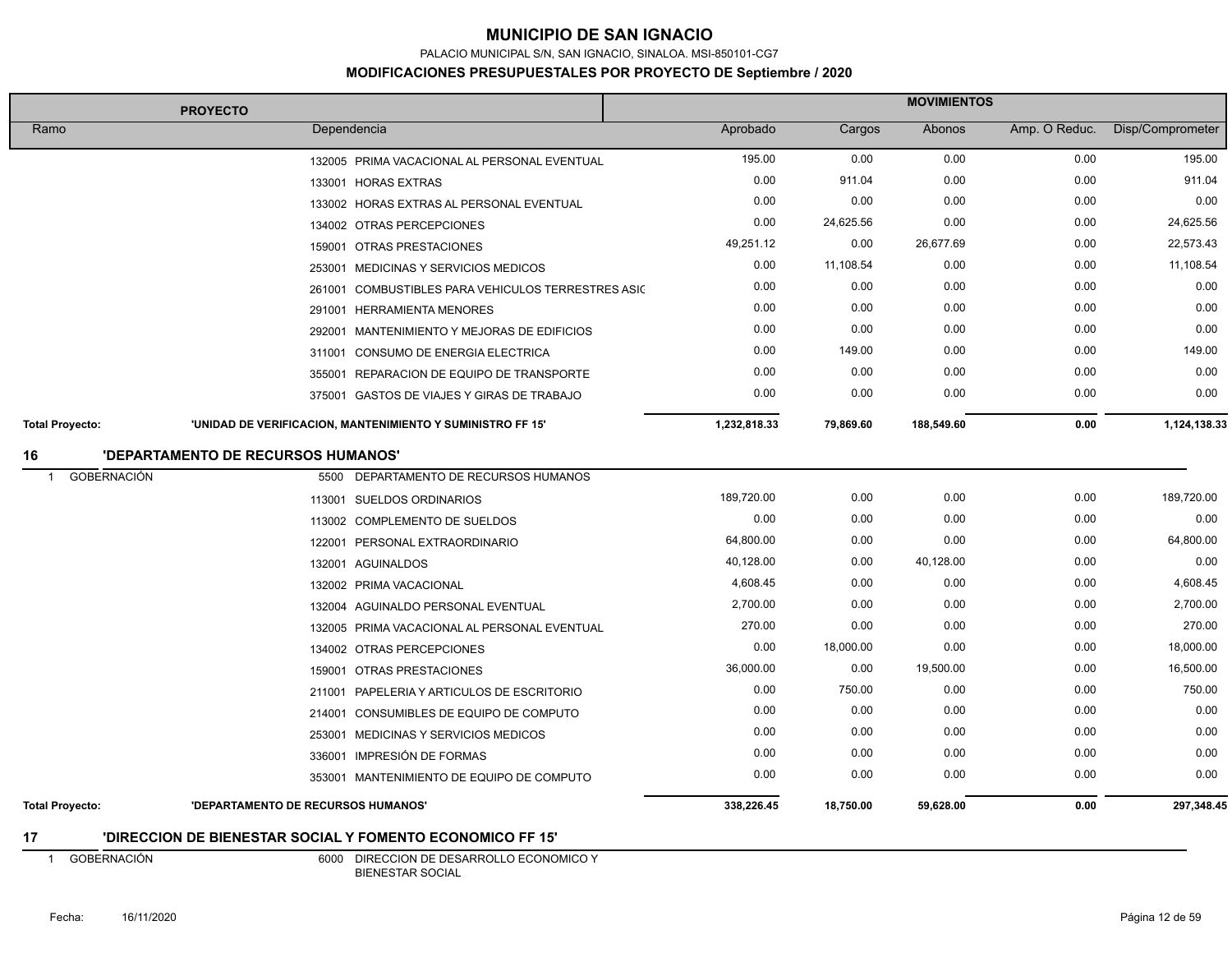PALACIO MUNICIPAL S/N, SAN IGNACIO, SINALOA. MSI-850101-CG7

#### **MODIFICACIONES PRESUPUESTALES POR PROYECTO DE Septiembre / 2020**

|                                   | <b>PROYECTO</b>                                            | <b>MOVIMIENTOS</b> |           |            |               |                  |
|-----------------------------------|------------------------------------------------------------|--------------------|-----------|------------|---------------|------------------|
| Ramo                              | Dependencia                                                | Aprobado           | Cargos    | Abonos     | Amp. O Reduc. | Disp/Comprometer |
|                                   | 132005 PRIMA VACACIONAL AL PERSONAL EVENTUAL               | 195.00             | 0.00      | 0.00       | 0.00          | 195.00           |
|                                   | 133001 HORAS EXTRAS                                        | 0.00               | 911.04    | 0.00       | 0.00          | 911.04           |
|                                   | 133002 HORAS EXTRAS AL PERSONAL EVENTUAL                   | 0.00               | 0.00      | 0.00       | 0.00          | 0.00             |
|                                   | 134002 OTRAS PERCEPCIONES                                  | 0.00               | 24,625.56 | 0.00       | 0.00          | 24,625.56        |
|                                   | 159001 OTRAS PRESTACIONES                                  | 49,251.12          | 0.00      | 26,677.69  | 0.00          | 22,573.43        |
|                                   | 253001 MEDICINAS Y SERVICIOS MEDICOS                       | 0.00               | 11,108.54 | 0.00       | 0.00          | 11,108.54        |
|                                   | 261001 COMBUSTIBLES PARA VEHICULOS TERRESTRES ASIC         | 0.00               | 0.00      | 0.00       | 0.00          | 0.00             |
|                                   | 291001 HERRAMIENTA MENORES                                 | 0.00               | 0.00      | 0.00       | 0.00          | 0.00             |
|                                   | 292001 MANTENIMIENTO Y MEJORAS DE EDIFICIOS                | 0.00               | 0.00      | 0.00       | 0.00          | 0.00             |
|                                   | 311001 CONSUMO DE ENERGIA ELECTRICA                        | 0.00               | 149.00    | 0.00       | 0.00          | 149.00           |
|                                   | 355001 REPARACION DE EQUIPO DE TRANSPORTE                  | 0.00               | 0.00      | 0.00       | 0.00          | 0.00             |
|                                   | 375001 GASTOS DE VIAJES Y GIRAS DE TRABAJO                 | 0.00               | 0.00      | 0.00       | 0.00          | 0.00             |
| <b>Total Proyecto:</b>            | 'UNIDAD DE VERIFICACION, MANTENIMIENTO Y SUMINISTRO FF 15' | 1,232,818.33       | 79,869.60 | 188,549.60 | 0.00          | 1,124,138.33     |
| 16                                | 'DEPARTAMENTO DE RECURSOS HUMANOS'                         |                    |           |            |               |                  |
| <b>GOBERNACIÓN</b><br>$\mathbf 1$ | 5500 DEPARTAMENTO DE RECURSOS HUMANOS                      |                    |           |            |               |                  |
|                                   | 113001 SUELDOS ORDINARIOS                                  | 189,720.00         | 0.00      | 0.00       | 0.00          | 189,720.00       |
|                                   | 113002 COMPLEMENTO DE SUELDOS                              | 0.00               | 0.00      | 0.00       | 0.00          | 0.00             |
|                                   | 122001 PERSONAL EXTRAORDINARIO                             | 64,800.00          | 0.00      | 0.00       | 0.00          | 64,800.00        |
|                                   | 132001 AGUINALDOS                                          | 40,128.00          | 0.00      | 40,128.00  | 0.00          | 0.00             |
|                                   | 132002 PRIMA VACACIONAL                                    | 4,608.45           | 0.00      | 0.00       | 0.00          | 4,608.45         |
|                                   | 132004 AGUINALDO PERSONAL EVENTUAL                         | 2,700.00           | 0.00      | 0.00       | 0.00          | 2,700.00         |
|                                   | 132005 PRIMA VACACIONAL AL PERSONAL EVENTUAL               | 270.00             | 0.00      | 0.00       | 0.00          | 270.00           |
|                                   | 134002 OTRAS PERCEPCIONES                                  | 0.00               | 18,000.00 | 0.00       | 0.00          | 18,000.00        |
|                                   | 159001 OTRAS PRESTACIONES                                  | 36,000.00          | 0.00      | 19,500.00  | 0.00          | 16,500.00        |
|                                   | 211001 PAPELERIA Y ARTICULOS DE ESCRITORIO                 | 0.00               | 750.00    | 0.00       | 0.00          | 750.00           |
|                                   | 214001 CONSUMIBLES DE EQUIPO DE COMPUTO                    | 0.00               | 0.00      | 0.00       | 0.00          | 0.00             |
|                                   | 253001 MEDICINAS Y SERVICIOS MEDICOS                       | 0.00               | 0.00      | 0.00       | 0.00          | 0.00             |
|                                   | 336001 IMPRESIÓN DE FORMAS                                 | 0.00               | 0.00      | 0.00       | 0.00          | 0.00             |
|                                   | 353001 MANTENIMIENTO DE EQUIPO DE COMPUTO                  | 0.00               | 0.00      | 0.00       | 0.00          | 0.00             |
| <b>Total Proyecto:</b>            | 'DEPARTAMENTO DE RECURSOS HUMANOS'                         | 338,226.45         | 18,750.00 | 59,628.00  | 0.00          | 297,348.45       |
| 17                                | 'DIRECCION DE BIENESTAR SOCIAL Y FOMENTO ECONOMICO FF 15'  |                    |           |            |               |                  |

 1 GOBERNACIÓN 6000 DIRECCION DE DESARROLLO ECONOMICO Y BIENESTAR SOCIAL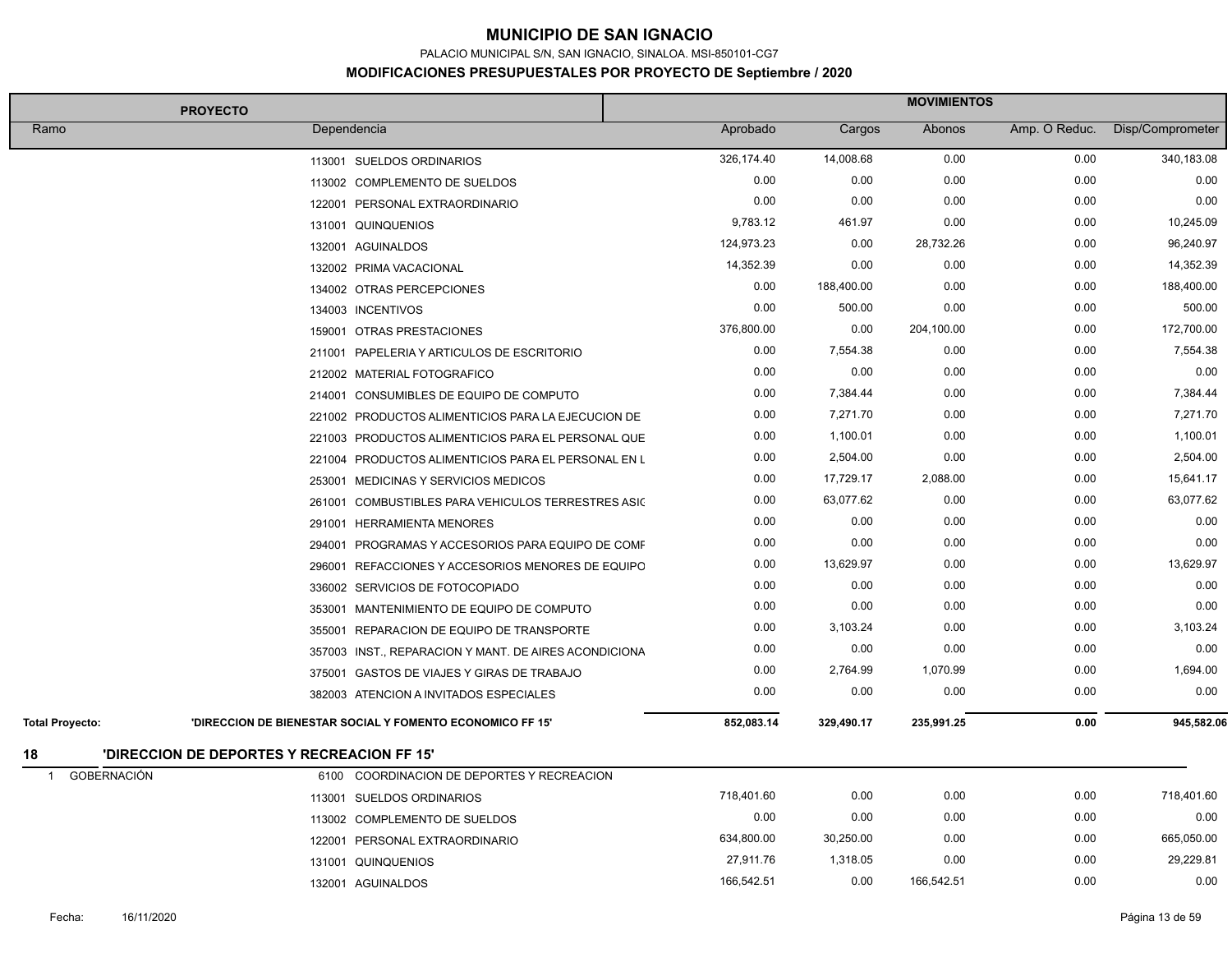PALACIO MUNICIPAL S/N, SAN IGNACIO, SINALOA. MSI-850101-CG7

|                                      | <b>PROYECTO</b>                                           | <b>MOVIMIENTOS</b> |            |            |               |                  |
|--------------------------------------|-----------------------------------------------------------|--------------------|------------|------------|---------------|------------------|
| Ramo                                 | Dependencia                                               | Aprobado           | Cargos     | Abonos     | Amp. O Reduc. | Disp/Comprometer |
|                                      | 113001 SUELDOS ORDINARIOS                                 | 326,174.40         | 14,008.68  | 0.00       | 0.00          | 340,183.08       |
|                                      | 113002 COMPLEMENTO DE SUELDOS                             | 0.00               | 0.00       | 0.00       | 0.00          | 0.00             |
|                                      | 122001 PERSONAL EXTRAORDINARIO                            | 0.00               | 0.00       | 0.00       | 0.00          | 0.00             |
|                                      | 131001 QUINQUENIOS                                        | 9,783.12           | 461.97     | 0.00       | 0.00          | 10,245.09        |
|                                      | 132001 AGUINALDOS                                         | 124,973.23         | 0.00       | 28,732.26  | 0.00          | 96,240.97        |
|                                      | 132002 PRIMA VACACIONAL                                   | 14,352.39          | 0.00       | 0.00       | 0.00          | 14,352.39        |
|                                      | 134002 OTRAS PERCEPCIONES                                 | 0.00               | 188,400.00 | 0.00       | 0.00          | 188,400.00       |
|                                      | 134003 INCENTIVOS                                         | 0.00               | 500.00     | 0.00       | 0.00          | 500.00           |
|                                      | 159001 OTRAS PRESTACIONES                                 | 376,800.00         | 0.00       | 204,100.00 | 0.00          | 172,700.00       |
|                                      | 211001 PAPELERIA Y ARTICULOS DE ESCRITORIO                | 0.00               | 7,554.38   | 0.00       | 0.00          | 7,554.38         |
|                                      | 212002 MATERIAL FOTOGRAFICO                               | 0.00               | 0.00       | 0.00       | 0.00          | 0.00             |
|                                      | 214001 CONSUMIBLES DE EQUIPO DE COMPUTO                   | 0.00               | 7,384.44   | 0.00       | 0.00          | 7,384.44         |
|                                      | 221002 PRODUCTOS ALIMENTICIOS PARA LA EJECUCION DE        | 0.00               | 7,271.70   | 0.00       | 0.00          | 7,271.70         |
|                                      | 221003 PRODUCTOS ALIMENTICIOS PARA EL PERSONAL QUE        | 0.00               | 1,100.01   | 0.00       | 0.00          | 1,100.01         |
|                                      | 221004 PRODUCTOS ALIMENTICIOS PARA EL PERSONAL EN L       | 0.00               | 2,504.00   | 0.00       | 0.00          | 2,504.00         |
|                                      | 253001 MEDICINAS Y SERVICIOS MEDICOS                      | 0.00               | 17,729.17  | 2,088.00   | 0.00          | 15,641.17        |
|                                      | 261001 COMBUSTIBLES PARA VEHICULOS TERRESTRES ASIC        | 0.00               | 63,077.62  | 0.00       | 0.00          | 63,077.62        |
|                                      | 291001 HERRAMIENTA MENORES                                | 0.00               | 0.00       | 0.00       | 0.00          | 0.00             |
|                                      | 294001 PROGRAMAS Y ACCESORIOS PARA EQUIPO DE COMF         | 0.00               | 0.00       | 0.00       | 0.00          | 0.00             |
|                                      | 296001 REFACCIONES Y ACCESORIOS MENORES DE EQUIPO         | 0.00               | 13,629.97  | 0.00       | 0.00          | 13,629.97        |
|                                      | 336002 SERVICIOS DE FOTOCOPIADO                           | 0.00               | 0.00       | 0.00       | 0.00          | 0.00             |
|                                      | 353001 MANTENIMIENTO DE EQUIPO DE COMPUTO                 | 0.00               | 0.00       | 0.00       | 0.00          | 0.00             |
|                                      | 355001 REPARACION DE EQUIPO DE TRANSPORTE                 | 0.00               | 3,103.24   | 0.00       | 0.00          | 3,103.24         |
|                                      | 357003 INST., REPARACION Y MANT. DE AIRES ACONDICIONA     | 0.00               | 0.00       | 0.00       | 0.00          | 0.00             |
|                                      | 375001 GASTOS DE VIAJES Y GIRAS DE TRABAJO                | 0.00               | 2,764.99   | 1,070.99   | 0.00          | 1,694.00         |
|                                      | 382003 ATENCION A INVITADOS ESPECIALES                    | 0.00               | 0.00       | 0.00       | 0.00          | 0.00             |
| <b>Total Proyecto:</b>               | 'DIRECCION DE BIENESTAR SOCIAL Y FOMENTO ECONOMICO FF 15' | 852,083.14         | 329,490.17 | 235,991.25 | 0.00          | 945,582.06       |
| 18                                   | 'DIRECCION DE DEPORTES Y RECREACION FF 15'                |                    |            |            |               |                  |
| <b>GOBERNACIÓN</b><br>$\overline{1}$ | 6100 COORDINACION DE DEPORTES Y RECREACION                |                    |            |            |               |                  |
|                                      | 113001 SUELDOS ORDINARIOS                                 | 718,401.60         | 0.00       | 0.00       | 0.00          | 718,401.60       |
|                                      | 113002 COMPLEMENTO DE SUELDOS                             | 0.00               | 0.00       | 0.00       | 0.00          | 0.00             |
|                                      | 122001 PERSONAL EXTRAORDINARIO                            | 634,800.00         | 30,250.00  | 0.00       | 0.00          | 665,050.00       |
|                                      | 131001 QUINQUENIOS                                        | 27,911.76          | 1,318.05   | 0.00       | 0.00          | 29,229.81        |
|                                      | 132001 AGUINALDOS                                         | 166,542.51         | 0.00       | 166,542.51 | 0.00          | 0.00             |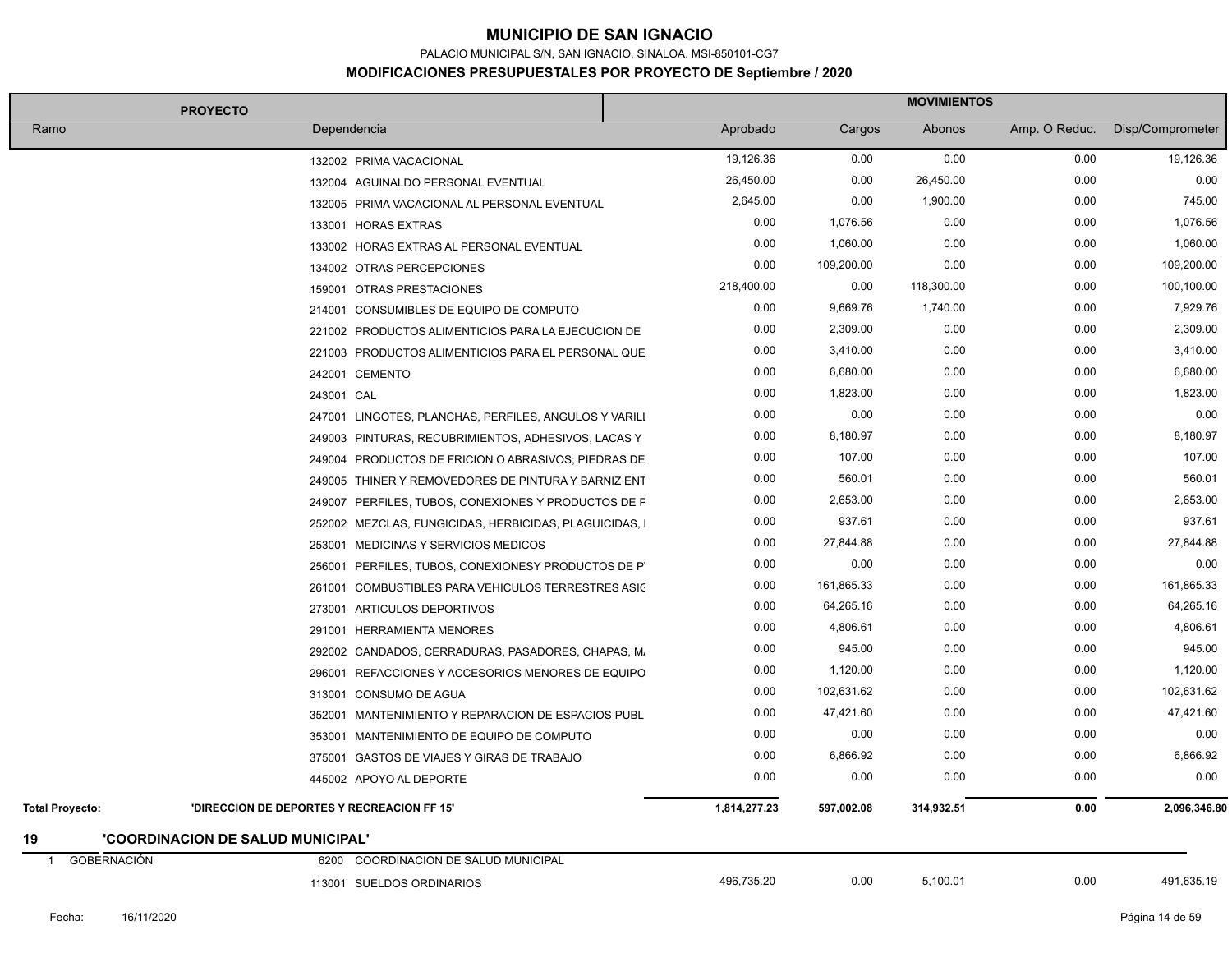PALACIO MUNICIPAL S/N, SAN IGNACIO, SINALOA. MSI-850101-CG7

| <b>PROYECTO</b>                                                      |                                             | <b>MOVIMIENTOS</b> |            |               |                  |
|----------------------------------------------------------------------|---------------------------------------------|--------------------|------------|---------------|------------------|
| Ramo<br>Dependencia                                                  |                                             | Aprobado<br>Cargos | Abonos     | Amp. O Reduc. | Disp/Comprometer |
| 132002 PRIMA VACACIONAL                                              |                                             | 19,126.36<br>0.00  | 0.00       | 0.00          | 19,126.36        |
| 132004 AGUINALDO PERSONAL EVENTUAL                                   |                                             | 26,450.00<br>0.00  | 26,450.00  | 0.00          | 0.00             |
| 132005 PRIMA VACACIONAL AL PERSONAL EVENTUAL                         |                                             | 2,645.00<br>0.00   | 1,900.00   | 0.00          | 745.00           |
| 133001 HORAS EXTRAS                                                  |                                             | 0.00<br>1,076.56   | 0.00       | 0.00          | 1,076.56         |
| 133002 HORAS EXTRAS AL PERSONAL EVENTUAL                             |                                             | 0.00<br>1,060.00   | 0.00       | 0.00          | 1,060.00         |
| 134002 OTRAS PERCEPCIONES                                            |                                             | 0.00<br>109,200.00 | 0.00       | 0.00          | 109,200.00       |
| 159001 OTRAS PRESTACIONES                                            |                                             | 218,400.00<br>0.00 | 118,300.00 | 0.00          | 100,100.00       |
| 214001 CONSUMIBLES DE EQUIPO DE COMPUTO                              |                                             | 0.00<br>9,669.76   | 1,740.00   | 0.00          | 7,929.76         |
| 221002 PRODUCTOS ALIMENTICIOS PARA LA EJECUCION DE                   |                                             | 0.00<br>2,309.00   | 0.00       | 0.00          | 2,309.00         |
| 221003 PRODUCTOS ALIMENTICIOS PARA EL PERSONAL QUE                   |                                             | 0.00<br>3,410.00   | 0.00       | 0.00          | 3,410.00         |
| 242001 CEMENTO                                                       |                                             | 0.00<br>6,680.00   | 0.00       | 0.00          | 6,680.00         |
| 243001 CAL                                                           |                                             | 0.00<br>1,823.00   | 0.00       | 0.00          | 1,823.00         |
| 247001 LINGOTES, PLANCHAS, PERFILES, ANGULOS Y VARILI                |                                             | 0.00<br>0.00       | 0.00       | 0.00          | 0.00             |
| 249003 PINTURAS, RECUBRIMIENTOS, ADHESIVOS, LACAS Y                  |                                             | 0.00<br>8,180.97   | 0.00       | 0.00          | 8,180.97         |
| 249004 PRODUCTOS DE FRICION O ABRASIVOS; PIEDRAS DE                  |                                             | 0.00<br>107.00     | 0.00       | 0.00          | 107.00           |
| 249005 THINER Y REMOVEDORES DE PINTURA Y BARNIZ ENT                  |                                             | 560.01<br>0.00     | 0.00       | 0.00          | 560.01           |
| 249007 PERFILES, TUBOS, CONEXIONES Y PRODUCTOS DE F                  |                                             | 0.00<br>2,653.00   | 0.00       | 0.00          | 2,653.00         |
| 252002 MEZCLAS, FUNGICIDAS, HERBICIDAS, PLAGUICIDAS,                 |                                             | 0.00<br>937.61     | 0.00       | 0.00          | 937.61           |
| 253001 MEDICINAS Y SERVICIOS MEDICOS                                 |                                             | 0.00<br>27,844.88  | 0.00       | 0.00          | 27,844.88        |
| 256001 PERFILES, TUBOS, CONEXIONESY PRODUCTOS DE P                   |                                             | 0.00<br>0.00       | 0.00       | 0.00          | 0.00             |
| 261001                                                               | COMBUSTIBLES PARA VEHICULOS TERRESTRES ASIC | 0.00<br>161,865.33 | 0.00       | 0.00          | 161,865.33       |
| 273001<br>ARTICULOS DEPORTIVOS                                       |                                             | 0.00<br>64,265.16  | 0.00       | 0.00          | 64,265.16        |
| 291001 HERRAMIENTA MENORES                                           |                                             | 0.00<br>4,806.61   | 0.00       | 0.00          | 4,806.61         |
| 292002 CANDADOS, CERRADURAS, PASADORES, CHAPAS, M.                   |                                             | 945.00<br>0.00     | 0.00       | 0.00          | 945.00           |
| 296001 REFACCIONES Y ACCESORIOS MENORES DE EQUIPO                    |                                             | 0.00<br>1,120.00   | 0.00       | 0.00          | 1,120.00         |
| 313001 CONSUMO DE AGUA                                               |                                             | 0.00<br>102,631.62 | 0.00       | 0.00          | 102,631.62       |
| 352001 MANTENIMIENTO Y REPARACION DE ESPACIOS PUBL                   |                                             | 0.00<br>47,421.60  | 0.00       | 0.00          | 47,421.60        |
| 353001 MANTENIMIENTO DE EQUIPO DE COMPUTO                            |                                             | 0.00<br>0.00       | 0.00       | 0.00          | 0.00             |
| 375001 GASTOS DE VIAJES Y GIRAS DE TRABAJO                           |                                             | 6,866.92<br>0.00   | 0.00       | 0.00          | 6,866.92         |
| 445002 APOYO AL DEPORTE                                              |                                             | 0.00<br>0.00       | 0.00       | 0.00          | 0.00             |
| <b>Total Proyecto:</b><br>'DIRECCION DE DEPORTES Y RECREACION FF 15" | 1,814,277.23                                | 597,002.08         | 314,932.51 | 0.00          | 2,096,346.80     |
| 'COORDINACION DE SALUD MUNICIPAL'<br>19                              |                                             |                    |            |               |                  |
| <b>GOBERNACIÓN</b><br>COORDINACION DE SALUD MUNICIPAL<br>6200        |                                             |                    |            |               |                  |
| 113001 SUELDOS ORDINARIOS                                            |                                             | 496,735.20<br>0.00 | 5,100.01   | 0.00          | 491,635.19       |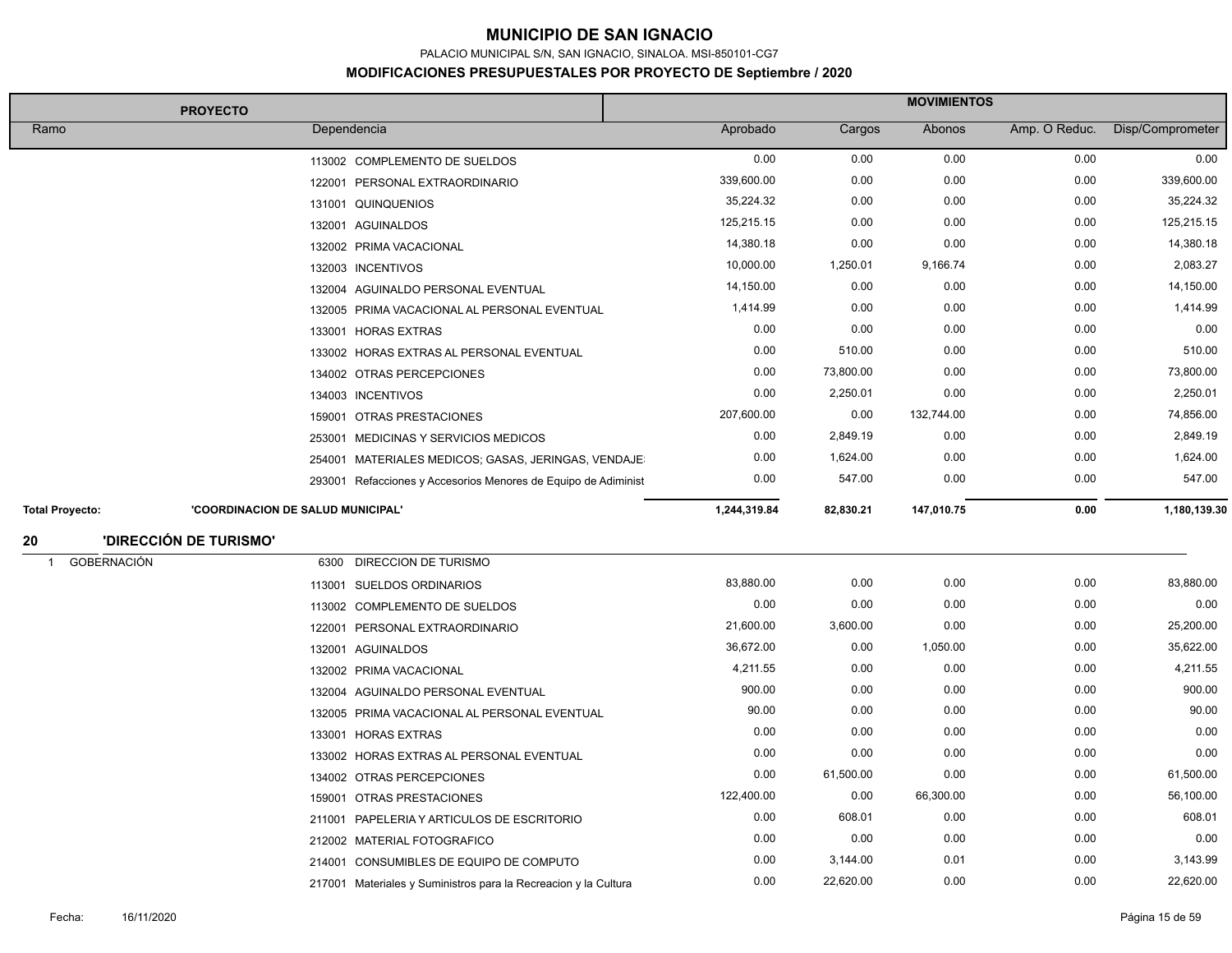PALACIO MUNICIPAL S/N, SAN IGNACIO, SINALOA. MSI-850101-CG7

|                                      | <b>PROYECTO</b>                                                 | <b>MOVIMIENTOS</b> |           |            |               |                  |
|--------------------------------------|-----------------------------------------------------------------|--------------------|-----------|------------|---------------|------------------|
| Ramo                                 | Dependencia                                                     | Aprobado           | Cargos    | Abonos     | Amp. O Reduc. | Disp/Comprometer |
|                                      | 113002 COMPLEMENTO DE SUELDOS                                   | 0.00               | 0.00      | 0.00       | 0.00          | 0.00             |
|                                      | 122001 PERSONAL EXTRAORDINARIO                                  | 339,600.00         | 0.00      | 0.00       | 0.00          | 339,600.00       |
|                                      | 131001 QUINQUENIOS                                              | 35,224.32          | 0.00      | 0.00       | 0.00          | 35,224.32        |
|                                      | 132001 AGUINALDOS                                               | 125,215.15         | 0.00      | 0.00       | 0.00          | 125,215.15       |
|                                      | 132002 PRIMA VACACIONAL                                         | 14,380.18          | 0.00      | 0.00       | 0.00          | 14,380.18        |
|                                      | 132003 INCENTIVOS                                               | 10,000.00          | 1,250.01  | 9,166.74   | 0.00          | 2,083.27         |
|                                      | 132004 AGUINALDO PERSONAL EVENTUAL                              | 14,150.00          | 0.00      | 0.00       | 0.00          | 14,150.00        |
|                                      | 132005 PRIMA VACACIONAL AL PERSONAL EVENTUAL                    | 1,414.99           | 0.00      | 0.00       | 0.00          | 1,414.99         |
|                                      | 133001 HORAS EXTRAS                                             | 0.00               | 0.00      | 0.00       | 0.00          | 0.00             |
|                                      | 133002 HORAS EXTRAS AL PERSONAL EVENTUAL                        | 0.00               | 510.00    | 0.00       | 0.00          | 510.00           |
|                                      | 134002 OTRAS PERCEPCIONES                                       | 0.00               | 73,800.00 | 0.00       | 0.00          | 73,800.00        |
|                                      | 134003 INCENTIVOS                                               | 0.00               | 2,250.01  | 0.00       | 0.00          | 2,250.01         |
|                                      | 159001 OTRAS PRESTACIONES                                       | 207,600.00         | 0.00      | 132,744.00 | 0.00          | 74,856.00        |
|                                      | 253001 MEDICINAS Y SERVICIOS MEDICOS                            | 0.00               | 2,849.19  | 0.00       | 0.00          | 2,849.19         |
|                                      | 254001 MATERIALES MEDICOS; GASAS, JERINGAS, VENDAJE             | 0.00               | 1,624.00  | 0.00       | 0.00          | 1,624.00         |
|                                      | 293001 Refacciones y Accesorios Menores de Equipo de Adiminist  | 0.00               | 547.00    | 0.00       | 0.00          | 547.00           |
| <b>Total Proyecto:</b>               | 'COORDINACION DE SALUD MUNICIPAL'                               | 1,244,319.84       | 82,830.21 | 147,010.75 | 0.00          | 1,180,139.30     |
| 20                                   | <b>'DIRECCIÓN DE TURISMO'</b>                                   |                    |           |            |               |                  |
| <b>GOBERNACIÓN</b><br>$\overline{1}$ | <b>DIRECCION DE TURISMO</b><br>6300                             |                    |           |            |               |                  |
|                                      | 113001 SUELDOS ORDINARIOS                                       | 83,880.00          | 0.00      | 0.00       | 0.00          | 83,880.00        |
|                                      | 113002 COMPLEMENTO DE SUELDOS                                   | 0.00               | 0.00      | 0.00       | 0.00          | 0.00             |
|                                      | 122001 PERSONAL EXTRAORDINARIO                                  | 21,600.00          | 3,600.00  | 0.00       | 0.00          | 25,200.00        |
|                                      | 132001 AGUINALDOS                                               | 36,672.00          | 0.00      | 1,050.00   | 0.00          | 35,622.00        |
|                                      | 132002 PRIMA VACACIONAL                                         | 4,211.55           | 0.00      | 0.00       | 0.00          | 4,211.55         |
|                                      | 132004 AGUINALDO PERSONAL EVENTUAL                              | 900.00             | 0.00      | 0.00       | 0.00          | 900.00           |
|                                      | 132005 PRIMA VACACIONAL AL PERSONAL EVENTUAL                    | 90.00              | 0.00      | 0.00       | 0.00          | 90.00            |
|                                      | 133001 HORAS EXTRAS                                             | 0.00               | 0.00      | 0.00       | 0.00          | 0.00             |
|                                      | 133002 HORAS EXTRAS AL PERSONAL EVENTUAL                        | 0.00               | 0.00      | 0.00       | 0.00          | 0.00             |
|                                      | 134002 OTRAS PERCEPCIONES                                       | 0.00               | 61,500.00 | 0.00       | 0.00          | 61,500.00        |
|                                      | 159001 OTRAS PRESTACIONES                                       | 122,400.00         | 0.00      | 66,300.00  | 0.00          | 56,100.00        |
|                                      | 211001 PAPELERIA Y ARTICULOS DE ESCRITORIO                      | 0.00               | 608.01    | 0.00       | 0.00          | 608.01           |
|                                      | 212002 MATERIAL FOTOGRAFICO                                     | 0.00               | 0.00      | 0.00       | 0.00          | 0.00             |
|                                      | 214001 CONSUMIBLES DE EQUIPO DE COMPUTO                         | 0.00               | 3,144.00  | 0.01       | 0.00          | 3,143.99         |
|                                      | 217001 Materiales y Suministros para la Recreacion y la Cultura | 0.00               | 22,620.00 | 0.00       | 0.00          | 22,620.00        |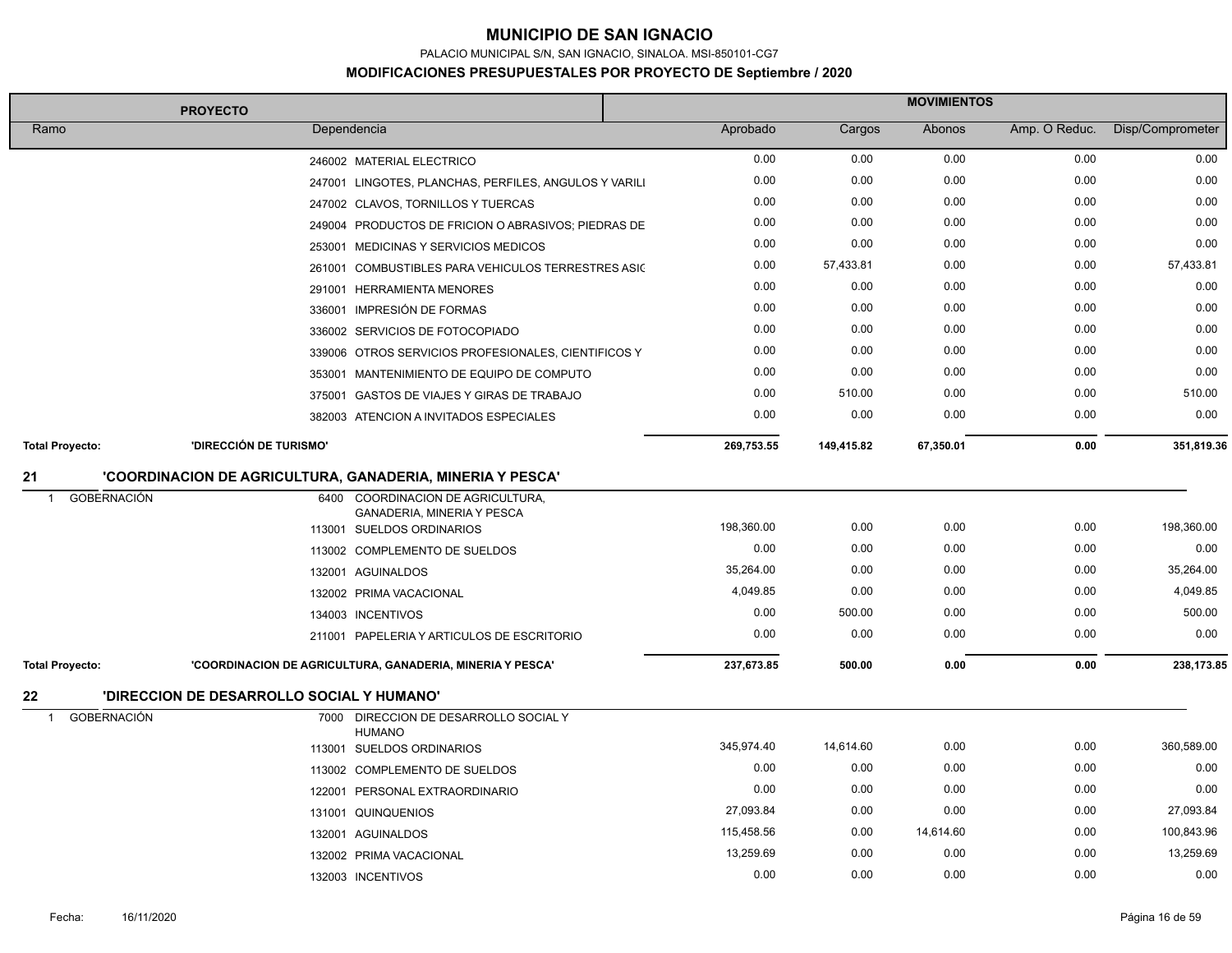PALACIO MUNICIPAL S/N, SAN IGNACIO, SINALOA. MSI-850101-CG7

|                             | <b>PROYECTO</b>                                           |                                                                 |            | <b>MOVIMIENTOS</b> |           |               |                  |
|-----------------------------|-----------------------------------------------------------|-----------------------------------------------------------------|------------|--------------------|-----------|---------------|------------------|
| Ramo                        | Dependencia                                               |                                                                 | Aprobado   | Cargos             | Abonos    | Amp. O Reduc. | Disp/Comprometer |
|                             | 246002 MATERIAL ELECTRICO                                 |                                                                 | 0.00       | 0.00               | 0.00      | 0.00          | 0.00             |
|                             |                                                           | 247001 LINGOTES, PLANCHAS, PERFILES, ANGULOS Y VARILI           | 0.00       | 0.00               | 0.00      | 0.00          | 0.00             |
|                             | 247002 CLAVOS, TORNILLOS Y TUERCAS                        |                                                                 | 0.00       | 0.00               | 0.00      | 0.00          | 0.00             |
|                             |                                                           | 249004 PRODUCTOS DE FRICION O ABRASIVOS; PIEDRAS DE             | 0.00       | 0.00               | 0.00      | 0.00          | 0.00             |
|                             | 253001 MEDICINAS Y SERVICIOS MEDICOS                      |                                                                 | 0.00       | 0.00               | 0.00      | 0.00          | 0.00             |
|                             |                                                           | 261001 COMBUSTIBLES PARA VEHICULOS TERRESTRES ASIC              | 0.00       | 57,433.81          | 0.00      | 0.00          | 57,433.81        |
|                             | 291001 HERRAMIENTA MENORES                                |                                                                 | 0.00       | 0.00               | 0.00      | 0.00          | 0.00             |
|                             | 336001 IMPRESIÓN DE FORMAS                                |                                                                 | 0.00       | 0.00               | 0.00      | 0.00          | 0.00             |
|                             | 336002 SERVICIOS DE FOTOCOPIADO                           |                                                                 | 0.00       | 0.00               | 0.00      | 0.00          | 0.00             |
|                             |                                                           | 339006 OTROS SERVICIOS PROFESIONALES, CIENTIFICOS Y             | 0.00       | 0.00               | 0.00      | 0.00          | 0.00             |
|                             |                                                           | 353001 MANTENIMIENTO DE EQUIPO DE COMPUTO                       | 0.00       | 0.00               | 0.00      | 0.00          | 0.00             |
|                             |                                                           | 375001 GASTOS DE VIAJES Y GIRAS DE TRABAJO                      | 0.00       | 510.00             | 0.00      | 0.00          | 510.00           |
|                             |                                                           | 382003 ATENCION A INVITADOS ESPECIALES                          | 0.00       | 0.00               | 0.00      | 0.00          | 0.00             |
| <b>Total Proyecto:</b>      | 'DIRECCIÓN DE TURISMO'                                    |                                                                 | 269,753.55 | 149,415.82         | 67,350.01 | 0.00          | 351,819.36       |
| 21                          | 'COORDINACION DE AGRICULTURA, GANADERIA, MINERIA Y PESCA' |                                                                 |            |                    |           |               |                  |
| GOBERNACIÓN<br>$\mathbf{1}$ |                                                           | 6400 COORDINACION DE AGRICULTURA,<br>GANADERIA, MINERIA Y PESCA |            |                    |           |               |                  |
|                             | 113001 SUELDOS ORDINARIOS                                 |                                                                 | 198,360.00 | 0.00               | 0.00      | 0.00          | 198,360.00       |
|                             | 113002 COMPLEMENTO DE SUELDOS                             |                                                                 | 0.00       | 0.00               | 0.00      | 0.00          | 0.00             |
|                             | 132001 AGUINALDOS                                         |                                                                 | 35,264.00  | 0.00               | 0.00      | 0.00          | 35,264.00        |
|                             | 132002 PRIMA VACACIONAL                                   |                                                                 | 4,049.85   | 0.00               | 0.00      | 0.00          | 4,049.85         |
|                             | 134003 INCENTIVOS                                         |                                                                 | 0.00       | 500.00             | 0.00      | 0.00          | 500.00           |
|                             |                                                           | 211001 PAPELERIA Y ARTICULOS DE ESCRITORIO                      | 0.00       | 0.00               | 0.00      | 0.00          | 0.00             |
| <b>Total Proyecto:</b>      | 'COORDINACION DE AGRICULTURA, GANADERIA, MINERIA Y PESCA' |                                                                 | 237,673.85 | 500.00             | 0.00      | 0.00          | 238,173.85       |
| 22                          | 'DIRECCION DE DESARROLLO SOCIAL Y HUMANO'                 |                                                                 |            |                    |           |               |                  |
| GOBERNACIÓN<br>$\mathbf{1}$ |                                                           | 7000 DIRECCION DE DESARROLLO SOCIAL Y                           |            |                    |           |               |                  |
|                             | <b>HUMANO</b><br>113001 SUELDOS ORDINARIOS                |                                                                 | 345,974.40 | 14,614.60          | 0.00      | 0.00          | 360,589.00       |
|                             | 113002 COMPLEMENTO DE SUELDOS                             |                                                                 | 0.00       | 0.00               | 0.00      | 0.00          | 0.00             |
|                             | 122001 PERSONAL EXTRAORDINARIO                            |                                                                 | 0.00       | 0.00               | 0.00      | 0.00          | 0.00             |
|                             | 131001 QUINQUENIOS                                        |                                                                 | 27,093.84  | 0.00               | 0.00      | 0.00          | 27,093.84        |
|                             | 132001 AGUINALDOS                                         |                                                                 | 115,458.56 | 0.00               | 14,614.60 | 0.00          | 100,843.96       |
|                             | 132002 PRIMA VACACIONAL                                   |                                                                 | 13,259.69  | 0.00               | 0.00      | 0.00          | 13,259.69        |
|                             | 132003 INCENTIVOS                                         |                                                                 | 0.00       | 0.00               | 0.00      | 0.00          | 0.00             |
|                             |                                                           |                                                                 |            |                    |           |               |                  |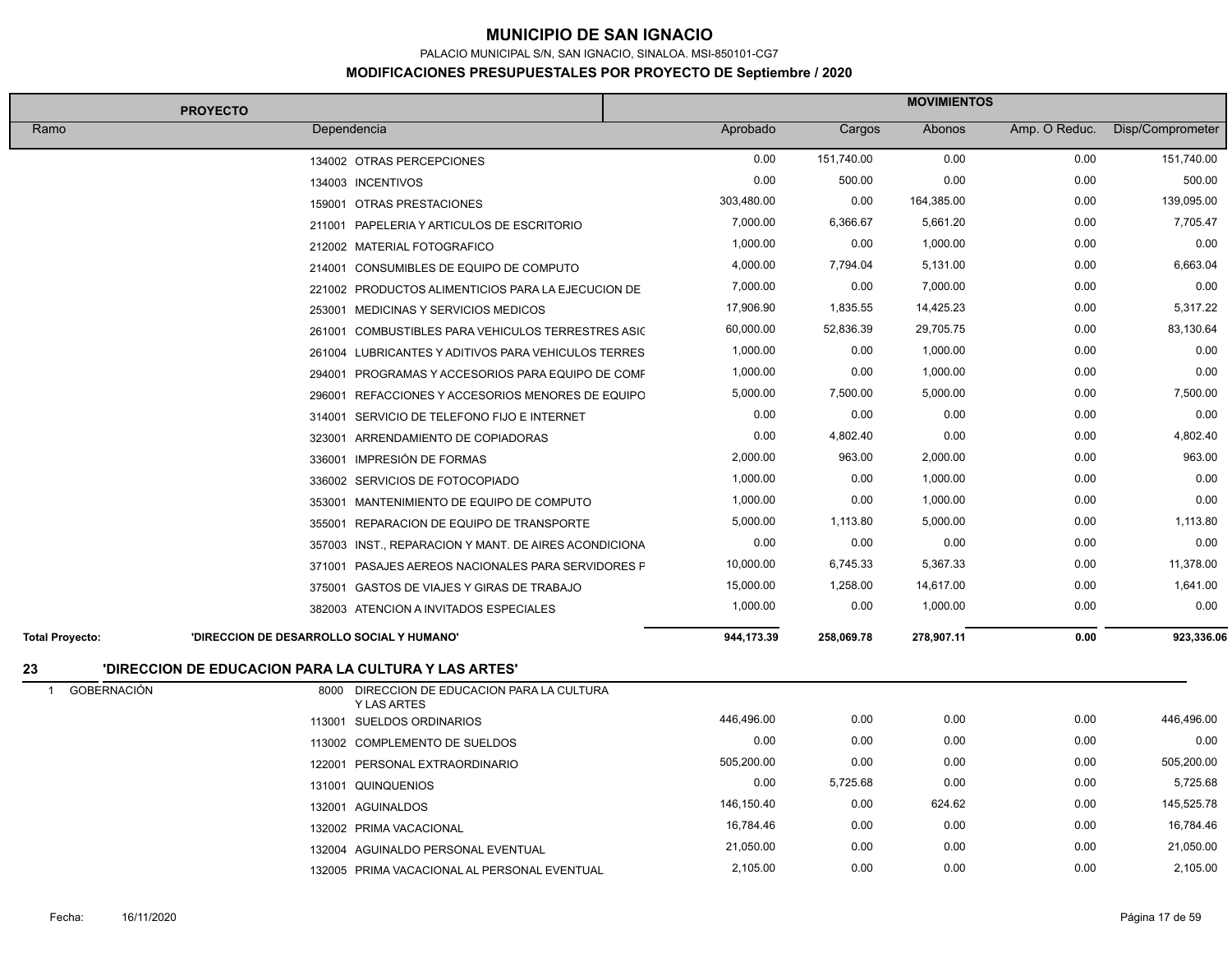PALACIO MUNICIPAL S/N, SAN IGNACIO, SINALOA. MSI-850101-CG7

|                                      | <b>PROYECTO</b>                                      |                                                       | <b>MOVIMIENTOS</b> |            |            |               |                  |
|--------------------------------------|------------------------------------------------------|-------------------------------------------------------|--------------------|------------|------------|---------------|------------------|
| Ramo                                 | Dependencia                                          |                                                       | Aprobado           | Cargos     | Abonos     | Amp. O Reduc. | Disp/Comprometer |
|                                      |                                                      | 134002 OTRAS PERCEPCIONES                             | 0.00               | 151,740.00 | 0.00       | 0.00          | 151,740.00       |
|                                      |                                                      | 134003 INCENTIVOS                                     | 0.00               | 500.00     | 0.00       | 0.00          | 500.00           |
|                                      |                                                      | 159001 OTRAS PRESTACIONES                             | 303,480.00         | 0.00       | 164,385.00 | 0.00          | 139,095.00       |
|                                      |                                                      | 211001 PAPELERIA Y ARTICULOS DE ESCRITORIO            | 7,000.00           | 6,366.67   | 5,661.20   | 0.00          | 7,705.47         |
|                                      |                                                      | 212002 MATERIAL FOTOGRAFICO                           | 1,000.00           | 0.00       | 1,000.00   | 0.00          | 0.00             |
|                                      |                                                      | 214001 CONSUMIBLES DE EQUIPO DE COMPUTO               | 4,000.00           | 7,794.04   | 5,131.00   | 0.00          | 6,663.04         |
|                                      |                                                      | 221002 PRODUCTOS ALIMENTICIOS PARA LA EJECUCION DE    | 7,000.00           | 0.00       | 7,000.00   | 0.00          | 0.00             |
|                                      |                                                      | 253001 MEDICINAS Y SERVICIOS MEDICOS                  | 17,906.90          | 1,835.55   | 14,425.23  | 0.00          | 5,317.22         |
|                                      |                                                      | 261001 COMBUSTIBLES PARA VEHICULOS TERRESTRES ASIC    | 60,000.00          | 52,836.39  | 29,705.75  | 0.00          | 83,130.64        |
|                                      |                                                      | 261004 LUBRICANTES Y ADITIVOS PARA VEHICULOS TERRES   | 1,000.00           | 0.00       | 1,000.00   | 0.00          | 0.00             |
|                                      |                                                      | 294001 PROGRAMAS Y ACCESORIOS PARA EQUIPO DE COMF     | 1,000.00           | 0.00       | 1,000.00   | 0.00          | 0.00             |
|                                      |                                                      | 296001 REFACCIONES Y ACCESORIOS MENORES DE EQUIPO     | 5,000.00           | 7,500.00   | 5,000.00   | 0.00          | 7,500.00         |
|                                      |                                                      | 314001 SERVICIO DE TELEFONO FIJO E INTERNET           | 0.00               | 0.00       | 0.00       | 0.00          | 0.00             |
|                                      |                                                      | 323001 ARRENDAMIENTO DE COPIADORAS                    | 0.00               | 4,802.40   | 0.00       | 0.00          | 4,802.40         |
|                                      |                                                      | 336001 IMPRESIÓN DE FORMAS                            | 2,000.00           | 963.00     | 2,000.00   | 0.00          | 963.00           |
|                                      |                                                      | 336002 SERVICIOS DE FOTOCOPIADO                       | 1,000.00           | 0.00       | 1,000.00   | 0.00          | 0.00             |
|                                      |                                                      | 353001 MANTENIMIENTO DE EQUIPO DE COMPUTO             | 1,000.00           | 0.00       | 1,000.00   | 0.00          | 0.00             |
|                                      |                                                      | 355001 REPARACION DE EQUIPO DE TRANSPORTE             | 5,000.00           | 1,113.80   | 5,000.00   | 0.00          | 1,113.80         |
|                                      |                                                      | 357003 INST., REPARACION Y MANT. DE AIRES ACONDICIONA | 0.00               | 0.00       | 0.00       | 0.00          | 0.00             |
|                                      |                                                      | 371001 PASAJES AEREOS NACIONALES PARA SERVIDORES F    | 10,000.00          | 6,745.33   | 5,367.33   | 0.00          | 11,378.00        |
|                                      |                                                      | 375001 GASTOS DE VIAJES Y GIRAS DE TRABAJO            | 15,000.00          | 1,258.00   | 14,617.00  | 0.00          | 1,641.00         |
|                                      |                                                      | 382003 ATENCION A INVITADOS ESPECIALES                | 1,000.00           | 0.00       | 1,000.00   | 0.00          | 0.00             |
| <b>Total Proyecto:</b>               | 'DIRECCION DE DESARROLLO SOCIAL Y HUMANO'            |                                                       | 944,173.39         | 258,069.78 | 278,907.11 | 0.00          | 923,336.06       |
| 23                                   | 'DIRECCION DE EDUCACION PARA LA CULTURA Y LAS ARTES' |                                                       |                    |            |            |               |                  |
| <b>GOBERNACIÓN</b><br>$\overline{1}$ |                                                      | 8000 DIRECCION DE EDUCACION PARA LA CULTURA           |                    |            |            |               |                  |
|                                      |                                                      | <b>Y LAS ARTES</b><br>113001 SUELDOS ORDINARIOS       | 446,496.00         | 0.00       | 0.00       | 0.00          | 446,496.00       |
|                                      |                                                      | 113002 COMPLEMENTO DE SUELDOS                         | 0.00               | 0.00       | 0.00       | 0.00          | 0.00             |
|                                      |                                                      | 122001 PERSONAL EXTRAORDINARIO                        | 505,200.00         | 0.00       | 0.00       | 0.00          | 505,200.00       |
|                                      |                                                      | 131001 QUINQUENIOS                                    | 0.00               | 5,725.68   | 0.00       | 0.00          | 5,725.68         |
|                                      |                                                      | 132001 AGUINALDOS                                     | 146,150.40         | 0.00       | 624.62     | 0.00          | 145,525.78       |
|                                      |                                                      | 132002 PRIMA VACACIONAL                               | 16,784.46          | 0.00       | 0.00       | 0.00          | 16,784.46        |
|                                      |                                                      | 132004 AGUINALDO PERSONAL EVENTUAL                    | 21,050.00          | 0.00       | 0.00       | 0.00          | 21,050.00        |
|                                      |                                                      | 132005 PRIMA VACACIONAL AL PERSONAL EVENTUAL          | 2,105.00           | 0.00       | 0.00       | 0.00          | 2,105.00         |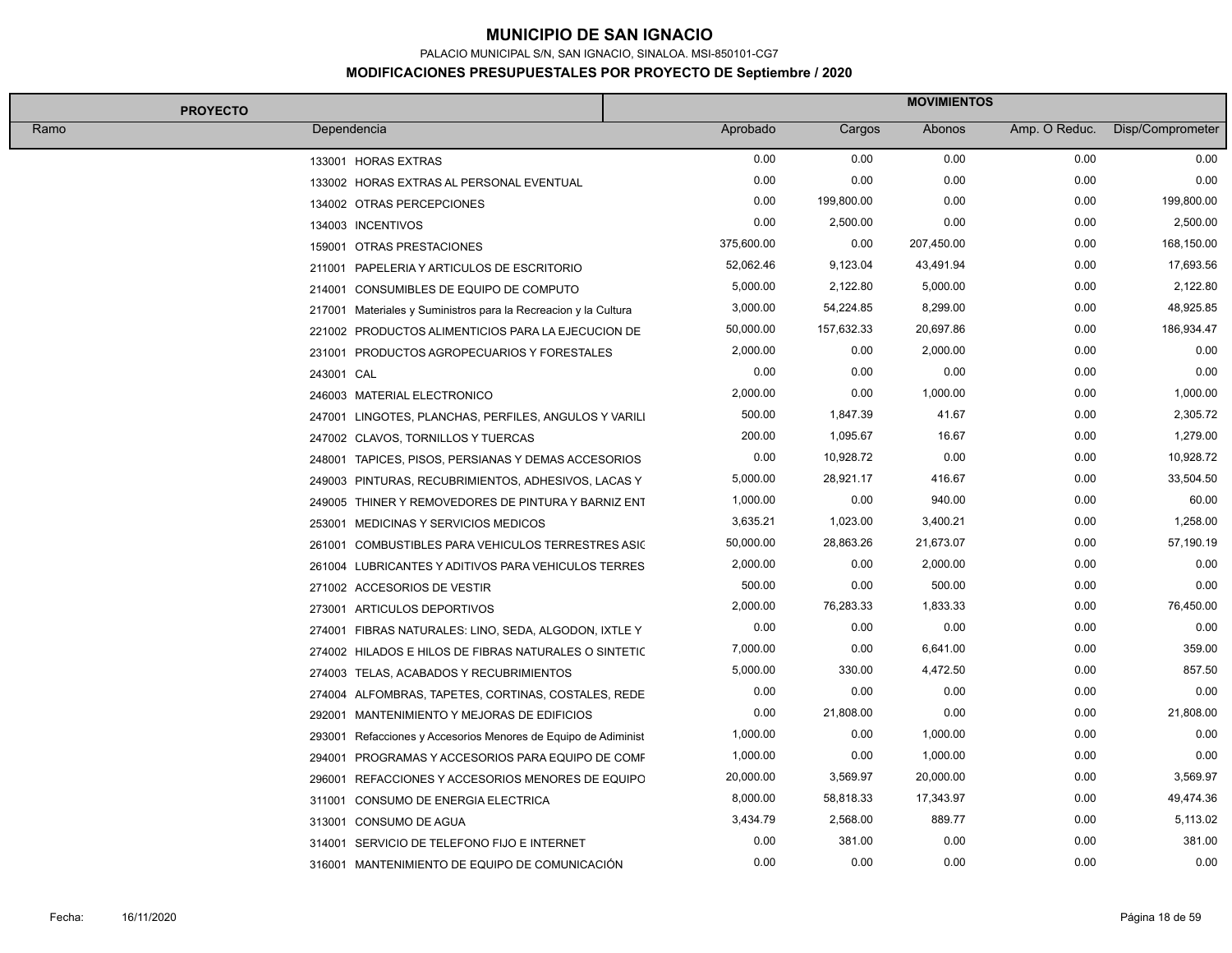PALACIO MUNICIPAL S/N, SAN IGNACIO, SINALOA. MSI-850101-CG7

| <b>PROYECTO</b>                             |                                                                 | <b>MOVIMIENTOS</b> |            |            |               |                  |
|---------------------------------------------|-----------------------------------------------------------------|--------------------|------------|------------|---------------|------------------|
| Ramo<br>Dependencia                         |                                                                 | Aprobado           | Cargos     | Abonos     | Amp. O Reduc. | Disp/Comprometer |
| 133001 HORAS EXTRAS                         |                                                                 | 0.00               | 0.00       | 0.00       | 0.00          | 0.00             |
| 133002 HORAS EXTRAS AL PERSONAL EVENTUAL    |                                                                 | 0.00               | 0.00       | 0.00       | 0.00          | 0.00             |
| 134002 OTRAS PERCEPCIONES                   |                                                                 | 0.00               | 199,800.00 | 0.00       | 0.00          | 199,800.00       |
| 134003 INCENTIVOS                           |                                                                 | 0.00               | 2,500.00   | 0.00       | 0.00          | 2,500.00         |
| 159001 OTRAS PRESTACIONES                   |                                                                 | 375,600.00         | 0.00       | 207,450.00 | 0.00          | 168,150.00       |
| 211001 PAPELERIA Y ARTICULOS DE ESCRITORIO  |                                                                 | 52,062.46          | 9,123.04   | 43,491.94  | 0.00          | 17,693.56        |
| 214001 CONSUMIBLES DE EQUIPO DE COMPUTO     |                                                                 | 5,000.00           | 2,122.80   | 5,000.00   | 0.00          | 2,122.80         |
|                                             | 217001 Materiales y Suministros para la Recreacion y la Cultura | 3,000.00           | 54,224.85  | 8,299.00   | 0.00          | 48,925.85        |
|                                             | 221002 PRODUCTOS ALIMENTICIOS PARA LA EJECUCION DE              | 50,000.00          | 157,632.33 | 20,697.86  | 0.00          | 186,934.47       |
|                                             | 231001 PRODUCTOS AGROPECUARIOS Y FORESTALES                     | 2,000.00           | 0.00       | 2,000.00   | 0.00          | 0.00             |
| 243001 CAL                                  |                                                                 | 0.00               | 0.00       | 0.00       | 0.00          | 0.00             |
| 246003 MATERIAL ELECTRONICO                 |                                                                 | 2,000.00           | 0.00       | 1,000.00   | 0.00          | 1,000.00         |
|                                             | 247001 LINGOTES, PLANCHAS, PERFILES, ANGULOS Y VARILI           | 500.00             | 1,847.39   | 41.67      | 0.00          | 2,305.72         |
| 247002 CLAVOS, TORNILLOS Y TUERCAS          |                                                                 | 200.00             | 1,095.67   | 16.67      | 0.00          | 1,279.00         |
|                                             | 248001 TAPICES, PISOS, PERSIANAS Y DEMAS ACCESORIOS             | 0.00               | 10,928.72  | 0.00       | 0.00          | 10,928.72        |
|                                             | 249003 PINTURAS, RECUBRIMIENTOS, ADHESIVOS, LACAS Y             | 5,000.00           | 28,921.17  | 416.67     | 0.00          | 33,504.50        |
|                                             | 249005 THINER Y REMOVEDORES DE PINTURA Y BARNIZ ENT             | 1,000.00           | 0.00       | 940.00     | 0.00          | 60.00            |
| 253001 MEDICINAS Y SERVICIOS MEDICOS        |                                                                 | 3,635.21           | 1,023.00   | 3,400.21   | 0.00          | 1,258.00         |
|                                             | 261001 COMBUSTIBLES PARA VEHICULOS TERRESTRES ASIC              | 50,000.00          | 28,863.26  | 21,673.07  | 0.00          | 57,190.19        |
|                                             | 261004 LUBRICANTES Y ADITIVOS PARA VEHICULOS TERRES             | 2,000.00           | 0.00       | 2,000.00   | 0.00          | 0.00             |
| 271002 ACCESORIOS DE VESTIR                 |                                                                 | 500.00             | 0.00       | 500.00     | 0.00          | 0.00             |
| 273001 ARTICULOS DEPORTIVOS                 |                                                                 | 2,000.00           | 76,283.33  | 1,833.33   | 0.00          | 76,450.00        |
|                                             | 274001 FIBRAS NATURALES: LINO, SEDA, ALGODON, IXTLE Y           | 0.00               | 0.00       | 0.00       | 0.00          | 0.00             |
|                                             | 274002 HILADOS E HILOS DE FIBRAS NATURALES O SINTETIC           | 7,000.00           | 0.00       | 6,641.00   | 0.00          | 359.00           |
| 274003 TELAS, ACABADOS Y RECUBRIMIENTOS     |                                                                 | 5,000.00           | 330.00     | 4,472.50   | 0.00          | 857.50           |
|                                             | 274004 ALFOMBRAS, TAPETES, CORTINAS, COSTALES, REDE             | 0.00               | 0.00       | 0.00       | 0.00          | 0.00             |
|                                             | 292001 MANTENIMIENTO Y MEJORAS DE EDIFICIOS                     | 0.00               | 21,808.00  | 0.00       | 0.00          | 21,808.00        |
|                                             | 293001 Refacciones y Accesorios Menores de Equipo de Adiminist  | 1,000.00           | 0.00       | 1,000.00   | 0.00          | 0.00             |
|                                             | 294001 PROGRAMAS Y ACCESORIOS PARA EQUIPO DE COMF               | 1,000.00           | 0.00       | 1,000.00   | 0.00          | 0.00             |
|                                             | 296001 REFACCIONES Y ACCESORIOS MENORES DE EQUIPO               | 20,000.00          | 3,569.97   | 20,000.00  | 0.00          | 3,569.97         |
| 311001 CONSUMO DE ENERGIA ELECTRICA         |                                                                 | 8,000.00           | 58,818.33  | 17,343.97  | 0.00          | 49,474.36        |
| 313001 CONSUMO DE AGUA                      |                                                                 | 3,434.79           | 2,568.00   | 889.77     | 0.00          | 5,113.02         |
| 314001 SERVICIO DE TELEFONO FIJO E INTERNET |                                                                 | 0.00               | 381.00     | 0.00       | 0.00          | 381.00           |
|                                             | 316001 MANTENIMIENTO DE EQUIPO DE COMUNICACIÓN                  | 0.00               | 0.00       | 0.00       | 0.00          | 0.00             |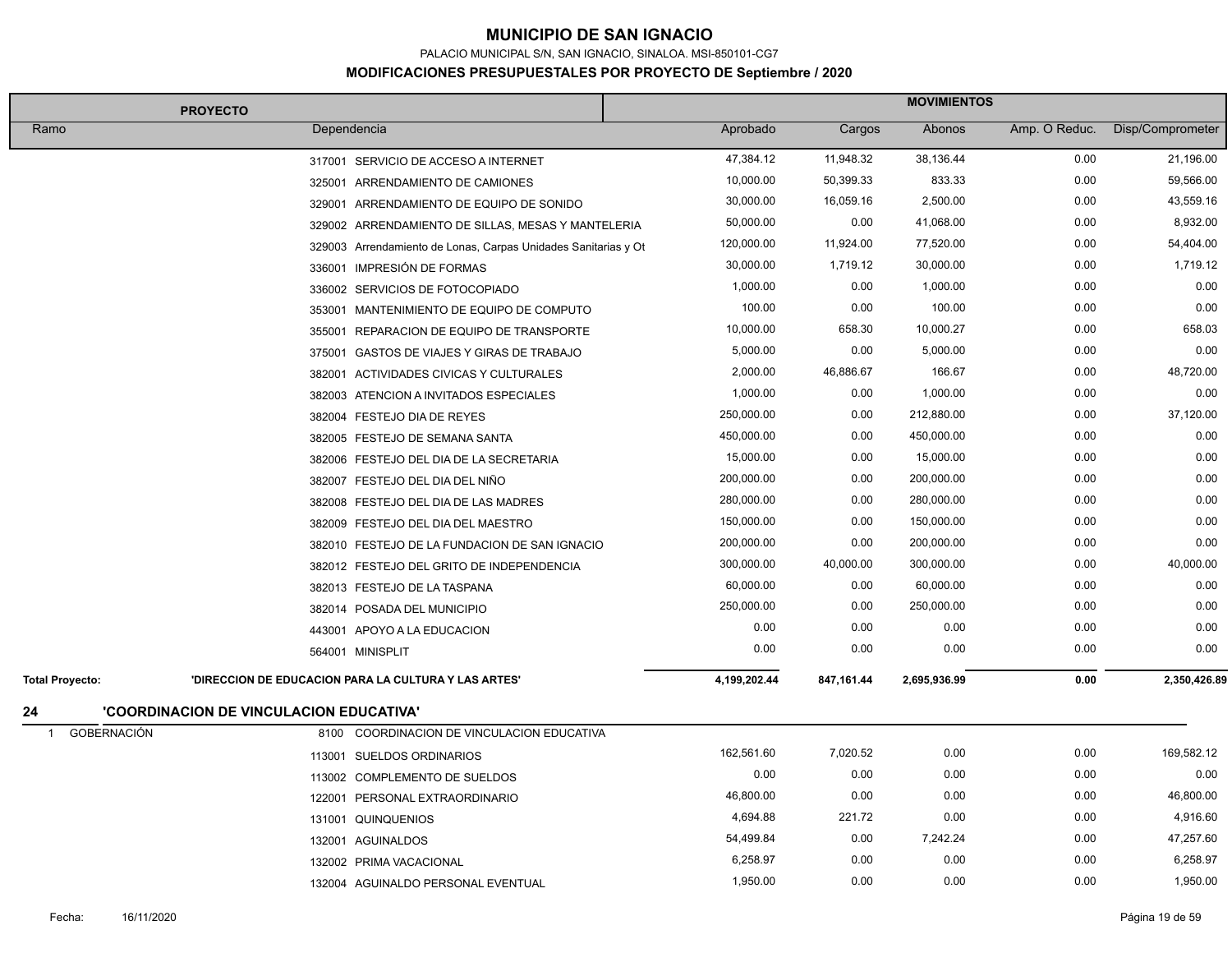PALACIO MUNICIPAL S/N, SAN IGNACIO, SINALOA. MSI-850101-CG7

| <b>PROYECTO</b>                                                                | <b>MOVIMIENTOS</b> |            |              |               |                  |
|--------------------------------------------------------------------------------|--------------------|------------|--------------|---------------|------------------|
| Ramo<br>Dependencia                                                            | Aprobado           | Cargos     | Abonos       | Amp. O Reduc. | Disp/Comprometer |
| 317001 SERVICIO DE ACCESO A INTERNET                                           | 47,384.12          | 11,948.32  | 38,136.44    | 0.00          | 21,196.00        |
| 325001 ARRENDAMIENTO DE CAMIONES                                               | 10,000.00          | 50,399.33  | 833.33       | 0.00          | 59,566.00        |
| 329001 ARRENDAMIENTO DE EQUIPO DE SONIDO                                       | 30,000.00          | 16,059.16  | 2,500.00     | 0.00          | 43,559.16        |
| 329002 ARRENDAMIENTO DE SILLAS, MESAS Y MANTELERIA                             | 50,000.00          | 0.00       | 41,068.00    | 0.00          | 8,932.00         |
| 329003 Arrendamiento de Lonas, Carpas Unidades Sanitarias y Ot                 | 120,000.00         | 11,924.00  | 77,520.00    | 0.00          | 54,404.00        |
| 336001 IMPRESIÓN DE FORMAS                                                     | 30,000.00          | 1,719.12   | 30,000.00    | 0.00          | 1,719.12         |
| 336002 SERVICIOS DE FOTOCOPIADO                                                | 1,000.00           | 0.00       | 1,000.00     | 0.00          | 0.00             |
| 353001 MANTENIMIENTO DE EQUIPO DE COMPUTO                                      | 100.00             | 0.00       | 100.00       | 0.00          | 0.00             |
| 355001 REPARACION DE EQUIPO DE TRANSPORTE                                      | 10,000.00          | 658.30     | 10,000.27    | 0.00          | 658.03           |
| 375001 GASTOS DE VIAJES Y GIRAS DE TRABAJO                                     | 5,000.00           | 0.00       | 5,000.00     | 0.00          | 0.00             |
| 382001 ACTIVIDADES CIVICAS Y CULTURALES                                        | 2,000.00           | 46,886.67  | 166.67       | 0.00          | 48,720.00        |
| 382003 ATENCION A INVITADOS ESPECIALES                                         | 1,000.00           | 0.00       | 1,000.00     | 0.00          | 0.00             |
| 382004 FESTEJO DIA DE REYES                                                    | 250,000.00         | 0.00       | 212,880.00   | 0.00          | 37,120.00        |
| 382005 FESTEJO DE SEMANA SANTA                                                 | 450,000.00         | 0.00       | 450,000.00   | 0.00          | 0.00             |
| 382006 FESTEJO DEL DIA DE LA SECRETARIA                                        | 15,000.00          | 0.00       | 15,000.00    | 0.00          | 0.00             |
| 382007 FESTEJO DEL DIA DEL NIÑO                                                | 200,000.00         | 0.00       | 200,000.00   | 0.00          | 0.00             |
| 382008 FESTEJO DEL DIA DE LAS MADRES                                           | 280,000.00         | 0.00       | 280,000.00   | 0.00          | 0.00             |
| 382009 FESTEJO DEL DIA DEL MAESTRO                                             | 150,000.00         | 0.00       | 150,000.00   | 0.00          | 0.00             |
| 382010 FESTEJO DE LA FUNDACION DE SAN IGNACIO                                  | 200,000.00         | 0.00       | 200,000.00   | 0.00          | 0.00             |
| 382012 FESTEJO DEL GRITO DE INDEPENDENCIA                                      | 300,000.00         | 40,000.00  | 300,000.00   | 0.00          | 40,000.00        |
| 382013 FESTEJO DE LA TASPANA                                                   | 60,000.00          | 0.00       | 60,000.00    | 0.00          | 0.00             |
| 382014 POSADA DEL MUNICIPIO                                                    | 250,000.00         | 0.00       | 250,000.00   | 0.00          | 0.00             |
| 443001 APOYO A LA EDUCACION                                                    | 0.00               | 0.00       | 0.00         | 0.00          | 0.00             |
| 564001 MINISPLIT                                                               | 0.00               | 0.00       | 0.00         | 0.00          | 0.00             |
| 'DIRECCION DE EDUCACION PARA LA CULTURA Y LAS ARTES'<br><b>Total Proyecto:</b> | 4,199,202.44       | 847,161.44 | 2,695,936.99 | 0.00          | 2,350,426.89     |
| 'COORDINACION DE VINCULACION EDUCATIVA'<br>24                                  |                    |            |              |               |                  |
| <b>GOBERNACIÓN</b><br>8100 COORDINACION DE VINCULACION EDUCATIVA<br>-1         |                    |            |              |               |                  |
| 113001 SUELDOS ORDINARIOS                                                      | 162,561.60         | 7,020.52   | 0.00         | 0.00          | 169,582.12       |
| 113002 COMPLEMENTO DE SUELDOS                                                  | 0.00               | 0.00       | 0.00         | 0.00          | 0.00             |
| 122001 PERSONAL EXTRAORDINARIO                                                 | 46,800.00          | 0.00       | 0.00         | 0.00          | 46,800.00        |
| 131001 QUINQUENIOS                                                             | 4,694.88           | 221.72     | 0.00         | 0.00          | 4,916.60         |
| 132001 AGUINALDOS                                                              | 54,499.84          | 0.00       | 7,242.24     | 0.00          | 47,257.60        |
| 132002 PRIMA VACACIONAL                                                        | 6,258.97           | 0.00       | 0.00         | 0.00          | 6,258.97         |
| 132004 AGUINALDO PERSONAL EVENTUAL                                             | 1,950.00           | 0.00       | 0.00         | 0.00          | 1,950.00         |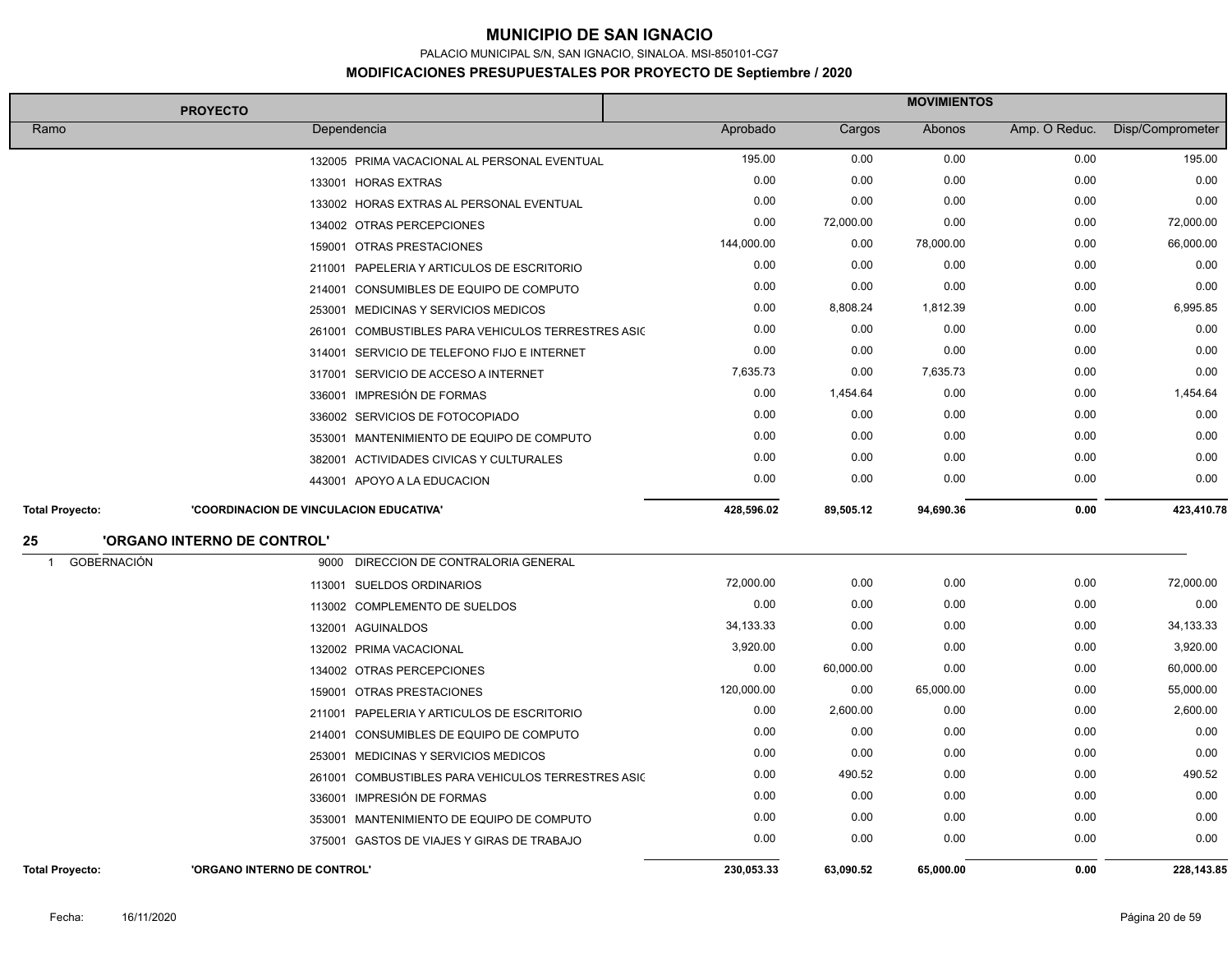PALACIO MUNICIPAL S/N, SAN IGNACIO, SINALOA. MSI-850101-CG7

|                          | <b>PROYECTO</b>                                       | <b>MOVIMIENTOS</b> |           |           |               |                  |
|--------------------------|-------------------------------------------------------|--------------------|-----------|-----------|---------------|------------------|
| Ramo                     | Dependencia                                           | Aprobado           | Cargos    | Abonos    | Amp. O Reduc. | Disp/Comprometer |
|                          | 132005 PRIMA VACACIONAL AL PERSONAL EVENTUAL          | 195.00             | 0.00      | 0.00      | 0.00          | 195.00           |
|                          | 133001 HORAS EXTRAS                                   | 0.00               | 0.00      | 0.00      | 0.00          | 0.00             |
|                          | 133002 HORAS EXTRAS AL PERSONAL EVENTUAL              | 0.00               | 0.00      | 0.00      | 0.00          | 0.00             |
|                          | 134002 OTRAS PERCEPCIONES                             | 0.00               | 72,000.00 | 0.00      | 0.00          | 72,000.00        |
|                          | 159001 OTRAS PRESTACIONES                             | 144,000.00         | 0.00      | 78,000.00 | 0.00          | 66,000.00        |
|                          | 211001<br>PAPELERIA Y ARTICULOS DE ESCRITORIO         | 0.00               | 0.00      | 0.00      | 0.00          | 0.00             |
|                          | CONSUMIBLES DE EQUIPO DE COMPUTO<br>214001            | 0.00               | 0.00      | 0.00      | 0.00          | 0.00             |
|                          | 253001 MEDICINAS Y SERVICIOS MEDICOS                  | 0.00               | 8,808.24  | 1,812.39  | 0.00          | 6,995.85         |
|                          | COMBUSTIBLES PARA VEHICULOS TERRESTRES ASIC<br>261001 | 0.00               | 0.00      | 0.00      | 0.00          | 0.00             |
|                          | 314001 SERVICIO DE TELEFONO FIJO E INTERNET           | 0.00               | 0.00      | 0.00      | 0.00          | 0.00             |
|                          | 317001 SERVICIO DE ACCESO A INTERNET                  | 7,635.73           | 0.00      | 7,635.73  | 0.00          | 0.00             |
|                          | 336001 IMPRESIÓN DE FORMAS                            | 0.00               | 1,454.64  | 0.00      | 0.00          | 1,454.64         |
|                          | 336002 SERVICIOS DE FOTOCOPIADO                       | 0.00               | 0.00      | 0.00      | 0.00          | 0.00             |
|                          | 353001 MANTENIMIENTO DE EQUIPO DE COMPUTO             | 0.00               | 0.00      | 0.00      | 0.00          | 0.00             |
|                          | 382001 ACTIVIDADES CIVICAS Y CULTURALES               | 0.00               | 0.00      | 0.00      | 0.00          | 0.00             |
|                          | 443001 APOYO A LA EDUCACION                           | 0.00               | 0.00      | 0.00      | 0.00          | 0.00             |
| <b>Total Proyecto:</b>   | 'COORDINACION DE VINCULACION EDUCATIVA'               | 428,596.02         | 89,505.12 | 94,690.36 | 0.00          | 423,410.78       |
| 25                       | 'ORGANO INTERNO DE CONTROL'                           |                    |           |           |               |                  |
| <b>GOBERNACIÓN</b><br>-1 | DIRECCION DE CONTRALORIA GENERAL<br>9000              |                    |           |           |               |                  |
|                          | 113001 SUELDOS ORDINARIOS                             | 72,000.00          | 0.00      | 0.00      | 0.00          | 72,000.00        |
|                          | 113002 COMPLEMENTO DE SUELDOS                         | 0.00               | 0.00      | 0.00      | 0.00          | 0.00             |
|                          | 132001 AGUINALDOS                                     | 34,133.33          | 0.00      | 0.00      | 0.00          | 34,133.33        |
|                          | 132002 PRIMA VACACIONAL                               | 3,920.00           | 0.00      | 0.00      | 0.00          | 3,920.00         |
|                          | 134002 OTRAS PERCEPCIONES                             | 0.00               | 60,000.00 | 0.00      | 0.00          | 60,000.00        |
|                          | 159001 OTRAS PRESTACIONES                             | 120,000.00         | 0.00      | 65,000.00 | 0.00          | 55,000.00        |
|                          | 211001 PAPELERIA Y ARTICULOS DE ESCRITORIO            | 0.00               | 2,600.00  | 0.00      | 0.00          | 2,600.00         |
|                          | CONSUMIBLES DE EQUIPO DE COMPUTO<br>214001            | 0.00               | 0.00      | 0.00      | 0.00          | 0.00             |
|                          | 253001 MEDICINAS Y SERVICIOS MEDICOS                  | 0.00               | 0.00      | 0.00      | 0.00          | 0.00             |
|                          | 261001 COMBUSTIBLES PARA VEHICULOS TERRESTRES ASIC    | 0.00               | 490.52    | 0.00      | 0.00          | 490.52           |
|                          | 336001 IMPRESIÓN DE FORMAS                            | 0.00               | 0.00      | 0.00      | 0.00          | 0.00             |
|                          | 353001 MANTENIMIENTO DE EQUIPO DE COMPUTO             | 0.00               | 0.00      | 0.00      | 0.00          | 0.00             |
|                          | 375001 GASTOS DE VIAJES Y GIRAS DE TRABAJO            | 0.00               | 0.00      | 0.00      | 0.00          | 0.00             |
| <b>Total Proyecto:</b>   | 'ORGANO INTERNO DE CONTROL'                           | 230.053.33         | 63,090.52 | 65,000.00 | 0.00          | 228,143.85       |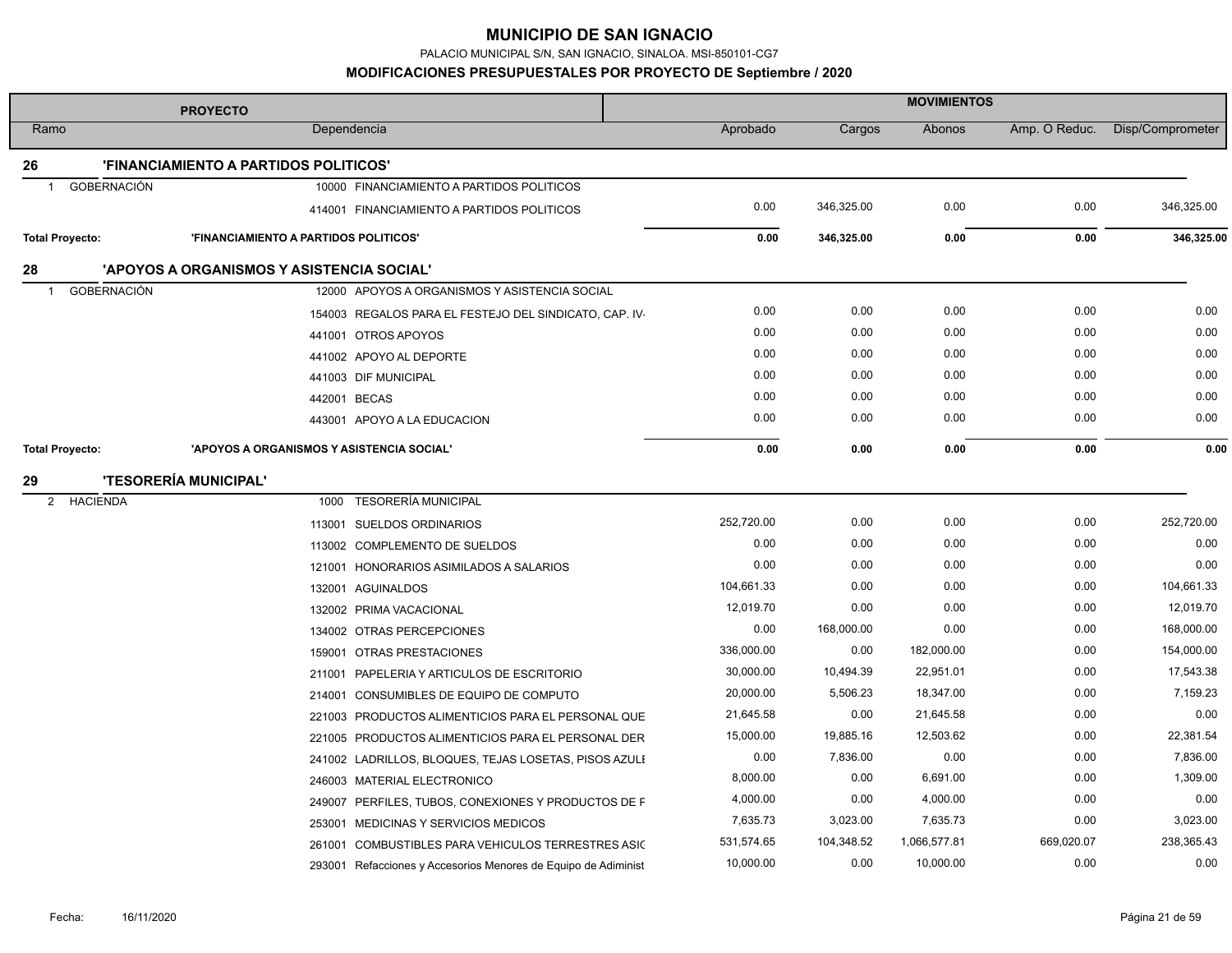PALACIO MUNICIPAL S/N, SAN IGNACIO, SINALOA. MSI-850101-CG7

**MODIFICACIONES PRESUPUESTALES POR PROYECTO DE Septiembre / 2020**

|                        | <b>PROYECTO</b>                                                | <b>MOVIMIENTOS</b> |            |              |               |                  |
|------------------------|----------------------------------------------------------------|--------------------|------------|--------------|---------------|------------------|
| Ramo                   | Dependencia                                                    | Aprobado           | Cargos     | Abonos       | Amp. O Reduc. | Disp/Comprometer |
| 26                     | 'FINANCIAMIENTO A PARTIDOS POLITICOS'                          |                    |            |              |               |                  |
| GOBERNACIÓN<br>-1      | 10000 FINANCIAMIENTO A PARTIDOS POLITICOS                      |                    |            |              |               |                  |
|                        | 414001 FINANCIAMIENTO A PARTIDOS POLITICOS                     | 0.00               | 346,325.00 | 0.00         | 0.00          | 346,325.00       |
| <b>Total Proyecto:</b> | 'FINANCIAMIENTO A PARTIDOS POLITICOS'                          | 0.00               | 346,325.00 | 0.00         | 0.00          | 346,325.00       |
| 28                     | 'APOYOS A ORGANISMOS Y ASISTENCIA SOCIAL'                      |                    |            |              |               |                  |
| <b>GOBERNACIÓN</b>     | 12000 APOYOS A ORGANISMOS Y ASISTENCIA SOCIAL                  |                    |            |              |               |                  |
|                        | 154003 REGALOS PARA EL FESTEJO DEL SINDICATO, CAP. IV-         | 0.00               | 0.00       | 0.00         | 0.00          | 0.00             |
|                        | 441001 OTROS APOYOS                                            | 0.00               | 0.00       | 0.00         | 0.00          | 0.00             |
|                        | 441002 APOYO AL DEPORTE                                        | 0.00               | 0.00       | 0.00         | 0.00          | 0.00             |
|                        | 441003 DIF MUNICIPAL                                           | 0.00               | 0.00       | 0.00         | 0.00          | 0.00             |
|                        | 442001 BECAS                                                   | 0.00               | 0.00       | 0.00         | 0.00          | 0.00             |
|                        | 443001 APOYO A LA EDUCACION                                    | 0.00               | 0.00       | 0.00         | 0.00          | 0.00             |
| <b>Total Proyecto:</b> | 'APOYOS A ORGANISMOS Y ASISTENCIA SOCIAL'                      | 0.00               | 0.00       | 0.00         | 0.00          | 0.00             |
| 29                     | <b>'TESORERÍA MUNICIPAL'</b>                                   |                    |            |              |               |                  |
| <b>HACIENDA</b><br>2   | <b>TESORERÍA MUNICIPAL</b><br>1000                             |                    |            |              |               |                  |
|                        | 113001 SUELDOS ORDINARIOS                                      | 252,720.00         | 0.00       | 0.00         | 0.00          | 252,720.00       |
|                        | 113002 COMPLEMENTO DE SUELDOS                                  | 0.00               | 0.00       | 0.00         | 0.00          | 0.00             |
|                        | 121001 HONORARIOS ASIMILADOS A SALARIOS                        | 0.00               | 0.00       | 0.00         | 0.00          | 0.00             |
|                        | 132001 AGUINALDOS                                              | 104,661.33         | 0.00       | 0.00         | 0.00          | 104,661.33       |
|                        | 132002 PRIMA VACACIONAL                                        | 12,019.70          | 0.00       | 0.00         | 0.00          | 12,019.70        |
|                        | 134002 OTRAS PERCEPCIONES                                      | 0.00               | 168,000.00 | 0.00         | 0.00          | 168,000.00       |
|                        | 159001 OTRAS PRESTACIONES                                      | 336,000.00         | 0.00       | 182,000.00   | 0.00          | 154,000.00       |
|                        | 211001 PAPELERIA Y ARTICULOS DE ESCRITORIO                     | 30,000.00          | 10,494.39  | 22,951.01    | 0.00          | 17,543.38        |
|                        | 214001 CONSUMIBLES DE EQUIPO DE COMPUTO                        | 20,000.00          | 5,506.23   | 18,347.00    | 0.00          | 7,159.23         |
|                        | 221003 PRODUCTOS ALIMENTICIOS PARA EL PERSONAL QUE             | 21,645.58          | 0.00       | 21,645.58    | 0.00          | 0.00             |
|                        | 221005 PRODUCTOS ALIMENTICIOS PARA EL PERSONAL DER             | 15,000.00          | 19,885.16  | 12,503.62    | 0.00          | 22,381.54        |
|                        | 241002 LADRILLOS, BLOQUES, TEJAS LOSETAS, PISOS AZULI          | 0.00               | 7,836.00   | 0.00         | 0.00          | 7,836.00         |
|                        | 246003 MATERIAL ELECTRONICO                                    | 8,000.00           | 0.00       | 6,691.00     | 0.00          | 1,309.00         |
|                        | 249007 PERFILES, TUBOS, CONEXIONES Y PRODUCTOS DE F            | 4,000.00           | 0.00       | 4,000.00     | 0.00          | 0.00             |
|                        | 253001 MEDICINAS Y SERVICIOS MEDICOS                           | 7,635.73           | 3,023.00   | 7,635.73     | 0.00          | 3,023.00         |
|                        | COMBUSTIBLES PARA VEHICULOS TERRESTRES ASIC<br>261001          | 531,574.65         | 104,348.52 | 1,066,577.81 | 669,020.07    | 238,365.43       |
|                        | 293001 Refacciones y Accesorios Menores de Equipo de Adiminist | 10,000.00          | 0.00       | 10,000.00    | 0.00          | 0.00             |

t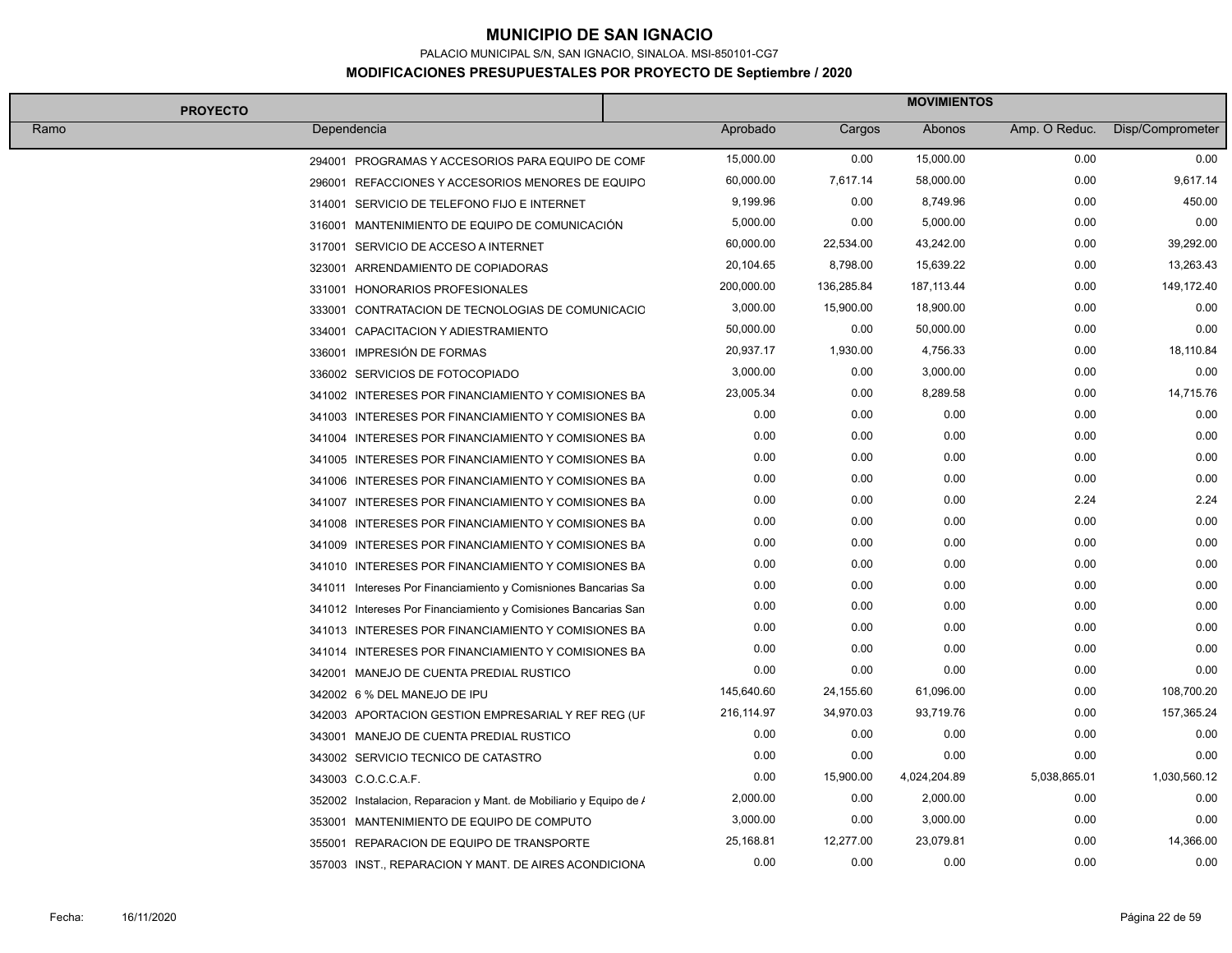PALACIO MUNICIPAL S/N, SAN IGNACIO, SINALOA. MSI-850101-CG7

#### **MODIFICACIONES PRESUPUESTALES POR PROYECTO DE Septiembre / 2020**

| <b>PROYECTO</b> |                                                                    | <b>MOVIMIENTOS</b> |            |              |               |                  |
|-----------------|--------------------------------------------------------------------|--------------------|------------|--------------|---------------|------------------|
| Ramo            | Dependencia                                                        | Aprobado           | Cargos     | Abonos       | Amp. O Reduc. | Disp/Comprometer |
|                 | 294001 PROGRAMAS Y ACCESORIOS PARA EQUIPO DE COMF                  | 15,000.00          | 0.00       | 15,000.00    | 0.00          | 0.00             |
|                 | 296001 REFACCIONES Y ACCESORIOS MENORES DE EQUIPO                  | 60,000.00          | 7,617.14   | 58,000.00    | 0.00          | 9,617.14         |
|                 | 314001 SERVICIO DE TELEFONO FIJO E INTERNET                        | 9,199.96           | 0.00       | 8,749.96     | 0.00          | 450.00           |
|                 | 316001 MANTENIMIENTO DE EQUIPO DE COMUNICACIÓN                     | 5,000.00           | 0.00       | 5,000.00     | 0.00          | 0.00             |
|                 | 317001 SERVICIO DE ACCESO A INTERNET                               | 60,000.00          | 22,534.00  | 43,242.00    | 0.00          | 39,292.00        |
|                 | 323001 ARRENDAMIENTO DE COPIADORAS                                 | 20,104.65          | 8,798.00   | 15,639.22    | 0.00          | 13,263.43        |
|                 | 331001 HONORARIOS PROFESIONALES                                    | 200,000.00         | 136,285.84 | 187, 113.44  | 0.00          | 149,172.40       |
|                 | 333001 CONTRATACION DE TECNOLOGIAS DE COMUNICACIO                  | 3,000.00           | 15,900.00  | 18,900.00    | 0.00          | 0.00             |
|                 | 334001 CAPACITACION Y ADIESTRAMIENTO                               | 50,000.00          | 0.00       | 50,000.00    | 0.00          | 0.00             |
|                 | 336001 IMPRESIÓN DE FORMAS                                         | 20,937.17          | 1,930.00   | 4,756.33     | 0.00          | 18,110.84        |
|                 | 336002 SERVICIOS DE FOTOCOPIADO                                    | 3,000.00           | 0.00       | 3,000.00     | 0.00          | 0.00             |
|                 | 341002 INTERESES POR FINANCIAMIENTO Y COMISIONES BA                | 23,005.34          | 0.00       | 8,289.58     | 0.00          | 14,715.76        |
|                 | 341003 INTERESES POR FINANCIAMIENTO Y COMISIONES BA                | 0.00               | 0.00       | 0.00         | 0.00          | 0.00             |
|                 | 341004 INTERESES POR FINANCIAMIENTO Y COMISIONES BA                | 0.00               | 0.00       | 0.00         | 0.00          | 0.00             |
|                 | 341005 INTERESES POR FINANCIAMIENTO Y COMISIONES BA                | 0.00               | 0.00       | 0.00         | 0.00          | 0.00             |
|                 | 341006 INTERESES POR FINANCIAMIENTO Y COMISIONES BA                | 0.00               | 0.00       | 0.00         | 0.00          | 0.00             |
|                 | 341007 INTERESES POR FINANCIAMIENTO Y COMISIONES BA                | 0.00               | 0.00       | 0.00         | 2.24          | 2.24             |
|                 | 341008 INTERESES POR FINANCIAMIENTO Y COMISIONES BA                | 0.00               | 0.00       | 0.00         | 0.00          | 0.00             |
|                 | 341009 INTERESES POR FINANCIAMIENTO Y COMISIONES BA                | 0.00               | 0.00       | 0.00         | 0.00          | 0.00             |
|                 | 341010 INTERESES POR FINANCIAMIENTO Y COMISIONES BA                | 0.00               | 0.00       | 0.00         | 0.00          | 0.00             |
|                 | 341011 Intereses Por Financiamiento y Comisniones Bancarias Sa     | 0.00               | 0.00       | 0.00         | 0.00          | 0.00             |
|                 | 341012 Intereses Por Financiamiento y Comisiones Bancarias San     | 0.00               | 0.00       | 0.00         | 0.00          | 0.00             |
|                 | 341013 INTERESES POR FINANCIAMIENTO Y COMISIONES BA                | 0.00               | 0.00       | 0.00         | 0.00          | 0.00             |
|                 | 341014 INTERESES POR FINANCIAMIENTO Y COMISIONES BA                | 0.00               | 0.00       | 0.00         | 0.00          | 0.00             |
|                 | 342001 MANEJO DE CUENTA PREDIAL RUSTICO                            | 0.00               | 0.00       | 0.00         | 0.00          | 0.00             |
|                 | 342002 6 % DEL MANEJO DE IPU                                       | 145,640.60         | 24,155.60  | 61,096.00    | 0.00          | 108,700.20       |
|                 | 342003 APORTACION GESTION EMPRESARIAL Y REF REG (UF                | 216,114.97         | 34,970.03  | 93,719.76    | 0.00          | 157,365.24       |
|                 | 343001 MANEJO DE CUENTA PREDIAL RUSTICO                            | 0.00               | 0.00       | 0.00         | 0.00          | 0.00             |
|                 | 343002 SERVICIO TECNICO DE CATASTRO                                | 0.00               | 0.00       | 0.00         | 0.00          | 0.00             |
|                 | 343003 C.O.C.C.A.F.                                                | 0.00               | 15,900.00  | 4,024,204.89 | 5,038,865.01  | 1,030,560.12     |
|                 | 352002 Instalacion, Reparacion y Mant. de Mobiliario y Equipo de / | 2,000.00           | 0.00       | 2,000.00     | 0.00          | 0.00             |
|                 | 353001 MANTENIMIENTO DE EQUIPO DE COMPUTO                          | 3,000.00           | 0.00       | 3,000.00     | 0.00          | 0.00             |
|                 | 355001 REPARACION DE EQUIPO DE TRANSPORTE                          | 25,168.81          | 12,277.00  | 23,079.81    | 0.00          | 14,366.00        |
|                 | 357003 INST., REPARACION Y MANT. DE AIRES ACONDICIONA              | 0.00               | 0.00       | 0.00         | 0.00          | 0.00             |

F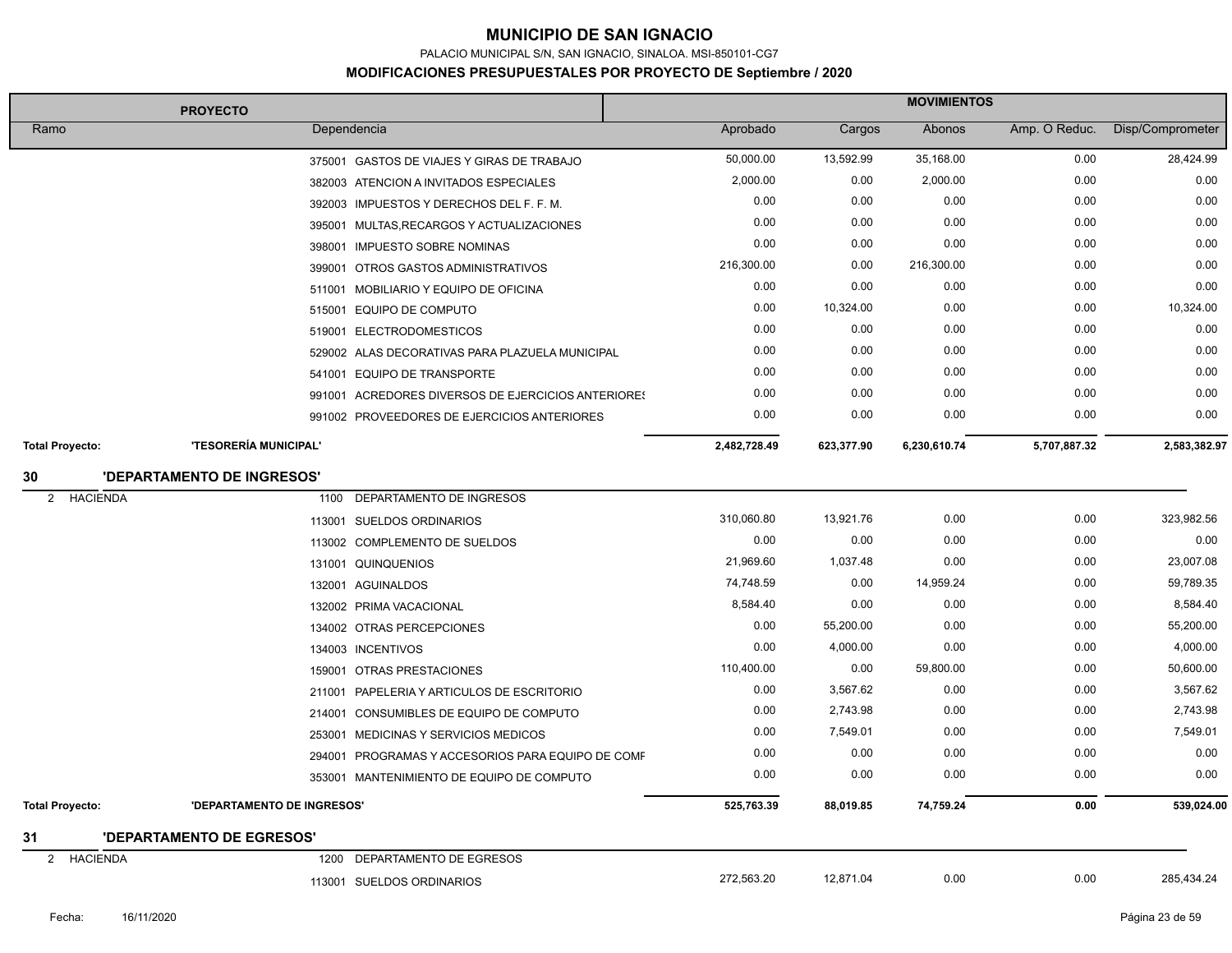PALACIO MUNICIPAL S/N, SAN IGNACIO, SINALOA. MSI-850101-CG7

|                        | <b>PROYECTO</b>            |                                                    | <b>MOVIMIENTOS</b> |            |              |               |                  |
|------------------------|----------------------------|----------------------------------------------------|--------------------|------------|--------------|---------------|------------------|
| Ramo                   | Dependencia                |                                                    | Aprobado           | Cargos     | Abonos       | Amp. O Reduc. | Disp/Comprometer |
|                        |                            | 375001 GASTOS DE VIAJES Y GIRAS DE TRABAJO         | 50,000.00          | 13,592.99  | 35,168.00    | 0.00          | 28,424.99        |
|                        |                            | 382003 ATENCION A INVITADOS ESPECIALES             | 2,000.00           | 0.00       | 2,000.00     | 0.00          | 0.00             |
|                        |                            | 392003 IMPUESTOS Y DERECHOS DEL F. F. M.           | 0.00               | 0.00       | 0.00         | 0.00          | 0.00             |
|                        |                            | 395001 MULTAS, RECARGOS Y ACTUALIZACIONES          | 0.00               | 0.00       | 0.00         | 0.00          | 0.00             |
|                        |                            | 398001 IMPUESTO SOBRE NOMINAS                      | 0.00               | 0.00       | 0.00         | 0.00          | 0.00             |
|                        |                            | 399001 OTROS GASTOS ADMINISTRATIVOS                | 216,300.00         | 0.00       | 216,300.00   | 0.00          | 0.00             |
|                        |                            | 511001 MOBILIARIO Y EQUIPO DE OFICINA              | 0.00               | 0.00       | 0.00         | 0.00          | 0.00             |
|                        |                            | 515001 EQUIPO DE COMPUTO                           | 0.00               | 10,324.00  | 0.00         | 0.00          | 10,324.00        |
|                        |                            | 519001 ELECTRODOMESTICOS                           | 0.00               | 0.00       | 0.00         | 0.00          | 0.00             |
|                        |                            | 529002 ALAS DECORATIVAS PARA PLAZUELA MUNICIPAL    | 0.00               | 0.00       | 0.00         | 0.00          | 0.00             |
|                        |                            | 541001 EQUIPO DE TRANSPORTE                        | 0.00               | 0.00       | 0.00         | 0.00          | 0.00             |
|                        |                            | 991001 ACREDORES DIVERSOS DE EJERCICIOS ANTERIORES | 0.00               | 0.00       | 0.00         | 0.00          | 0.00             |
|                        |                            | 991002 PROVEEDORES DE EJERCICIOS ANTERIORES        | 0.00               | 0.00       | 0.00         | 0.00          | 0.00             |
| <b>Total Proyecto:</b> | 'TESORERÍA MUNICIPAL'      |                                                    | 2,482,728.49       | 623,377.90 | 6,230,610.74 | 5,707,887.32  | 2,583,382.97     |
| 30                     | 'DEPARTAMENTO DE INGRESOS' |                                                    |                    |            |              |               |                  |
| 2<br><b>HACIENDA</b>   | 1100                       | DEPARTAMENTO DE INGRESOS                           |                    |            |              |               |                  |
|                        |                            | 113001 SUELDOS ORDINARIOS                          | 310,060.80         | 13,921.76  | 0.00         | 0.00          | 323,982.56       |
|                        |                            | 113002 COMPLEMENTO DE SUELDOS                      | 0.00               | 0.00       | 0.00         | 0.00          | 0.00             |
|                        |                            | 131001 QUINQUENIOS                                 | 21,969.60          | 1,037.48   | 0.00         | 0.00          | 23,007.08        |
|                        |                            | 132001 AGUINALDOS                                  | 74,748.59          | 0.00       | 14,959.24    | 0.00          | 59,789.35        |
|                        |                            | 132002 PRIMA VACACIONAL                            | 8,584.40           | 0.00       | 0.00         | 0.00          | 8,584.40         |
|                        |                            | 134002 OTRAS PERCEPCIONES                          | 0.00               | 55,200.00  | 0.00         | 0.00          | 55,200.00        |
|                        |                            | 134003 INCENTIVOS                                  | 0.00               | 4,000.00   | 0.00         | 0.00          | 4,000.00         |
|                        |                            | 159001 OTRAS PRESTACIONES                          | 110,400.00         | 0.00       | 59,800.00    | 0.00          | 50,600.00        |
|                        |                            | 211001 PAPELERIA Y ARTICULOS DE ESCRITORIO         | 0.00               | 3,567.62   | 0.00         | 0.00          | 3,567.62         |
|                        |                            | 214001 CONSUMIBLES DE EQUIPO DE COMPUTO            | 0.00               | 2,743.98   | 0.00         | 0.00          | 2,743.98         |
|                        |                            | 253001 MEDICINAS Y SERVICIOS MEDICOS               | 0.00               | 7,549.01   | 0.00         | 0.00          | 7,549.01         |
|                        |                            | 294001 PROGRAMAS Y ACCESORIOS PARA EQUIPO DE COMF  | 0.00               | 0.00       | 0.00         | 0.00          | 0.00             |
|                        |                            | 353001 MANTENIMIENTO DE EQUIPO DE COMPUTO          | 0.00               | 0.00       | 0.00         | 0.00          | 0.00             |
| <b>Total Proyecto:</b> | 'DEPARTAMENTO DE INGRESOS' |                                                    | 525,763.39         | 88,019.85  | 74,759.24    | 0.00          | 539,024.00       |
| 31                     | 'DEPARTAMENTO DE EGRESOS'  |                                                    |                    |            |              |               |                  |
| <b>HACIENDA</b><br>2   | 1200                       | DEPARTAMENTO DE EGRESOS                            |                    |            |              |               |                  |
|                        |                            | 113001 SUELDOS ORDINARIOS                          | 272,563.20         | 12,871.04  | 0.00         | 0.00          | 285,434.24       |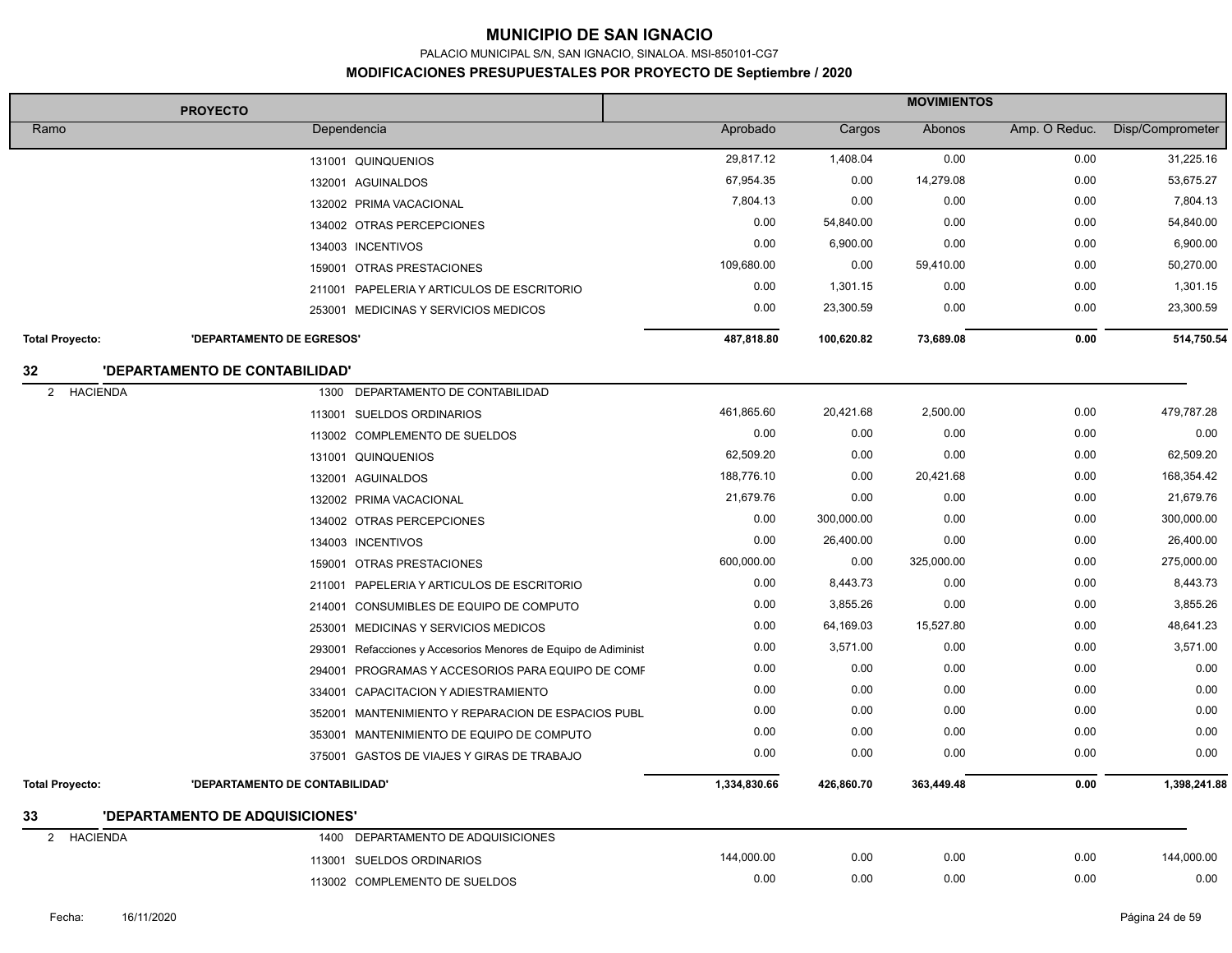PALACIO MUNICIPAL S/N, SAN IGNACIO, SINALOA. MSI-850101-CG7

|                                   | <b>PROYECTO</b>                 |                                                                | <b>MOVIMIENTOS</b> |            |            |               |                  |
|-----------------------------------|---------------------------------|----------------------------------------------------------------|--------------------|------------|------------|---------------|------------------|
| Ramo                              | Dependencia                     |                                                                | Aprobado           | Cargos     | Abonos     | Amp. O Reduc. | Disp/Comprometer |
|                                   |                                 | 131001 QUINQUENIOS                                             | 29,817.12          | 1,408.04   | 0.00       | 0.00          | 31,225.16        |
|                                   |                                 | 132001 AGUINALDOS                                              | 67,954.35          | 0.00       | 14,279.08  | 0.00          | 53,675.27        |
|                                   |                                 | 132002 PRIMA VACACIONAL                                        | 7,804.13           | 0.00       | 0.00       | 0.00          | 7,804.13         |
|                                   |                                 | 134002 OTRAS PERCEPCIONES                                      | 0.00               | 54,840.00  | 0.00       | 0.00          | 54,840.00        |
|                                   |                                 | 134003 INCENTIVOS                                              | 0.00               | 6,900.00   | 0.00       | 0.00          | 6,900.00         |
|                                   |                                 | 159001 OTRAS PRESTACIONES                                      | 109,680.00         | 0.00       | 59,410.00  | 0.00          | 50,270.00        |
|                                   |                                 | 211001 PAPELERIA Y ARTICULOS DE ESCRITORIO                     | 0.00               | 1,301.15   | 0.00       | 0.00          | 1,301.15         |
|                                   |                                 | 253001 MEDICINAS Y SERVICIOS MEDICOS                           | 0.00               | 23,300.59  | 0.00       | 0.00          | 23,300.59        |
| <b>Total Proyecto:</b>            | 'DEPARTAMENTO DE EGRESOS'       |                                                                | 487,818.80         | 100,620.82 | 73,689.08  | 0.00          | 514,750.54       |
| 32                                | 'DEPARTAMENTO DE CONTABILIDAD'  |                                                                |                    |            |            |               |                  |
| <b>HACIENDA</b><br>2              | 1300                            | DEPARTAMENTO DE CONTABILIDAD                                   |                    |            |            |               |                  |
|                                   | 113001                          | <b>SUELDOS ORDINARIOS</b>                                      | 461,865.60         | 20,421.68  | 2,500.00   | 0.00          | 479,787.28       |
|                                   |                                 | 113002 COMPLEMENTO DE SUELDOS                                  | 0.00               | 0.00       | 0.00       | 0.00          | 0.00             |
|                                   |                                 | 131001 QUINQUENIOS                                             | 62,509.20          | 0.00       | 0.00       | 0.00          | 62,509.20        |
|                                   |                                 | 132001 AGUINALDOS                                              | 188,776.10         | 0.00       | 20,421.68  | 0.00          | 168,354.42       |
|                                   |                                 | 132002 PRIMA VACACIONAL                                        | 21,679.76          | 0.00       | 0.00       | 0.00          | 21,679.76        |
|                                   |                                 | 134002 OTRAS PERCEPCIONES                                      | 0.00               | 300,000.00 | 0.00       | 0.00          | 300,000.00       |
|                                   |                                 | 134003 INCENTIVOS                                              | 0.00               | 26,400.00  | 0.00       | 0.00          | 26,400.00        |
|                                   |                                 | 159001 OTRAS PRESTACIONES                                      | 600,000.00         | 0.00       | 325,000.00 | 0.00          | 275,000.00       |
|                                   |                                 | 211001 PAPELERIA Y ARTICULOS DE ESCRITORIO                     | 0.00               | 8,443.73   | 0.00       | 0.00          | 8,443.73         |
|                                   | 214001                          | CONSUMIBLES DE EQUIPO DE COMPUTO                               | 0.00               | 3,855.26   | 0.00       | 0.00          | 3,855.26         |
|                                   |                                 | 253001 MEDICINAS Y SERVICIOS MEDICOS                           | 0.00               | 64,169.03  | 15,527.80  | 0.00          | 48,641.23        |
|                                   |                                 | 293001 Refacciones y Accesorios Menores de Equipo de Adiminist | 0.00               | 3,571.00   | 0.00       | 0.00          | 3,571.00         |
|                                   |                                 | 294001 PROGRAMAS Y ACCESORIOS PARA EQUIPO DE COMF              | 0.00               | 0.00       | 0.00       | 0.00          | 0.00             |
|                                   |                                 | 334001 CAPACITACION Y ADIESTRAMIENTO                           | 0.00               | 0.00       | 0.00       | 0.00          | 0.00             |
|                                   |                                 | 352001 MANTENIMIENTO Y REPARACION DE ESPACIOS PUBL             | 0.00               | 0.00       | 0.00       | 0.00          | 0.00             |
|                                   |                                 | 353001 MANTENIMIENTO DE EQUIPO DE COMPUTO                      | 0.00               | 0.00       | 0.00       | 0.00          | 0.00             |
|                                   |                                 | 375001 GASTOS DE VIAJES Y GIRAS DE TRABAJO                     | 0.00               | 0.00       | 0.00       | 0.00          | 0.00             |
| <b>Total Proyecto:</b>            | 'DEPARTAMENTO DE CONTABILIDAD'  |                                                                | 1,334,830.66       | 426,860.70 | 363,449.48 | 0.00          | 1,398,241.88     |
| 33                                | 'DEPARTAMENTO DE ADQUISICIONES' |                                                                |                    |            |            |               |                  |
| <b>HACIENDA</b><br>$\overline{2}$ | 1400                            | DEPARTAMENTO DE ADQUISICIONES                                  |                    |            |            |               |                  |
|                                   | 113001                          | <b>SUELDOS ORDINARIOS</b>                                      | 144,000.00         | 0.00       | 0.00       | 0.00          | 144,000.00       |
|                                   |                                 | 113002 COMPLEMENTO DE SUELDOS                                  | 0.00               | 0.00       | 0.00       | 0.00          | 0.00             |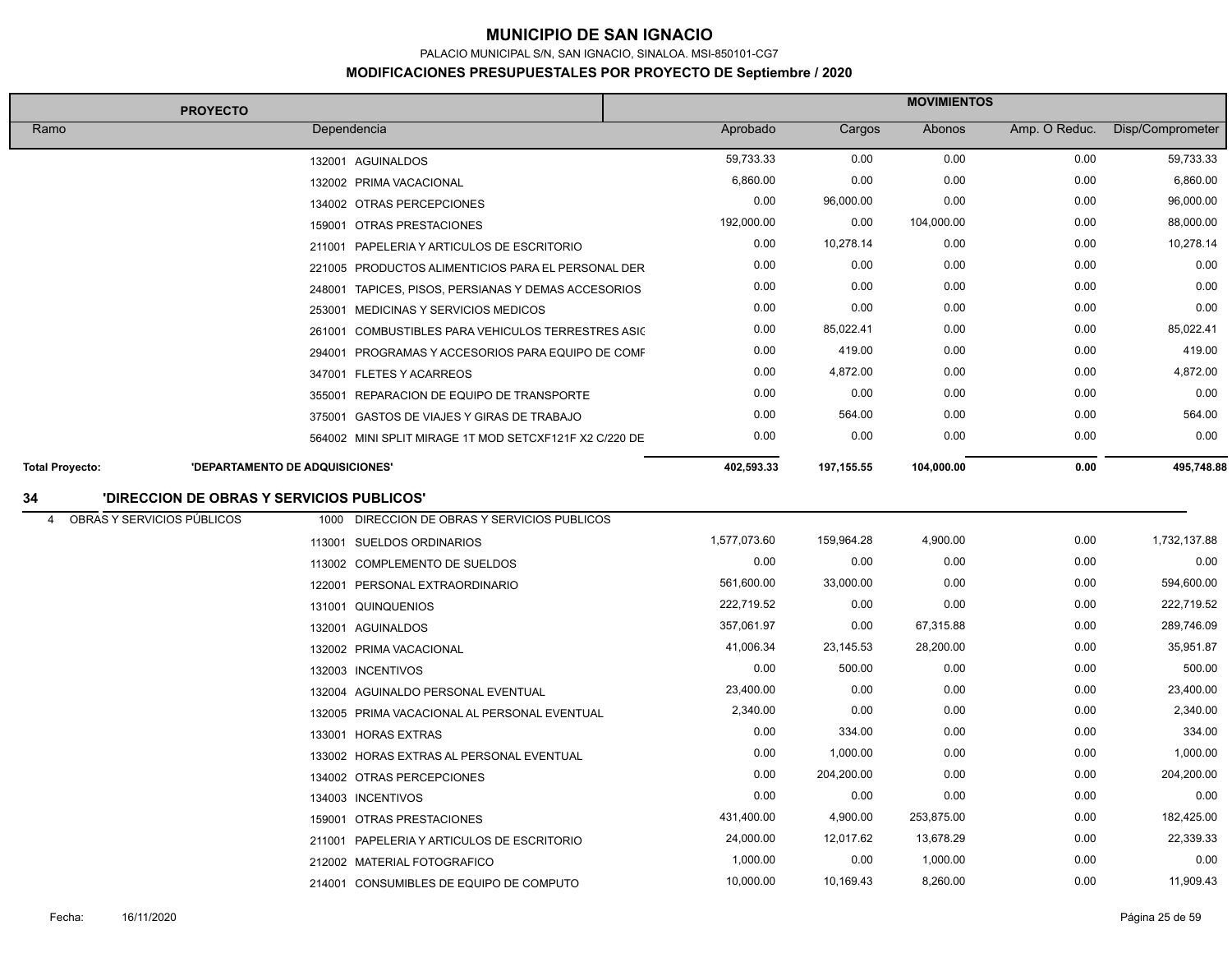PALACIO MUNICIPAL S/N, SAN IGNACIO, SINALOA. MSI-850101-CG7

| <b>PROYECTO</b>        |                                           |                                                        | <b>MOVIMIENTOS</b> |             |            |               |                  |  |
|------------------------|-------------------------------------------|--------------------------------------------------------|--------------------|-------------|------------|---------------|------------------|--|
| Ramo                   |                                           | Dependencia                                            | Aprobado           | Cargos      | Abonos     | Amp. O Reduc. | Disp/Comprometer |  |
|                        |                                           | 132001 AGUINALDOS                                      | 59,733.33          | 0.00        | 0.00       | 0.00          | 59,733.33        |  |
|                        |                                           | 132002 PRIMA VACACIONAL                                | 6,860.00           | 0.00        | 0.00       | 0.00          | 6,860.00         |  |
|                        |                                           | 134002 OTRAS PERCEPCIONES                              | 0.00               | 96,000.00   | 0.00       | 0.00          | 96,000.00        |  |
|                        |                                           | 159001 OTRAS PRESTACIONES                              | 192,000.00         | 0.00        | 104,000.00 | 0.00          | 88,000.00        |  |
|                        |                                           | 211001 PAPELERIA Y ARTICULOS DE ESCRITORIO             | 0.00               | 10,278.14   | 0.00       | 0.00          | 10,278.14        |  |
|                        |                                           | 221005 PRODUCTOS ALIMENTICIOS PARA EL PERSONAL DER     | 0.00               | 0.00        | 0.00       | 0.00          | 0.00             |  |
|                        |                                           | 248001 TAPICES, PISOS, PERSIANAS Y DEMAS ACCESORIOS    | 0.00               | 0.00        | 0.00       | 0.00          | 0.00             |  |
|                        |                                           | 253001 MEDICINAS Y SERVICIOS MEDICOS                   | 0.00               | 0.00        | 0.00       | 0.00          | 0.00             |  |
|                        |                                           | 261001 COMBUSTIBLES PARA VEHICULOS TERRESTRES ASIC     | 0.00               | 85,022.41   | 0.00       | 0.00          | 85,022.41        |  |
|                        |                                           | 294001 PROGRAMAS Y ACCESORIOS PARA EQUIPO DE COMF      | 0.00               | 419.00      | 0.00       | 0.00          | 419.00           |  |
|                        |                                           | 347001 FLETES Y ACARREOS                               | 0.00               | 4,872.00    | 0.00       | 0.00          | 4,872.00         |  |
|                        |                                           | 355001 REPARACION DE EQUIPO DE TRANSPORTE              | 0.00               | 0.00        | 0.00       | 0.00          | 0.00             |  |
|                        |                                           | 375001 GASTOS DE VIAJES Y GIRAS DE TRABAJO             | 0.00               | 564.00      | 0.00       | 0.00          | 564.00           |  |
|                        |                                           | 564002 MINI SPLIT MIRAGE 1T MOD SETCXF121F X2 C/220 DE | 0.00               | 0.00        | 0.00       | 0.00          | 0.00             |  |
| <b>Total Proyecto:</b> | <b>'DEPARTAMENTO DE ADQUISICIONES'</b>    |                                                        | 402,593.33         | 197, 155.55 | 104,000.00 | 0.00          | 495,748.88       |  |
| 34                     | 'DIRECCION DE OBRAS Y SERVICIOS PUBLICOS' |                                                        |                    |             |            |               |                  |  |
| $\overline{4}$         | OBRAS Y SERVICIOS PÚBLICOS                | 1000 DIRECCION DE OBRAS Y SERVICIOS PUBLICOS           |                    |             |            |               |                  |  |
|                        |                                           | 113001 SUELDOS ORDINARIOS                              | 1,577,073.60       | 159,964.28  | 4,900.00   | 0.00          | 1,732,137.88     |  |
|                        |                                           | 113002 COMPLEMENTO DE SUELDOS                          | 0.00               | 0.00        | 0.00       | 0.00          | 0.00             |  |
|                        |                                           | 122001 PERSONAL EXTRAORDINARIO                         | 561,600.00         | 33,000.00   | 0.00       | 0.00          | 594,600.00       |  |
|                        |                                           | 131001 QUINQUENIOS                                     | 222,719.52         | 0.00        | 0.00       | 0.00          | 222,719.52       |  |
|                        |                                           | 132001 AGUINALDOS                                      | 357,061.97         | 0.00        | 67,315.88  | 0.00          | 289.746.09       |  |
|                        |                                           | 132002 PRIMA VACACIONAL                                | 41,006.34          | 23,145.53   | 28,200.00  | 0.00          | 35,951.87        |  |
|                        |                                           | 132003 INCENTIVOS                                      | 0.00               | 500.00      | 0.00       | 0.00          | 500.00           |  |
|                        |                                           | 132004 AGUINALDO PERSONAL EVENTUAL                     | 23,400.00          | 0.00        | 0.00       | 0.00          | 23,400.00        |  |
|                        |                                           | 132005 PRIMA VACACIONAL AL PERSONAL EVENTUAL           | 2,340.00           | 0.00        | 0.00       | 0.00          | 2,340.00         |  |
|                        |                                           | 133001 HORAS EXTRAS                                    | 0.00               | 334.00      | 0.00       | 0.00          | 334.00           |  |
|                        |                                           | 133002 HORAS EXTRAS AL PERSONAL EVENTUAL               | 0.00               | 1,000.00    | 0.00       | 0.00          | 1,000.00         |  |
|                        |                                           | 134002 OTRAS PERCEPCIONES                              | 0.00               | 204,200.00  | 0.00       | 0.00          | 204,200.00       |  |
|                        |                                           | 134003 INCENTIVOS                                      | 0.00               | 0.00        | 0.00       | 0.00          | 0.00             |  |
|                        |                                           | 159001 OTRAS PRESTACIONES                              | 431,400.00         | 4,900.00    | 253,875.00 | 0.00          | 182,425.00       |  |
|                        |                                           | 211001 PAPELERIA Y ARTICULOS DE ESCRITORIO             | 24,000.00          | 12,017.62   | 13,678.29  | 0.00          | 22,339.33        |  |
|                        |                                           | 212002 MATERIAL FOTOGRAFICO                            | 1,000.00           | 0.00        | 1,000.00   | 0.00          | 0.00             |  |
|                        |                                           | 214001 CONSUMIBLES DE EQUIPO DE COMPUTO                | 10,000.00          | 10,169.43   | 8,260.00   | 0.00          | 11,909.43        |  |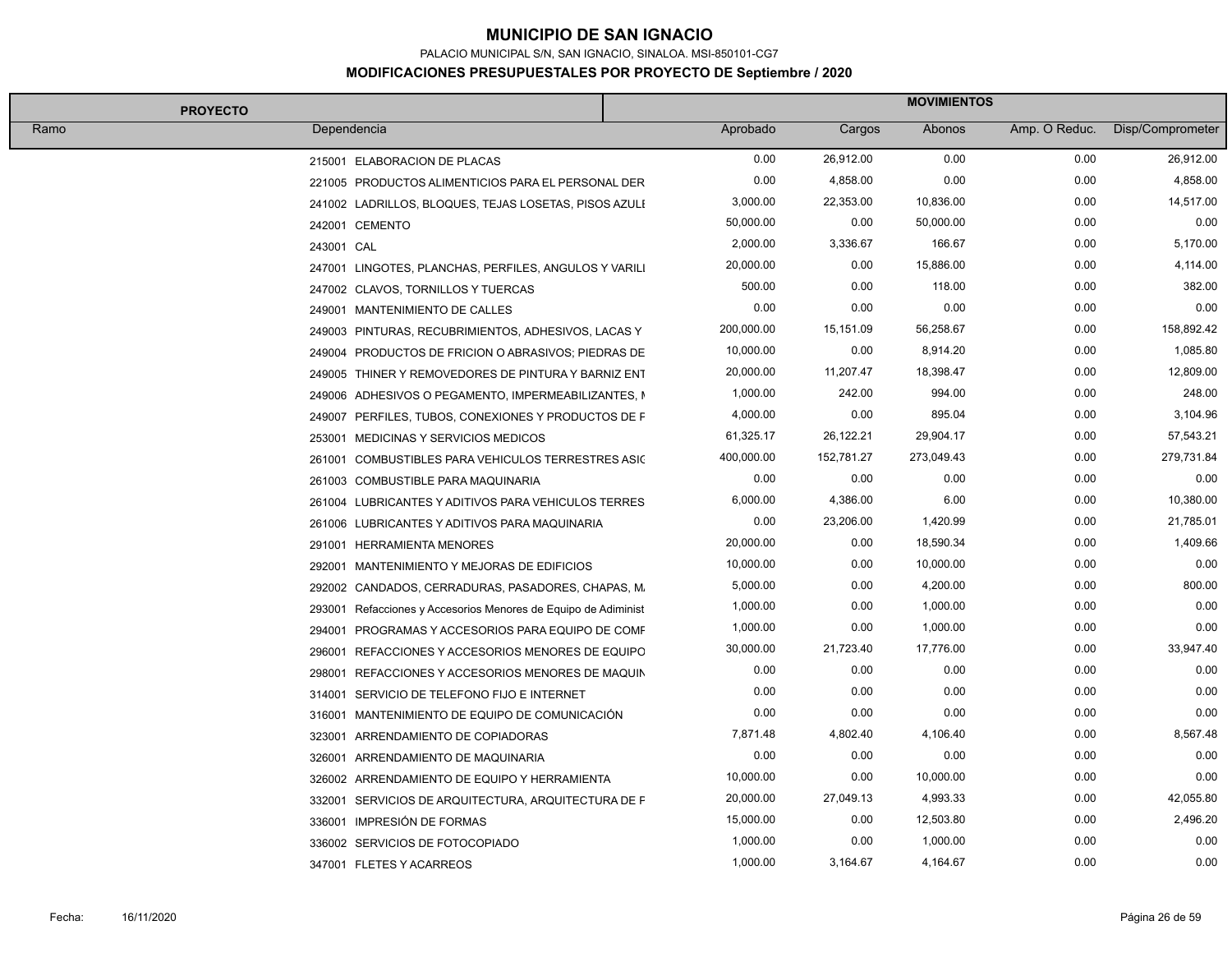PALACIO MUNICIPAL S/N, SAN IGNACIO, SINALOA. MSI-850101-CG7

| <b>PROYECTO</b>                                                | <b>MOVIMIENTOS</b> |            |            |               |                  |  |
|----------------------------------------------------------------|--------------------|------------|------------|---------------|------------------|--|
| Ramo<br>Dependencia                                            | Aprobado           | Cargos     | Abonos     | Amp. O Reduc. | Disp/Comprometer |  |
| 215001 ELABORACION DE PLACAS                                   | 0.00               | 26,912.00  | 0.00       | 0.00          | 26,912.00        |  |
| 221005 PRODUCTOS ALIMENTICIOS PARA EL PERSONAL DER             | 0.00               | 4,858.00   | 0.00       | 0.00          | 4,858.00         |  |
| 241002 LADRILLOS, BLOQUES, TEJAS LOSETAS, PISOS AZULI          | 3,000.00           | 22,353.00  | 10,836.00  | 0.00          | 14,517.00        |  |
| 242001 CEMENTO                                                 | 50,000.00          | 0.00       | 50,000.00  | 0.00          | 0.00             |  |
| 243001 CAL                                                     | 2,000.00           | 3,336.67   | 166.67     | 0.00          | 5,170.00         |  |
| 247001 LINGOTES, PLANCHAS, PERFILES, ANGULOS Y VARILI          | 20,000.00          | 0.00       | 15,886.00  | 0.00          | 4,114.00         |  |
| 247002 CLAVOS, TORNILLOS Y TUERCAS                             | 500.00             | 0.00       | 118.00     | 0.00          | 382.00           |  |
| 249001 MANTENIMIENTO DE CALLES                                 | 0.00               | 0.00       | 0.00       | 0.00          | 0.00             |  |
| 249003 PINTURAS, RECUBRIMIENTOS, ADHESIVOS, LACAS Y            | 200,000.00         | 15,151.09  | 56,258.67  | 0.00          | 158,892.42       |  |
| 249004 PRODUCTOS DE FRICION O ABRASIVOS; PIEDRAS DE            | 10,000.00          | 0.00       | 8,914.20   | 0.00          | 1,085.80         |  |
| 249005 THINER Y REMOVEDORES DE PINTURA Y BARNIZ ENT            | 20,000.00          | 11,207.47  | 18,398.47  | 0.00          | 12,809.00        |  |
| 249006 ADHESIVOS O PEGAMENTO, IMPERMEABILIZANTES, N            | 1,000.00           | 242.00     | 994.00     | 0.00          | 248.00           |  |
| 249007 PERFILES, TUBOS, CONEXIONES Y PRODUCTOS DE F            | 4,000.00           | 0.00       | 895.04     | 0.00          | 3,104.96         |  |
| 253001 MEDICINAS Y SERVICIOS MEDICOS                           | 61,325.17          | 26,122.21  | 29,904.17  | 0.00          | 57,543.21        |  |
| 261001 COMBUSTIBLES PARA VEHICULOS TERRESTRES ASIC             | 400,000.00         | 152,781.27 | 273,049.43 | 0.00          | 279,731.84       |  |
| 261003 COMBUSTIBLE PARA MAQUINARIA                             | 0.00               | 0.00       | 0.00       | 0.00          | 0.00             |  |
| 261004 LUBRICANTES Y ADITIVOS PARA VEHICULOS TERRES            | 6,000.00           | 4,386.00   | 6.00       | 0.00          | 10,380.00        |  |
| 261006 LUBRICANTES Y ADITIVOS PARA MAQUINARIA                  | 0.00               | 23,206.00  | 1,420.99   | 0.00          | 21,785.01        |  |
| 291001 HERRAMIENTA MENORES                                     | 20,000.00          | 0.00       | 18,590.34  | 0.00          | 1,409.66         |  |
| 292001 MANTENIMIENTO Y MEJORAS DE EDIFICIOS                    | 10,000.00          | 0.00       | 10,000.00  | 0.00          | 0.00             |  |
| 292002 CANDADOS, CERRADURAS, PASADORES, CHAPAS, M.             | 5,000.00           | 0.00       | 4,200.00   | 0.00          | 800.00           |  |
| 293001 Refacciones y Accesorios Menores de Equipo de Adiminist | 1,000.00           | 0.00       | 1,000.00   | 0.00          | 0.00             |  |
| 294001 PROGRAMAS Y ACCESORIOS PARA EQUIPO DE COMF              | 1,000.00           | 0.00       | 1,000.00   | 0.00          | 0.00             |  |
| 296001 REFACCIONES Y ACCESORIOS MENORES DE EQUIPO              | 30,000.00          | 21,723.40  | 17,776.00  | 0.00          | 33,947.40        |  |
| 298001 REFACCIONES Y ACCESORIOS MENORES DE MAQUIN              | 0.00               | 0.00       | 0.00       | 0.00          | 0.00             |  |
| 314001 SERVICIO DE TELEFONO FIJO E INTERNET                    | 0.00               | 0.00       | 0.00       | 0.00          | 0.00             |  |
| 316001 MANTENIMIENTO DE EQUIPO DE COMUNICACIÓN                 | 0.00               | 0.00       | 0.00       | 0.00          | 0.00             |  |
| 323001 ARRENDAMIENTO DE COPIADORAS                             | 7,871.48           | 4,802.40   | 4,106.40   | 0.00          | 8,567.48         |  |
| 326001 ARRENDAMIENTO DE MAQUINARIA                             | 0.00               | 0.00       | 0.00       | 0.00          | 0.00             |  |
| 326002 ARRENDAMIENTO DE EQUIPO Y HERRAMIENTA                   | 10,000.00          | 0.00       | 10,000.00  | 0.00          | 0.00             |  |
| 332001 SERVICIOS DE ARQUITECTURA, ARQUITECTURA DE F            | 20,000.00          | 27,049.13  | 4,993.33   | 0.00          | 42,055.80        |  |
| 336001 IMPRESIÓN DE FORMAS                                     | 15,000.00          | 0.00       | 12,503.80  | 0.00          | 2,496.20         |  |
| 336002 SERVICIOS DE FOTOCOPIADO                                | 1,000.00           | 0.00       | 1,000.00   | 0.00          | 0.00             |  |
| 347001 FLETES Y ACARREOS                                       | 1,000.00           | 3,164.67   | 4,164.67   | 0.00          | 0.00             |  |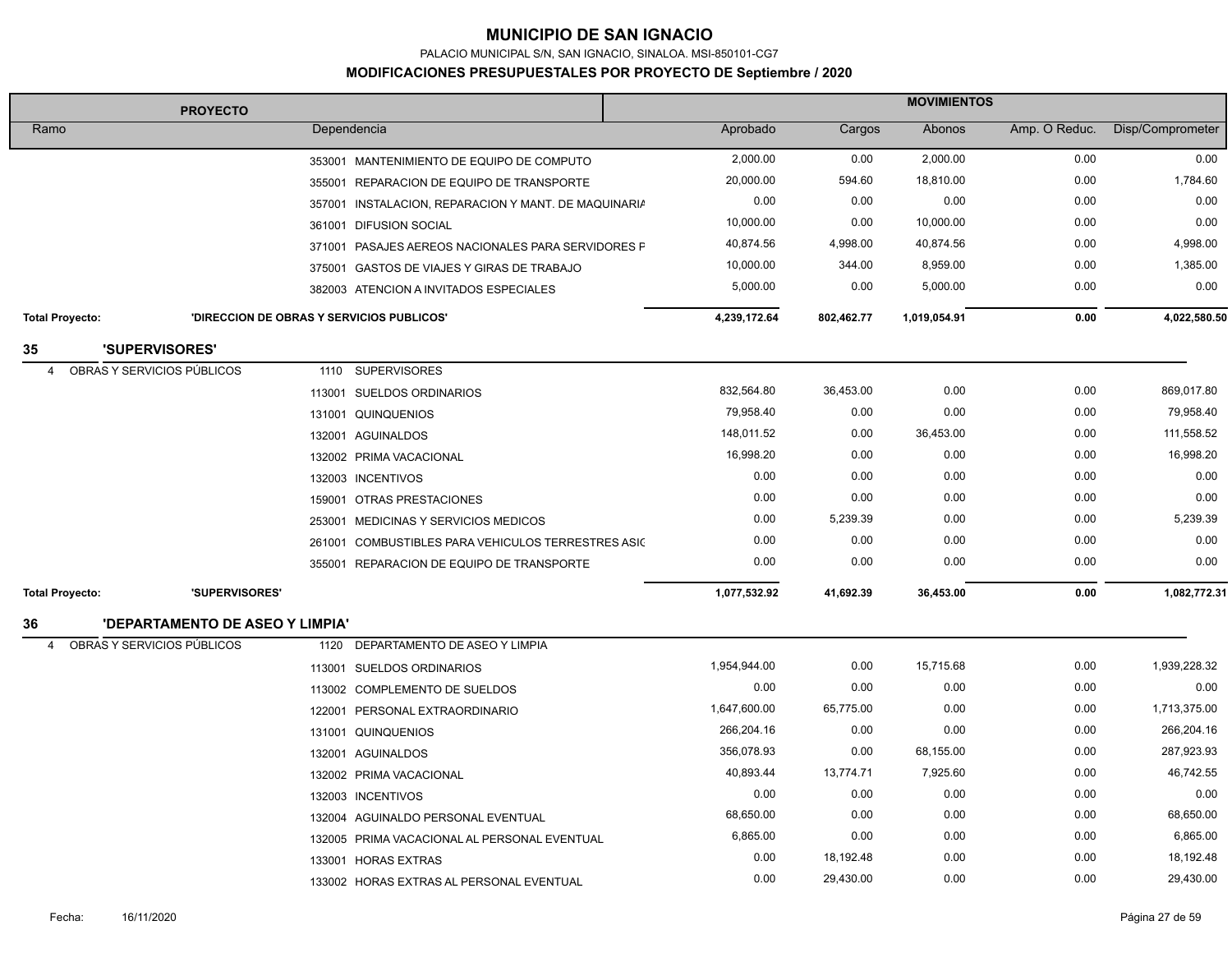PALACIO MUNICIPAL S/N, SAN IGNACIO, SINALOA. MSI-850101-CG7

| <b>PROYECTO</b>        |                                           |             | <b>MOVIMIENTOS</b>                                   |              |            |              |               |                  |
|------------------------|-------------------------------------------|-------------|------------------------------------------------------|--------------|------------|--------------|---------------|------------------|
| Ramo                   |                                           | Dependencia |                                                      | Aprobado     | Cargos     | Abonos       | Amp. O Reduc. | Disp/Comprometer |
|                        |                                           |             | 353001 MANTENIMIENTO DE EQUIPO DE COMPUTO            | 2,000.00     | 0.00       | 2,000.00     | 0.00          | 0.00             |
|                        |                                           |             | 355001 REPARACION DE EQUIPO DE TRANSPORTE            | 20,000.00    | 594.60     | 18,810.00    | 0.00          | 1,784.60         |
|                        |                                           |             | 357001 INSTALACION, REPARACION Y MANT. DE MAQUINARIA | 0.00         | 0.00       | 0.00         | 0.00          | 0.00             |
|                        |                                           |             | 361001 DIFUSION SOCIAL                               | 10,000.00    | 0.00       | 10,000.00    | 0.00          | 0.00             |
|                        |                                           |             | 371001 PASAJES AEREOS NACIONALES PARA SERVIDORES F   | 40,874.56    | 4,998.00   | 40,874.56    | 0.00          | 4,998.00         |
|                        |                                           |             | 375001 GASTOS DE VIAJES Y GIRAS DE TRABAJO           | 10,000.00    | 344.00     | 8,959.00     | 0.00          | 1,385.00         |
|                        |                                           |             | 382003 ATENCION A INVITADOS ESPECIALES               | 5,000.00     | 0.00       | 5,000.00     | 0.00          | 0.00             |
| <b>Total Proyecto:</b> | 'DIRECCION DE OBRAS Y SERVICIOS PUBLICOS' |             |                                                      | 4,239,172.64 | 802,462.77 | 1,019,054.91 | 0.00          | 4,022,580.50     |
| 35                     | 'SUPERVISORES'                            |             |                                                      |              |            |              |               |                  |
| $\overline{4}$         | OBRAS Y SERVICIOS PÚBLICOS                | 1110        | <b>SUPERVISORES</b>                                  |              |            |              |               |                  |
|                        |                                           |             | 113001 SUELDOS ORDINARIOS                            | 832,564.80   | 36,453.00  | 0.00         | 0.00          | 869,017.80       |
|                        |                                           |             | 131001 QUINQUENIOS                                   | 79,958.40    | 0.00       | 0.00         | 0.00          | 79,958.40        |
|                        |                                           |             | 132001 AGUINALDOS                                    | 148,011.52   | 0.00       | 36,453.00    | 0.00          | 111,558.52       |
|                        |                                           |             | 132002 PRIMA VACACIONAL                              | 16,998.20    | 0.00       | 0.00         | 0.00          | 16,998.20        |
|                        |                                           |             | 132003 INCENTIVOS                                    | 0.00         | 0.00       | 0.00         | 0.00          | 0.00             |
|                        |                                           |             | 159001 OTRAS PRESTACIONES                            | 0.00         | 0.00       | 0.00         | 0.00          | 0.00             |
|                        |                                           |             | 253001 MEDICINAS Y SERVICIOS MEDICOS                 | 0.00         | 5,239.39   | 0.00         | 0.00          | 5,239.39         |
|                        |                                           |             | 261001 COMBUSTIBLES PARA VEHICULOS TERRESTRES ASIC   | 0.00         | 0.00       | 0.00         | 0.00          | 0.00             |
|                        |                                           |             | 355001 REPARACION DE EQUIPO DE TRANSPORTE            | 0.00         | 0.00       | 0.00         | 0.00          | 0.00             |
| <b>Total Proyecto:</b> | 'SUPERVISORES'                            |             |                                                      | 1,077,532.92 | 41,692.39  | 36,453.00    | 0.00          | 1,082,772.31     |
| 36                     | <b>'DEPARTAMENTO DE ASEO Y LIMPIA'</b>    |             |                                                      |              |            |              |               |                  |
| $\overline{4}$         | OBRAS Y SERVICIOS PÚBLICOS                | 1120        | DEPARTAMENTO DE ASEO Y LIMPIA                        |              |            |              |               |                  |
|                        |                                           |             | 113001 SUELDOS ORDINARIOS                            | 1,954,944.00 | 0.00       | 15,715.68    | 0.00          | 1,939,228.32     |
|                        |                                           |             | 113002 COMPLEMENTO DE SUELDOS                        | 0.00         | 0.00       | 0.00         | 0.00          | 0.00             |
|                        |                                           |             | 122001 PERSONAL EXTRAORDINARIO                       | 1,647,600.00 | 65,775.00  | 0.00         | 0.00          | 1,713,375.00     |
|                        |                                           |             | 131001 QUINQUENIOS                                   | 266,204.16   | 0.00       | 0.00         | 0.00          | 266,204.16       |
|                        |                                           |             | 132001 AGUINALDOS                                    | 356,078.93   | 0.00       | 68,155.00    | 0.00          | 287,923.93       |
|                        |                                           |             | 132002 PRIMA VACACIONAL                              | 40,893.44    | 13,774.71  | 7,925.60     | 0.00          | 46,742.55        |
|                        |                                           |             | 132003 INCENTIVOS                                    | 0.00         | 0.00       | 0.00         | 0.00          | 0.00             |
|                        |                                           |             | 132004 AGUINALDO PERSONAL EVENTUAL                   | 68,650.00    | 0.00       | 0.00         | 0.00          | 68,650.00        |
|                        |                                           |             | 132005 PRIMA VACACIONAL AL PERSONAL EVENTUAL         | 6,865.00     | 0.00       | 0.00         | 0.00          | 6,865.00         |
|                        |                                           |             | 133001 HORAS EXTRAS                                  | 0.00         | 18,192.48  | 0.00         | 0.00          | 18,192.48        |
|                        |                                           |             | 133002 HORAS EXTRAS AL PERSONAL EVENTUAL             | 0.00         | 29,430.00  | 0.00         | 0.00          | 29,430.00        |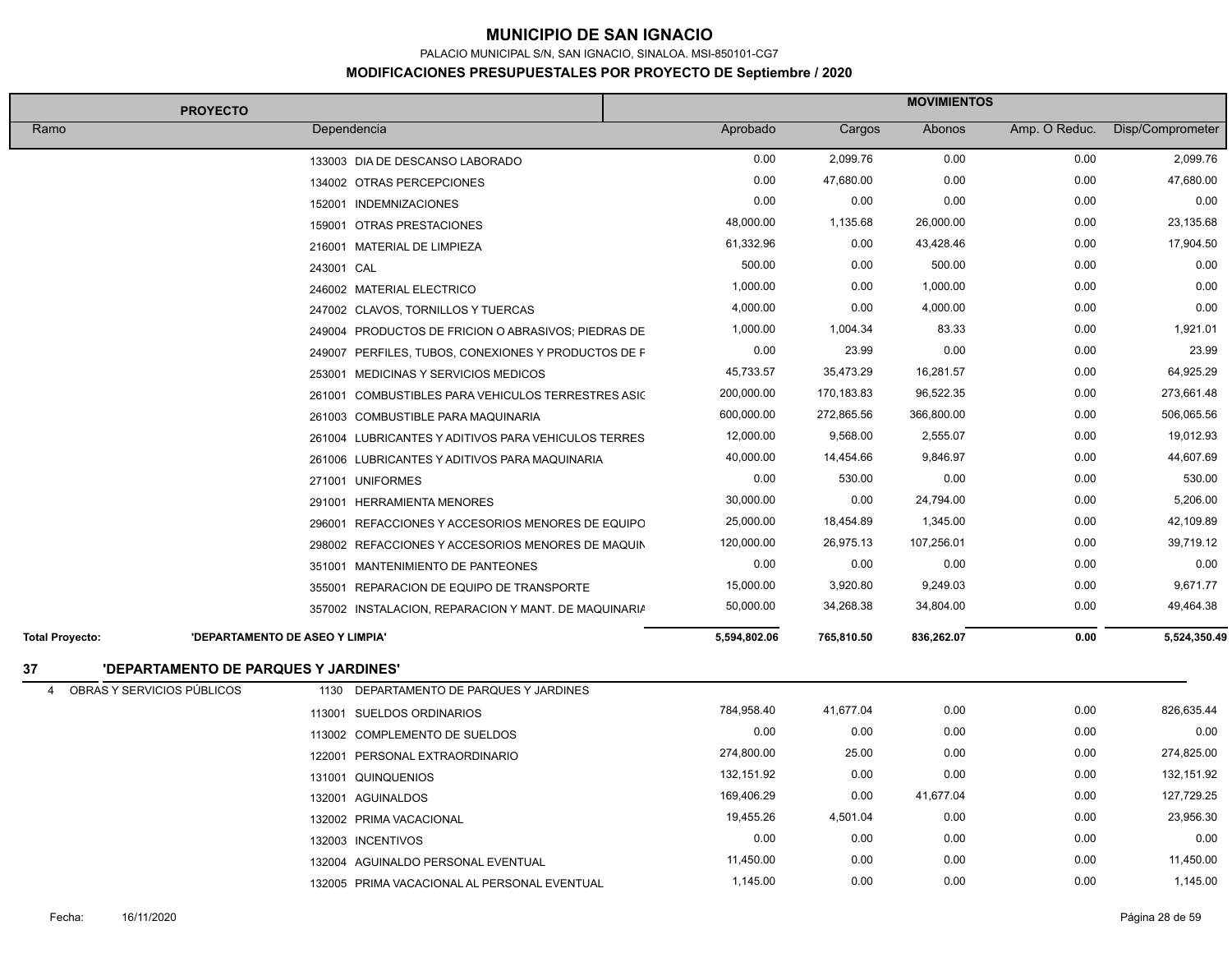PALACIO MUNICIPAL S/N, SAN IGNACIO, SINALOA. MSI-850101-CG7

| <b>PROYECTO</b>                              | <b>MOVIMIENTOS</b>                                   |              |            |            |               |                  |
|----------------------------------------------|------------------------------------------------------|--------------|------------|------------|---------------|------------------|
| Ramo                                         | Dependencia                                          | Aprobado     | Cargos     | Abonos     | Amp. O Reduc. | Disp/Comprometer |
|                                              | 133003 DIA DE DESCANSO LABORADO                      | 0.00         | 2,099.76   | 0.00       | 0.00          | 2,099.76         |
|                                              | 134002 OTRAS PERCEPCIONES                            | 0.00         | 47,680.00  | 0.00       | 0.00          | 47,680.00        |
|                                              | 152001 INDEMNIZACIONES                               | 0.00         | 0.00       | 0.00       | 0.00          | 0.00             |
|                                              | 159001 OTRAS PRESTACIONES                            | 48,000.00    | 1,135.68   | 26,000.00  | 0.00          | 23,135.68        |
|                                              | 216001 MATERIAL DE LIMPIEZA                          | 61,332.96    | 0.00       | 43,428.46  | 0.00          | 17,904.50        |
|                                              | 243001 CAL                                           | 500.00       | 0.00       | 500.00     | 0.00          | 0.00             |
|                                              | 246002 MATERIAL ELECTRICO                            | 1,000.00     | 0.00       | 1,000.00   | 0.00          | 0.00             |
|                                              | 247002 CLAVOS, TORNILLOS Y TUERCAS                   | 4,000.00     | 0.00       | 4,000.00   | 0.00          | 0.00             |
|                                              | 249004 PRODUCTOS DE FRICION O ABRASIVOS; PIEDRAS DE  | 1,000.00     | 1,004.34   | 83.33      | 0.00          | 1,921.01         |
|                                              | 249007 PERFILES, TUBOS, CONEXIONES Y PRODUCTOS DE F  | 0.00         | 23.99      | 0.00       | 0.00          | 23.99            |
|                                              | 253001 MEDICINAS Y SERVICIOS MEDICOS                 | 45,733.57    | 35,473.29  | 16,281.57  | 0.00          | 64,925.29        |
|                                              | 261001 COMBUSTIBLES PARA VEHICULOS TERRESTRES ASIC   | 200,000.00   | 170,183.83 | 96,522.35  | 0.00          | 273,661.48       |
|                                              | 261003 COMBUSTIBLE PARA MAQUINARIA                   | 600,000.00   | 272,865.56 | 366,800.00 | 0.00          | 506,065.56       |
|                                              | 261004 LUBRICANTES Y ADITIVOS PARA VEHICULOS TERRES  | 12,000.00    | 9,568.00   | 2,555.07   | 0.00          | 19,012.93        |
|                                              | 261006 LUBRICANTES Y ADITIVOS PARA MAQUINARIA        | 40,000.00    | 14,454.66  | 9,846.97   | 0.00          | 44,607.69        |
|                                              | 271001 UNIFORMES                                     | 0.00         | 530.00     | 0.00       | 0.00          | 530.00           |
|                                              | 291001 HERRAMIENTA MENORES                           | 30,000.00    | 0.00       | 24,794.00  | 0.00          | 5,206.00         |
|                                              | 296001 REFACCIONES Y ACCESORIOS MENORES DE EQUIPO    | 25,000.00    | 18,454.89  | 1,345.00   | 0.00          | 42,109.89        |
|                                              | 298002 REFACCIONES Y ACCESORIOS MENORES DE MAQUIN    | 120,000.00   | 26,975.13  | 107,256.01 | 0.00          | 39,719.12        |
|                                              | 351001 MANTENIMIENTO DE PANTEONES                    | 0.00         | 0.00       | 0.00       | 0.00          | 0.00             |
|                                              | 355001 REPARACION DE EQUIPO DE TRANSPORTE            | 15,000.00    | 3,920.80   | 9,249.03   | 0.00          | 9,671.77         |
|                                              | 357002 INSTALACION, REPARACION Y MANT. DE MAQUINARIA | 50,000.00    | 34,268.38  | 34,804.00  | 0.00          | 49,464.38        |
| <b>Total Proyecto:</b>                       | 'DEPARTAMENTO DE ASEO Y LIMPIA'                      | 5,594,802.06 | 765,810.50 | 836,262.07 | 0.00          | 5,524,350.49     |
| 'DEPARTAMENTO DE PARQUES Y JARDINES'<br>37   |                                                      |              |            |            |               |                  |
| OBRAS Y SERVICIOS PÚBLICOS<br>$\overline{4}$ | 1130 DEPARTAMENTO DE PARQUES Y JARDINES              |              |            |            |               |                  |
|                                              | 113001 SUELDOS ORDINARIOS                            | 784,958.40   | 41,677.04  | 0.00       | 0.00          | 826,635.44       |
|                                              | 113002 COMPLEMENTO DE SUELDOS                        | 0.00         | 0.00       | 0.00       | 0.00          | 0.00             |
|                                              | 122001 PERSONAL EXTRAORDINARIO                       | 274,800.00   | 25.00      | 0.00       | 0.00          | 274,825.00       |
|                                              | 131001 QUINQUENIOS                                   | 132,151.92   | 0.00       | 0.00       | 0.00          | 132, 151.92      |
|                                              | 132001 AGUINALDOS                                    | 169,406.29   | 0.00       | 41,677.04  | 0.00          | 127,729.25       |
|                                              | 132002 PRIMA VACACIONAL                              | 19,455.26    | 4,501.04   | 0.00       | 0.00          | 23,956.30        |
|                                              | 132003 INCENTIVOS                                    | 0.00         | 0.00       | 0.00       | 0.00          | 0.00             |
|                                              | 132004 AGUINALDO PERSONAL EVENTUAL                   | 11,450.00    | 0.00       | 0.00       | 0.00          | 11,450.00        |
|                                              | 132005 PRIMA VACACIONAL AL PERSONAL EVENTUAL         | 1,145.00     | 0.00       | 0.00       | 0.00          | 1,145.00         |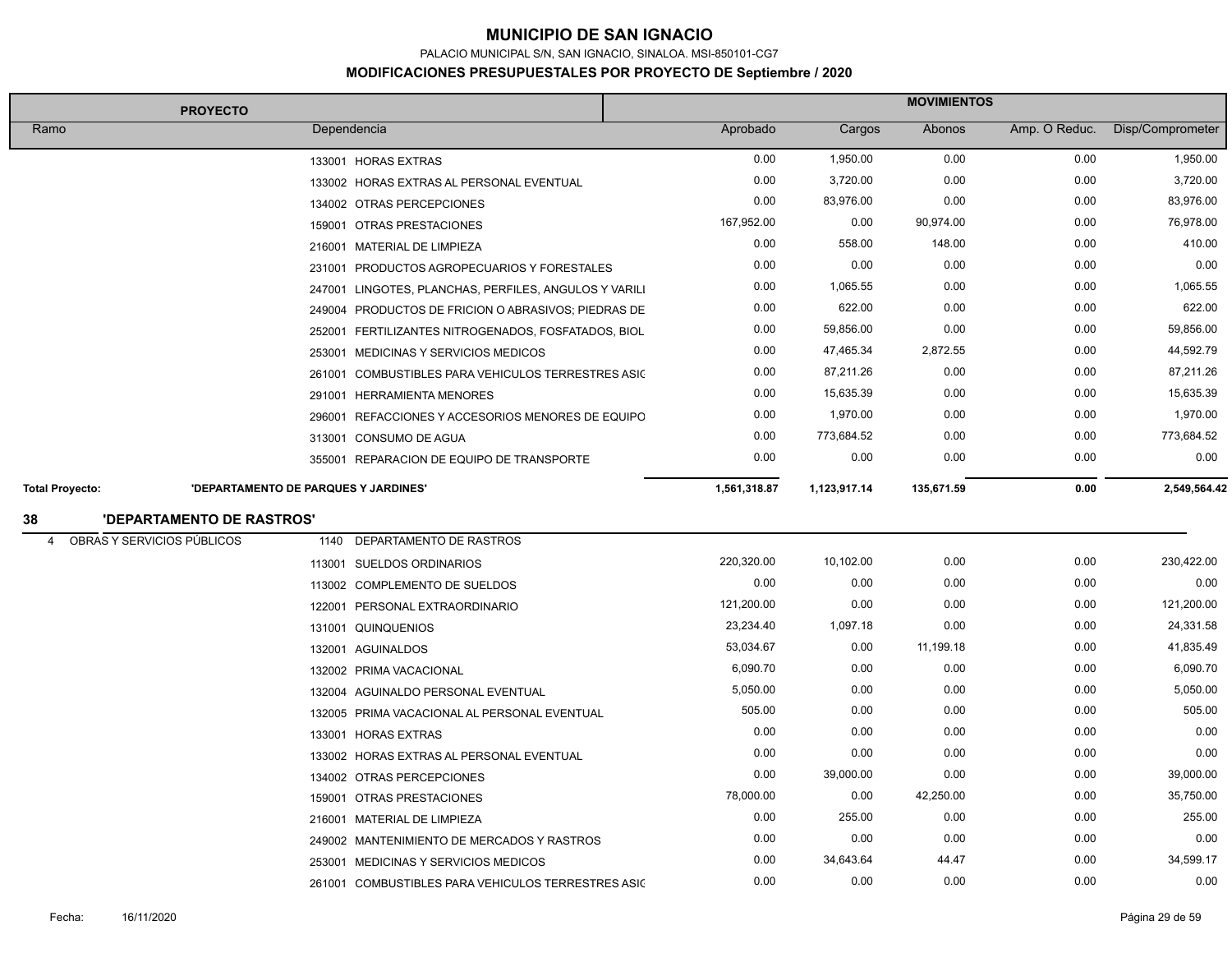PALACIO MUNICIPAL S/N, SAN IGNACIO, SINALOA. MSI-850101-CG7

| <b>PROYECTO</b>                 |                                      | <b>MOVIMIENTOS</b>                                    |              |              |            |               |                  |
|---------------------------------|--------------------------------------|-------------------------------------------------------|--------------|--------------|------------|---------------|------------------|
| Ramo                            |                                      | Dependencia                                           | Aprobado     | Cargos       | Abonos     | Amp. O Reduc. | Disp/Comprometer |
|                                 |                                      | 133001 HORAS EXTRAS                                   | 0.00         | 1,950.00     | 0.00       | 0.00          | 1,950.00         |
|                                 |                                      | 133002 HORAS EXTRAS AL PERSONAL EVENTUAL              | 0.00         | 3,720.00     | 0.00       | 0.00          | 3,720.00         |
|                                 |                                      | 134002 OTRAS PERCEPCIONES                             | 0.00         | 83,976.00    | 0.00       | 0.00          | 83,976.00        |
|                                 |                                      | 159001 OTRAS PRESTACIONES                             | 167,952.00   | 0.00         | 90,974.00  | 0.00          | 76,978.00        |
|                                 |                                      | 216001 MATERIAL DE LIMPIEZA                           | 0.00         | 558.00       | 148.00     | 0.00          | 410.00           |
|                                 |                                      | 231001 PRODUCTOS AGROPECUARIOS Y FORESTALES           | 0.00         | 0.00         | 0.00       | 0.00          | 0.00             |
|                                 |                                      | 247001 LINGOTES, PLANCHAS, PERFILES, ANGULOS Y VARILI | 0.00         | 1,065.55     | 0.00       | 0.00          | 1,065.55         |
|                                 |                                      | 249004 PRODUCTOS DE FRICION O ABRASIVOS; PIEDRAS DE   | 0.00         | 622.00       | 0.00       | 0.00          | 622.00           |
|                                 |                                      | 252001 FERTILIZANTES NITROGENADOS, FOSFATADOS, BIOL   | 0.00         | 59,856.00    | 0.00       | 0.00          | 59,856.00        |
|                                 |                                      | 253001 MEDICINAS Y SERVICIOS MEDICOS                  | 0.00         | 47,465.34    | 2,872.55   | 0.00          | 44,592.79        |
|                                 |                                      | 261001 COMBUSTIBLES PARA VEHICULOS TERRESTRES ASIC    | 0.00         | 87,211.26    | 0.00       | 0.00          | 87,211.26        |
|                                 |                                      | 291001 HERRAMIENTA MENORES                            | 0.00         | 15,635.39    | 0.00       | 0.00          | 15,635.39        |
|                                 |                                      | 296001 REFACCIONES Y ACCESORIOS MENORES DE EQUIPO     | 0.00         | 1,970.00     | 0.00       | 0.00          | 1,970.00         |
|                                 |                                      | 313001 CONSUMO DE AGUA                                | 0.00         | 773,684.52   | 0.00       | 0.00          | 773,684.52       |
|                                 |                                      | 355001 REPARACION DE EQUIPO DE TRANSPORTE             | 0.00         | 0.00         | 0.00       | 0.00          | 0.00             |
| <b>Total Proyecto:</b>          | 'DEPARTAMENTO DE PARQUES Y JARDINES' |                                                       | 1,561,318.87 | 1,123,917.14 | 135,671.59 | 0.00          | 2,549,564.42     |
| 38                              | 'DEPARTAMENTO DE RASTROS'            |                                                       |              |              |            |               |                  |
| OBRAS Y SERVICIOS PÚBLICOS<br>4 | 1140                                 | DEPARTAMENTO DE RASTROS                               |              |              |            |               |                  |
|                                 |                                      | 113001 SUELDOS ORDINARIOS                             | 220,320.00   | 10,102.00    | 0.00       | 0.00          | 230,422.00       |
|                                 |                                      | 113002 COMPLEMENTO DE SUELDOS                         | 0.00         | 0.00         | 0.00       | 0.00          | 0.00             |
|                                 |                                      | 122001 PERSONAL EXTRAORDINARIO                        | 121,200.00   | 0.00         | 0.00       | 0.00          | 121,200.00       |
|                                 |                                      | 131001 QUINQUENIOS                                    | 23,234.40    | 1,097.18     | 0.00       | 0.00          | 24,331.58        |
|                                 |                                      | 132001 AGUINALDOS                                     | 53,034.67    | 0.00         | 11,199.18  | 0.00          | 41,835.49        |
|                                 |                                      | 132002 PRIMA VACACIONAL                               | 6,090.70     | 0.00         | 0.00       | 0.00          | 6,090.70         |
|                                 |                                      | 132004 AGUINALDO PERSONAL EVENTUAL                    | 5,050.00     | 0.00         | 0.00       | 0.00          | 5,050.00         |
|                                 |                                      | 132005 PRIMA VACACIONAL AL PERSONAL EVENTUAL          | 505.00       | 0.00         | 0.00       | 0.00          | 505.00           |
|                                 |                                      | 133001 HORAS EXTRAS                                   | 0.00         | 0.00         | 0.00       | 0.00          | 0.00             |
|                                 |                                      | 133002 HORAS EXTRAS AL PERSONAL EVENTUAL              | 0.00         | 0.00         | 0.00       | 0.00          | 0.00             |
|                                 |                                      | 134002 OTRAS PERCEPCIONES                             | 0.00         | 39,000.00    | 0.00       | 0.00          | 39,000.00        |
|                                 |                                      | 159001 OTRAS PRESTACIONES                             | 78,000.00    | 0.00         | 42,250.00  | 0.00          | 35,750.00        |
|                                 |                                      | 216001 MATERIAL DE LIMPIEZA                           | 0.00         | 255.00       | 0.00       | 0.00          | 255.00           |
|                                 |                                      | 249002 MANTENIMIENTO DE MERCADOS Y RASTROS            | 0.00         | 0.00         | 0.00       | 0.00          | 0.00             |
|                                 |                                      | 253001 MEDICINAS Y SERVICIOS MEDICOS                  | 0.00         | 34,643.64    | 44.47      | 0.00          | 34,599.17        |
|                                 |                                      | 261001 COMBUSTIBLES PARA VEHICULOS TERRESTRES ASIC    | 0.00         | 0.00         | 0.00       | 0.00          | 0.00             |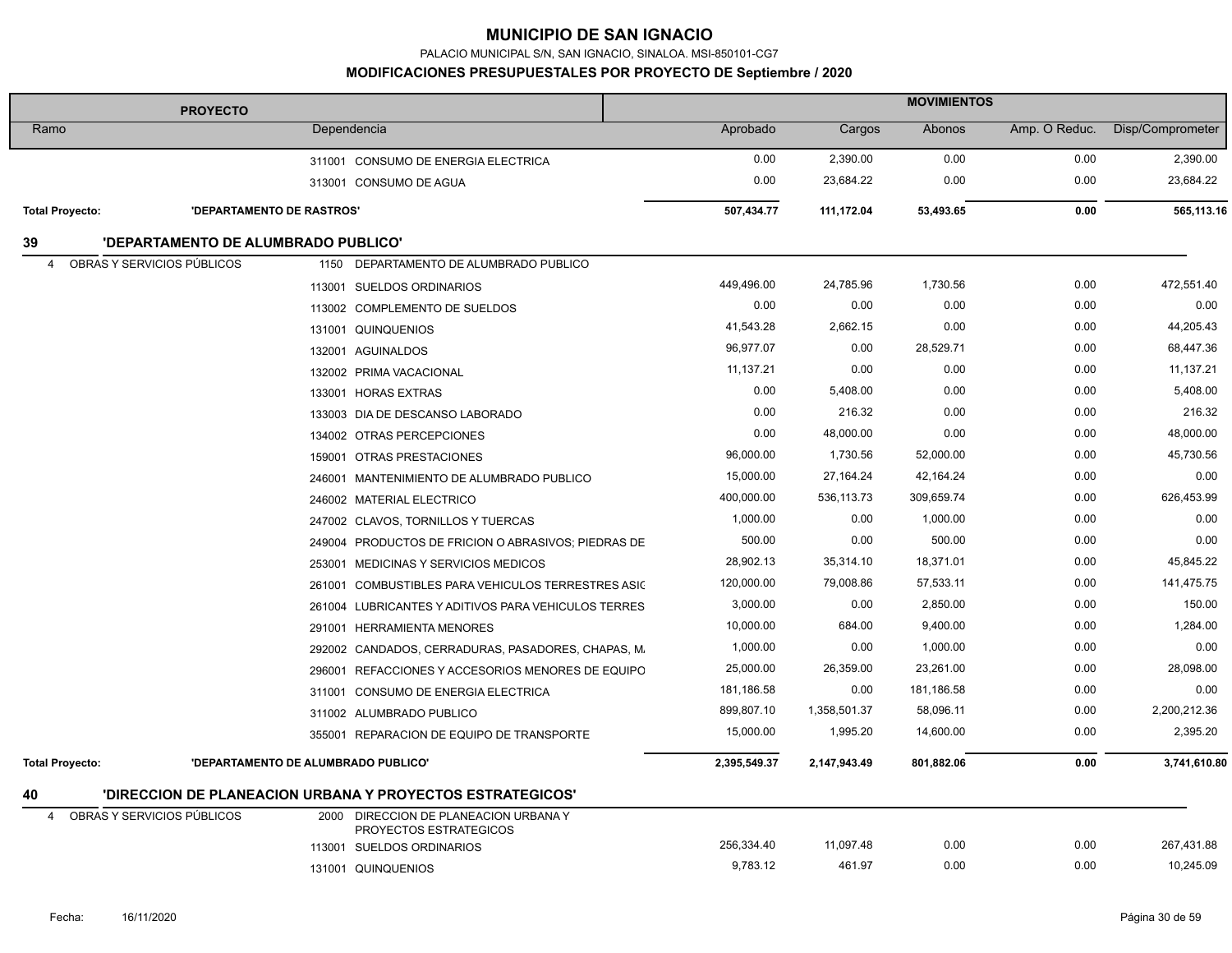PALACIO MUNICIPAL S/N, SAN IGNACIO, SINALOA. MSI-850101-CG7

| <b>PROYECTO</b>                                               |                                     |                                                            | <b>MOVIMIENTOS</b> |              |            |               |                  |  |
|---------------------------------------------------------------|-------------------------------------|------------------------------------------------------------|--------------------|--------------|------------|---------------|------------------|--|
| Ramo                                                          |                                     | Dependencia                                                | Aprobado           | Cargos       | Abonos     | Amp. O Reduc. | Disp/Comprometer |  |
|                                                               |                                     | 311001 CONSUMO DE ENERGIA ELECTRICA                        | 0.00               | 2,390.00     | 0.00       | 0.00          | 2,390.00         |  |
|                                                               |                                     | 313001 CONSUMO DE AGUA                                     | 0.00               | 23,684.22    | 0.00       | 0.00          | 23,684.22        |  |
| <b>Total Proyecto:</b>                                        | 'DEPARTAMENTO DE RASTROS'           |                                                            | 507,434.77         | 111,172.04   | 53,493.65  | 0.00          | 565,113.16       |  |
| 39                                                            | 'DEPARTAMENTO DE ALUMBRADO PUBLICO' |                                                            |                    |              |            |               |                  |  |
| OBRAS Y SERVICIOS PÚBLICOS<br>$\overline{4}$                  |                                     | 1150 DEPARTAMENTO DE ALUMBRADO PUBLICO                     |                    |              |            |               |                  |  |
|                                                               |                                     | 113001 SUELDOS ORDINARIOS                                  | 449,496.00         | 24,785.96    | 1,730.56   | 0.00          | 472,551.40       |  |
|                                                               |                                     | 113002 COMPLEMENTO DE SUELDOS                              | 0.00               | 0.00         | 0.00       | 0.00          | 0.00             |  |
|                                                               |                                     | 131001 QUINQUENIOS                                         | 41,543.28          | 2,662.15     | 0.00       | 0.00          | 44,205.43        |  |
|                                                               |                                     | 132001 AGUINALDOS                                          | 96,977.07          | 0.00         | 28,529.71  | 0.00          | 68,447.36        |  |
|                                                               |                                     | 132002 PRIMA VACACIONAL                                    | 11,137.21          | 0.00         | 0.00       | 0.00          | 11,137.21        |  |
|                                                               |                                     | 133001 HORAS EXTRAS                                        | 0.00               | 5,408.00     | 0.00       | 0.00          | 5,408.00         |  |
|                                                               |                                     | 133003 DIA DE DESCANSO LABORADO                            | 0.00               | 216.32       | 0.00       | 0.00          | 216.32           |  |
|                                                               |                                     | 134002 OTRAS PERCEPCIONES                                  | 0.00               | 48,000.00    | 0.00       | 0.00          | 48,000.00        |  |
|                                                               |                                     | 159001 OTRAS PRESTACIONES                                  | 96,000.00          | 1,730.56     | 52,000.00  | 0.00          | 45,730.56        |  |
|                                                               |                                     | 246001 MANTENIMIENTO DE ALUMBRADO PUBLICO                  | 15,000.00          | 27, 164. 24  | 42,164.24  | 0.00          | 0.00             |  |
|                                                               |                                     | 246002 MATERIAL ELECTRICO                                  | 400,000.00         | 536,113.73   | 309,659.74 | 0.00          | 626,453.99       |  |
|                                                               |                                     | 247002 CLAVOS, TORNILLOS Y TUERCAS                         | 1,000.00           | 0.00         | 1,000.00   | 0.00          | 0.00             |  |
|                                                               |                                     | 249004 PRODUCTOS DE FRICION O ABRASIVOS; PIEDRAS DE        | 500.00             | 0.00         | 500.00     | 0.00          | 0.00             |  |
|                                                               |                                     | 253001 MEDICINAS Y SERVICIOS MEDICOS                       | 28,902.13          | 35,314.10    | 18,371.01  | 0.00          | 45,845.22        |  |
|                                                               |                                     | 261001 COMBUSTIBLES PARA VEHICULOS TERRESTRES ASIC         | 120,000.00         | 79,008.86    | 57,533.11  | 0.00          | 141,475.75       |  |
|                                                               |                                     | 261004 LUBRICANTES Y ADITIVOS PARA VEHICULOS TERRES        | 3,000.00           | 0.00         | 2,850.00   | 0.00          | 150.00           |  |
|                                                               |                                     | 291001 HERRAMIENTA MENORES                                 | 10,000.00          | 684.00       | 9,400.00   | 0.00          | 1,284.00         |  |
|                                                               |                                     | 292002 CANDADOS, CERRADURAS, PASADORES, CHAPAS, M.         | 1,000.00           | 0.00         | 1,000.00   | 0.00          | 0.00             |  |
|                                                               |                                     | 296001 REFACCIONES Y ACCESORIOS MENORES DE EQUIPO          | 25,000.00          | 26,359.00    | 23,261.00  | 0.00          | 28,098.00        |  |
|                                                               |                                     | 311001 CONSUMO DE ENERGIA ELECTRICA                        | 181,186.58         | 0.00         | 181,186.58 | 0.00          | 0.00             |  |
|                                                               |                                     | 311002 ALUMBRADO PUBLICO                                   | 899,807.10         | 1,358,501.37 | 58,096.11  | 0.00          | 2,200,212.36     |  |
|                                                               |                                     | 355001 REPARACION DE EQUIPO DE TRANSPORTE                  | 15,000.00          | 1,995.20     | 14,600.00  | 0.00          | 2,395.20         |  |
| <b>Total Proyecto:</b><br>'DEPARTAMENTO DE ALUMBRADO PUBLICO' |                                     | 2,395,549.37                                               | 2,147,943.49       | 801,882.06   | 0.00       | 3,741,610.80  |                  |  |
| 40                                                            |                                     | 'DIRECCION DE PLANEACION URBANA Y PROYECTOS ESTRATEGICOS'  |                    |              |            |               |                  |  |
| OBRAS Y SERVICIOS PÚBLICOS<br>$\overline{4}$                  | 2000                                | DIRECCION DE PLANEACION URBANA Y<br>PROYECTOS ESTRATEGICOS |                    |              |            |               |                  |  |
|                                                               |                                     | 113001 SUELDOS ORDINARIOS                                  | 256,334.40         | 11,097.48    | 0.00       | 0.00          | 267,431.88       |  |
|                                                               |                                     | 131001 QUINQUENIOS                                         | 9,783.12           | 461.97       | 0.00       | 0.00          | 10,245.09        |  |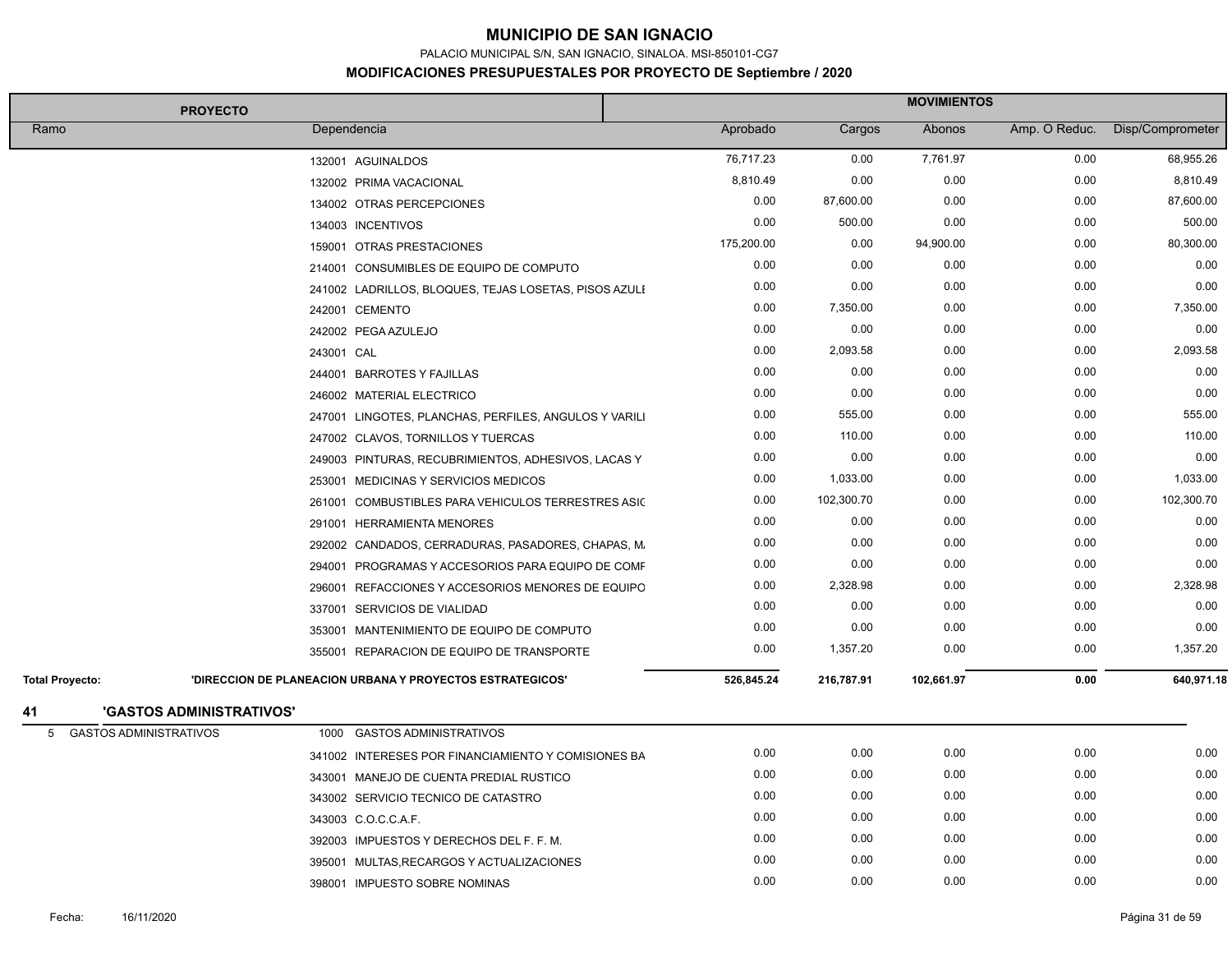PALACIO MUNICIPAL S/N, SAN IGNACIO, SINALOA. MSI-850101-CG7

| <b>PROYECTO</b>                            |                                                                  |            |            | <b>MOVIMIENTOS</b> |               |                  |  |  |
|--------------------------------------------|------------------------------------------------------------------|------------|------------|--------------------|---------------|------------------|--|--|
| Ramo                                       | Dependencia                                                      | Aprobado   | Cargos     | Abonos             | Amp. O Reduc. | Disp/Comprometer |  |  |
|                                            | 132001 AGUINALDOS                                                | 76,717.23  | 0.00       | 7,761.97           | 0.00          | 68,955.26        |  |  |
|                                            | 132002 PRIMA VACACIONAL                                          | 8,810.49   | 0.00       | 0.00               | 0.00          | 8,810.49         |  |  |
|                                            | 134002 OTRAS PERCEPCIONES                                        | 0.00       | 87,600.00  | 0.00               | 0.00          | 87,600.00        |  |  |
|                                            | 134003 INCENTIVOS                                                | 0.00       | 500.00     | 0.00               | 0.00          | 500.00           |  |  |
|                                            | 159001 OTRAS PRESTACIONES                                        | 175,200.00 | 0.00       | 94,900.00          | 0.00          | 80,300.00        |  |  |
|                                            | 214001 CONSUMIBLES DE EQUIPO DE COMPUTO                          | 0.00       | 0.00       | 0.00               | 0.00          | 0.00             |  |  |
|                                            | 241002 LADRILLOS, BLOQUES, TEJAS LOSETAS, PISOS AZULI            | 0.00       | 0.00       | 0.00               | 0.00          | 0.00             |  |  |
|                                            | 242001 CEMENTO                                                   | 0.00       | 7,350.00   | 0.00               | 0.00          | 7,350.00         |  |  |
|                                            | 242002 PEGA AZULEJO                                              | 0.00       | 0.00       | 0.00               | 0.00          | 0.00             |  |  |
| 243001 CAL                                 |                                                                  | 0.00       | 2,093.58   | 0.00               | 0.00          | 2,093.58         |  |  |
|                                            | 244001 BARROTES Y FAJILLAS                                       | 0.00       | 0.00       | 0.00               | 0.00          | 0.00             |  |  |
|                                            | 246002 MATERIAL ELECTRICO                                        | 0.00       | 0.00       | 0.00               | 0.00          | 0.00             |  |  |
|                                            | 247001 LINGOTES, PLANCHAS, PERFILES, ANGULOS Y VARILI            | 0.00       | 555.00     | 0.00               | 0.00          | 555.00           |  |  |
|                                            | 247002 CLAVOS, TORNILLOS Y TUERCAS                               | 0.00       | 110.00     | 0.00               | 0.00          | 110.00           |  |  |
|                                            | 249003 PINTURAS, RECUBRIMIENTOS, ADHESIVOS, LACAS Y              | 0.00       | 0.00       | 0.00               | 0.00          | 0.00             |  |  |
|                                            | 253001 MEDICINAS Y SERVICIOS MEDICOS                             | 0.00       | 1,033.00   | 0.00               | 0.00          | 1,033.00         |  |  |
|                                            | 261001 COMBUSTIBLES PARA VEHICULOS TERRESTRES ASIC               | 0.00       | 102,300.70 | 0.00               | 0.00          | 102,300.70       |  |  |
|                                            | 291001 HERRAMIENTA MENORES                                       | 0.00       | 0.00       | 0.00               | 0.00          | 0.00             |  |  |
|                                            | 292002 CANDADOS, CERRADURAS, PASADORES, CHAPAS, M.               | 0.00       | 0.00       | 0.00               | 0.00          | 0.00             |  |  |
|                                            | 294001 PROGRAMAS Y ACCESORIOS PARA EQUIPO DE COMF                | 0.00       | 0.00       | 0.00               | 0.00          | 0.00             |  |  |
|                                            | 296001 REFACCIONES Y ACCESORIOS MENORES DE EQUIPO                | 0.00       | 2,328.98   | 0.00               | 0.00          | 2,328.98         |  |  |
|                                            | 337001 SERVICIOS DE VIALIDAD                                     | 0.00       | 0.00       | 0.00               | 0.00          | 0.00             |  |  |
|                                            | 353001 MANTENIMIENTO DE EQUIPO DE COMPUTO                        | 0.00       | 0.00       | 0.00               | 0.00          | 0.00             |  |  |
|                                            | 355001 REPARACION DE EQUIPO DE TRANSPORTE                        | 0.00       | 1,357.20   | 0.00               | 0.00          | 1,357.20         |  |  |
| <b>Total Provecto:</b>                     | <b>'DIRECCION DE PLANEACION URBANA Y PROYECTOS ESTRATEGICOS'</b> | 526,845.24 | 216,787.91 | 102,661.97         | 0.00          | 640,971.18       |  |  |
| <b>'GASTOS ADMINISTRATIVOS'</b><br>41      |                                                                  |            |            |                    |               |                  |  |  |
| <b>GASTOS ADMINISTRATIVOS</b><br>5<br>1000 | <b>GASTOS ADMINISTRATIVOS</b>                                    |            |            |                    |               |                  |  |  |
|                                            | 341002 INTERESES POR FINANCIAMIENTO Y COMISIONES BA              | 0.00       | 0.00       | 0.00               | 0.00          | 0.00             |  |  |
|                                            | 343001 MANEJO DE CUENTA PREDIAL RUSTICO                          | 0.00       | 0.00       | 0.00               | 0.00          | 0.00             |  |  |
|                                            | 343002 SERVICIO TECNICO DE CATASTRO                              | 0.00       | 0.00       | 0.00               | 0.00          | 0.00             |  |  |
|                                            | 343003 C.O.C.C.A.F.                                              | 0.00       | 0.00       | 0.00               | 0.00          | 0.00             |  |  |
|                                            | 392003 IMPUESTOS Y DERECHOS DEL F. F. M.                         | 0.00       | 0.00       | 0.00               | 0.00          | 0.00             |  |  |
|                                            | 395001 MULTAS, RECARGOS Y ACTUALIZACIONES                        | 0.00       | 0.00       | 0.00               | 0.00          | 0.00             |  |  |
|                                            | 398001 IMPUESTO SOBRE NOMINAS                                    | 0.00       | 0.00       | 0.00               | 0.00          | 0.00             |  |  |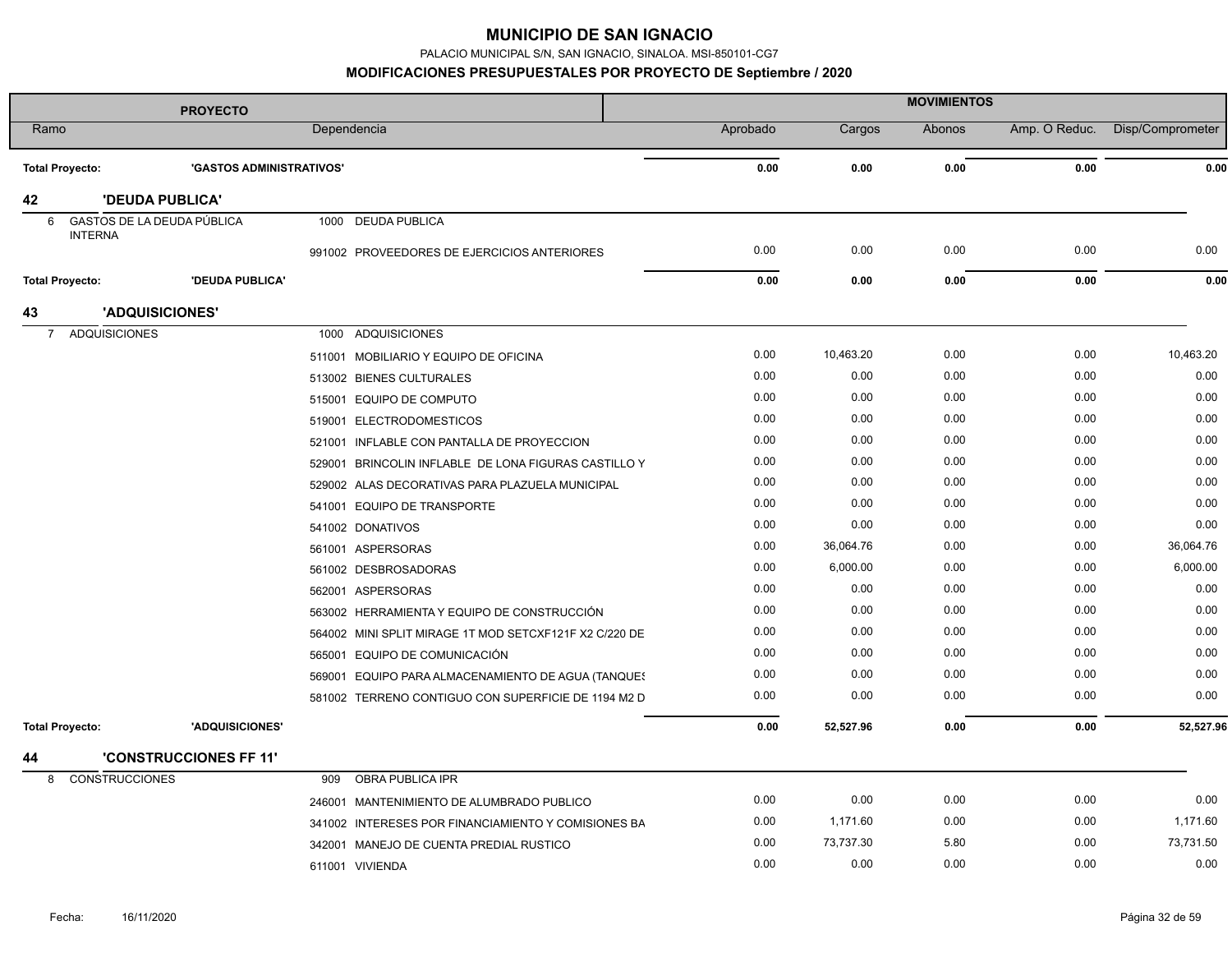PALACIO MUNICIPAL S/N, SAN IGNACIO, SINALOA. MSI-850101-CG7

|                            | <b>PROYECTO</b>                 |                                                        | <b>MOVIMIENTOS</b> |           |        |               |                  |
|----------------------------|---------------------------------|--------------------------------------------------------|--------------------|-----------|--------|---------------|------------------|
| Ramo                       |                                 | Dependencia                                            | Aprobado           | Cargos    | Abonos | Amp. O Reduc. | Disp/Comprometer |
| <b>Total Proyecto:</b>     | <b>'GASTOS ADMINISTRATIVOS'</b> |                                                        | 0.00               | 0.00      | 0.00   | 0.00          | 0.00             |
| 42                         | <b>'DEUDA PUBLICA'</b>          |                                                        |                    |           |        |               |                  |
| 6                          | GASTOS DE LA DEUDA PÚBLICA      | 1000 DEUDA PUBLICA                                     |                    |           |        |               |                  |
| <b>INTERNA</b>             |                                 |                                                        | 0.00               | 0.00      | 0.00   | 0.00          | 0.00             |
|                            |                                 | 991002 PROVEEDORES DE EJERCICIOS ANTERIORES            |                    |           |        |               |                  |
| <b>Total Proyecto:</b>     | <b>'DEUDA PUBLICA'</b>          |                                                        | 0.00               | 0.00      | 0.00   | 0.00          | 0.00             |
| 43                         | 'ADQUISICIONES'                 |                                                        |                    |           |        |               |                  |
| <b>ADQUISICIONES</b><br>7  |                                 | 1000 ADQUISICIONES                                     |                    |           |        |               |                  |
|                            |                                 | 511001 MOBILIARIO Y EQUIPO DE OFICINA                  | 0.00               | 10,463.20 | 0.00   | 0.00          | 10,463.20        |
|                            |                                 | 513002 BIENES CULTURALES                               | 0.00               | 0.00      | 0.00   | 0.00          | 0.00             |
|                            |                                 | 515001 EQUIPO DE COMPUTO                               | 0.00               | 0.00      | 0.00   | 0.00          | 0.00             |
|                            |                                 | 519001 ELECTRODOMESTICOS                               | 0.00               | 0.00      | 0.00   | 0.00          | 0.00             |
|                            |                                 | 521001 INFLABLE CON PANTALLA DE PROYECCION             | 0.00               | 0.00      | 0.00   | 0.00          | 0.00             |
|                            |                                 | 529001 BRINCOLIN INFLABLE DE LONA FIGURAS CASTILLO Y   | 0.00               | 0.00      | 0.00   | 0.00          | 0.00             |
|                            |                                 | 529002 ALAS DECORATIVAS PARA PLAZUELA MUNICIPAL        | 0.00               | 0.00      | 0.00   | 0.00          | 0.00             |
|                            |                                 | 541001 EQUIPO DE TRANSPORTE                            | 0.00               | 0.00      | 0.00   | 0.00          | 0.00             |
|                            |                                 | 541002 DONATIVOS                                       | 0.00               | 0.00      | 0.00   | 0.00          | 0.00             |
|                            |                                 | 561001 ASPERSORAS                                      | 0.00               | 36,064.76 | 0.00   | 0.00          | 36,064.76        |
|                            |                                 | 561002 DESBROSADORAS                                   | 0.00               | 6,000.00  | 0.00   | 0.00          | 6,000.00         |
|                            |                                 | 562001 ASPERSORAS                                      | 0.00               | 0.00      | 0.00   | 0.00          | 0.00             |
|                            |                                 | 563002 HERRAMIENTA Y EQUIPO DE CONSTRUCCIÓN            | 0.00               | 0.00      | 0.00   | 0.00          | 0.00             |
|                            |                                 | 564002 MINI SPLIT MIRAGE 1T MOD SETCXF121F X2 C/220 DE | 0.00               | 0.00      | 0.00   | 0.00          | 0.00             |
|                            |                                 | 565001 EQUIPO DE COMUNICACIÓN                          | 0.00               | 0.00      | 0.00   | 0.00          | 0.00             |
|                            |                                 | 569001 EQUIPO PARA ALMACENAMIENTO DE AGUA (TANQUES     | 0.00               | 0.00      | 0.00   | 0.00          | 0.00             |
|                            |                                 | 581002 TERRENO CONTIGUO CON SUPERFICIE DE 1194 M2 D    | 0.00               | 0.00      | 0.00   | 0.00          | 0.00             |
| <b>Total Proyecto:</b>     | 'ADQUISICIONES'                 |                                                        | 0.00               | 52,527.96 | 0.00   | 0.00          | 52,527.96        |
| 44                         | <b>'CONSTRUCCIONES FF 11'</b>   |                                                        |                    |           |        |               |                  |
| <b>CONSTRUCCIONES</b><br>8 |                                 | OBRA PUBLICA IPR<br>909                                |                    |           |        |               |                  |
|                            |                                 | 246001 MANTENIMIENTO DE ALUMBRADO PUBLICO              | 0.00               | 0.00      | 0.00   | 0.00          | 0.00             |
|                            |                                 | 341002 INTERESES POR FINANCIAMIENTO Y COMISIONES BA    | 0.00               | 1,171.60  | 0.00   | 0.00          | 1,171.60         |
|                            |                                 | 342001 MANEJO DE CUENTA PREDIAL RUSTICO                | 0.00               | 73,737.30 | 5.80   | 0.00          | 73,731.50        |
|                            |                                 | 611001 VIVIENDA                                        | 0.00               | 0.00      | 0.00   | 0.00          | 0.00             |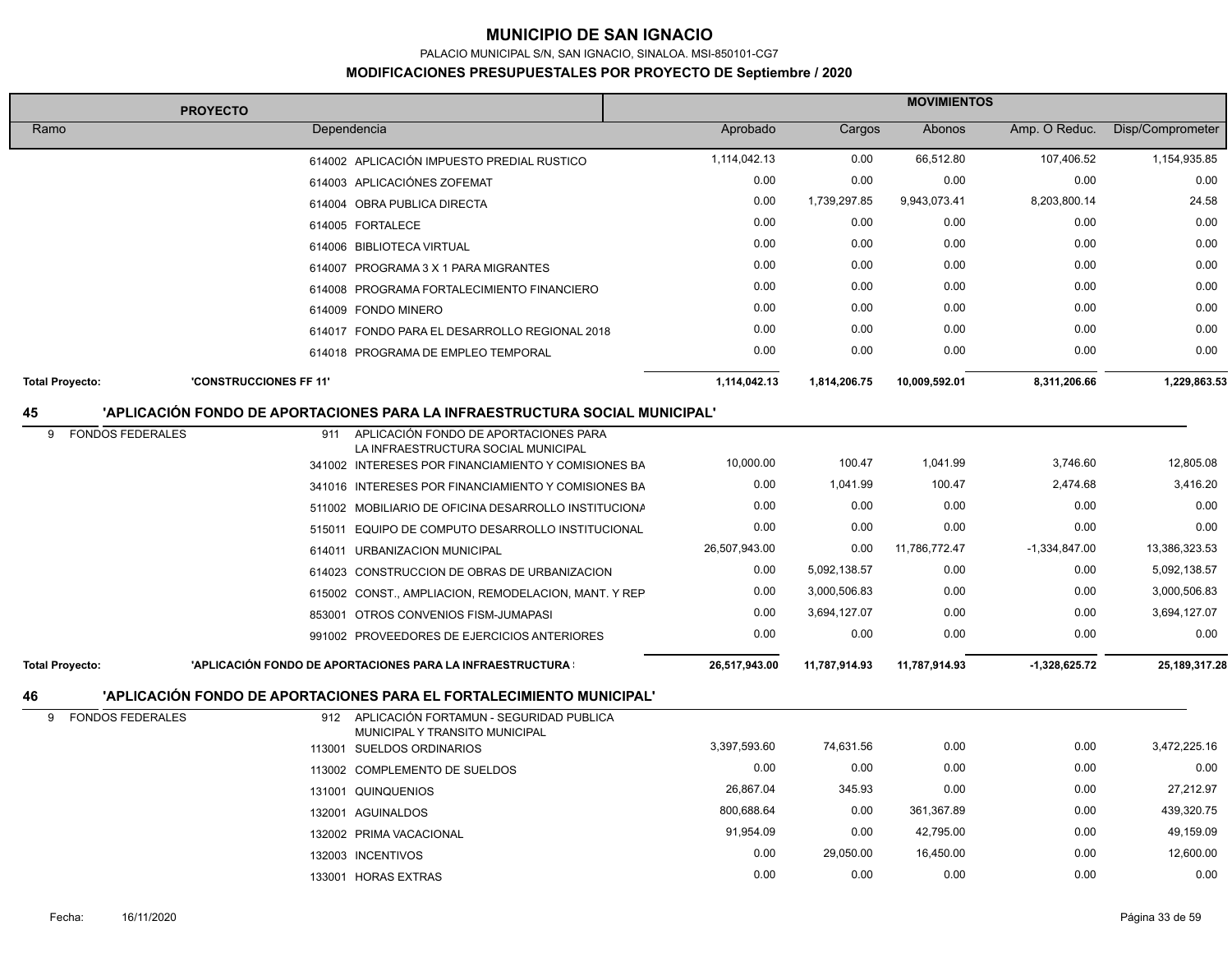PALACIO MUNICIPAL S/N, SAN IGNACIO, SINALOA. MSI-850101-CG7

#### **MODIFICACIONES PRESUPUESTALES POR PROYECTO DE Septiembre / 2020**

| <b>PROYECTO</b>              |                        |                                                                                            |               | <b>MOVIMIENTOS</b> |               |                 |                  |  |
|------------------------------|------------------------|--------------------------------------------------------------------------------------------|---------------|--------------------|---------------|-----------------|------------------|--|
| Ramo                         |                        | Dependencia                                                                                | Aprobado      | Cargos             | Abonos        | Amp. O Reduc.   | Disp/Comprometer |  |
|                              |                        | 614002 APLICACIÓN IMPUESTO PREDIAL RUSTICO                                                 | 1,114,042.13  | 0.00               | 66,512.80     | 107,406.52      | 1,154,935.85     |  |
|                              |                        | 614003 APLICACIÓNES ZOFEMAT                                                                | 0.00          | 0.00               | 0.00          | 0.00            | 0.00             |  |
|                              |                        | 614004 OBRA PUBLICA DIRECTA                                                                | 0.00          | 1,739,297.85       | 9,943,073.41  | 8,203,800.14    | 24.58            |  |
|                              |                        | 614005 FORTALECE                                                                           | 0.00          | 0.00               | 0.00          | 0.00            | 0.00             |  |
|                              |                        | 614006 BIBLIOTECA VIRTUAL                                                                  | 0.00          | 0.00               | 0.00          | 0.00            | 0.00             |  |
|                              |                        | 614007 PROGRAMA 3 X 1 PARA MIGRANTES                                                       | 0.00          | 0.00               | 0.00          | 0.00            | 0.00             |  |
|                              |                        | 614008 PROGRAMA FORTALECIMIENTO FINANCIERO                                                 | 0.00          | 0.00               | 0.00          | 0.00            | 0.00             |  |
|                              |                        | 614009 FONDO MINERO                                                                        | 0.00          | 0.00               | 0.00          | 0.00            | 0.00             |  |
|                              |                        | 614017 FONDO PARA EL DESARROLLO REGIONAL 2018                                              | 0.00          | 0.00               | 0.00          | 0.00            | 0.00             |  |
|                              |                        | 614018 PROGRAMA DE EMPLEO TEMPORAL                                                         | 0.00          | 0.00               | 0.00          | 0.00            | 0.00             |  |
| <b>Total Proyecto:</b>       | 'CONSTRUCCIONES FF 11" |                                                                                            | 1,114,042.13  | 1,814,206.75       | 10,009,592.01 | 8,311,206.66    | 1,229,863.53     |  |
| 45                           |                        | 'APLICACIÓN FONDO DE APORTACIONES PARA LA INFRAESTRUCTURA SOCIAL MUNICIPAL'                |               |                    |               |                 |                  |  |
| <b>FONDOS FEDERALES</b><br>9 | 911                    | APLICACIÓN FONDO DE APORTACIONES PARA                                                      |               |                    |               |                 |                  |  |
|                              |                        | LA INFRAESTRUCTURA SOCIAL MUNICIPAL<br>341002 INTERESES POR FINANCIAMIENTO Y COMISIONES BA | 10,000.00     | 100.47             | 1,041.99      | 3,746.60        | 12,805.08        |  |
|                              |                        | 341016 INTERESES POR FINANCIAMIENTO Y COMISIONES BA                                        | 0.00          | 1,041.99           | 100.47        | 2,474.68        | 3,416.20         |  |
|                              |                        | 511002 MOBILIARIO DE OFICINA DESARROLLO INSTITUCIONA                                       | 0.00          | 0.00               | 0.00          | 0.00            | 0.00             |  |
|                              |                        | 515011 EQUIPO DE COMPUTO DESARROLLO INSTITUCIONAL                                          | 0.00          | 0.00               | 0.00          | 0.00            | 0.00             |  |
|                              |                        | 614011 URBANIZACION MUNICIPAL                                                              | 26,507,943.00 | 0.00               | 11,786,772.47 | $-1,334,847.00$ | 13,386,323.53    |  |
|                              |                        | 614023 CONSTRUCCION DE OBRAS DE URBANIZACION                                               | 0.00          | 5,092,138.57       | 0.00          | 0.00            | 5,092,138.57     |  |
|                              |                        | 615002 CONST., AMPLIACION, REMODELACION, MANT. Y REP                                       | 0.00          | 3,000,506.83       | 0.00          | 0.00            | 3,000,506.83     |  |
|                              |                        | 853001 OTROS CONVENIOS FISM-JUMAPASI                                                       | 0.00          | 3,694,127.07       | 0.00          | 0.00            | 3,694,127.07     |  |
|                              |                        | 991002 PROVEEDORES DE EJERCICIOS ANTERIORES                                                | 0.00          | 0.00               | 0.00          | 0.00            | 0.00             |  |
| <b>Total Proyecto:</b>       |                        | 'APLICACIÓN FONDO DE APORTACIONES PARA LA INFRAESTRUCTURA :                                | 26,517,943.00 | 11,787,914.93      | 11,787,914.93 | $-1,328,625.72$ | 25, 189, 317. 28 |  |
|                              |                        |                                                                                            |               |                    |               |                 |                  |  |
| 46                           |                        | 'APLICACIÓN FONDO DE APORTACIONES PARA EL FORTALECIMIENTO MUNICIPAL'                       |               |                    |               |                 |                  |  |
| 9<br><b>FONDOS FEDERALES</b> |                        | 912 APLICACIÓN FORTAMUN - SEGURIDAD PUBLICA<br>MUNICIPAL Y TRANSITO MUNICIPAL              |               |                    |               |                 |                  |  |
|                              |                        | 113001 SUELDOS ORDINARIOS                                                                  | 3,397,593.60  | 74,631.56          | 0.00          | 0.00            | 3,472,225.16     |  |
|                              |                        | 113002 COMPLEMENTO DE SUELDOS                                                              | 0.00          | 0.00               | 0.00          | 0.00            | 0.00             |  |
|                              |                        | 131001 QUINQUENIOS                                                                         | 26,867.04     | 345.93             | 0.00          | 0.00            | 27,212.97        |  |
|                              |                        | 132001 AGUINALDOS                                                                          | 800,688.64    | 0.00               | 361,367.89    | 0.00            | 439,320.75       |  |
|                              |                        | 132002 PRIMA VACACIONAL                                                                    | 91,954.09     | 0.00               | 42,795.00     | 0.00            | 49,159.09        |  |
|                              |                        | 132003 INCENTIVOS                                                                          | 0.00          | 29,050.00          | 16,450.00     | 0.00            | 12,600.00        |  |
|                              |                        | 133001 HORAS EXTRAS                                                                        | 0.00          | 0.00               | 0.00          | 0.00            | 0.00             |  |

t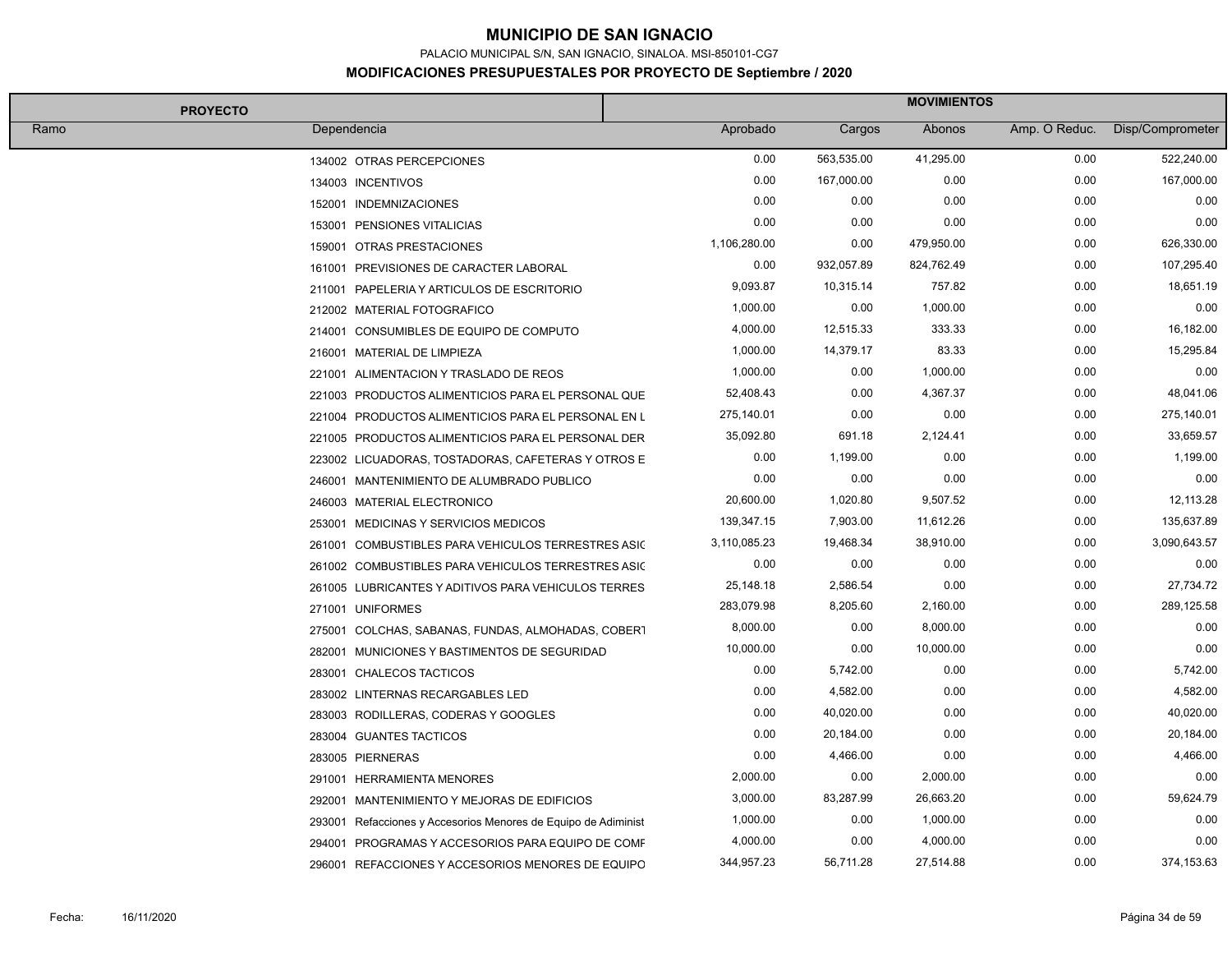PALACIO MUNICIPAL S/N, SAN IGNACIO, SINALOA. MSI-850101-CG7

| <b>PROYECTO</b> |                                                                | <b>MOVIMIENTOS</b> |            |            |               |                  |  |
|-----------------|----------------------------------------------------------------|--------------------|------------|------------|---------------|------------------|--|
| Ramo            | Dependencia                                                    | Aprobado           | Cargos     | Abonos     | Amp. O Reduc. | Disp/Comprometer |  |
|                 | 134002 OTRAS PERCEPCIONES                                      | 0.00               | 563,535.00 | 41,295.00  | 0.00          | 522,240.00       |  |
|                 | 134003 INCENTIVOS                                              | 0.00               | 167,000.00 | 0.00       | 0.00          | 167,000.00       |  |
|                 | 152001 INDEMNIZACIONES                                         | 0.00               | 0.00       | 0.00       | 0.00          | 0.00             |  |
|                 | 153001 PENSIONES VITALICIAS                                    | 0.00               | 0.00       | 0.00       | 0.00          | 0.00             |  |
|                 | 159001 OTRAS PRESTACIONES                                      | 1,106,280.00       | 0.00       | 479,950.00 | 0.00          | 626,330.00       |  |
|                 | 161001 PREVISIONES DE CARACTER LABORAL                         | 0.00               | 932,057.89 | 824,762.49 | 0.00          | 107,295.40       |  |
|                 | 211001 PAPELERIA Y ARTICULOS DE ESCRITORIO                     | 9,093.87           | 10,315.14  | 757.82     | 0.00          | 18,651.19        |  |
|                 | 212002 MATERIAL FOTOGRAFICO                                    | 1,000.00           | 0.00       | 1,000.00   | 0.00          | 0.00             |  |
|                 | 214001 CONSUMIBLES DE EQUIPO DE COMPUTO                        | 4,000.00           | 12,515.33  | 333.33     | 0.00          | 16,182.00        |  |
|                 | 216001 MATERIAL DE LIMPIEZA                                    | 1,000.00           | 14,379.17  | 83.33      | 0.00          | 15,295.84        |  |
|                 | 221001 ALIMENTACION Y TRASLADO DE REOS                         | 1,000.00           | 0.00       | 1,000.00   | 0.00          | 0.00             |  |
|                 | 221003 PRODUCTOS ALIMENTICIOS PARA EL PERSONAL QUE             | 52,408.43          | 0.00       | 4,367.37   | 0.00          | 48,041.06        |  |
|                 | 221004 PRODUCTOS ALIMENTICIOS PARA EL PERSONAL EN L            | 275,140.01         | 0.00       | 0.00       | 0.00          | 275,140.01       |  |
|                 | 221005 PRODUCTOS ALIMENTICIOS PARA EL PERSONAL DER             | 35,092.80          | 691.18     | 2,124.41   | 0.00          | 33,659.57        |  |
|                 | 223002 LICUADORAS, TOSTADORAS, CAFETERAS Y OTROS E             | 0.00               | 1,199.00   | 0.00       | 0.00          | 1,199.00         |  |
|                 | 246001 MANTENIMIENTO DE ALUMBRADO PUBLICO                      | 0.00               | 0.00       | 0.00       | 0.00          | 0.00             |  |
|                 | 246003 MATERIAL ELECTRONICO                                    | 20,600.00          | 1,020.80   | 9,507.52   | 0.00          | 12,113.28        |  |
|                 | 253001 MEDICINAS Y SERVICIOS MEDICOS                           | 139,347.15         | 7,903.00   | 11,612.26  | 0.00          | 135,637.89       |  |
|                 | 261001 COMBUSTIBLES PARA VEHICULOS TERRESTRES ASIC             | 3,110,085.23       | 19,468.34  | 38,910.00  | 0.00          | 3,090,643.57     |  |
|                 | 261002 COMBUSTIBLES PARA VEHICULOS TERRESTRES ASIC             | 0.00               | 0.00       | 0.00       | 0.00          | 0.00             |  |
|                 | 261005 LUBRICANTES Y ADITIVOS PARA VEHICULOS TERRES            | 25,148.18          | 2,586.54   | 0.00       | 0.00          | 27,734.72        |  |
|                 | 271001 UNIFORMES                                               | 283,079.98         | 8,205.60   | 2,160.00   | 0.00          | 289,125.58       |  |
|                 | 275001 COLCHAS, SABANAS, FUNDAS, ALMOHADAS, COBERT             | 8,000.00           | 0.00       | 8,000.00   | 0.00          | 0.00             |  |
|                 | 282001 MUNICIONES Y BASTIMENTOS DE SEGURIDAD                   | 10,000.00          | 0.00       | 10,000.00  | 0.00          | 0.00             |  |
|                 | 283001 CHALECOS TACTICOS                                       | 0.00               | 5,742.00   | 0.00       | 0.00          | 5,742.00         |  |
|                 | 283002 LINTERNAS RECARGABLES LED                               | 0.00               | 4,582.00   | 0.00       | 0.00          | 4,582.00         |  |
|                 | 283003 RODILLERAS, CODERAS Y GOOGLES                           | 0.00               | 40,020.00  | 0.00       | 0.00          | 40,020.00        |  |
|                 | 283004 GUANTES TACTICOS                                        | 0.00               | 20,184.00  | 0.00       | 0.00          | 20,184.00        |  |
|                 | 283005 PIERNERAS                                               | 0.00               | 4,466.00   | 0.00       | 0.00          | 4,466.00         |  |
|                 | 291001 HERRAMIENTA MENORES                                     | 2,000.00           | 0.00       | 2,000.00   | 0.00          | 0.00             |  |
|                 | 292001 MANTENIMIENTO Y MEJORAS DE EDIFICIOS                    | 3,000.00           | 83,287.99  | 26,663.20  | 0.00          | 59,624.79        |  |
|                 | 293001 Refacciones y Accesorios Menores de Equipo de Adiminist | 1,000.00           | 0.00       | 1,000.00   | 0.00          | 0.00             |  |
|                 | 294001 PROGRAMAS Y ACCESORIOS PARA EQUIPO DE COMF              | 4,000.00           | 0.00       | 4,000.00   | 0.00          | 0.00             |  |
|                 | 296001 REFACCIONES Y ACCESORIOS MENORES DE EQUIPO              | 344,957.23         | 56,711.28  | 27,514.88  | 0.00          | 374,153.63       |  |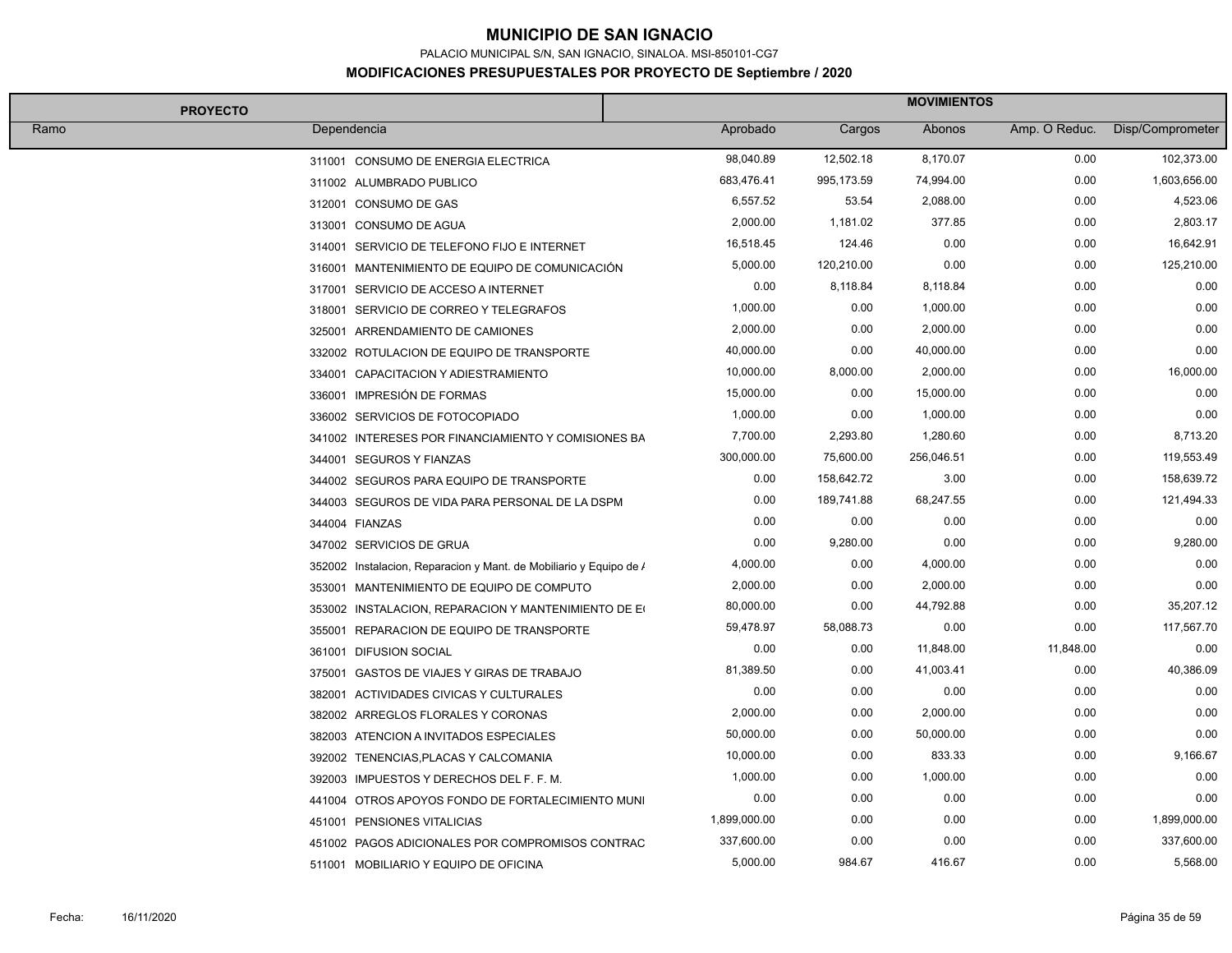PALACIO MUNICIPAL S/N, SAN IGNACIO, SINALOA. MSI-850101-CG7

#### **MODIFICACIONES PRESUPUESTALES POR PROYECTO DE Septiembre / 2020**

| <b>PROYECTO</b> |                                                                    | <b>MOVIMIENTOS</b> |            |            |               |                  |  |
|-----------------|--------------------------------------------------------------------|--------------------|------------|------------|---------------|------------------|--|
| Ramo            | Dependencia                                                        | Aprobado           | Cargos     | Abonos     | Amp. O Reduc. | Disp/Comprometer |  |
|                 | 311001 CONSUMO DE ENERGIA ELECTRICA                                | 98,040.89          | 12,502.18  | 8,170.07   | 0.00          | 102,373.00       |  |
|                 | 311002 ALUMBRADO PUBLICO                                           | 683,476.41         | 995,173.59 | 74,994.00  | 0.00          | 1,603,656.00     |  |
|                 | 312001 CONSUMO DE GAS                                              | 6,557.52           | 53.54      | 2,088.00   | 0.00          | 4,523.06         |  |
|                 | 313001 CONSUMO DE AGUA                                             | 2,000.00           | 1,181.02   | 377.85     | 0.00          | 2,803.17         |  |
|                 | 314001 SERVICIO DE TELEFONO FIJO E INTERNET                        | 16,518.45          | 124.46     | 0.00       | 0.00          | 16,642.91        |  |
|                 | 316001 MANTENIMIENTO DE EQUIPO DE COMUNICACIÓN                     | 5,000.00           | 120,210.00 | 0.00       | 0.00          | 125,210.00       |  |
|                 | 317001 SERVICIO DE ACCESO A INTERNET                               | 0.00               | 8,118.84   | 8,118.84   | 0.00          | 0.00             |  |
|                 | 318001 SERVICIO DE CORREO Y TELEGRAFOS                             | 1,000.00           | 0.00       | 1,000.00   | 0.00          | 0.00             |  |
|                 | 325001 ARRENDAMIENTO DE CAMIONES                                   | 2,000.00           | 0.00       | 2,000.00   | 0.00          | 0.00             |  |
|                 | 332002 ROTULACION DE EQUIPO DE TRANSPORTE                          | 40,000.00          | 0.00       | 40,000.00  | 0.00          | 0.00             |  |
|                 | 334001 CAPACITACION Y ADIESTRAMIENTO                               | 10,000.00          | 8,000.00   | 2,000.00   | 0.00          | 16,000.00        |  |
|                 | 336001 IMPRESIÓN DE FORMAS                                         | 15,000.00          | 0.00       | 15,000.00  | 0.00          | 0.00             |  |
|                 | 336002 SERVICIOS DE FOTOCOPIADO                                    | 1,000.00           | 0.00       | 1,000.00   | 0.00          | 0.00             |  |
|                 | 341002 INTERESES POR FINANCIAMIENTO Y COMISIONES BA                | 7,700.00           | 2,293.80   | 1,280.60   | 0.00          | 8,713.20         |  |
|                 | 344001 SEGUROS Y FIANZAS                                           | 300,000.00         | 75,600.00  | 256,046.51 | 0.00          | 119,553.49       |  |
|                 | 344002 SEGUROS PARA EQUIPO DE TRANSPORTE                           | 0.00               | 158,642.72 | 3.00       | 0.00          | 158,639.72       |  |
|                 | 344003 SEGUROS DE VIDA PARA PERSONAL DE LA DSPM                    | 0.00               | 189,741.88 | 68,247.55  | 0.00          | 121,494.33       |  |
|                 | 344004 FIANZAS                                                     | 0.00               | 0.00       | 0.00       | 0.00          | 0.00             |  |
|                 | 347002 SERVICIOS DE GRUA                                           | 0.00               | 9,280.00   | 0.00       | 0.00          | 9,280.00         |  |
|                 | 352002 Instalacion, Reparacion y Mant. de Mobiliario y Equipo de / | 4,000.00           | 0.00       | 4,000.00   | 0.00          | 0.00             |  |
|                 | 353001 MANTENIMIENTO DE EQUIPO DE COMPUTO                          | 2,000.00           | 0.00       | 2,000.00   | 0.00          | 0.00             |  |
|                 | 353002 INSTALACION, REPARACION Y MANTENIMIENTO DE EQ               | 80,000.00          | 0.00       | 44,792.88  | 0.00          | 35,207.12        |  |
|                 | 355001 REPARACION DE EQUIPO DE TRANSPORTE                          | 59,478.97          | 58,088.73  | 0.00       | 0.00          | 117,567.70       |  |
|                 | 361001 DIFUSION SOCIAL                                             | 0.00               | 0.00       | 11,848.00  | 11,848.00     | 0.00             |  |
|                 | 375001 GASTOS DE VIAJES Y GIRAS DE TRABAJO                         | 81,389.50          | 0.00       | 41,003.41  | 0.00          | 40,386.09        |  |
|                 | 382001 ACTIVIDADES CIVICAS Y CULTURALES                            | 0.00               | 0.00       | 0.00       | 0.00          | 0.00             |  |
|                 | 382002 ARREGLOS FLORALES Y CORONAS                                 | 2,000.00           | 0.00       | 2,000.00   | 0.00          | 0.00             |  |
|                 | 382003 ATENCION A INVITADOS ESPECIALES                             | 50,000.00          | 0.00       | 50,000.00  | 0.00          | 0.00             |  |
|                 | 392002 TENENCIAS, PLACAS Y CALCOMANIA                              | 10,000.00          | 0.00       | 833.33     | 0.00          | 9,166.67         |  |
|                 | 392003 IMPUESTOS Y DERECHOS DEL F. F. M.                           | 1,000.00           | 0.00       | 1,000.00   | 0.00          | 0.00             |  |
|                 | 441004 OTROS APOYOS FONDO DE FORTALECIMIENTO MUNI                  | 0.00               | 0.00       | 0.00       | 0.00          | 0.00             |  |
|                 | 451001 PENSIONES VITALICIAS                                        | 1,899,000.00       | 0.00       | 0.00       | 0.00          | 1,899,000.00     |  |
|                 | 451002 PAGOS ADICIONALES POR COMPROMISOS CONTRAC                   | 337,600.00         | 0.00       | 0.00       | 0.00          | 337,600.00       |  |
|                 | 511001 MOBILIARIO Y EQUIPO DE OFICINA                              | 5,000.00           | 984.67     | 416.67     | 0.00          | 5,568.00         |  |

├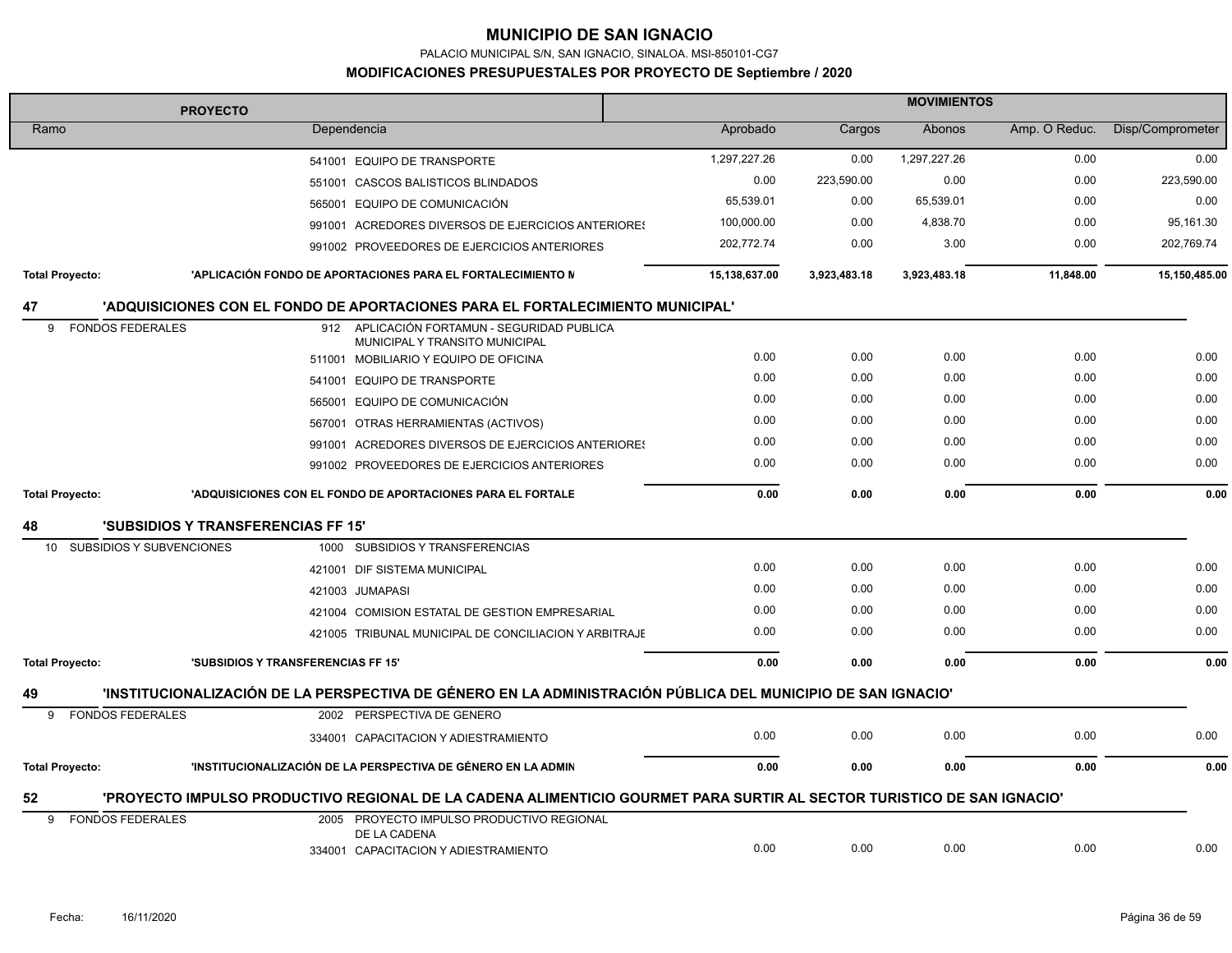PALACIO MUNICIPAL S/N, SAN IGNACIO, SINALOA. MSI-850101-CG7

#### **MODIFICACIONES PRESUPUESTALES POR PROYECTO DE Septiembre / 2020**

| <b>PROYECTO</b>                                    |                                           |                                                                                                                        | <b>MOVIMIENTOS</b> |              |              |               |                  |  |
|----------------------------------------------------|-------------------------------------------|------------------------------------------------------------------------------------------------------------------------|--------------------|--------------|--------------|---------------|------------------|--|
| Ramo                                               |                                           | Dependencia                                                                                                            | Aprobado           | Cargos       | Abonos       | Amp. O Reduc. | Disp/Comprometer |  |
|                                                    |                                           | 541001 EQUIPO DE TRANSPORTE                                                                                            | 1,297,227.26       | 0.00         | 1,297,227.26 | 0.00          | 0.00             |  |
|                                                    |                                           | 551001 CASCOS BALISTICOS BLINDADOS                                                                                     | 0.00               | 223,590.00   | 0.00         | 0.00          | 223,590.00       |  |
|                                                    |                                           | 565001 EQUIPO DE COMUNICACIÓN                                                                                          | 65,539.01          | 0.00         | 65,539.01    | 0.00          | 0.00             |  |
|                                                    |                                           | 991001 ACREDORES DIVERSOS DE EJERCICIOS ANTERIORES                                                                     | 100,000.00         | 0.00         | 4,838.70     | 0.00          | 95,161.30        |  |
|                                                    |                                           | 991002 PROVEEDORES DE EJERCICIOS ANTERIORES                                                                            | 202,772.74         | 0.00         | 3.00         | 0.00          | 202,769.74       |  |
| <b>Total Proyecto:</b>                             |                                           | 'APLICACIÓN FONDO DE APORTACIONES PARA EL FORTALECIMIENTO N                                                            | 15,138,637.00      | 3,923,483.18 | 3,923,483.18 | 11,848.00     | 15,150,485.00    |  |
| 47                                                 |                                           | 'ADQUISICIONES CON EL FONDO DE APORTACIONES PARA EL FORTALECIMIENTO MUNICIPAL'                                         |                    |              |              |               |                  |  |
| <b>FONDOS FEDERALES</b><br>9                       |                                           | 912 APLICACIÓN FORTAMUN - SEGURIDAD PUBLICA                                                                            |                    |              |              |               |                  |  |
|                                                    |                                           | MUNICIPAL Y TRANSITO MUNICIPAL<br>511001 MOBILIARIO Y EQUIPO DE OFICINA                                                | 0.00               | 0.00         | 0.00         | 0.00          | 0.00             |  |
|                                                    |                                           | 541001 EQUIPO DE TRANSPORTE                                                                                            | 0.00               | 0.00         | 0.00         | 0.00          | 0.00             |  |
|                                                    |                                           | 565001 EQUIPO DE COMUNICACIÓN                                                                                          | 0.00               | 0.00         | 0.00         | 0.00          | 0.00             |  |
|                                                    |                                           | 567001 OTRAS HERRAMIENTAS (ACTIVOS)                                                                                    | 0.00               | 0.00         | 0.00         | 0.00          | 0.00             |  |
|                                                    |                                           | 991001 ACREDORES DIVERSOS DE EJERCICIOS ANTERIORES                                                                     | 0.00               | 0.00         | 0.00         | 0.00          | 0.00             |  |
|                                                    |                                           | 991002 PROVEEDORES DE EJERCICIOS ANTERIORES                                                                            | 0.00               | 0.00         | 0.00         | 0.00          | 0.00             |  |
| <b>Total Proyecto:</b>                             |                                           | 'ADQUISICIONES CON EL FONDO DE APORTACIONES PARA EL FORTALE                                                            | 0.00               | 0.00         | 0.00         | 0.00          | 0.00             |  |
| 48                                                 | <b>'SUBSIDIOS Y TRANSFERENCIAS FF 15'</b> |                                                                                                                        |                    |              |              |               |                  |  |
| <b>SUBSIDIOS Y SUBVENCIONES</b><br>10 <sup>1</sup> |                                           | 1000 SUBSIDIOS Y TRANSFERENCIAS                                                                                        |                    |              |              |               |                  |  |
|                                                    |                                           | 421001 DIF SISTEMA MUNICIPAL                                                                                           | 0.00               | 0.00         | 0.00         | 0.00          | 0.00             |  |
|                                                    |                                           | 421003 JUMAPASI                                                                                                        | 0.00               | 0.00         | 0.00         | 0.00          | 0.00             |  |
|                                                    |                                           | 421004 COMISION ESTATAL DE GESTION EMPRESARIAL                                                                         | 0.00               | 0.00         | 0.00         | 0.00          | 0.00             |  |
|                                                    |                                           | 421005 TRIBUNAL MUNICIPAL DE CONCILIACION Y ARBITRAJE                                                                  | 0.00               | 0.00         | 0.00         | 0.00          | 0.00             |  |
| <b>Total Proyecto:</b>                             | 'SUBSIDIOS Y TRANSFERENCIAS FF 15'        |                                                                                                                        | 0.00               | 0.00         | 0.00         | 0.00          | 0.00             |  |
| 49                                                 |                                           | 'INSTITUCIONALIZACIÓN DE LA PERSPECTIVA DE GÉNERO EN LA ADMINISTRACIÓN PÚBLICA DEL MUNICIPIO DE SAN IGNACIO'           |                    |              |              |               |                  |  |
| <b>FONDOS FEDERALES</b><br>9                       |                                           | 2002 PERSPECTIVA DE GENERO                                                                                             |                    |              |              |               |                  |  |
|                                                    |                                           | 334001 CAPACITACION Y ADIESTRAMIENTO                                                                                   | 0.00               | 0.00         | 0.00         | 0.00          | 0.00             |  |
| <b>Total Proyecto:</b>                             |                                           | 'INSTITUCIONALIZACIÓN DE LA PERSPECTIVA DE GÉNERO EN LA ADMIN                                                          | 0.00               | 0.00         | 0.00         | 0.00          | 0.00             |  |
| 52                                                 |                                           | 'PROYECTO IMPULSO PRODUCTIVO REGIONAL DE LA CADENA ALIMENTICIO GOURMET PARA SURTIR AL SECTOR TURISTICO DE SAN IGNACIO' |                    |              |              |               |                  |  |
| <b>FONDOS FEDERALES</b><br>9                       |                                           | 2005 PROYECTO IMPULSO PRODUCTIVO REGIONAL<br>DE LA CADENA                                                              |                    |              |              |               |                  |  |
|                                                    |                                           | 334001 CAPACITACION Y ADIESTRAMIENTO                                                                                   | 0.00               | 0.00         | 0.00         | 0.00          | 0.00             |  |

İ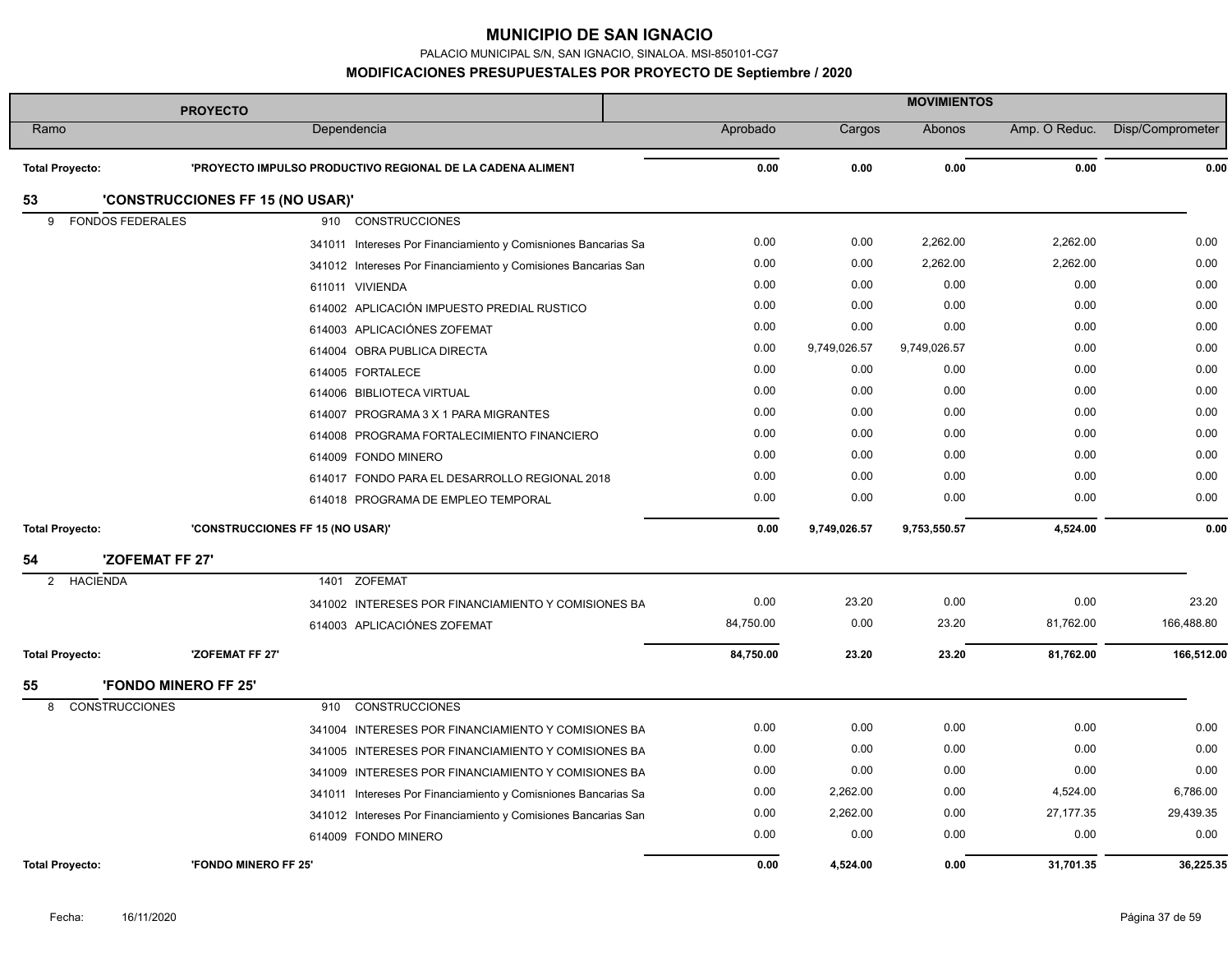PALACIO MUNICIPAL S/N, SAN IGNACIO, SINALOA. MSI-850101-CG7

|                              | <b>PROYECTO</b>                                                | <b>MOVIMIENTOS</b> |              |              |               |                  |
|------------------------------|----------------------------------------------------------------|--------------------|--------------|--------------|---------------|------------------|
| Ramo                         | Dependencia                                                    | Aprobado           | Cargos       | Abonos       | Amp. O Reduc. | Disp/Comprometer |
| <b>Total Proyecto:</b>       | 'PROYECTO IMPULSO PRODUCTIVO REGIONAL DE LA CADENA ALIMENT     | 0.00               | 0.00         | 0.00         | 0.00          | 0.00             |
| 53                           | 'CONSTRUCCIONES FF 15 (NO USAR)'                               |                    |              |              |               |                  |
| <b>FONDOS FEDERALES</b><br>9 | <b>CONSTRUCCIONES</b><br>910                                   |                    |              |              |               |                  |
|                              | 341011 Intereses Por Financiamiento y Comisniones Bancarias Sa | 0.00               | 0.00         | 2,262.00     | 2,262.00      | 0.00             |
|                              | 341012 Intereses Por Financiamiento y Comisiones Bancarias San | 0.00               | 0.00         | 2,262.00     | 2,262.00      | 0.00             |
|                              | 611011 VIVIENDA                                                | 0.00               | 0.00         | 0.00         | 0.00          | 0.00             |
|                              | 614002 APLICACIÓN IMPUESTO PREDIAL RUSTICO                     | 0.00               | 0.00         | 0.00         | 0.00          | 0.00             |
|                              | 614003 APLICACIÓNES ZOFEMAT                                    | 0.00               | 0.00         | 0.00         | 0.00          | 0.00             |
|                              | 614004 OBRA PUBLICA DIRECTA                                    | 0.00               | 9,749,026.57 | 9,749,026.57 | 0.00          | 0.00             |
|                              | 614005 FORTALECE                                               | 0.00               | 0.00         | 0.00         | 0.00          | 0.00             |
|                              | 614006 BIBLIOTECA VIRTUAL                                      | 0.00               | 0.00         | 0.00         | 0.00          | 0.00             |
|                              | 614007 PROGRAMA 3 X 1 PARA MIGRANTES                           | 0.00               | 0.00         | 0.00         | 0.00          | 0.00             |
|                              | 614008 PROGRAMA FORTALECIMIENTO FINANCIERO                     | 0.00               | 0.00         | 0.00         | 0.00          | 0.00             |
|                              | 614009 FONDO MINERO                                            | 0.00               | 0.00         | 0.00         | 0.00          | 0.00             |
|                              | 614017 FONDO PARA EL DESARROLLO REGIONAL 2018                  | 0.00               | 0.00         | 0.00         | 0.00          | 0.00             |
|                              | 614018 PROGRAMA DE EMPLEO TEMPORAL                             | 0.00               | 0.00         | 0.00         | 0.00          | 0.00             |
| <b>Total Proyecto:</b>       | 'CONSTRUCCIONES FF 15 (NO USAR)'                               | 0.00               | 9,749,026.57 | 9,753,550.57 | 4,524.00      | 0.00             |
| 54                           | 'ZOFEMAT FF 27'                                                |                    |              |              |               |                  |
| 2 HACIENDA                   | 1401 ZOFEMAT                                                   |                    |              |              |               |                  |
|                              | 341002 INTERESES POR FINANCIAMIENTO Y COMISIONES BA            | 0.00               | 23.20        | 0.00         | 0.00          | 23.20            |
|                              | 614003 APLICACIÓNES ZOFEMAT                                    | 84,750.00          | 0.00         | 23.20        | 81,762.00     | 166,488.80       |
| <b>Total Proyecto:</b>       | 'ZOFEMAT FF 27'                                                | 84,750.00          | 23.20        | 23.20        | 81,762.00     | 166,512.00       |
| 55                           | <b>'FONDO MINERO FF 25'</b>                                    |                    |              |              |               |                  |
| <b>CONSTRUCCIONES</b><br>8   | <b>CONSTRUCCIONES</b><br>910                                   |                    |              |              |               |                  |
|                              | 341004 INTERESES POR FINANCIAMIENTO Y COMISIONES BA            | 0.00               | 0.00         | 0.00         | 0.00          | 0.00             |
|                              | 341005 INTERESES POR FINANCIAMIENTO Y COMISIONES BA            | 0.00               | 0.00         | 0.00         | 0.00          | 0.00             |
|                              | 341009 INTERESES POR FINANCIAMIENTO Y COMISIONES BA            | 0.00               | 0.00         | 0.00         | 0.00          | 0.00             |
|                              | 341011 Intereses Por Financiamiento y Comisniones Bancarias Sa | 0.00               | 2,262.00     | 0.00         | 4,524.00      | 6,786.00         |
|                              | 341012 Intereses Por Financiamiento y Comisiones Bancarias San | 0.00               | 2,262.00     | 0.00         | 27, 177. 35   | 29,439.35        |
|                              | 614009 FONDO MINERO                                            | 0.00               | 0.00         | 0.00         | 0.00          | 0.00             |
| <b>Total Provecto:</b>       | 'FONDO MINERO FF 25'                                           | 0.00               | 4,524.00     | 0.00         | 31,701.35     | 36,225.35        |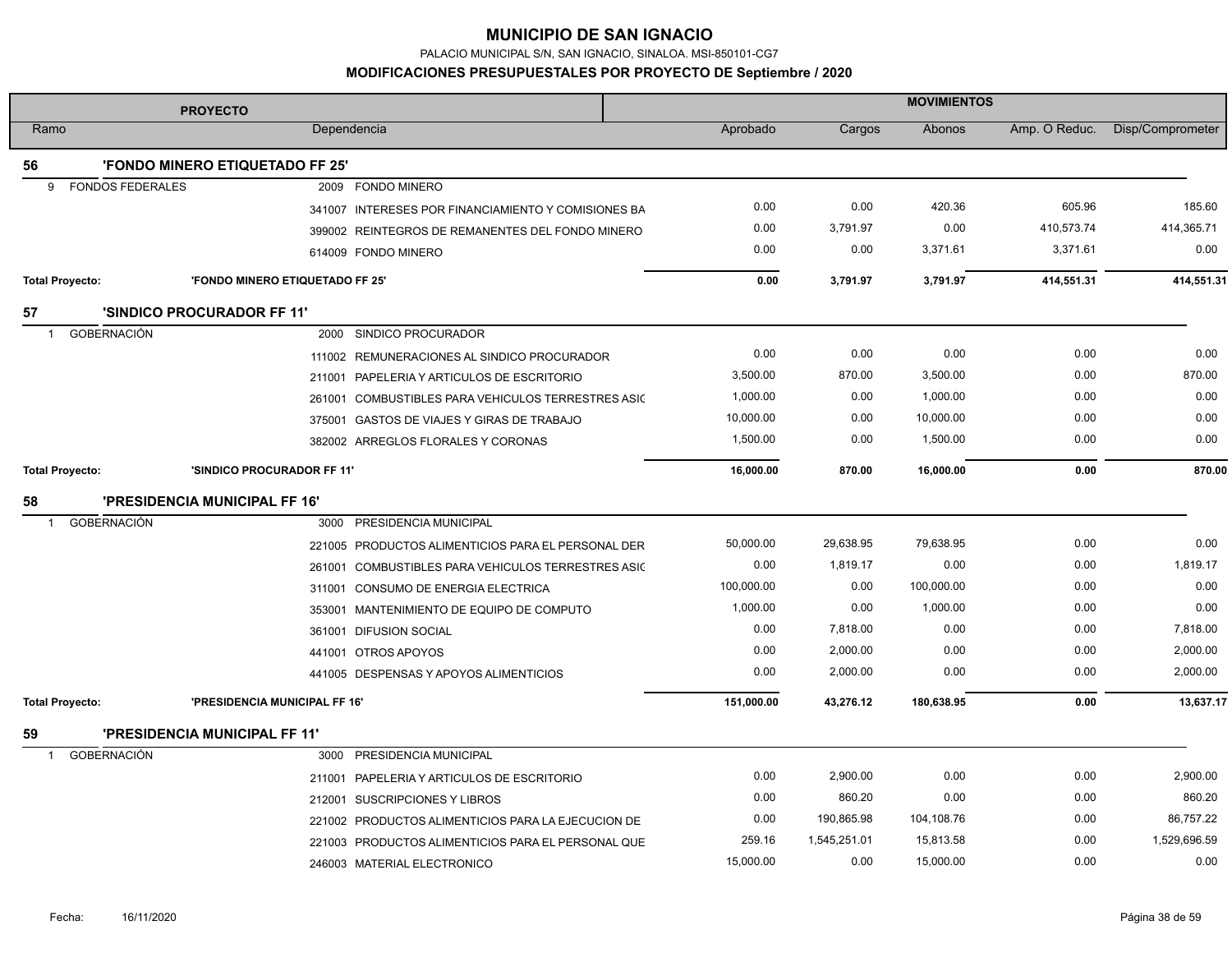PALACIO MUNICIPAL S/N, SAN IGNACIO, SINALOA. MSI-850101-CG7

|                                    | <b>PROYECTO</b>                                     | <b>MOVIMIENTOS</b> |              |            |               |                  |
|------------------------------------|-----------------------------------------------------|--------------------|--------------|------------|---------------|------------------|
| Ramo                               | Dependencia                                         | Aprobado           | Cargos       | Abonos     | Amp. O Reduc. | Disp/Comprometer |
| 56                                 | 'FONDO MINERO ETIQUETADO FF 25'                     |                    |              |            |               |                  |
| <b>FONDOS FEDERALES</b><br>9       | 2009 FONDO MINERO                                   |                    |              |            |               |                  |
|                                    | 341007 INTERESES POR FINANCIAMIENTO Y COMISIONES BA | 0.00               | 0.00         | 420.36     | 605.96        | 185.60           |
|                                    | 399002 REINTEGROS DE REMANENTES DEL FONDO MINERO    | 0.00               | 3,791.97     | 0.00       | 410,573.74    | 414,365.71       |
|                                    | 614009 FONDO MINERO                                 | 0.00               | 0.00         | 3,371.61   | 3,371.61      | 0.00             |
| <b>Total Proyecto:</b>             | 'FONDO MINERO ETIQUETADO FF 25'                     | 0.00               | 3,791.97     | 3,791.97   | 414,551.31    | 414,551.31       |
| 57                                 | <b>'SINDICO PROCURADOR FF 11'</b>                   |                    |              |            |               |                  |
| <b>GOBERNACIÓN</b><br>$\mathbf{1}$ | 2000 SINDICO PROCURADOR                             |                    |              |            |               |                  |
|                                    | 111002 REMUNERACIONES AL SINDICO PROCURADOR         | 0.00               | 0.00         | 0.00       | 0.00          | 0.00             |
|                                    | 211001 PAPELERIA Y ARTICULOS DE ESCRITORIO          | 3,500.00           | 870.00       | 3,500.00   | 0.00          | 870.00           |
|                                    | 261001 COMBUSTIBLES PARA VEHICULOS TERRESTRES ASIC  | 1,000.00           | 0.00         | 1,000.00   | 0.00          | 0.00             |
|                                    | 375001 GASTOS DE VIAJES Y GIRAS DE TRABAJO          | 10,000.00          | 0.00         | 10,000.00  | 0.00          | 0.00             |
|                                    | 382002 ARREGLOS FLORALES Y CORONAS                  | 1,500.00           | 0.00         | 1,500.00   | 0.00          | 0.00             |
| <b>Total Proyecto:</b>             | 'SINDICO PROCURADOR FF 11'                          | 16,000.00          | 870.00       | 16,000.00  | 0.00          | 870.00           |
| 58                                 | <b>'PRESIDENCIA MUNICIPAL FF 16'</b>                |                    |              |            |               |                  |
| GOBERNACIÓN<br>$\mathbf 1$         | 3000 PRESIDENCIA MUNICIPAL                          |                    |              |            |               |                  |
|                                    | 221005 PRODUCTOS ALIMENTICIOS PARA EL PERSONAL DER  | 50,000.00          | 29,638.95    | 79,638.95  | 0.00          | 0.00             |
|                                    | 261001 COMBUSTIBLES PARA VEHICULOS TERRESTRES ASIC  | 0.00               | 1,819.17     | 0.00       | 0.00          | 1,819.17         |
|                                    | 311001 CONSUMO DE ENERGIA ELECTRICA                 | 100,000.00         | 0.00         | 100,000.00 | 0.00          | 0.00             |
|                                    | 353001 MANTENIMIENTO DE EQUIPO DE COMPUTO           | 1,000.00           | 0.00         | 1,000.00   | 0.00          | 0.00             |
|                                    | 361001 DIFUSION SOCIAL                              | 0.00               | 7,818.00     | 0.00       | 0.00          | 7,818.00         |
|                                    | 441001 OTROS APOYOS                                 | 0.00               | 2,000.00     | 0.00       | 0.00          | 2,000.00         |
|                                    | 441005 DESPENSAS Y APOYOS ALIMENTICIOS              | 0.00               | 2,000.00     | 0.00       | 0.00          | 2,000.00         |
| <b>Total Proyecto:</b>             | 'PRESIDENCIA MUNICIPAL FF 16'                       | 151,000.00         | 43,276.12    | 180,638.95 | 0.00          | 13,637.17        |
| 59                                 | 'PRESIDENCIA MUNICIPAL FF 11'                       |                    |              |            |               |                  |
| <b>GOBERNACIÓN</b>                 | 3000 PRESIDENCIA MUNICIPAL                          |                    |              |            |               |                  |
|                                    | 211001 PAPELERIA Y ARTICULOS DE ESCRITORIO          | 0.00               | 2,900.00     | 0.00       | 0.00          | 2,900.00         |
|                                    | 212001 SUSCRIPCIONES Y LIBROS                       | 0.00               | 860.20       | 0.00       | 0.00          | 860.20           |
|                                    | 221002 PRODUCTOS ALIMENTICIOS PARA LA EJECUCION DE  | 0.00               | 190,865.98   | 104,108.76 | 0.00          | 86,757.22        |
|                                    | 221003 PRODUCTOS ALIMENTICIOS PARA EL PERSONAL QUE  | 259.16             | 1,545,251.01 | 15,813.58  | 0.00          | 1,529,696.59     |
|                                    | 246003 MATERIAL ELECTRONICO                         | 15,000.00          | 0.00         | 15,000.00  | 0.00          | 0.00             |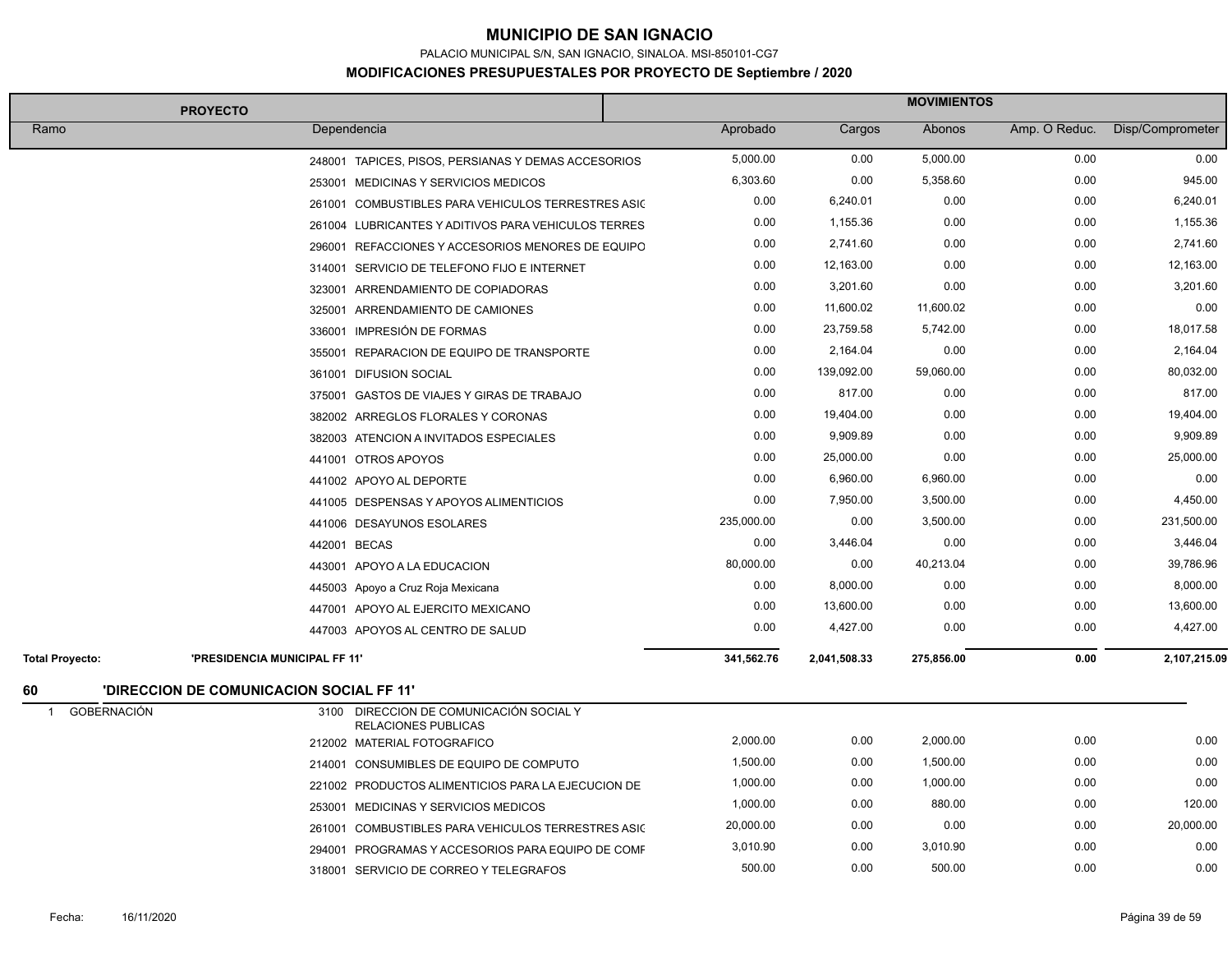PALACIO MUNICIPAL S/N, SAN IGNACIO, SINALOA. MSI-850101-CG7

|                                    | <b>PROYECTO</b>                                                | <b>MOVIMIENTOS</b> |              |            |               |                  |
|------------------------------------|----------------------------------------------------------------|--------------------|--------------|------------|---------------|------------------|
| Ramo                               | Dependencia                                                    | Aprobado           | Cargos       | Abonos     | Amp. O Reduc. | Disp/Comprometer |
|                                    | 248001 TAPICES, PISOS, PERSIANAS Y DEMAS ACCESORIOS            | 5,000.00           | 0.00         | 5,000.00   | 0.00          | 0.00             |
|                                    | 253001 MEDICINAS Y SERVICIOS MEDICOS                           | 6,303.60           | 0.00         | 5,358.60   | 0.00          | 945.00           |
|                                    | 261001 COMBUSTIBLES PARA VEHICULOS TERRESTRES ASIC             | 0.00               | 6,240.01     | 0.00       | 0.00          | 6,240.01         |
|                                    | 261004 LUBRICANTES Y ADITIVOS PARA VEHICULOS TERRES            | 0.00               | 1,155.36     | 0.00       | 0.00          | 1,155.36         |
|                                    | 296001 REFACCIONES Y ACCESORIOS MENORES DE EQUIPO              | 0.00               | 2,741.60     | 0.00       | 0.00          | 2,741.60         |
|                                    | 314001 SERVICIO DE TELEFONO FIJO E INTERNET                    | 0.00               | 12,163.00    | 0.00       | 0.00          | 12,163.00        |
|                                    | 323001 ARRENDAMIENTO DE COPIADORAS                             | 0.00               | 3,201.60     | 0.00       | 0.00          | 3,201.60         |
|                                    | 325001 ARRENDAMIENTO DE CAMIONES                               | 0.00               | 11,600.02    | 11,600.02  | 0.00          | 0.00             |
|                                    | 336001 IMPRESIÓN DE FORMAS                                     | 0.00               | 23,759.58    | 5,742.00   | 0.00          | 18,017.58        |
|                                    | 355001 REPARACION DE EQUIPO DE TRANSPORTE                      | 0.00               | 2,164.04     | 0.00       | 0.00          | 2,164.04         |
|                                    | 361001 DIFUSION SOCIAL                                         | 0.00               | 139,092.00   | 59,060.00  | 0.00          | 80,032.00        |
|                                    | 375001 GASTOS DE VIAJES Y GIRAS DE TRABAJO                     | 0.00               | 817.00       | 0.00       | 0.00          | 817.00           |
|                                    | 382002 ARREGLOS FLORALES Y CORONAS                             | 0.00               | 19,404.00    | 0.00       | 0.00          | 19,404.00        |
|                                    | 382003 ATENCION A INVITADOS ESPECIALES                         | 0.00               | 9,909.89     | 0.00       | 0.00          | 9,909.89         |
|                                    | 441001 OTROS APOYOS                                            | 0.00               | 25,000.00    | 0.00       | 0.00          | 25,000.00        |
|                                    | 441002 APOYO AL DEPORTE                                        | 0.00               | 6,960.00     | 6,960.00   | 0.00          | 0.00             |
|                                    | 441005 DESPENSAS Y APOYOS ALIMENTICIOS                         | 0.00               | 7,950.00     | 3,500.00   | 0.00          | 4,450.00         |
|                                    | 441006 DESAYUNOS ESOLARES                                      | 235,000.00         | 0.00         | 3,500.00   | 0.00          | 231,500.00       |
|                                    | 442001 BECAS                                                   | 0.00               | 3,446.04     | 0.00       | 0.00          | 3,446.04         |
|                                    | 443001 APOYO A LA EDUCACION                                    | 80,000.00          | 0.00         | 40,213.04  | 0.00          | 39,786.96        |
|                                    | 445003 Apoyo a Cruz Roja Mexicana                              | 0.00               | 8,000.00     | 0.00       | 0.00          | 8,000.00         |
|                                    | 447001 APOYO AL EJERCITO MEXICANO                              | 0.00               | 13,600.00    | 0.00       | 0.00          | 13,600.00        |
|                                    | 447003 APOYOS AL CENTRO DE SALUD                               | 0.00               | 4,427.00     | 0.00       | 0.00          | 4,427.00         |
| <b>Total Proyecto:</b>             | 'PRESIDENCIA MUNICIPAL FF 11"                                  | 341,562.76         | 2,041,508.33 | 275,856.00 | 0.00          | 2,107,215.09     |
| 60                                 | <b>'DIRECCION DE COMUNICACION SOCIAL FF 11'</b>                |                    |              |            |               |                  |
| <b>GOBERNACIÓN</b><br>$\mathbf{1}$ | 3100 DIRECCION DE COMUNICACIÓN SOCIAL Y<br>RELACIONES PUBLICAS |                    |              |            |               |                  |
|                                    | 212002 MATERIAL FOTOGRAFICO                                    | 2,000.00           | 0.00         | 2,000.00   | 0.00          | 0.00             |
|                                    | 214001 CONSUMIBLES DE EQUIPO DE COMPUTO                        | 1,500.00           | 0.00         | 1,500.00   | 0.00          | 0.00             |
|                                    | 221002 PRODUCTOS ALIMENTICIOS PARA LA EJECUCION DE             | 1,000.00           | 0.00         | 1,000.00   | 0.00          | 0.00             |
|                                    | 253001 MEDICINAS Y SERVICIOS MEDICOS                           | 1,000.00           | 0.00         | 880.00     | 0.00          | 120.00           |
|                                    | 261001 COMBUSTIBLES PARA VEHICULOS TERRESTRES ASIC             | 20,000.00          | 0.00         | 0.00       | 0.00          | 20,000.00        |
|                                    | 294001 PROGRAMAS Y ACCESORIOS PARA EQUIPO DE COMF              | 3,010.90           | 0.00         | 3,010.90   | 0.00          | 0.00             |
|                                    | 318001 SERVICIO DE CORREO Y TELEGRAFOS                         | 500.00             | 0.00         | 500.00     | 0.00          | 0.00             |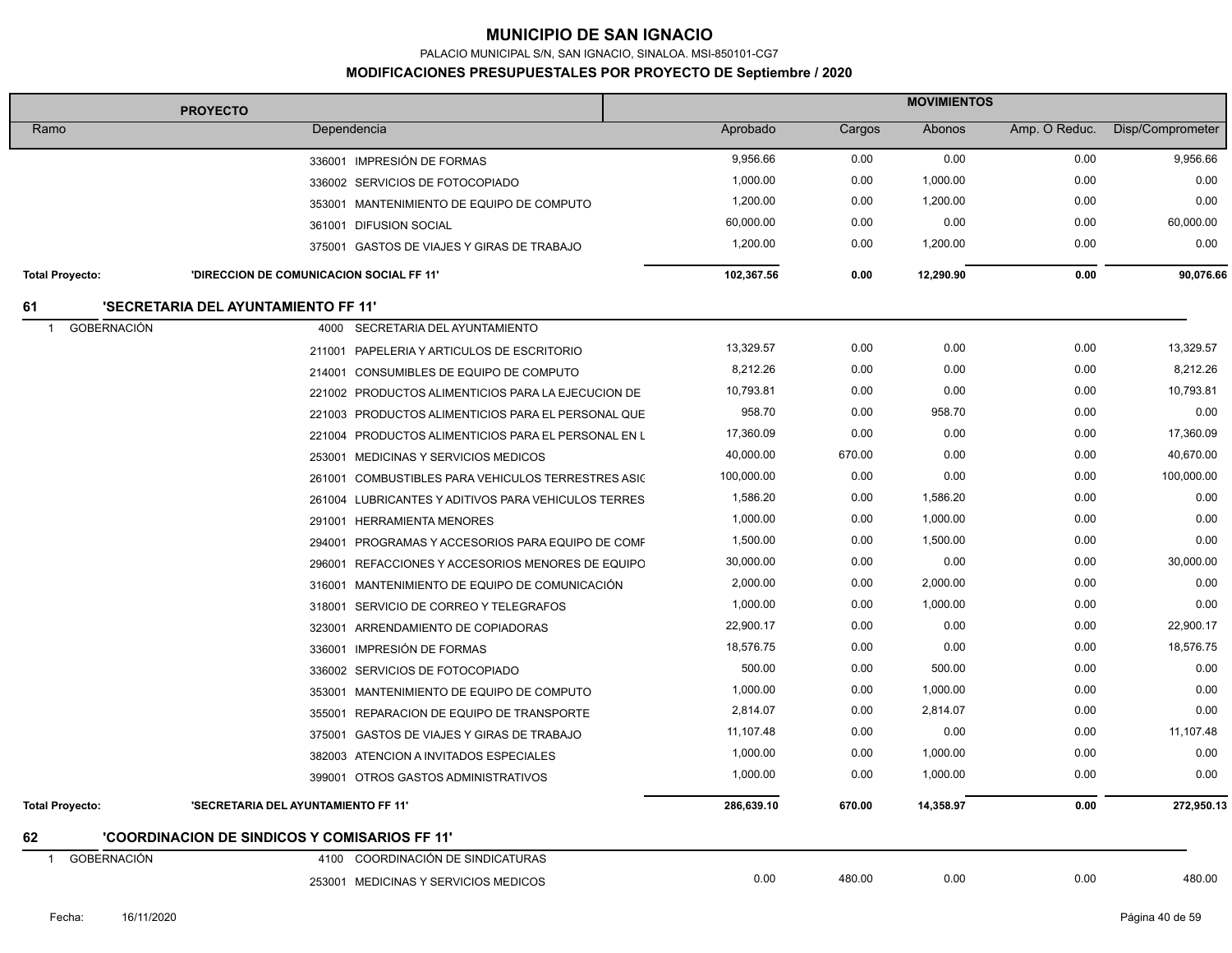PALACIO MUNICIPAL S/N, SAN IGNACIO, SINALOA. MSI-850101-CG7

|                                      | <b>PROYECTO</b>                                       | <b>MOVIMIENTOS</b> |        |           |               |                  |
|--------------------------------------|-------------------------------------------------------|--------------------|--------|-----------|---------------|------------------|
| Ramo                                 | Dependencia                                           | Aprobado           | Cargos | Abonos    | Amp. O Reduc. | Disp/Comprometer |
|                                      | 336001 IMPRESIÓN DE FORMAS                            | 9,956.66           | 0.00   | 0.00      | 0.00          | 9,956.66         |
|                                      | 336002 SERVICIOS DE FOTOCOPIADO                       | 1,000.00           | 0.00   | 1,000.00  | 0.00          | 0.00             |
|                                      | 353001 MANTENIMIENTO DE EQUIPO DE COMPUTO             | 1,200.00           | 0.00   | 1,200.00  | 0.00          | 0.00             |
|                                      | 361001 DIFUSION SOCIAL                                | 60,000.00          | 0.00   | 0.00      | 0.00          | 60,000.00        |
|                                      | 375001 GASTOS DE VIAJES Y GIRAS DE TRABAJO            | 1,200.00           | 0.00   | 1,200.00  | 0.00          | 0.00             |
| <b>Total Proyecto:</b>               | 'DIRECCION DE COMUNICACION SOCIAL FF 11'              | 102,367.56         | 0.00   | 12,290.90 | 0.00          | 90,076.66        |
| 61                                   | 'SECRETARIA DEL AYUNTAMIENTO FF 11'                   |                    |        |           |               |                  |
| GOBERNACIÓN<br>$\overline{1}$        | SECRETARIA DEL AYUNTAMIENTO<br>4000                   |                    |        |           |               |                  |
|                                      | 211001 PAPELERIA Y ARTICULOS DE ESCRITORIO            | 13,329.57          | 0.00   | 0.00      | 0.00          | 13,329.57        |
|                                      | 214001 CONSUMIBLES DE EQUIPO DE COMPUTO               | 8,212.26           | 0.00   | 0.00      | 0.00          | 8,212.26         |
|                                      | 221002 PRODUCTOS ALIMENTICIOS PARA LA EJECUCION DE    | 10,793.81          | 0.00   | 0.00      | 0.00          | 10,793.81        |
|                                      | 221003 PRODUCTOS ALIMENTICIOS PARA EL PERSONAL QUE    | 958.70             | 0.00   | 958.70    | 0.00          | 0.00             |
|                                      | 221004 PRODUCTOS ALIMENTICIOS PARA EL PERSONAL EN L   | 17,360.09          | 0.00   | 0.00      | 0.00          | 17,360.09        |
|                                      | MEDICINAS Y SERVICIOS MEDICOS<br>253001               | 40,000.00          | 670.00 | 0.00      | 0.00          | 40,670.00        |
|                                      | COMBUSTIBLES PARA VEHICULOS TERRESTRES ASIC<br>261001 | 100,000.00         | 0.00   | 0.00      | 0.00          | 100,000.00       |
|                                      | 261004 LUBRICANTES Y ADITIVOS PARA VEHICULOS TERRES   | 1,586.20           | 0.00   | 1,586.20  | 0.00          | 0.00             |
|                                      | 291001 HERRAMIENTA MENORES                            | 1,000.00           | 0.00   | 1,000.00  | 0.00          | 0.00             |
|                                      | 294001 PROGRAMAS Y ACCESORIOS PARA EQUIPO DE COMF     | 1,500.00           | 0.00   | 1,500.00  | 0.00          | 0.00             |
|                                      | 296001<br>REFACCIONES Y ACCESORIOS MENORES DE EQUIPO  | 30,000.00          | 0.00   | 0.00      | 0.00          | 30.000.00        |
|                                      | 316001 MANTENIMIENTO DE EQUIPO DE COMUNICACIÓN        | 2,000.00           | 0.00   | 2,000.00  | 0.00          | 0.00             |
|                                      | SERVICIO DE CORREO Y TELEGRAFOS<br>318001             | 1,000.00           | 0.00   | 1,000.00  | 0.00          | 0.00             |
|                                      | 323001 ARRENDAMIENTO DE COPIADORAS                    | 22,900.17          | 0.00   | 0.00      | 0.00          | 22.900.17        |
|                                      | 336001 IMPRESIÓN DE FORMAS                            | 18,576.75          | 0.00   | 0.00      | 0.00          | 18,576.75        |
|                                      | 336002 SERVICIOS DE FOTOCOPIADO                       | 500.00             | 0.00   | 500.00    | 0.00          | 0.00             |
|                                      | 353001 MANTENIMIENTO DE EQUIPO DE COMPUTO             | 1,000.00           | 0.00   | 1,000.00  | 0.00          | 0.00             |
|                                      | 355001 REPARACION DE EQUIPO DE TRANSPORTE             | 2,814.07           | 0.00   | 2,814.07  | 0.00          | 0.00             |
|                                      | 375001 GASTOS DE VIAJES Y GIRAS DE TRABAJO            | 11,107.48          | 0.00   | 0.00      | 0.00          | 11,107.48        |
|                                      | 382003 ATENCION A INVITADOS ESPECIALES                | 1,000.00           | 0.00   | 1,000.00  | 0.00          | 0.00             |
|                                      | 399001 OTROS GASTOS ADMINISTRATIVOS                   | 1,000.00           | 0.00   | 1,000.00  | 0.00          | 0.00             |
| <b>Total Proyecto:</b>               | 'SECRETARIA DEL AYUNTAMIENTO FF 11'                   | 286,639.10         | 670.00 | 14,358.97 | 0.00          | 272,950.13       |
| 62                                   | 'COORDINACION DE SINDICOS Y COMISARIOS FF 11'         |                    |        |           |               |                  |
| <b>GOBERNACIÓN</b><br>$\overline{1}$ | 4100 COORDINACIÓN DE SINDICATURAS                     |                    |        |           |               |                  |
|                                      | 253001 MEDICINAS Y SERVICIOS MEDICOS                  | 0.00               | 480.00 | 0.00      | 0.00          | 480.00           |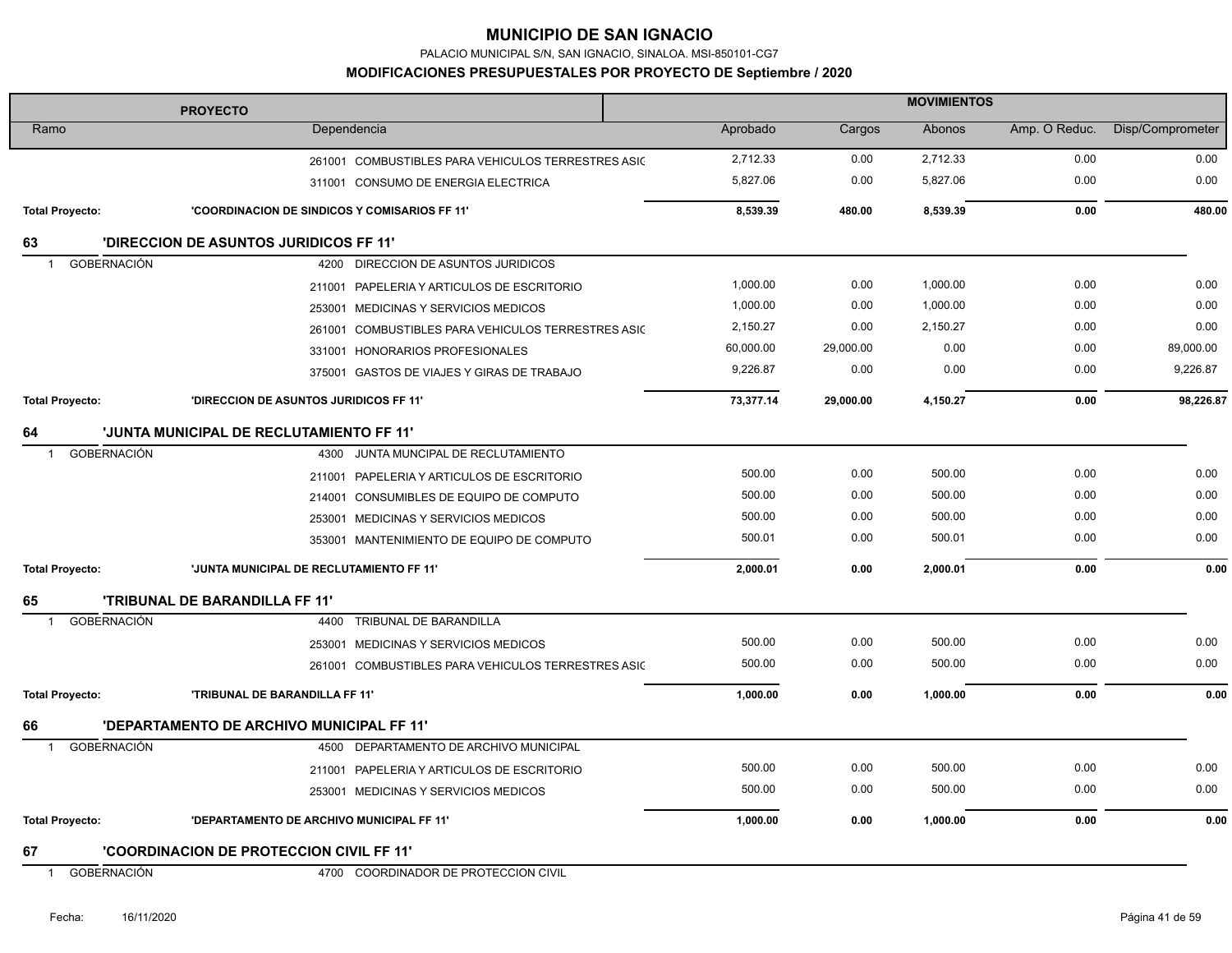PALACIO MUNICIPAL S/N, SAN IGNACIO, SINALOA. MSI-850101-CG7

| <b>PROYECTO</b>                    |                                                    | <b>MOVIMIENTOS</b> |           |          |               |                  |
|------------------------------------|----------------------------------------------------|--------------------|-----------|----------|---------------|------------------|
| Ramo                               | Dependencia                                        | Aprobado           | Cargos    | Abonos   | Amp. O Reduc. | Disp/Comprometer |
|                                    | 261001 COMBUSTIBLES PARA VEHICULOS TERRESTRES ASIC | 2,712.33           | 0.00      | 2,712.33 | 0.00          | 0.00             |
|                                    | 311001 CONSUMO DE ENERGIA ELECTRICA                | 5,827.06           | 0.00      | 5,827.06 | 0.00          | 0.00             |
| <b>Total Proyecto:</b>             | 'COORDINACION DE SINDICOS Y COMISARIOS FF 11"      | 8,539.39           | 480.00    | 8,539.39 | 0.00          | 480.00           |
| 63                                 | <b>'DIRECCION DE ASUNTOS JURIDICOS FF 11'</b>      |                    |           |          |               |                  |
| <b>GOBERNACIÓN</b>                 | 4200 DIRECCION DE ASUNTOS JURIDICOS                |                    |           |          |               |                  |
|                                    | 211001 PAPELERIA Y ARTICULOS DE ESCRITORIO         | 1,000.00           | 0.00      | 1,000.00 | 0.00          | 0.00             |
|                                    | 253001 MEDICINAS Y SERVICIOS MEDICOS               | 1,000.00           | 0.00      | 1,000.00 | 0.00          | 0.00             |
|                                    | 261001 COMBUSTIBLES PARA VEHICULOS TERRESTRES ASIC | 2,150.27           | 0.00      | 2,150.27 | 0.00          | 0.00             |
|                                    | 331001 HONORARIOS PROFESIONALES                    | 60,000.00          | 29,000.00 | 0.00     | 0.00          | 89,000.00        |
|                                    | 375001 GASTOS DE VIAJES Y GIRAS DE TRABAJO         | 9,226.87           | 0.00      | 0.00     | 0.00          | 9,226.87         |
| <b>Total Proyecto:</b>             | 'DIRECCION DE ASUNTOS JURIDICOS FF 11'             | 73,377.14          | 29,000.00 | 4,150.27 | 0.00          | 98,226.87        |
| 64                                 | 'JUNTA MUNICIPAL DE RECLUTAMIENTO FF 11'           |                    |           |          |               |                  |
| GOBERNACIÓN<br>-1                  | 4300 JUNTA MUNCIPAL DE RECLUTAMIENTO               |                    |           |          |               |                  |
|                                    | 211001 PAPELERIA Y ARTICULOS DE ESCRITORIO         | 500.00             | 0.00      | 500.00   | 0.00          | 0.00             |
|                                    | 214001 CONSUMIBLES DE EQUIPO DE COMPUTO            | 500.00             | 0.00      | 500.00   | 0.00          | 0.00             |
|                                    | 253001 MEDICINAS Y SERVICIOS MEDICOS               | 500.00             | 0.00      | 500.00   | 0.00          | 0.00             |
|                                    | 353001 MANTENIMIENTO DE EQUIPO DE COMPUTO          | 500.01             | 0.00      | 500.01   | 0.00          | 0.00             |
| <b>Total Proyecto:</b>             | 'JUNTA MUNICIPAL DE RECLUTAMIENTO FF 11'           | 2.000.01           | 0.00      | 2,000.01 | 0.00          | 0.00             |
| 65                                 | <b>'TRIBUNAL DE BARANDILLA FF 11'</b>              |                    |           |          |               |                  |
| <b>GOBERNACIÓN</b><br>-1           | TRIBUNAL DE BARANDILLA<br>4400                     |                    |           |          |               |                  |
|                                    | 253001 MEDICINAS Y SERVICIOS MEDICOS               | 500.00             | 0.00      | 500.00   | 0.00          | 0.00             |
|                                    | 261001 COMBUSTIBLES PARA VEHICULOS TERRESTRES ASIC | 500.00             | 0.00      | 500.00   | 0.00          | 0.00             |
| <b>Total Proyecto:</b>             | 'TRIBUNAL DE BARANDILLA FF 11'                     | 1,000.00           | 0.00      | 1,000.00 | 0.00          | 0.00             |
| 66                                 | <b>'DEPARTAMENTO DE ARCHIVO MUNICIPAL FF 11'</b>   |                    |           |          |               |                  |
| <b>GOBERNACIÓN</b><br>$\mathbf{1}$ | 4500 DEPARTAMENTO DE ARCHIVO MUNICIPAL             |                    |           |          |               |                  |
|                                    | 211001 PAPELERIA Y ARTICULOS DE ESCRITORIO         | 500.00             | 0.00      | 500.00   | 0.00          | 0.00             |
|                                    | 253001 MEDICINAS Y SERVICIOS MEDICOS               | 500.00             | 0.00      | 500.00   | 0.00          | 0.00             |
| <b>Total Proyecto:</b>             | 'DEPARTAMENTO DE ARCHIVO MUNICIPAL FF 11'          | 1,000.00           | 0.00      | 1,000.00 | 0.00          | 0.00             |
| 67                                 | 'COORDINACION DE PROTECCION CIVIL FF 11'           |                    |           |          |               |                  |
|                                    |                                                    |                    |           |          |               |                  |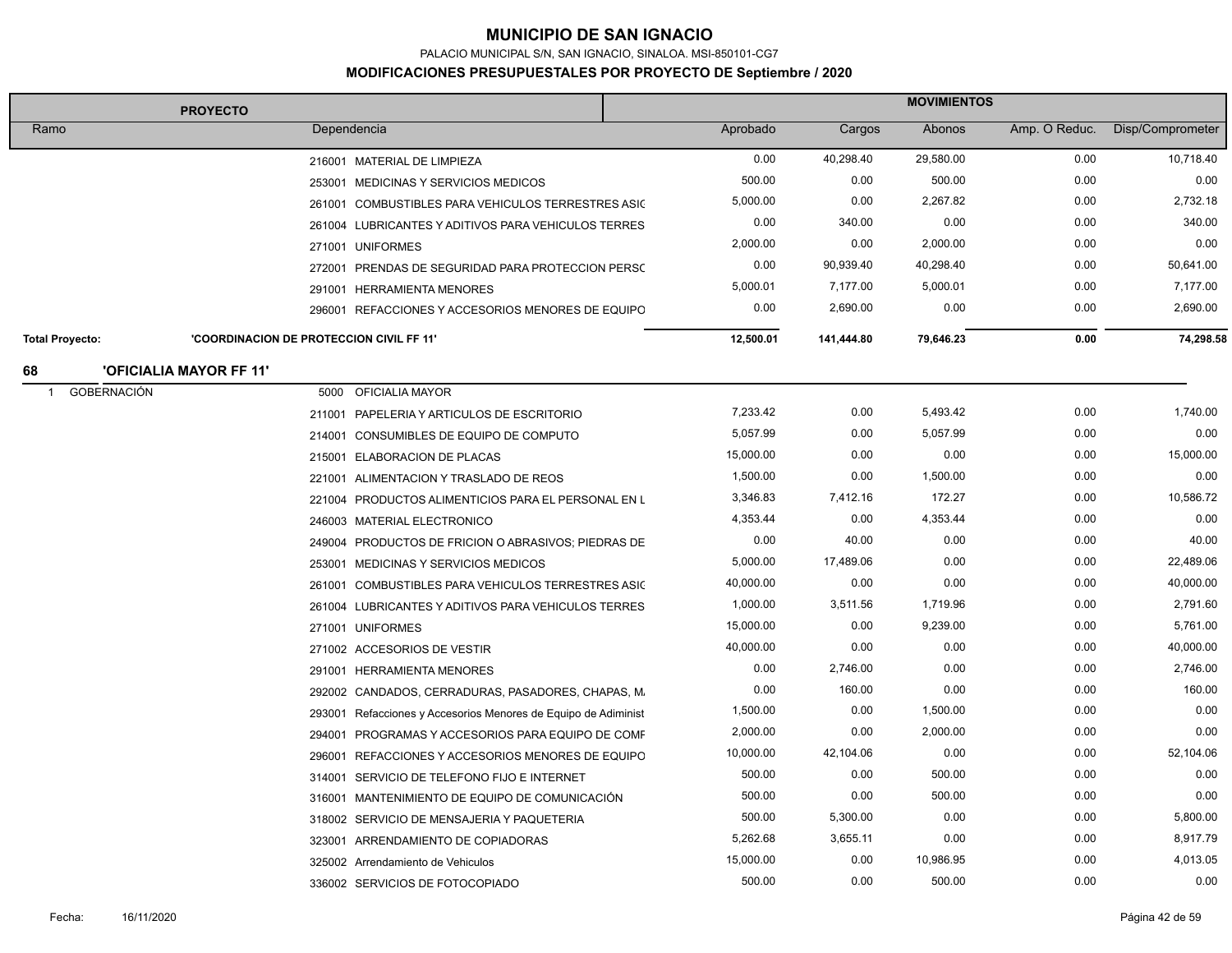PALACIO MUNICIPAL S/N, SAN IGNACIO, SINALOA. MSI-850101-CG7

|                          | <b>PROYECTO</b>                                 |                                                                | <b>MOVIMIENTOS</b> |            |           |               |                  |
|--------------------------|-------------------------------------------------|----------------------------------------------------------------|--------------------|------------|-----------|---------------|------------------|
| Ramo                     |                                                 | Dependencia                                                    | Aprobado           | Cargos     | Abonos    | Amp. O Reduc. | Disp/Comprometer |
|                          |                                                 | 216001 MATERIAL DE LIMPIEZA                                    | 0.00               | 40,298.40  | 29,580.00 | 0.00          | 10,718.40        |
|                          |                                                 | 253001 MEDICINAS Y SERVICIOS MEDICOS                           | 500.00             | 0.00       | 500.00    | 0.00          | 0.00             |
|                          |                                                 | 261001 COMBUSTIBLES PARA VEHICULOS TERRESTRES ASIC             | 5,000.00           | 0.00       | 2,267.82  | 0.00          | 2,732.18         |
|                          |                                                 | 261004 LUBRICANTES Y ADITIVOS PARA VEHICULOS TERRES            | 0.00               | 340.00     | 0.00      | 0.00          | 340.00           |
|                          |                                                 | 271001 UNIFORMES                                               | 2,000.00           | 0.00       | 2,000.00  | 0.00          | 0.00             |
|                          |                                                 | 272001 PRENDAS DE SEGURIDAD PARA PROTECCION PERSO              | 0.00               | 90,939.40  | 40,298.40 | 0.00          | 50,641.00        |
|                          |                                                 | 291001 HERRAMIENTA MENORES                                     | 5,000.01           | 7,177.00   | 5,000.01  | 0.00          | 7,177.00         |
|                          |                                                 | 296001 REFACCIONES Y ACCESORIOS MENORES DE EQUIPO              | 0.00               | 2,690.00   | 0.00      | 0.00          | 2,690.00         |
| <b>Total Provecto:</b>   | <b>'COORDINACION DE PROTECCION CIVIL FF 11'</b> |                                                                | 12,500.01          | 141,444.80 | 79,646.23 | 0.00          | 74,298.58        |
| 68                       | <b>'OFICIALIA MAYOR FF 11'</b>                  |                                                                |                    |            |           |               |                  |
| <b>GOBERNACIÓN</b><br>-1 | 5000                                            | OFICIALIA MAYOR                                                |                    |            |           |               |                  |
|                          |                                                 | 211001 PAPELERIA Y ARTICULOS DE ESCRITORIO                     | 7,233.42           | 0.00       | 5,493.42  | 0.00          | 1,740.00         |
|                          |                                                 | 214001 CONSUMIBLES DE EQUIPO DE COMPUTO                        | 5,057.99           | 0.00       | 5,057.99  | 0.00          | 0.00             |
|                          |                                                 | 215001 ELABORACION DE PLACAS                                   | 15,000.00          | 0.00       | 0.00      | 0.00          | 15,000.00        |
|                          |                                                 | 221001 ALIMENTACION Y TRASLADO DE REOS                         | 1,500.00           | 0.00       | 1,500.00  | 0.00          | 0.00             |
|                          |                                                 | 221004 PRODUCTOS ALIMENTICIOS PARA EL PERSONAL EN L            | 3,346.83           | 7,412.16   | 172.27    | 0.00          | 10,586.72        |
|                          |                                                 | 246003 MATERIAL ELECTRONICO                                    | 4,353.44           | 0.00       | 4,353.44  | 0.00          | 0.00             |
|                          |                                                 | 249004 PRODUCTOS DE FRICION O ABRASIVOS; PIEDRAS DE            | 0.00               | 40.00      | 0.00      | 0.00          | 40.00            |
|                          |                                                 | 253001 MEDICINAS Y SERVICIOS MEDICOS                           | 5,000.00           | 17,489.06  | 0.00      | 0.00          | 22,489.06        |
|                          |                                                 | 261001 COMBUSTIBLES PARA VEHICULOS TERRESTRES ASIC             | 40,000.00          | 0.00       | 0.00      | 0.00          | 40,000.00        |
|                          |                                                 | 261004 LUBRICANTES Y ADITIVOS PARA VEHICULOS TERRES            | 1,000.00           | 3,511.56   | 1,719.96  | 0.00          | 2,791.60         |
|                          |                                                 | 271001 UNIFORMES                                               | 15,000.00          | 0.00       | 9,239.00  | 0.00          | 5,761.00         |
|                          |                                                 | 271002 ACCESORIOS DE VESTIR                                    | 40,000.00          | 0.00       | 0.00      | 0.00          | 40,000.00        |
|                          |                                                 | 291001 HERRAMIENTA MENORES                                     | 0.00               | 2,746.00   | 0.00      | 0.00          | 2,746.00         |
|                          |                                                 | 292002 CANDADOS, CERRADURAS, PASADORES, CHAPAS, M.             | 0.00               | 160.00     | 0.00      | 0.00          | 160.00           |
|                          |                                                 | 293001 Refacciones y Accesorios Menores de Equipo de Adiminist | 1,500.00           | 0.00       | 1,500.00  | 0.00          | 0.00             |
|                          |                                                 | 294001 PROGRAMAS Y ACCESORIOS PARA EQUIPO DE COMF              | 2,000.00           | 0.00       | 2,000.00  | 0.00          | 0.00             |
|                          |                                                 | 296001 REFACCIONES Y ACCESORIOS MENORES DE EQUIPO              | 10,000.00          | 42,104.06  | 0.00      | 0.00          | 52,104.06        |
|                          |                                                 | 314001 SERVICIO DE TELEFONO FIJO E INTERNET                    | 500.00             | 0.00       | 500.00    | 0.00          | 0.00             |
|                          |                                                 | 316001 MANTENIMIENTO DE EQUIPO DE COMUNICACIÓN                 | 500.00             | 0.00       | 500.00    | 0.00          | 0.00             |
|                          |                                                 | 318002 SERVICIO DE MENSAJERIA Y PAQUETERIA                     | 500.00             | 5,300.00   | 0.00      | 0.00          | 5,800.00         |
|                          |                                                 | 323001 ARRENDAMIENTO DE COPIADORAS                             | 5,262.68           | 3,655.11   | 0.00      | 0.00          | 8,917.79         |
|                          |                                                 | 325002 Arrendamiento de Vehiculos                              | 15,000.00          | 0.00       | 10,986.95 | 0.00          | 4,013.05         |
|                          |                                                 | 336002 SERVICIOS DE FOTOCOPIADO                                | 500.00             | 0.00       | 500.00    | 0.00          | 0.00             |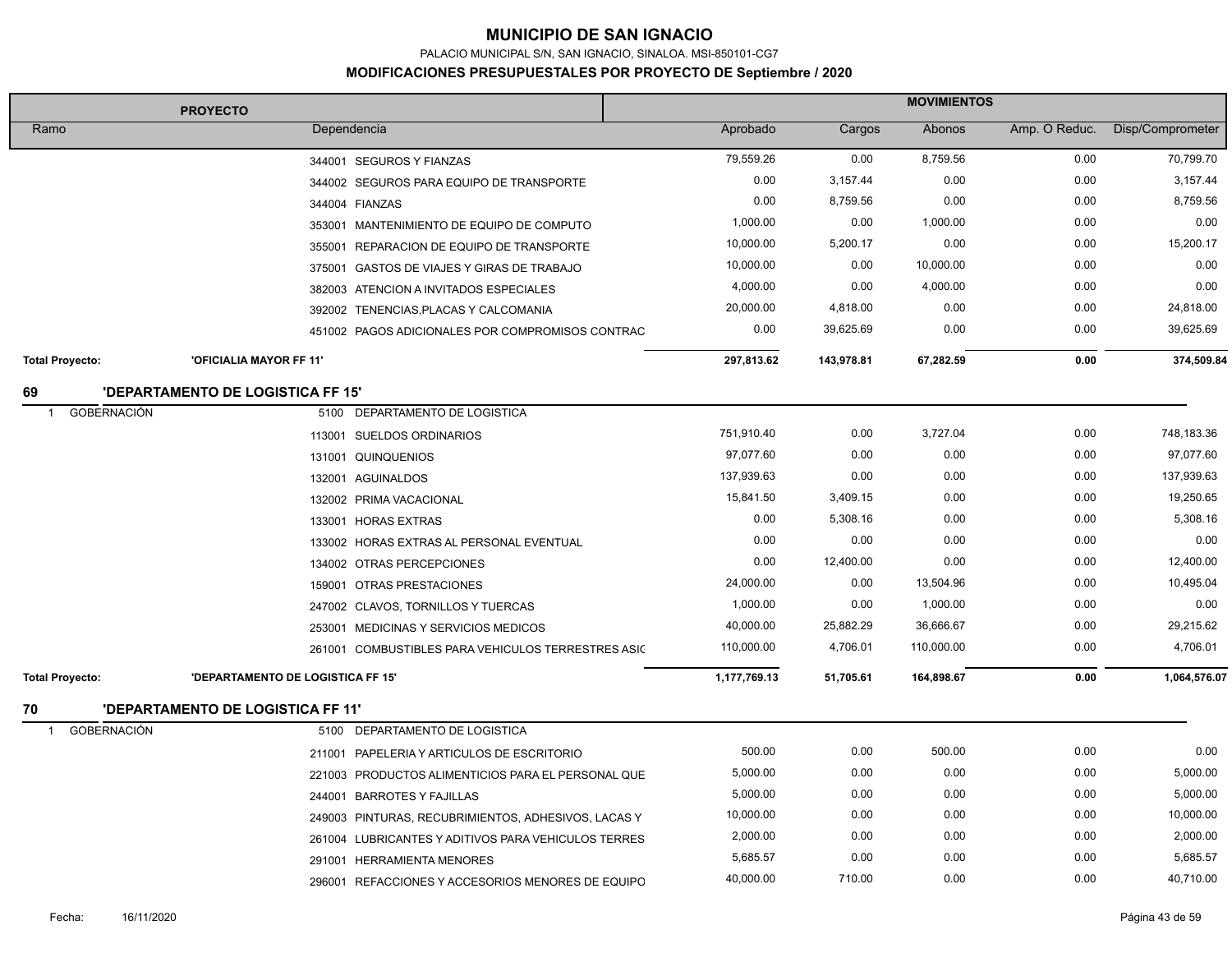PALACIO MUNICIPAL S/N, SAN IGNACIO, SINALOA. MSI-850101-CG7

| <b>MOVIMIENTOS</b><br><b>PROYECTO</b> |                                          |                                                     |              |            |            |               |                  |
|---------------------------------------|------------------------------------------|-----------------------------------------------------|--------------|------------|------------|---------------|------------------|
| Ramo                                  |                                          | Dependencia                                         | Aprobado     | Cargos     | Abonos     | Amp. O Reduc. | Disp/Comprometer |
|                                       |                                          | 344001 SEGUROS Y FIANZAS                            | 79,559.26    | 0.00       | 8,759.56   | 0.00          | 70,799.70        |
|                                       |                                          | 344002 SEGUROS PARA EQUIPO DE TRANSPORTE            | 0.00         | 3,157.44   | 0.00       | 0.00          | 3,157.44         |
|                                       |                                          | 344004 FIANZAS                                      | 0.00         | 8,759.56   | 0.00       | 0.00          | 8,759.56         |
|                                       |                                          | 353001 MANTENIMIENTO DE EQUIPO DE COMPUTO           | 1,000.00     | 0.00       | 1,000.00   | 0.00          | 0.00             |
|                                       |                                          | 355001 REPARACION DE EQUIPO DE TRANSPORTE           | 10,000.00    | 5,200.17   | 0.00       | 0.00          | 15,200.17        |
|                                       |                                          | 375001 GASTOS DE VIAJES Y GIRAS DE TRABAJO          | 10,000.00    | 0.00       | 10,000.00  | 0.00          | 0.00             |
|                                       |                                          | 382003 ATENCION A INVITADOS ESPECIALES              | 4,000.00     | 0.00       | 4,000.00   | 0.00          | 0.00             |
|                                       |                                          | 392002 TENENCIAS, PLACAS Y CALCOMANIA               | 20,000.00    | 4,818.00   | 0.00       | 0.00          | 24,818.00        |
|                                       |                                          | 451002 PAGOS ADICIONALES POR COMPROMISOS CONTRAC    | 0.00         | 39,625.69  | 0.00       | 0.00          | 39,625.69        |
| <b>Total Proyecto:</b>                | 'OFICIALIA MAYOR FF 11'                  |                                                     | 297,813.62   | 143,978.81 | 67,282.59  | 0.00          | 374,509.84       |
| 69                                    | <b>'DEPARTAMENTO DE LOGISTICA FF 15'</b> |                                                     |              |            |            |               |                  |
| <b>GOBERNACIÓN</b><br>$\overline{1}$  |                                          | 5100 DEPARTAMENTO DE LOGISTICA                      |              |            |            |               |                  |
|                                       |                                          | 113001 SUELDOS ORDINARIOS                           | 751,910.40   | 0.00       | 3,727.04   | 0.00          | 748,183.36       |
|                                       |                                          | 131001 QUINQUENIOS                                  | 97,077.60    | 0.00       | 0.00       | 0.00          | 97,077.60        |
|                                       |                                          | 132001 AGUINALDOS                                   | 137,939.63   | 0.00       | 0.00       | 0.00          | 137,939.63       |
|                                       |                                          | 132002 PRIMA VACACIONAL                             | 15,841.50    | 3,409.15   | 0.00       | 0.00          | 19,250.65        |
|                                       |                                          | 133001 HORAS EXTRAS                                 | 0.00         | 5,308.16   | 0.00       | 0.00          | 5,308.16         |
|                                       |                                          | 133002 HORAS EXTRAS AL PERSONAL EVENTUAL            | 0.00         | 0.00       | 0.00       | 0.00          | 0.00             |
|                                       |                                          | 134002 OTRAS PERCEPCIONES                           | 0.00         | 12,400.00  | 0.00       | 0.00          | 12,400.00        |
|                                       |                                          | 159001 OTRAS PRESTACIONES                           | 24,000.00    | 0.00       | 13,504.96  | 0.00          | 10,495.04        |
|                                       |                                          | 247002 CLAVOS, TORNILLOS Y TUERCAS                  | 1,000.00     | 0.00       | 1,000.00   | 0.00          | 0.00             |
|                                       |                                          | 253001 MEDICINAS Y SERVICIOS MEDICOS                | 40,000.00    | 25,882.29  | 36,666.67  | 0.00          | 29,215.62        |
|                                       |                                          | 261001 COMBUSTIBLES PARA VEHICULOS TERRESTRES ASIC  | 110,000.00   | 4,706.01   | 110,000.00 | 0.00          | 4,706.01         |
| <b>Total Proyecto:</b>                | 'DEPARTAMENTO DE LOGISTICA FF 15'        |                                                     | 1,177,769.13 | 51,705.61  | 164,898.67 | 0.00          | 1,064,576.07     |
| 70                                    | <b>'DEPARTAMENTO DE LOGISTICA FF 11'</b> |                                                     |              |            |            |               |                  |
| <b>GOBERNACIÓN</b><br>-1              |                                          | 5100 DEPARTAMENTO DE LOGISTICA                      |              |            |            |               |                  |
|                                       |                                          | 211001 PAPELERIA Y ARTICULOS DE ESCRITORIO          | 500.00       | 0.00       | 500.00     | 0.00          | 0.00             |
|                                       |                                          | 221003 PRODUCTOS ALIMENTICIOS PARA EL PERSONAL QUE  | 5,000.00     | 0.00       | 0.00       | 0.00          | 5,000.00         |
|                                       |                                          | 244001 BARROTES Y FAJILLAS                          | 5,000.00     | 0.00       | 0.00       | 0.00          | 5,000.00         |
|                                       |                                          | 249003 PINTURAS, RECUBRIMIENTOS, ADHESIVOS, LACAS Y | 10,000.00    | 0.00       | 0.00       | 0.00          | 10,000.00        |
|                                       |                                          | 261004 LUBRICANTES Y ADITIVOS PARA VEHICULOS TERRES | 2,000.00     | 0.00       | 0.00       | 0.00          | 2,000.00         |
|                                       |                                          | 291001 HERRAMIENTA MENORES                          | 5,685.57     | 0.00       | 0.00       | 0.00          | 5,685.57         |
|                                       |                                          | 296001 REFACCIONES Y ACCESORIOS MENORES DE EQUIPO   | 40,000.00    | 710.00     | 0.00       | 0.00          | 40,710.00        |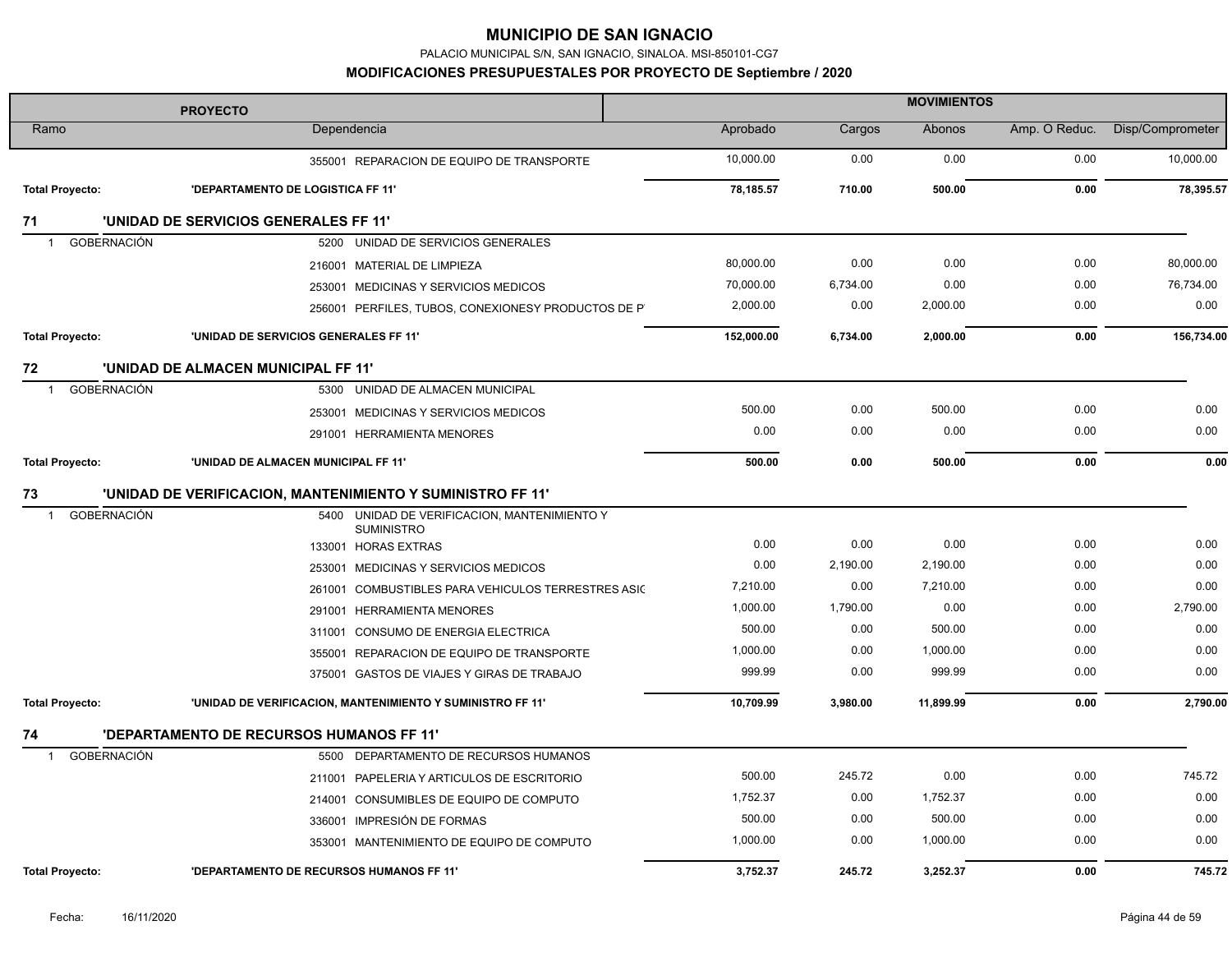PALACIO MUNICIPAL S/N, SAN IGNACIO, SINALOA. MSI-850101-CG7

| <b>PROYECTO</b>                    |                                                            | <b>MOVIMIENTOS</b> |          |           |               |                  |
|------------------------------------|------------------------------------------------------------|--------------------|----------|-----------|---------------|------------------|
| Ramo                               | Dependencia                                                | Aprobado           | Cargos   | Abonos    | Amp. O Reduc. | Disp/Comprometer |
|                                    | 355001 REPARACION DE EQUIPO DE TRANSPORTE                  | 10,000.00          | 0.00     | 0.00      | 0.00          | 10,000.00        |
| <b>Total Proyecto:</b>             | 'DEPARTAMENTO DE LOGISTICA FF 11'                          | 78,185.57          | 710.00   | 500.00    | 0.00          | 78,395.57        |
| 71                                 | <b>'UNIDAD DE SERVICIOS GENERALES FF 11'</b>               |                    |          |           |               |                  |
| GOBERNACIÓN<br>$\mathbf{1}$        | 5200 UNIDAD DE SERVICIOS GENERALES                         |                    |          |           |               |                  |
|                                    | 216001 MATERIAL DE LIMPIEZA                                | 80,000.00          | 0.00     | 0.00      | 0.00          | 80,000.00        |
|                                    | 253001 MEDICINAS Y SERVICIOS MEDICOS                       | 70,000.00          | 6,734.00 | 0.00      | 0.00          | 76,734.00        |
|                                    | 256001 PERFILES, TUBOS, CONEXIONESY PRODUCTOS DE P         | 2,000.00           | 0.00     | 2,000.00  | 0.00          | 0.00             |
| <b>Total Proyecto:</b>             | 'UNIDAD DE SERVICIOS GENERALES FF 11'                      | 152,000.00         | 6,734.00 | 2,000.00  | 0.00          | 156,734.00       |
| 72                                 | 'UNIDAD DE ALMACEN MUNICIPAL FF 11'                        |                    |          |           |               |                  |
| <b>GOBERNACIÓN</b><br>$\mathbf 1$  | 5300 UNIDAD DE ALMACEN MUNICIPAL                           |                    |          |           |               |                  |
|                                    | 253001 MEDICINAS Y SERVICIOS MEDICOS                       | 500.00             | 0.00     | 500.00    | 0.00          | 0.00             |
|                                    | 291001 HERRAMIENTA MENORES                                 | 0.00               | 0.00     | 0.00      | 0.00          | 0.00             |
| <b>Total Proyecto:</b>             | 'UNIDAD DE ALMACEN MUNICIPAL FF 11'                        | 500.00             | 0.00     | 500.00    | 0.00          | 0.00             |
| 73                                 | 'UNIDAD DE VERIFICACION, MANTENIMIENTO Y SUMINISTRO FF 11' |                    |          |           |               |                  |
| <b>GOBERNACIÓN</b><br>$\mathbf{1}$ | 5400 UNIDAD DE VERIFICACION, MANTENIMIENTO Y               |                    |          |           |               |                  |
|                                    | <b>SUMINISTRO</b><br>133001 HORAS EXTRAS                   | 0.00               | 0.00     | 0.00      | 0.00          | 0.00             |
|                                    | 253001 MEDICINAS Y SERVICIOS MEDICOS                       | 0.00               | 2,190.00 | 2,190.00  | 0.00          | 0.00             |
|                                    | 261001 COMBUSTIBLES PARA VEHICULOS TERRESTRES ASIC         | 7,210.00           | 0.00     | 7,210.00  | 0.00          | 0.00             |
|                                    | 291001 HERRAMIENTA MENORES                                 | 1,000.00           | 1,790.00 | 0.00      | 0.00          | 2,790.00         |
|                                    | 311001 CONSUMO DE ENERGIA ELECTRICA                        | 500.00             | 0.00     | 500.00    | 0.00          | 0.00             |
|                                    | 355001 REPARACION DE EQUIPO DE TRANSPORTE                  | 1,000.00           | 0.00     | 1,000.00  | 0.00          | 0.00             |
|                                    | 375001 GASTOS DE VIAJES Y GIRAS DE TRABAJO                 | 999.99             | 0.00     | 999.99    | 0.00          | 0.00             |
| <b>Total Proyecto:</b>             | 'UNIDAD DE VERIFICACION, MANTENIMIENTO Y SUMINISTRO FF 11" | 10,709.99          | 3,980.00 | 11,899.99 | 0.00          | 2,790.00         |
| 74                                 | <b>'DEPARTAMENTO DE RECURSOS HUMANOS FF 11'</b>            |                    |          |           |               |                  |
| GOBERNACIÓN<br>$\mathbf{1}$        | 5500 DEPARTAMENTO DE RECURSOS HUMANOS                      |                    |          |           |               |                  |
|                                    | 211001 PAPELERIA Y ARTICULOS DE ESCRITORIO                 | 500.00             | 245.72   | 0.00      | 0.00          | 745.72           |
|                                    | 214001 CONSUMIBLES DE EQUIPO DE COMPUTO                    | 1,752.37           | 0.00     | 1,752.37  | 0.00          | 0.00             |
|                                    | 336001 IMPRESIÓN DE FORMAS                                 | 500.00             | 0.00     | 500.00    | 0.00          | 0.00             |
|                                    | 353001 MANTENIMIENTO DE EQUIPO DE COMPUTO                  | 1,000.00           | 0.00     | 1,000.00  | 0.00          | 0.00             |
| <b>Total Proyecto:</b>             | 'DEPARTAMENTO DE RECURSOS HUMANOS FF 11'                   | 3.752.37           | 245.72   | 3,252.37  | 0.00          | 745.72           |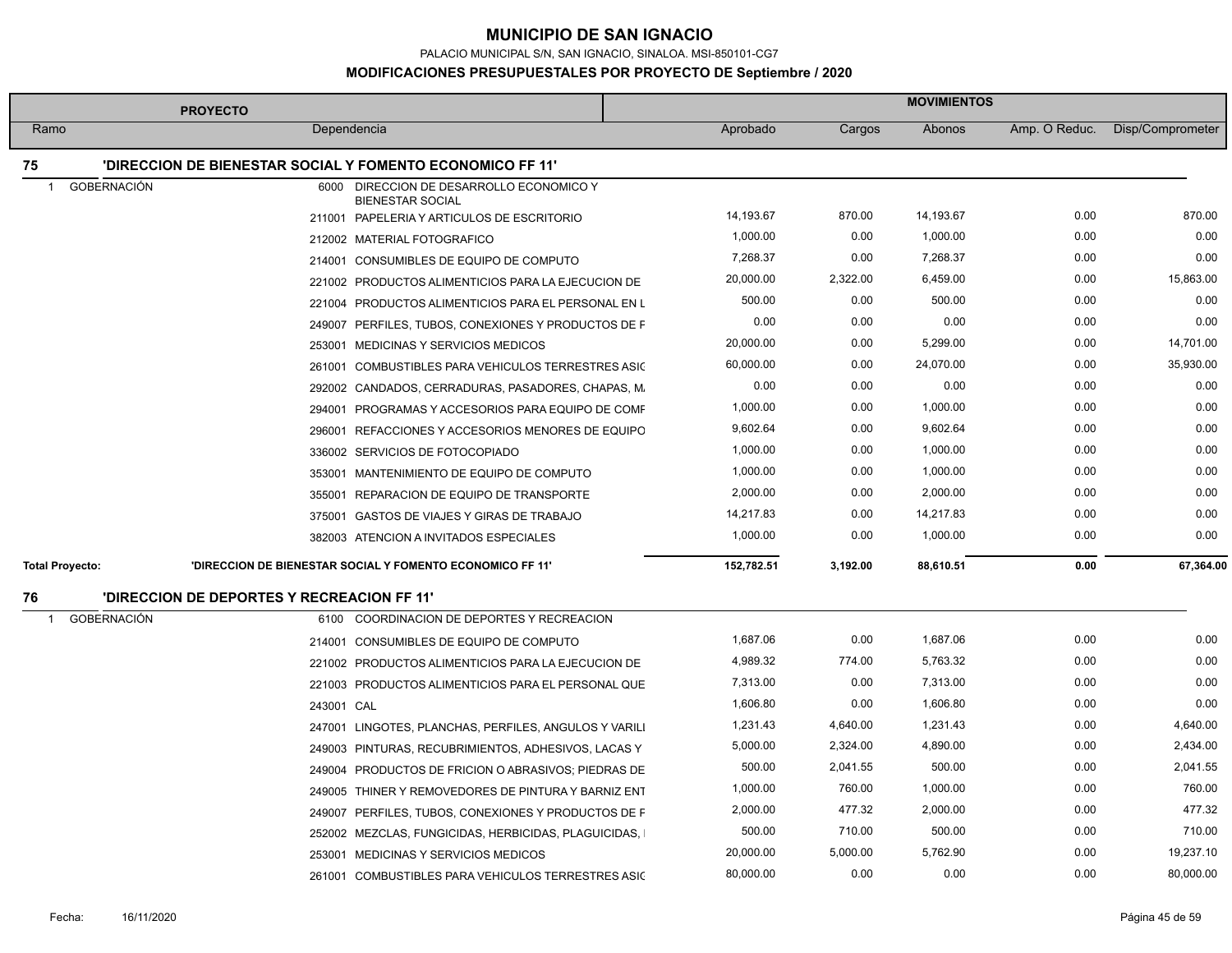PALACIO MUNICIPAL S/N, SAN IGNACIO, SINALOA. MSI-850101-CG7

|                          | <b>PROYECTO</b>                                                     | <b>MOVIMIENTOS</b> |          |           |               |                  |
|--------------------------|---------------------------------------------------------------------|--------------------|----------|-----------|---------------|------------------|
| Ramo                     | Dependencia                                                         | Aprobado           | Cargos   | Abonos    | Amp. O Reduc. | Disp/Comprometer |
| 75                       | <b>'DIRECCION DE BIENESTAR SOCIAL Y FOMENTO ECONOMICO FF 11'</b>    |                    |          |           |               |                  |
| <b>GOBERNACIÓN</b><br>-1 | 6000 DIRECCION DE DESARROLLO ECONOMICO Y<br><b>BIENESTAR SOCIAL</b> |                    |          |           |               |                  |
|                          | 211001 PAPELERIA Y ARTICULOS DE ESCRITORIO                          | 14,193.67          | 870.00   | 14,193.67 | 0.00          | 870.00           |
|                          | 212002 MATERIAL FOTOGRAFICO                                         | 1,000.00           | 0.00     | 1,000.00  | 0.00          | 0.00             |
|                          | 214001 CONSUMIBLES DE EQUIPO DE COMPUTO                             | 7,268.37           | 0.00     | 7,268.37  | 0.00          | 0.00             |
|                          | 221002 PRODUCTOS ALIMENTICIOS PARA LA EJECUCION DE                  | 20,000.00          | 2,322.00 | 6,459.00  | 0.00          | 15,863.00        |
|                          | 221004 PRODUCTOS ALIMENTICIOS PARA EL PERSONAL EN L                 | 500.00             | 0.00     | 500.00    | 0.00          | 0.00             |
|                          | 249007 PERFILES, TUBOS, CONEXIONES Y PRODUCTOS DE F                 | 0.00               | 0.00     | 0.00      | 0.00          | 0.00             |
|                          | 253001 MEDICINAS Y SERVICIOS MEDICOS                                | 20,000.00          | 0.00     | 5,299.00  | 0.00          | 14,701.00        |
|                          | 261001 COMBUSTIBLES PARA VEHICULOS TERRESTRES ASIC                  | 60,000.00          | 0.00     | 24,070.00 | 0.00          | 35,930.00        |
|                          | 292002 CANDADOS, CERRADURAS, PASADORES, CHAPAS, M.                  | 0.00               | 0.00     | 0.00      | 0.00          | 0.00             |
|                          | 294001 PROGRAMAS Y ACCESORIOS PARA EQUIPO DE COMF                   | 1,000.00           | 0.00     | 1,000.00  | 0.00          | 0.00             |
|                          | 296001 REFACCIONES Y ACCESORIOS MENORES DE EQUIPO                   | 9,602.64           | 0.00     | 9,602.64  | 0.00          | 0.00             |
|                          | 336002 SERVICIOS DE FOTOCOPIADO                                     | 1,000.00           | 0.00     | 1,000.00  | 0.00          | 0.00             |
|                          | 353001 MANTENIMIENTO DE EQUIPO DE COMPUTO                           | 1,000.00           | 0.00     | 1,000.00  | 0.00          | 0.00             |
|                          | 355001 REPARACION DE EQUIPO DE TRANSPORTE                           | 2,000.00           | 0.00     | 2,000.00  | 0.00          | 0.00             |
|                          | 375001 GASTOS DE VIAJES Y GIRAS DE TRABAJO                          | 14,217.83          | 0.00     | 14,217.83 | 0.00          | 0.00             |
|                          | 382003 ATENCION A INVITADOS ESPECIALES                              | 1,000.00           | 0.00     | 1,000.00  | 0.00          | 0.00             |
| <b>Total Proyecto:</b>   | 'DIRECCION DE BIENESTAR SOCIAL Y FOMENTO ECONOMICO FF 11'           | 152,782.51         | 3,192.00 | 88,610.51 | 0.00          | 67,364.00        |
| 76                       | 'DIRECCION DE DEPORTES Y RECREACION FF 11"                          |                    |          |           |               |                  |
| <b>GOBERNACIÓN</b><br>-1 | 6100 COORDINACION DE DEPORTES Y RECREACION                          |                    |          |           |               |                  |
|                          | 214001 CONSUMIBLES DE EQUIPO DE COMPUTO                             | 1,687.06           | 0.00     | 1,687.06  | 0.00          | 0.00             |
|                          | 221002 PRODUCTOS ALIMENTICIOS PARA LA EJECUCION DE                  | 4,989.32           | 774.00   | 5,763.32  | 0.00          | 0.00             |
|                          | 221003 PRODUCTOS ALIMENTICIOS PARA EL PERSONAL QUE                  | 7,313.00           | 0.00     | 7,313.00  | 0.00          | 0.00             |
|                          | 243001 CAL                                                          | 1,606.80           | 0.00     | 1,606.80  | 0.00          | 0.00             |
|                          | 247001 LINGOTES, PLANCHAS, PERFILES, ANGULOS Y VARILI               | 1,231.43           | 4,640.00 | 1,231.43  | 0.00          | 4,640.00         |
|                          | 249003 PINTURAS, RECUBRIMIENTOS, ADHESIVOS, LACAS Y                 | 5,000.00           | 2,324.00 | 4,890.00  | 0.00          | 2,434.00         |
|                          | 249004 PRODUCTOS DE FRICION O ABRASIVOS; PIEDRAS DE                 | 500.00             | 2,041.55 | 500.00    | 0.00          | 2,041.55         |
|                          | 249005 THINER Y REMOVEDORES DE PINTURA Y BARNIZ ENT                 | 1,000.00           | 760.00   | 1,000.00  | 0.00          | 760.00           |
|                          | 249007 PERFILES, TUBOS, CONEXIONES Y PRODUCTOS DE F                 | 2,000.00           | 477.32   | 2,000.00  | 0.00          | 477.32           |
|                          | 252002 MEZCLAS, FUNGICIDAS, HERBICIDAS, PLAGUICIDAS,                | 500.00             | 710.00   | 500.00    | 0.00          | 710.00           |
|                          | 253001 MEDICINAS Y SERVICIOS MEDICOS                                | 20,000.00          | 5,000.00 | 5,762.90  | 0.00          | 19,237.10        |
|                          | 261001 COMBUSTIBLES PARA VEHICULOS TERRESTRES ASIC                  | 80,000.00          | 0.00     | 0.00      | 0.00          | 80,000.00        |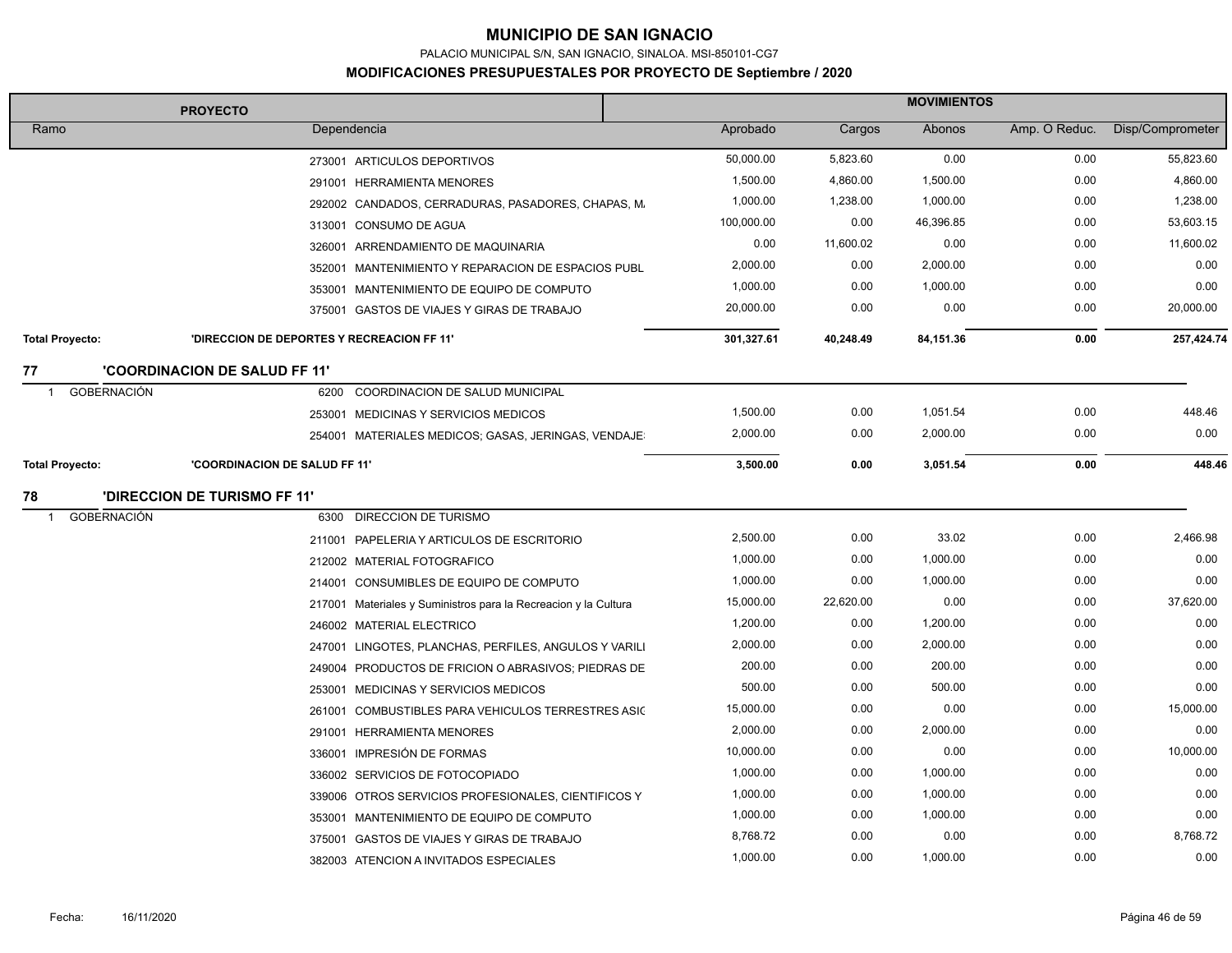PALACIO MUNICIPAL S/N, SAN IGNACIO, SINALOA. MSI-850101-CG7

|                        | <b>PROYECTO</b>                                                 | <b>MOVIMIENTOS</b> |            |           |           |               |                  |
|------------------------|-----------------------------------------------------------------|--------------------|------------|-----------|-----------|---------------|------------------|
| Ramo                   | Dependencia                                                     |                    | Aprobado   | Cargos    | Abonos    | Amp. O Reduc. | Disp/Comprometer |
|                        | 273001 ARTICULOS DEPORTIVOS                                     |                    | 50,000.00  | 5,823.60  | 0.00      | 0.00          | 55,823.60        |
|                        | 291001 HERRAMIENTA MENORES                                      |                    | 1,500.00   | 4,860.00  | 1,500.00  | 0.00          | 4,860.00         |
|                        | 292002 CANDADOS, CERRADURAS, PASADORES, CHAPAS, M.              |                    | 1,000.00   | 1,238.00  | 1,000.00  | 0.00          | 1,238.00         |
|                        | 313001 CONSUMO DE AGUA                                          |                    | 100,000.00 | 0.00      | 46,396.85 | 0.00          | 53,603.15        |
|                        | 326001 ARRENDAMIENTO DE MAQUINARIA                              |                    | 0.00       | 11,600.02 | 0.00      | 0.00          | 11,600.02        |
|                        | 352001 MANTENIMIENTO Y REPARACION DE ESPACIOS PUBL              |                    | 2,000.00   | 0.00      | 2,000.00  | 0.00          | 0.00             |
|                        | 353001 MANTENIMIENTO DE EQUIPO DE COMPUTO                       |                    | 1,000.00   | 0.00      | 1,000.00  | 0.00          | 0.00             |
|                        | 375001 GASTOS DE VIAJES Y GIRAS DE TRABAJO                      |                    | 20,000.00  | 0.00      | 0.00      | 0.00          | 20,000.00        |
| <b>Total Proyecto:</b> | 'DIRECCION DE DEPORTES Y RECREACION FF 11'                      |                    | 301,327.61 | 40,248.49 | 84,151.36 | 0.00          | 257,424.74       |
| 77                     | <b>'COORDINACION DE SALUD FF 11'</b>                            |                    |            |           |           |               |                  |
| <b>GOBERNACIÓN</b>     | COORDINACION DE SALUD MUNICIPAL<br>6200                         |                    |            |           |           |               |                  |
|                        | 253001 MEDICINAS Y SERVICIOS MEDICOS                            |                    | 1,500.00   | 0.00      | 1,051.54  | 0.00          | 448.46           |
|                        | 254001 MATERIALES MEDICOS; GASAS, JERINGAS, VENDAJE             |                    | 2,000.00   | 0.00      | 2,000.00  | 0.00          | 0.00             |
| <b>Total Proyecto:</b> | 'COORDINACION DE SALUD FF 11"                                   |                    | 3,500.00   | 0.00      | 3,051.54  | 0.00          | 448.46           |
| 78                     | <b>'DIRECCION DE TURISMO FF 11'</b>                             |                    |            |           |           |               |                  |
| <b>GOBERNACIÓN</b>     | 6300 DIRECCION DE TURISMO                                       |                    |            |           |           |               |                  |
|                        | 211001 PAPELERIA Y ARTICULOS DE ESCRITORIO                      |                    | 2,500.00   | 0.00      | 33.02     | 0.00          | 2,466.98         |
|                        | 212002 MATERIAL FOTOGRAFICO                                     |                    | 1,000.00   | 0.00      | 1,000.00  | 0.00          | 0.00             |
|                        | 214001 CONSUMIBLES DE EQUIPO DE COMPUTO                         |                    | 1,000.00   | 0.00      | 1,000.00  | 0.00          | 0.00             |
|                        | 217001 Materiales y Suministros para la Recreacion y la Cultura |                    | 15,000.00  | 22,620.00 | 0.00      | 0.00          | 37,620.00        |
|                        | 246002 MATERIAL ELECTRICO                                       |                    | 1,200.00   | 0.00      | 1,200.00  | 0.00          | 0.00             |
|                        | 247001 LINGOTES, PLANCHAS, PERFILES, ANGULOS Y VARILI           |                    | 2,000.00   | 0.00      | 2,000.00  | 0.00          | 0.00             |
|                        | 249004 PRODUCTOS DE FRICION O ABRASIVOS; PIEDRAS DE             |                    | 200.00     | 0.00      | 200.00    | 0.00          | 0.00             |
|                        | 253001 MEDICINAS Y SERVICIOS MEDICOS                            |                    | 500.00     | 0.00      | 500.00    | 0.00          | 0.00             |
|                        | 261001 COMBUSTIBLES PARA VEHICULOS TERRESTRES ASIC              |                    | 15,000.00  | 0.00      | 0.00      | 0.00          | 15,000.00        |
|                        | 291001 HERRAMIENTA MENORES                                      |                    | 2,000.00   | 0.00      | 2,000.00  | 0.00          | 0.00             |
|                        | 336001 IMPRESIÓN DE FORMAS                                      |                    | 10,000.00  | 0.00      | 0.00      | 0.00          | 10,000.00        |
|                        | 336002 SERVICIOS DE FOTOCOPIADO                                 |                    | 1,000.00   | 0.00      | 1,000.00  | 0.00          | 0.00             |
|                        | 339006 OTROS SERVICIOS PROFESIONALES, CIENTIFICOS Y             |                    | 1,000.00   | 0.00      | 1,000.00  | 0.00          | 0.00             |
|                        | 353001 MANTENIMIENTO DE EQUIPO DE COMPUTO                       |                    | 1,000.00   | 0.00      | 1,000.00  | 0.00          | 0.00             |
|                        | 375001 GASTOS DE VIAJES Y GIRAS DE TRABAJO                      |                    | 8,768.72   | 0.00      | 0.00      | 0.00          | 8,768.72         |
|                        | 382003 ATENCION A INVITADOS ESPECIALES                          |                    | 1,000.00   | 0.00      | 1,000.00  | 0.00          | 0.00             |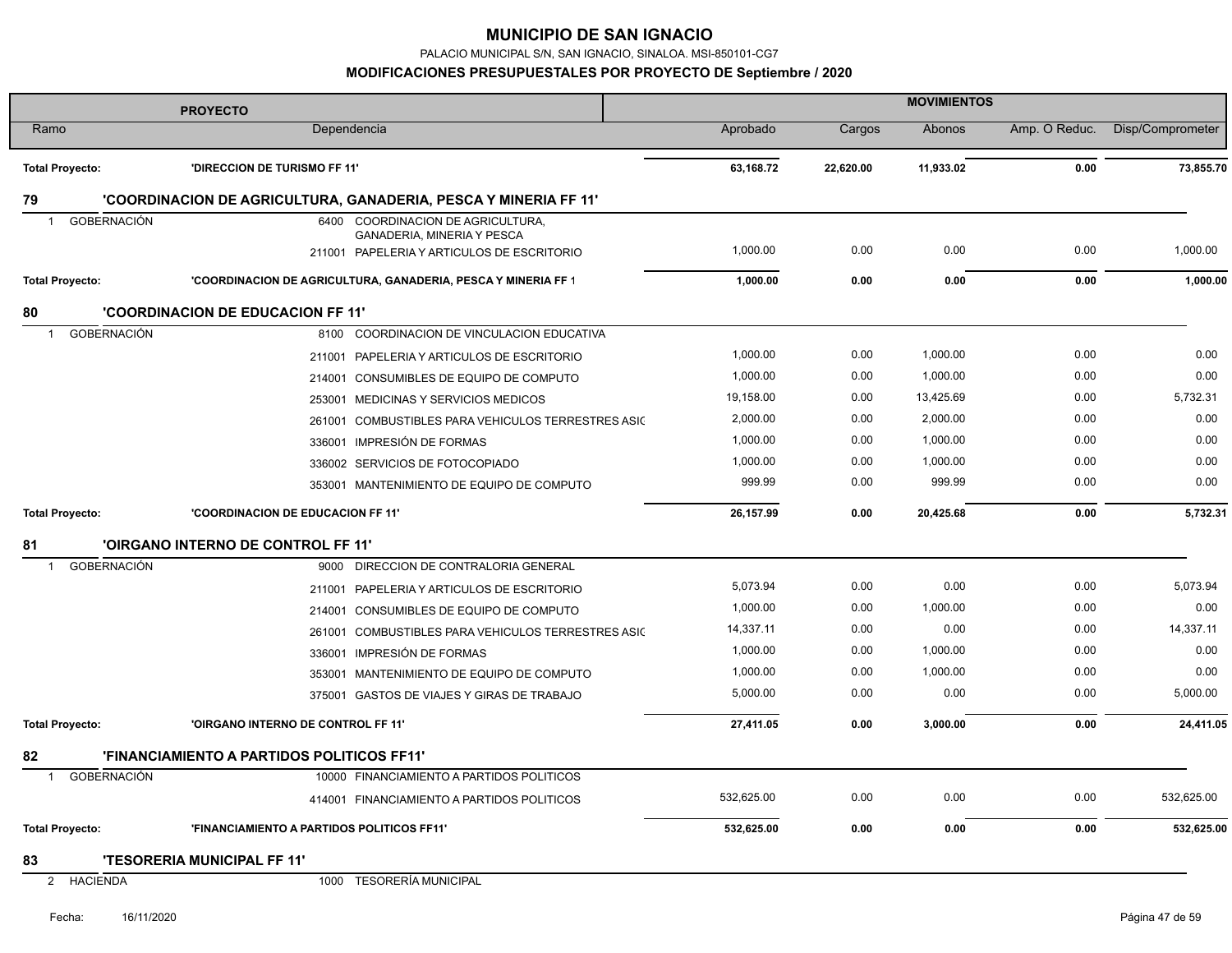PALACIO MUNICIPAL S/N, SAN IGNACIO, SINALOA. MSI-850101-CG7

#### **MODIFICACIONES PRESUPUESTALES POR PROYECTO DE Septiembre / 2020**

|                                      | <b>PROYECTO</b>                                                          | <b>MOVIMIENTOS</b> |           |           |               |                  |
|--------------------------------------|--------------------------------------------------------------------------|--------------------|-----------|-----------|---------------|------------------|
| Ramo                                 | Dependencia                                                              | Aprobado           | Cargos    | Abonos    | Amp. O Reduc. | Disp/Comprometer |
| <b>Total Proyecto:</b>               | 'DIRECCION DE TURISMO FF 11'                                             | 63,168.72          | 22,620.00 | 11,933.02 | 0.00          | 73,855.70        |
| 79                                   | 'COORDINACION DE AGRICULTURA, GANADERIA, PESCA Y MINERIA FF 11'          |                    |           |           |               |                  |
| <b>GOBERNACIÓN</b><br>$\overline{1}$ | 6400 COORDINACION DE AGRICULTURA,                                        |                    |           |           |               |                  |
|                                      | GANADERIA, MINERIA Y PESCA<br>211001 PAPELERIA Y ARTICULOS DE ESCRITORIO | 1,000.00           | 0.00      | 0.00      | 0.00          | 1,000.00         |
|                                      |                                                                          |                    |           |           |               |                  |
| <b>Total Proyecto:</b>               | 'COORDINACION DE AGRICULTURA, GANADERIA, PESCA Y MINERIA FF 1            | 1,000.00           | 0.00      | 0.00      | 0.00          | 1,000.00         |
| 80                                   | <b>'COORDINACION DE EDUCACION FF 11'</b>                                 |                    |           |           |               |                  |
| <b>GOBERNACIÓN</b>                   | COORDINACION DE VINCULACION EDUCATIVA<br>8100                            |                    |           |           |               |                  |
|                                      | 211001 PAPELERIA Y ARTICULOS DE ESCRITORIO                               | 1,000.00           | 0.00      | 1,000.00  | 0.00          | 0.00             |
|                                      | 214001 CONSUMIBLES DE EQUIPO DE COMPUTO                                  | 1,000.00           | 0.00      | 1,000.00  | 0.00          | 0.00             |
|                                      | 253001 MEDICINAS Y SERVICIOS MEDICOS                                     | 19,158.00          | 0.00      | 13,425.69 | 0.00          | 5,732.31         |
|                                      | 261001 COMBUSTIBLES PARA VEHICULOS TERRESTRES ASIC                       | 2,000.00           | 0.00      | 2,000.00  | 0.00          | 0.00             |
|                                      | 336001 IMPRESIÓN DE FORMAS                                               | 1,000.00           | 0.00      | 1,000.00  | 0.00          | 0.00             |
|                                      | 336002 SERVICIOS DE FOTOCOPIADO                                          | 1,000.00           | 0.00      | 1,000.00  | 0.00          | 0.00             |
|                                      | 353001 MANTENIMIENTO DE EQUIPO DE COMPUTO                                | 999.99             | 0.00      | 999.99    | 0.00          | 0.00             |
| <b>Total Proyecto:</b>               | <b>'COORDINACION DE EDUCACION FF 11'</b>                                 | 26,157.99          | 0.00      | 20,425.68 | 0.00          | 5,732.31         |
| 81                                   | 'OIRGANO INTERNO DE CONTROL FF 11'                                       |                    |           |           |               |                  |
| <b>GOBERNACIÓN</b><br>$\mathbf{1}$   | DIRECCION DE CONTRALORIA GENERAL<br>9000                                 |                    |           |           |               |                  |
|                                      | 211001 PAPELERIA Y ARTICULOS DE ESCRITORIO                               | 5,073.94           | 0.00      | 0.00      | 0.00          | 5,073.94         |
|                                      | 214001 CONSUMIBLES DE EQUIPO DE COMPUTO                                  | 1,000.00           | 0.00      | 1,000.00  | 0.00          | 0.00             |
|                                      | 261001 COMBUSTIBLES PARA VEHICULOS TERRESTRES ASIC                       | 14,337.11          | 0.00      | 0.00      | 0.00          | 14,337.11        |
|                                      | 336001 IMPRESIÓN DE FORMAS                                               | 1,000.00           | 0.00      | 1,000.00  | 0.00          | 0.00             |
|                                      | 353001 MANTENIMIENTO DE EQUIPO DE COMPUTO                                | 1,000.00           | 0.00      | 1,000.00  | 0.00          | 0.00             |
|                                      | 375001 GASTOS DE VIAJES Y GIRAS DE TRABAJO                               | 5,000.00           | 0.00      | 0.00      | 0.00          | 5,000.00         |
| <b>Total Proyecto:</b>               | 'OIRGANO INTERNO DE CONTROL FF 11'                                       | 27,411.05          | 0.00      | 3,000.00  | 0.00          | 24,411.05        |
| 82                                   | 'FINANCIAMIENTO A PARTIDOS POLITICOS FF11'                               |                    |           |           |               |                  |
| <b>GOBERNACIÓN</b><br>$\overline{1}$ | 10000 FINANCIAMIENTO A PARTIDOS POLITICOS                                |                    |           |           |               |                  |
|                                      | 414001 FINANCIAMIENTO A PARTIDOS POLITICOS                               | 532,625.00         | 0.00      | 0.00      | 0.00          | 532,625.00       |
| <b>Total Provecto:</b>               | 'FINANCIAMIENTO A PARTIDOS POLITICOS FF11'                               | 532,625.00         | 0.00      | 0.00      | 0.00          | 532,625.00       |
| 83                                   | <b>'TESORERIA MUNICIPAL FF 11'</b>                                       |                    |           |           |               |                  |
| $\overline{2}$<br><b>HACIENDA</b>    | 1000 TESORERÍA MUNICIPAL                                                 |                    |           |           |               |                  |

t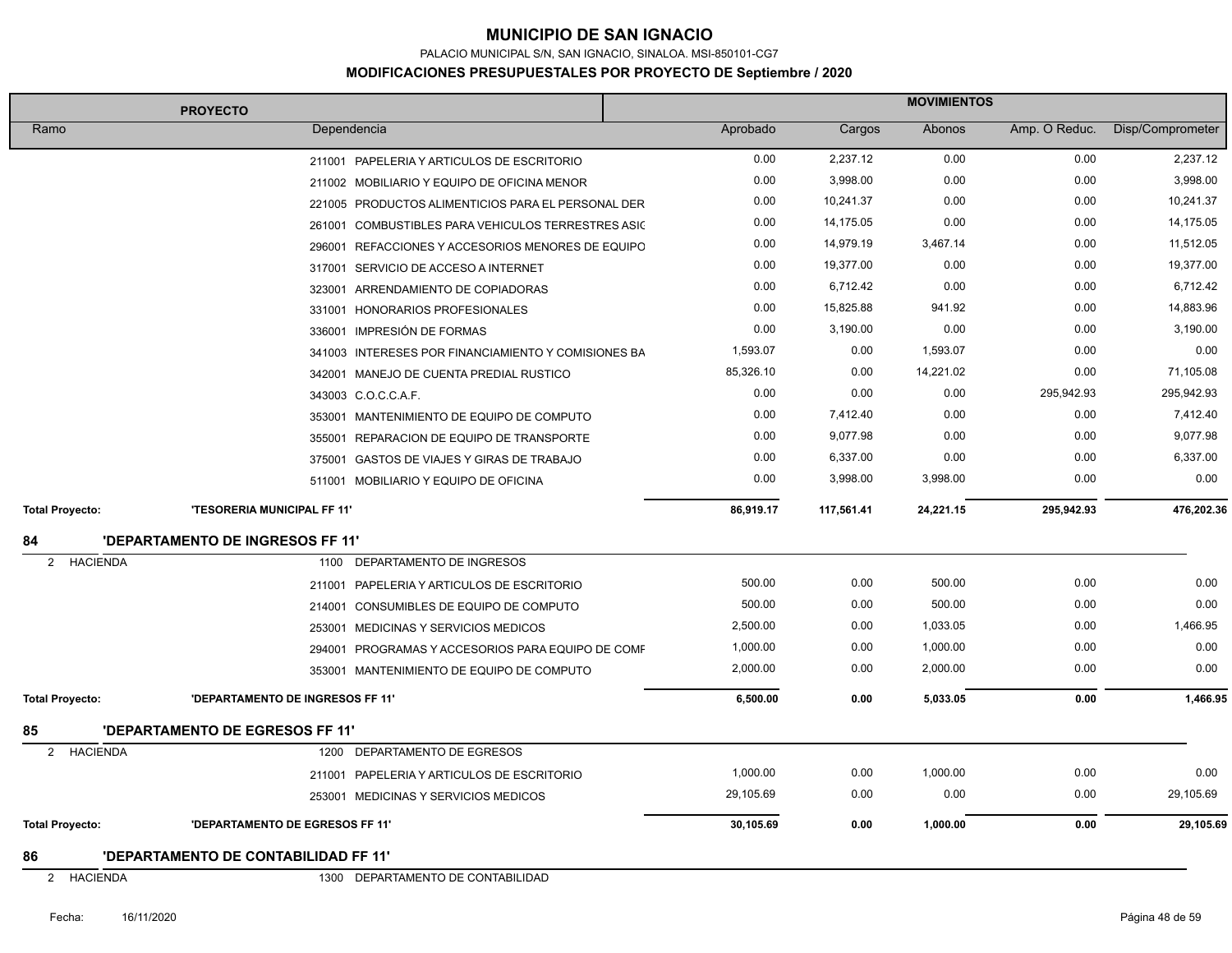PALACIO MUNICIPAL S/N, SAN IGNACIO, SINALOA. MSI-850101-CG7

|                        | <b>PROYECTO</b>                                      | <b>MOVIMIENTOS</b> |            |           |               |                  |
|------------------------|------------------------------------------------------|--------------------|------------|-----------|---------------|------------------|
| Ramo                   | Dependencia                                          | Aprobado           | Cargos     | Abonos    | Amp. O Reduc. | Disp/Comprometer |
|                        | 211001 PAPELERIA Y ARTICULOS DE ESCRITORIO           | 0.00               | 2,237.12   | 0.00      | 0.00          | 2,237.12         |
|                        | 211002 MOBILIARIO Y EQUIPO DE OFICINA MENOR          | 0.00               | 3,998.00   | 0.00      | 0.00          | 3,998.00         |
|                        | 221005 PRODUCTOS ALIMENTICIOS PARA EL PERSONAL DER   | 0.00               | 10,241.37  | 0.00      | 0.00          | 10,241.37        |
|                        | 261001 COMBUSTIBLES PARA VEHICULOS TERRESTRES ASIC   | 0.00               | 14,175.05  | 0.00      | 0.00          | 14,175.05        |
|                        | REFACCIONES Y ACCESORIOS MENORES DE EQUIPO<br>296001 | 0.00               | 14,979.19  | 3,467.14  | 0.00          | 11,512.05        |
|                        | 317001 SERVICIO DE ACCESO A INTERNET                 | 0.00               | 19,377.00  | 0.00      | 0.00          | 19,377.00        |
|                        | 323001 ARRENDAMIENTO DE COPIADORAS                   | 0.00               | 6,712.42   | 0.00      | 0.00          | 6,712.42         |
|                        | 331001 HONORARIOS PROFESIONALES                      | 0.00               | 15,825.88  | 941.92    | 0.00          | 14,883.96        |
|                        | 336001 IMPRESIÓN DE FORMAS                           | 0.00               | 3,190.00   | 0.00      | 0.00          | 3,190.00         |
|                        | 341003 INTERESES POR FINANCIAMIENTO Y COMISIONES BA  | 1,593.07           | 0.00       | 1,593.07  | 0.00          | 0.00             |
|                        | 342001 MANEJO DE CUENTA PREDIAL RUSTICO              | 85,326.10          | 0.00       | 14,221.02 | 0.00          | 71,105.08        |
|                        | 343003 C.O.C.C.A.F.                                  | 0.00               | 0.00       | 0.00      | 295,942.93    | 295,942.93       |
|                        | 353001 MANTENIMIENTO DE EQUIPO DE COMPUTO            | 0.00               | 7,412.40   | 0.00      | 0.00          | 7,412.40         |
|                        | 355001 REPARACION DE EQUIPO DE TRANSPORTE            | 0.00               | 9,077.98   | 0.00      | 0.00          | 9,077.98         |
|                        | 375001 GASTOS DE VIAJES Y GIRAS DE TRABAJO           | 0.00               | 6,337.00   | 0.00      | 0.00          | 6,337.00         |
|                        | 511001 MOBILIARIO Y EQUIPO DE OFICINA                | 0.00               | 3,998.00   | 3,998.00  | 0.00          | 0.00             |
| <b>Total Proyecto:</b> | <b>'TESORERIA MUNICIPAL FF 11'</b>                   | 86,919.17          | 117,561.41 | 24,221.15 | 295,942.93    | 476,202.36       |
| 84                     | 'DEPARTAMENTO DE INGRESOS FF 11'                     |                    |            |           |               |                  |
| 2<br><b>HACIENDA</b>   | DEPARTAMENTO DE INGRESOS<br>1100                     |                    |            |           |               |                  |
|                        | 211001 PAPELERIA Y ARTICULOS DE ESCRITORIO           | 500.00             | 0.00       | 500.00    | 0.00          | 0.00             |
|                        | 214001 CONSUMIBLES DE EQUIPO DE COMPUTO              | 500.00             | 0.00       | 500.00    | 0.00          | 0.00             |
|                        | 253001 MEDICINAS Y SERVICIOS MEDICOS                 | 2,500.00           | 0.00       | 1,033.05  | 0.00          | 1,466.95         |
|                        | 294001 PROGRAMAS Y ACCESORIOS PARA EQUIPO DE COMF    | 1,000.00           | 0.00       | 1,000.00  | 0.00          | 0.00             |
|                        | 353001 MANTENIMIENTO DE EQUIPO DE COMPUTO            | 2,000.00           | 0.00       | 2,000.00  | 0.00          | 0.00             |
| <b>Total Proyecto:</b> | 'DEPARTAMENTO DE INGRESOS FF 11'                     | 6,500.00           | 0.00       | 5,033.05  | 0.00          | 1,466.95         |
| 85                     | <b>'DEPARTAMENTO DE EGRESOS FF 11'</b>               |                    |            |           |               |                  |
| 2 HACIENDA             | 1200<br>DEPARTAMENTO DE EGRESOS                      |                    |            |           |               |                  |
|                        | 211001 PAPELERIA Y ARTICULOS DE ESCRITORIO           | 1,000.00           | 0.00       | 1,000.00  | 0.00          | 0.00             |
|                        | 253001 MEDICINAS Y SERVICIOS MEDICOS                 | 29,105.69          | 0.00       | 0.00      | 0.00          | 29,105.69        |
| <b>Total Proyecto:</b> | 'DEPARTAMENTO DE EGRESOS FF 11'                      | 30,105.69          | 0.00       | 1,000.00  | 0.00          | 29,105.69        |
| 86                     | <b>'DEPARTAMENTO DE CONTABILIDAD FF 11'</b>          |                    |            |           |               |                  |
| 2 HACIENDA             | 1300 DEPARTAMENTO DE CONTABILIDAD                    |                    |            |           |               |                  |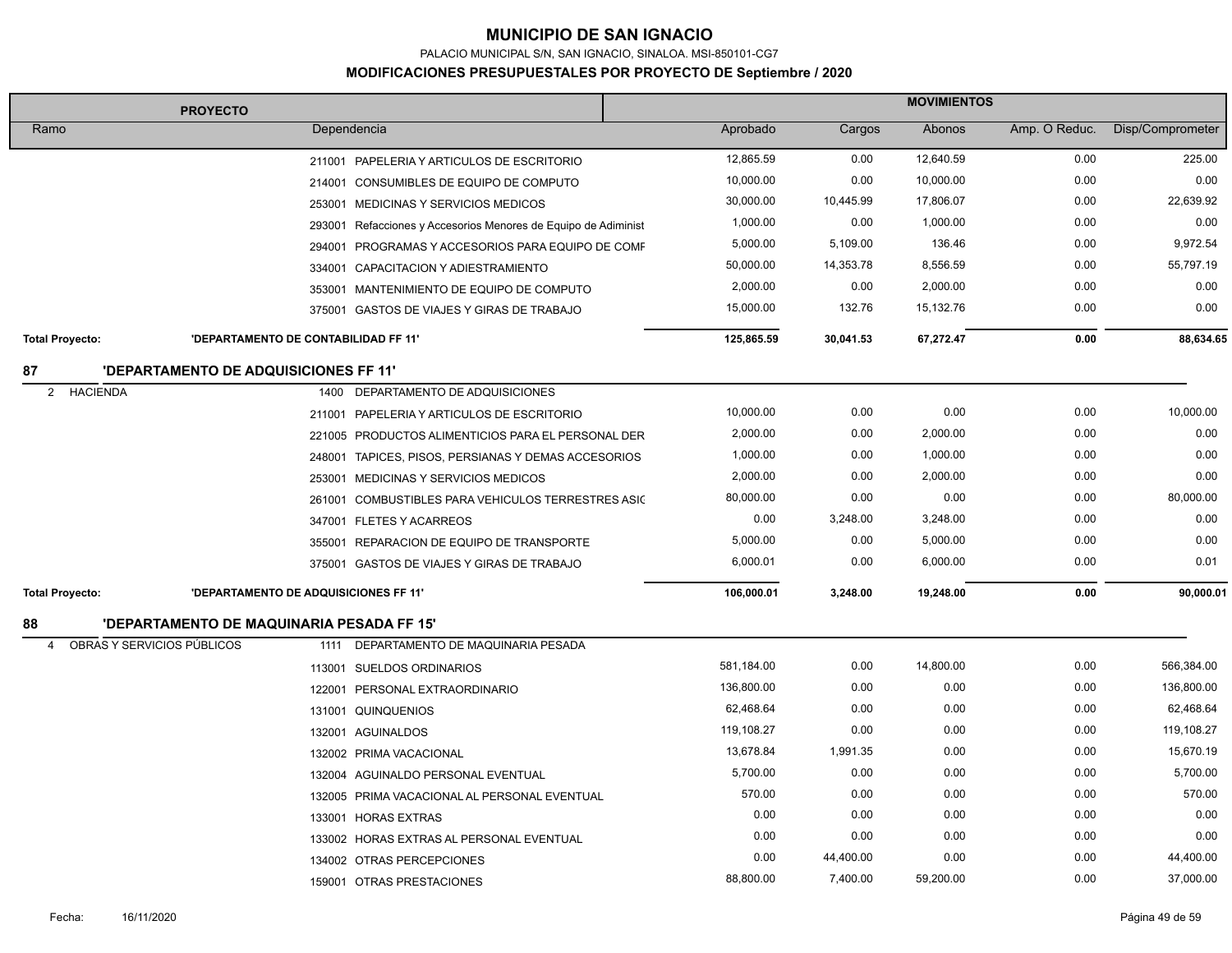PALACIO MUNICIPAL S/N, SAN IGNACIO, SINALOA. MSI-850101-CG7

|                                 | <b>PROYECTO</b>                              |                                                                |            | <b>MOVIMIENTOS</b> |           |               |                  |  |
|---------------------------------|----------------------------------------------|----------------------------------------------------------------|------------|--------------------|-----------|---------------|------------------|--|
| Ramo                            |                                              | Dependencia                                                    | Aprobado   | Cargos             | Abonos    | Amp. O Reduc. | Disp/Comprometer |  |
|                                 |                                              | 211001 PAPELERIA Y ARTICULOS DE ESCRITORIO                     | 12,865.59  | 0.00               | 12,640.59 | 0.00          | 225.00           |  |
|                                 |                                              | 214001 CONSUMIBLES DE EQUIPO DE COMPUTO                        | 10,000.00  | 0.00               | 10,000.00 | 0.00          | 0.00             |  |
|                                 |                                              | 253001 MEDICINAS Y SERVICIOS MEDICOS                           | 30,000.00  | 10,445.99          | 17,806.07 | 0.00          | 22,639.92        |  |
|                                 |                                              | 293001 Refacciones y Accesorios Menores de Equipo de Adiminist | 1,000.00   | 0.00               | 1,000.00  | 0.00          | 0.00             |  |
|                                 |                                              | 294001 PROGRAMAS Y ACCESORIOS PARA EQUIPO DE COMF              | 5,000.00   | 5,109.00           | 136.46    | 0.00          | 9,972.54         |  |
|                                 |                                              | 334001 CAPACITACION Y ADIESTRAMIENTO                           | 50,000.00  | 14,353.78          | 8,556.59  | 0.00          | 55,797.19        |  |
|                                 |                                              | 353001 MANTENIMIENTO DE EQUIPO DE COMPUTO                      | 2,000.00   | 0.00               | 2,000.00  | 0.00          | 0.00             |  |
|                                 |                                              | 375001 GASTOS DE VIAJES Y GIRAS DE TRABAJO                     | 15,000.00  | 132.76             | 15,132.76 | 0.00          | 0.00             |  |
| <b>Total Proyecto:</b>          | 'DEPARTAMENTO DE CONTABILIDAD FF 11'         |                                                                | 125,865.59 | 30,041.53          | 67,272.47 | 0.00          | 88,634.65        |  |
| 87                              | <b>'DEPARTAMENTO DE ADQUISICIONES FF 11'</b> |                                                                |            |                    |           |               |                  |  |
| 2<br><b>HACIENDA</b>            |                                              | 1400 DEPARTAMENTO DE ADQUISICIONES                             |            |                    |           |               |                  |  |
|                                 |                                              | 211001 PAPELERIA Y ARTICULOS DE ESCRITORIO                     | 10,000.00  | 0.00               | 0.00      | 0.00          | 10,000.00        |  |
|                                 |                                              | 221005 PRODUCTOS ALIMENTICIOS PARA EL PERSONAL DER             | 2,000.00   | 0.00               | 2,000.00  | 0.00          | 0.00             |  |
|                                 |                                              | 248001 TAPICES, PISOS, PERSIANAS Y DEMAS ACCESORIOS            | 1,000.00   | 0.00               | 1,000.00  | 0.00          | 0.00             |  |
|                                 |                                              | 253001 MEDICINAS Y SERVICIOS MEDICOS                           | 2,000.00   | 0.00               | 2,000.00  | 0.00          | 0.00             |  |
|                                 |                                              | 261001 COMBUSTIBLES PARA VEHICULOS TERRESTRES ASIC             | 80,000.00  | 0.00               | 0.00      | 0.00          | 80,000.00        |  |
|                                 |                                              | 347001 FLETES Y ACARREOS                                       | 0.00       | 3,248.00           | 3,248.00  | 0.00          | 0.00             |  |
|                                 |                                              | 355001 REPARACION DE EQUIPO DE TRANSPORTE                      | 5,000.00   | 0.00               | 5,000.00  | 0.00          | 0.00             |  |
|                                 |                                              | 375001 GASTOS DE VIAJES Y GIRAS DE TRABAJO                     | 6,000.01   | 0.00               | 6,000.00  | 0.00          | 0.01             |  |
| <b>Total Proyecto:</b>          | 'DEPARTAMENTO DE ADQUISICIONES FF 11'        |                                                                | 106,000.01 | 3,248.00           | 19,248.00 | 0.00          | 90,000.01        |  |
| 88                              | 'DEPARTAMENTO DE MAQUINARIA PESADA FF 15'    |                                                                |            |                    |           |               |                  |  |
| OBRAS Y SERVICIOS PÚBLICOS<br>4 |                                              | 1111 DEPARTAMENTO DE MAQUINARIA PESADA                         |            |                    |           |               |                  |  |
|                                 |                                              | 113001 SUELDOS ORDINARIOS                                      | 581,184.00 | 0.00               | 14,800.00 | 0.00          | 566,384.00       |  |
|                                 |                                              | 122001 PERSONAL EXTRAORDINARIO                                 | 136,800.00 | 0.00               | 0.00      | 0.00          | 136,800.00       |  |
|                                 |                                              | 131001 QUINQUENIOS                                             | 62,468.64  | 0.00               | 0.00      | 0.00          | 62,468.64        |  |
|                                 |                                              | 132001 AGUINALDOS                                              | 119,108.27 | 0.00               | 0.00      | 0.00          | 119,108.27       |  |
|                                 |                                              | 132002 PRIMA VACACIONAL                                        | 13,678.84  | 1,991.35           | 0.00      | 0.00          | 15,670.19        |  |
|                                 |                                              | 132004 AGUINALDO PERSONAL EVENTUAL                             | 5,700.00   | 0.00               | 0.00      | 0.00          | 5,700.00         |  |
|                                 |                                              | 132005 PRIMA VACACIONAL AL PERSONAL EVENTUAL                   | 570.00     | 0.00               | 0.00      | 0.00          | 570.00           |  |
|                                 |                                              | 133001 HORAS EXTRAS                                            | 0.00       | 0.00               | 0.00      | 0.00          | 0.00             |  |
|                                 |                                              | 133002 HORAS EXTRAS AL PERSONAL EVENTUAL                       | 0.00       | 0.00               | 0.00      | 0.00          | 0.00             |  |
|                                 |                                              | 134002 OTRAS PERCEPCIONES                                      | 0.00       | 44,400.00          | 0.00      | 0.00          | 44,400.00        |  |
|                                 |                                              | 159001 OTRAS PRESTACIONES                                      | 88,800.00  | 7,400.00           | 59,200.00 | 0.00          | 37,000.00        |  |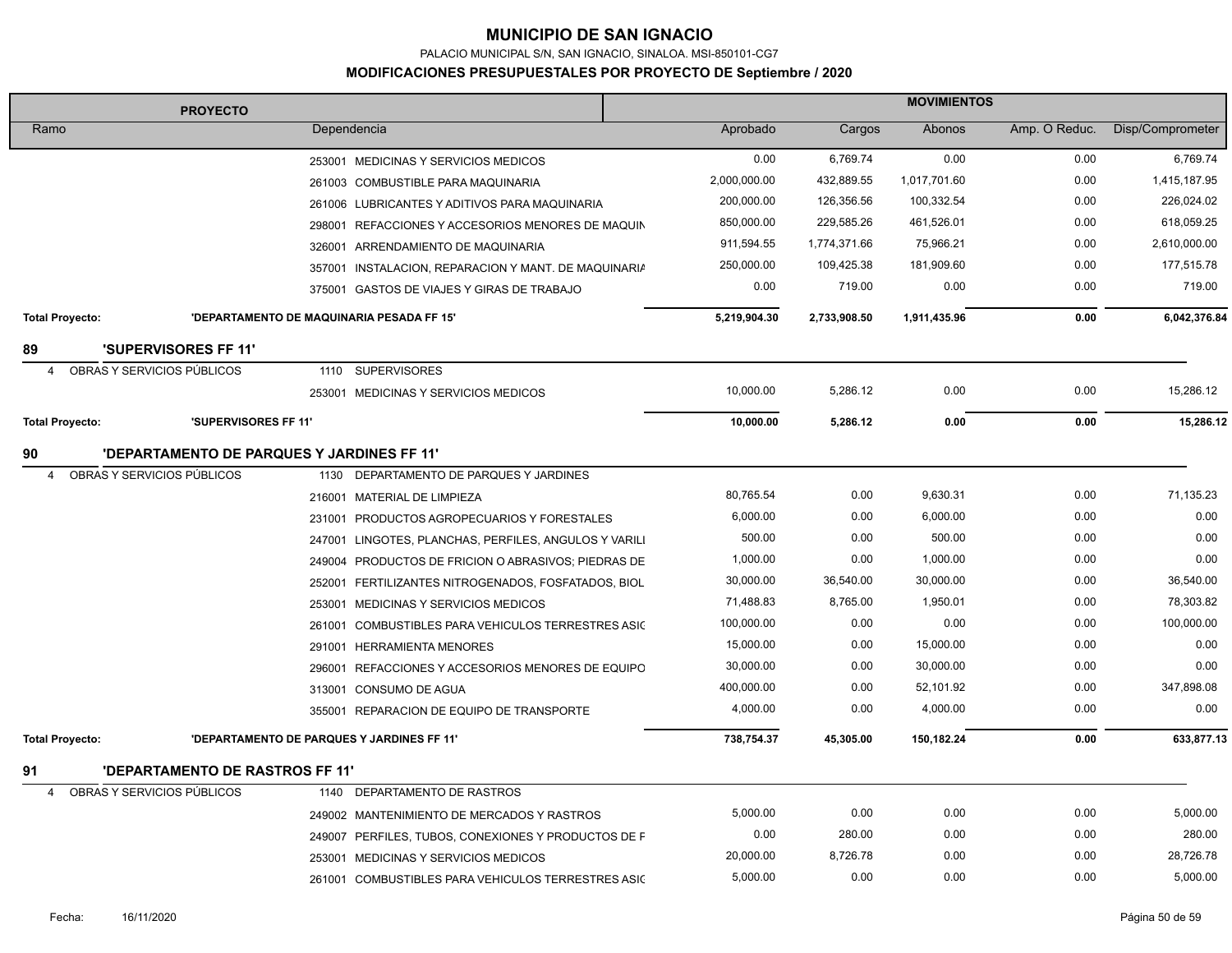PALACIO MUNICIPAL S/N, SAN IGNACIO, SINALOA. MSI-850101-CG7

| <b>PROYECTO</b>        |                                            |        | <b>MOVIMIENTOS</b>                                    |              |              |              |               |                  |
|------------------------|--------------------------------------------|--------|-------------------------------------------------------|--------------|--------------|--------------|---------------|------------------|
| Ramo                   |                                            |        | Dependencia                                           | Aprobado     | Cargos       | Abonos       | Amp. O Reduc. | Disp/Comprometer |
|                        |                                            |        | 253001 MEDICINAS Y SERVICIOS MEDICOS                  | 0.00         | 6.769.74     | 0.00         | 0.00          | 6,769.74         |
|                        |                                            |        | 261003 COMBUSTIBLE PARA MAQUINARIA                    | 2,000,000.00 | 432,889.55   | 1,017,701.60 | 0.00          | 1,415,187.95     |
|                        |                                            |        | 261006 LUBRICANTES Y ADITIVOS PARA MAQUINARIA         | 200,000.00   | 126,356.56   | 100,332.54   | 0.00          | 226,024.02       |
|                        |                                            |        | 298001 REFACCIONES Y ACCESORIOS MENORES DE MAQUIN     | 850,000.00   | 229,585.26   | 461,526.01   | 0.00          | 618,059.25       |
|                        |                                            |        | 326001 ARRENDAMIENTO DE MAQUINARIA                    | 911,594.55   | 1,774,371.66 | 75,966.21    | 0.00          | 2,610,000.00     |
|                        |                                            |        | 357001 INSTALACION, REPARACION Y MANT. DE MAQUINARIA  | 250,000.00   | 109,425.38   | 181,909.60   | 0.00          | 177,515.78       |
|                        |                                            |        | 375001 GASTOS DE VIAJES Y GIRAS DE TRABAJO            | 0.00         | 719.00       | 0.00         | 0.00          | 719.00           |
| <b>Total Proyecto:</b> |                                            |        | 'DEPARTAMENTO DE MAQUINARIA PESADA FF 15'             | 5,219,904.30 | 2,733,908.50 | 1,911,435.96 | 0.00          | 6,042,376.84     |
| 89                     | <b>'SUPERVISORES FF 11'</b>                |        |                                                       |              |              |              |               |                  |
| 4                      | OBRAS Y SERVICIOS PÚBLICOS                 |        | 1110 SUPERVISORES                                     |              |              |              |               |                  |
|                        |                                            |        | 253001 MEDICINAS Y SERVICIOS MEDICOS                  | 10,000.00    | 5,286.12     | 0.00         | 0.00          | 15,286.12        |
| <b>Total Proyecto:</b> | 'SUPERVISORES FF 11'                       |        |                                                       | 10,000.00    | 5,286.12     | 0.00         | 0.00          | 15,286.12        |
| 90                     | 'DEPARTAMENTO DE PARQUES Y JARDINES FF 11' |        |                                                       |              |              |              |               |                  |
| $\overline{4}$         | OBRAS Y SERVICIOS PÚBLICOS                 |        | 1130 DEPARTAMENTO DE PARQUES Y JARDINES               |              |              |              |               |                  |
|                        |                                            |        | 216001 MATERIAL DE LIMPIEZA                           | 80,765.54    | 0.00         | 9,630.31     | 0.00          | 71,135.23        |
|                        |                                            |        | 231001 PRODUCTOS AGROPECUARIOS Y FORESTALES           | 6,000.00     | 0.00         | 6,000.00     | 0.00          | 0.00             |
|                        |                                            |        | 247001 LINGOTES, PLANCHAS, PERFILES, ANGULOS Y VARILI | 500.00       | 0.00         | 500.00       | 0.00          | 0.00             |
|                        |                                            |        | 249004 PRODUCTOS DE FRICION O ABRASIVOS; PIEDRAS DE   | 1,000.00     | 0.00         | 1,000.00     | 0.00          | 0.00             |
|                        |                                            |        | 252001 FERTILIZANTES NITROGENADOS, FOSFATADOS, BIOL   | 30,000.00    | 36,540.00    | 30,000.00    | 0.00          | 36,540.00        |
|                        |                                            |        | 253001 MEDICINAS Y SERVICIOS MEDICOS                  | 71,488.83    | 8,765.00     | 1,950.01     | 0.00          | 78,303.82        |
|                        |                                            |        | 261001 COMBUSTIBLES PARA VEHICULOS TERRESTRES ASIC    | 100,000.00   | 0.00         | 0.00         | 0.00          | 100,000.00       |
|                        |                                            |        | 291001 HERRAMIENTA MENORES                            | 15,000.00    | 0.00         | 15,000.00    | 0.00          | 0.00             |
|                        |                                            | 296001 | REFACCIONES Y ACCESORIOS MENORES DE EQUIPO            | 30,000.00    | 0.00         | 30,000.00    | 0.00          | 0.00             |
|                        |                                            |        | 313001 CONSUMO DE AGUA                                | 400,000.00   | 0.00         | 52,101.92    | 0.00          | 347,898.08       |
|                        |                                            |        | 355001 REPARACION DE EQUIPO DE TRANSPORTE             | 4,000.00     | 0.00         | 4,000.00     | 0.00          | 0.00             |
| <b>Total Proyecto:</b> |                                            |        | 'DEPARTAMENTO DE PARQUES Y JARDINES FF 11'            | 738,754.37   | 45,305.00    | 150,182.24   | 0.00          | 633,877.13       |
| 91                     | <b>'DEPARTAMENTO DE RASTROS FF 11'</b>     |        |                                                       |              |              |              |               |                  |
| $\overline{4}$         | OBRAS Y SERVICIOS PÚBLICOS                 |        | 1140 DEPARTAMENTO DE RASTROS                          |              |              |              |               |                  |
|                        |                                            |        | 249002 MANTENIMIENTO DE MERCADOS Y RASTROS            | 5,000.00     | 0.00         | 0.00         | 0.00          | 5,000.00         |
|                        |                                            |        | 249007 PERFILES, TUBOS, CONEXIONES Y PRODUCTOS DE F   | 0.00         | 280.00       | 0.00         | 0.00          | 280.00           |
|                        |                                            |        | 253001 MEDICINAS Y SERVICIOS MEDICOS                  | 20,000.00    | 8,726.78     | 0.00         | 0.00          | 28,726.78        |
|                        |                                            |        | 261001 COMBUSTIBLES PARA VEHICULOS TERRESTRES ASIC    | 5,000.00     | 0.00         | 0.00         | 0.00          | 5,000.00         |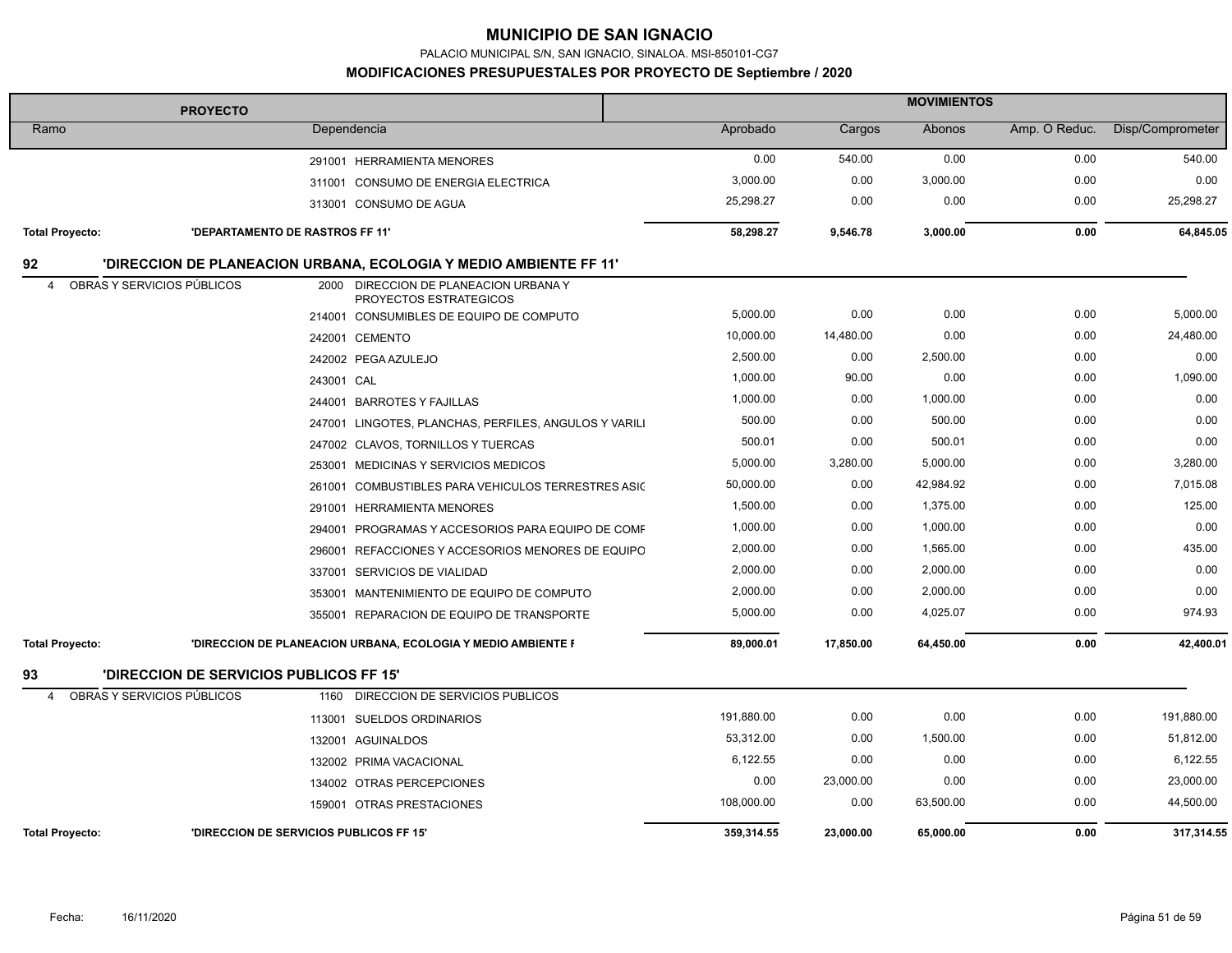PALACIO MUNICIPAL S/N, SAN IGNACIO, SINALOA. MSI-850101-CG7

| <b>PROYECTO</b>        |                                                |                                                                   | <b>MOVIMIENTOS</b> |           |           |               |                  |  |  |
|------------------------|------------------------------------------------|-------------------------------------------------------------------|--------------------|-----------|-----------|---------------|------------------|--|--|
| Ramo                   |                                                | Dependencia                                                       | Aprobado           | Cargos    | Abonos    | Amp. O Reduc. | Disp/Comprometer |  |  |
|                        |                                                | 291001 HERRAMIENTA MENORES                                        | 0.00               | 540.00    | 0.00      | 0.00          | 540.00           |  |  |
|                        |                                                | 311001 CONSUMO DE ENERGIA ELECTRICA                               | 3,000.00           | 0.00      | 3,000.00  | 0.00          | 0.00             |  |  |
|                        |                                                | 313001 CONSUMO DE AGUA                                            | 25,298.27          | 0.00      | 0.00      | 0.00          | 25,298.27        |  |  |
| <b>Total Proyecto:</b> | <b>'DEPARTAMENTO DE RASTROS FF 11'</b>         |                                                                   | 58,298.27          | 9,546.78  | 3,000.00  | 0.00          | 64,845.05        |  |  |
| 92                     |                                                | 'DIRECCION DE PLANEACION URBANA, ECOLOGIA Y MEDIO AMBIENTE FF 11' |                    |           |           |               |                  |  |  |
| $\overline{4}$         | OBRAS Y SERVICIOS PÚBLICOS                     | 2000 DIRECCION DE PLANEACION URBANA Y<br>PROYECTOS ESTRATEGICOS   |                    |           |           |               |                  |  |  |
|                        |                                                | 214001 CONSUMIBLES DE EQUIPO DE COMPUTO                           | 5,000.00           | 0.00      | 0.00      | 0.00          | 5,000.00         |  |  |
|                        |                                                | 242001 CEMENTO                                                    | 10,000.00          | 14,480.00 | 0.00      | 0.00          | 24,480.00        |  |  |
|                        |                                                | 242002 PEGA AZULEJO                                               | 2,500.00           | 0.00      | 2,500.00  | 0.00          | 0.00             |  |  |
|                        |                                                | 243001 CAL                                                        | 1,000.00           | 90.00     | 0.00      | 0.00          | 1,090.00         |  |  |
|                        |                                                | 244001 BARROTES Y FAJILLAS                                        | 1,000.00           | 0.00      | 1,000.00  | 0.00          | 0.00             |  |  |
|                        |                                                | 247001 LINGOTES, PLANCHAS, PERFILES, ANGULOS Y VARILI             | 500.00             | 0.00      | 500.00    | 0.00          | 0.00             |  |  |
|                        |                                                | 247002 CLAVOS, TORNILLOS Y TUERCAS                                | 500.01             | 0.00      | 500.01    | 0.00          | 0.00             |  |  |
|                        |                                                | 253001 MEDICINAS Y SERVICIOS MEDICOS                              | 5,000.00           | 3,280.00  | 5,000.00  | 0.00          | 3,280.00         |  |  |
|                        |                                                | 261001 COMBUSTIBLES PARA VEHICULOS TERRESTRES ASIC                | 50,000.00          | 0.00      | 42,984.92 | 0.00          | 7,015.08         |  |  |
|                        |                                                | 291001 HERRAMIENTA MENORES                                        | 1,500.00           | 0.00      | 1,375.00  | 0.00          | 125.00           |  |  |
|                        |                                                | 294001 PROGRAMAS Y ACCESORIOS PARA EQUIPO DE COMF                 | 1,000.00           | 0.00      | 1,000.00  | 0.00          | 0.00             |  |  |
|                        |                                                | 296001 REFACCIONES Y ACCESORIOS MENORES DE EQUIPO                 | 2,000.00           | 0.00      | 1,565.00  | 0.00          | 435.00           |  |  |
|                        |                                                | 337001 SERVICIOS DE VIALIDAD                                      | 2,000.00           | 0.00      | 2,000.00  | 0.00          | 0.00             |  |  |
|                        |                                                | 353001 MANTENIMIENTO DE EQUIPO DE COMPUTO                         | 2,000.00           | 0.00      | 2,000.00  | 0.00          | 0.00             |  |  |
|                        |                                                | 355001 REPARACION DE EQUIPO DE TRANSPORTE                         | 5,000.00           | 0.00      | 4,025.07  | 0.00          | 974.93           |  |  |
| <b>Total Proyecto:</b> |                                                | 'DIRECCION DE PLANEACION URBANA, ECOLOGIA Y MEDIO AMBIENTE F      | 89,000.01          | 17,850.00 | 64,450.00 | 0.00          | 42,400.01        |  |  |
| 93                     | <b>'DIRECCION DE SERVICIOS PUBLICOS FF 15'</b> |                                                                   |                    |           |           |               |                  |  |  |
| 4                      | OBRAS Y SERVICIOS PÚBLICOS                     | 1160 DIRECCION DE SERVICIOS PUBLICOS                              |                    |           |           |               |                  |  |  |
|                        |                                                | 113001 SUELDOS ORDINARIOS                                         | 191,880.00         | 0.00      | 0.00      | 0.00          | 191,880.00       |  |  |
|                        |                                                | 132001 AGUINALDOS                                                 | 53,312.00          | 0.00      | 1,500.00  | 0.00          | 51,812.00        |  |  |
|                        |                                                | 132002 PRIMA VACACIONAL                                           | 6,122.55           | 0.00      | 0.00      | 0.00          | 6,122.55         |  |  |
|                        |                                                | 134002 OTRAS PERCEPCIONES                                         | 0.00               | 23,000.00 | 0.00      | 0.00          | 23,000.00        |  |  |
|                        |                                                | 159001 OTRAS PRESTACIONES                                         | 108,000.00         | 0.00      | 63,500.00 | 0.00          | 44,500.00        |  |  |
| <b>Total Provecto:</b> |                                                | <b>'DIRECCION DE SERVICIOS PUBLICOS FF 15'</b>                    | 359.314.55         | 23.000.00 | 65,000.00 | 0.00          | 317,314.55       |  |  |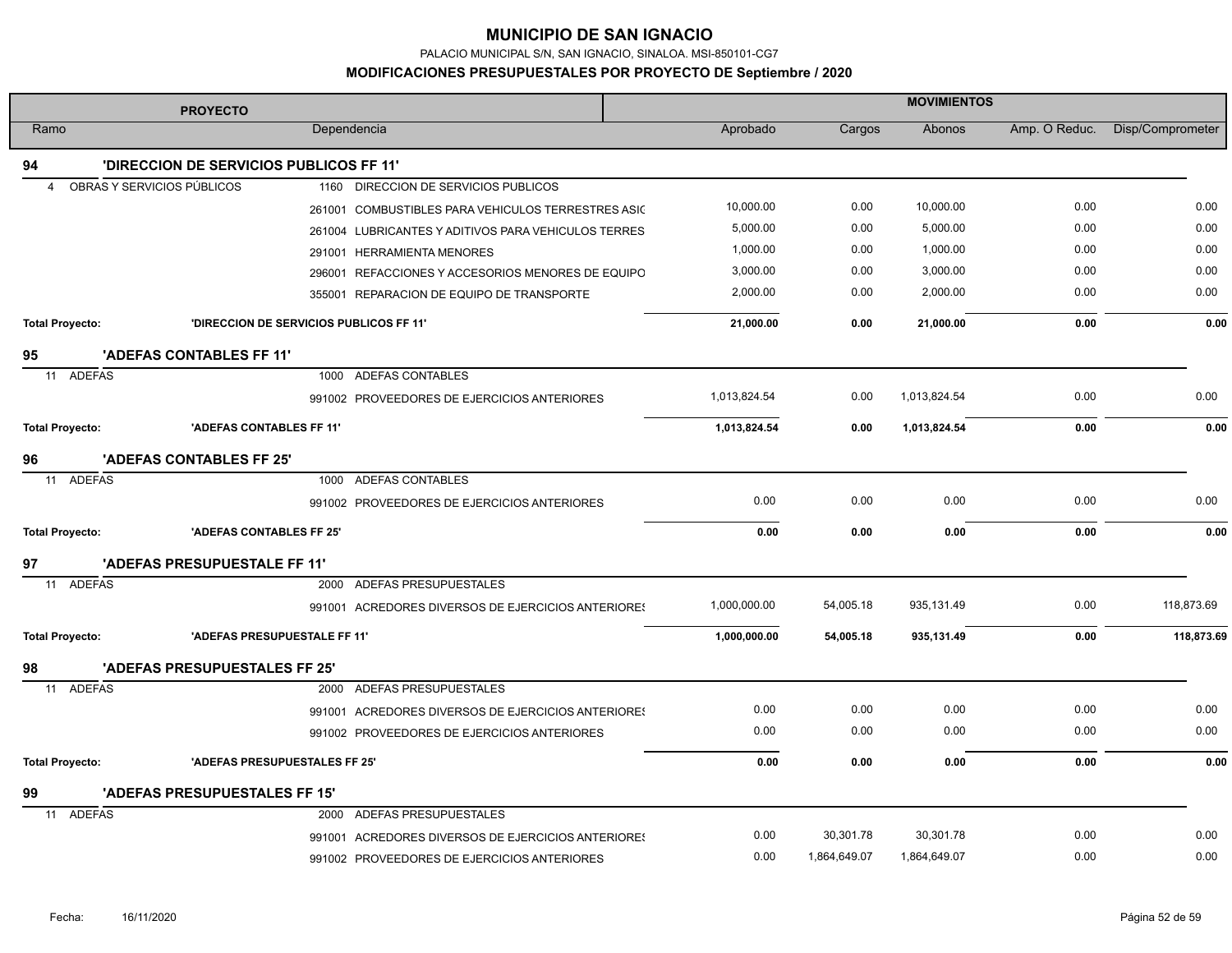PALACIO MUNICIPAL S/N, SAN IGNACIO, SINALOA. MSI-850101-CG7

|                        | <b>PROYECTO</b>                                                    | <b>MOVIMIENTOS</b> |              |              |               |                  |  |
|------------------------|--------------------------------------------------------------------|--------------------|--------------|--------------|---------------|------------------|--|
| Ramo                   | Dependencia                                                        | Aprobado           | Cargos       | Abonos       | Amp. O Reduc. | Disp/Comprometer |  |
| 94                     | <b>'DIRECCION DE SERVICIOS PUBLICOS FF 11'</b>                     |                    |              |              |               |                  |  |
| 4                      | OBRAS Y SERVICIOS PÚBLICOS<br>1160 DIRECCION DE SERVICIOS PUBLICOS |                    |              |              |               |                  |  |
|                        | 261001 COMBUSTIBLES PARA VEHICULOS TERRESTRES ASIC                 | 10.000.00          | 0.00         | 10,000.00    | 0.00          | 0.00             |  |
|                        | 261004 LUBRICANTES Y ADITIVOS PARA VEHICULOS TERRES                | 5,000.00           | 0.00         | 5,000.00     | 0.00          | 0.00             |  |
|                        | 291001 HERRAMIENTA MENORES                                         | 1,000.00           | 0.00         | 1,000.00     | 0.00          | 0.00             |  |
|                        | 296001 REFACCIONES Y ACCESORIOS MENORES DE EQUIPO                  | 3,000.00           | 0.00         | 3,000.00     | 0.00          | 0.00             |  |
|                        | 355001 REPARACION DE EQUIPO DE TRANSPORTE                          | 2,000.00           | 0.00         | 2,000.00     | 0.00          | 0.00             |  |
| <b>Total Proyecto:</b> | 'DIRECCION DE SERVICIOS PUBLICOS FF 11'                            | 21,000.00          | 0.00         | 21,000.00    | 0.00          | 0.00             |  |
| 95                     | 'ADEFAS CONTABLES FF 11'                                           |                    |              |              |               |                  |  |
| 11 ADEFAS              | 1000 ADEFAS CONTABLES                                              |                    |              |              |               |                  |  |
|                        | 991002 PROVEEDORES DE EJERCICIOS ANTERIORES                        | 1,013,824.54       | 0.00         | 1,013,824.54 | 0.00          | 0.00             |  |
| <b>Total Proyecto:</b> | 'ADEFAS CONTABLES FF 11'                                           | 1,013,824.54       | 0.00         | 1,013,824.54 | 0.00          | 0.00             |  |
| 96                     | 'ADEFAS CONTABLES FF 25'                                           |                    |              |              |               |                  |  |
| 11 ADEFAS              | 1000 ADEFAS CONTABLES                                              |                    |              |              |               |                  |  |
|                        | 991002 PROVEEDORES DE EJERCICIOS ANTERIORES                        | 0.00               | 0.00         | 0.00         | 0.00          | 0.00             |  |
| <b>Total Proyecto:</b> | 'ADEFAS CONTABLES FF 25'                                           | 0.00               | 0.00         | 0.00         | 0.00          | 0.00             |  |
| 97                     | 'ADEFAS PRESUPUESTALE FF 11'                                       |                    |              |              |               |                  |  |
| 11 ADEFAS              | ADEFAS PRESUPUESTALES<br>2000                                      |                    |              |              |               |                  |  |
|                        | 991001 ACREDORES DIVERSOS DE EJERCICIOS ANTERIORES                 | 1,000,000.00       | 54,005.18    | 935,131.49   | 0.00          | 118,873.69       |  |
| <b>Total Proyecto:</b> | 'ADEFAS PRESUPUESTALE FF 11'                                       | 1,000,000.00       | 54,005.18    | 935,131.49   | 0.00          | 118,873.69       |  |
| 98                     | 'ADEFAS PRESUPUESTALES FF 25'                                      |                    |              |              |               |                  |  |
| 11 ADEFAS              | 2000 ADEFAS PRESUPUESTALES                                         |                    |              |              |               |                  |  |
|                        | 991001 ACREDORES DIVERSOS DE EJERCICIOS ANTERIORES                 | 0.00               | 0.00         | 0.00         | 0.00          | 0.00             |  |
|                        | 991002 PROVEEDORES DE EJERCICIOS ANTERIORES                        | 0.00               | 0.00         | 0.00         | 0.00          | 0.00             |  |
| <b>Total Proyecto:</b> | 'ADEFAS PRESUPUESTALES FF 25'                                      | 0.00               | 0.00         | 0.00         | 0.00          | 0.00             |  |
| 99                     | 'ADEFAS PRESUPUESTALES FF 15'                                      |                    |              |              |               |                  |  |
| <b>ADEFAS</b><br>11    | 2000 ADEFAS PRESUPUESTALES                                         |                    |              |              |               |                  |  |
|                        | 991001 ACREDORES DIVERSOS DE EJERCICIOS ANTERIORES                 | 0.00               | 30,301.78    | 30,301.78    | 0.00          | 0.00             |  |
|                        | 991002 PROVEEDORES DE EJERCICIOS ANTERIORES                        | 0.00               | 1,864,649.07 | 1,864,649.07 | 0.00          | 0.00             |  |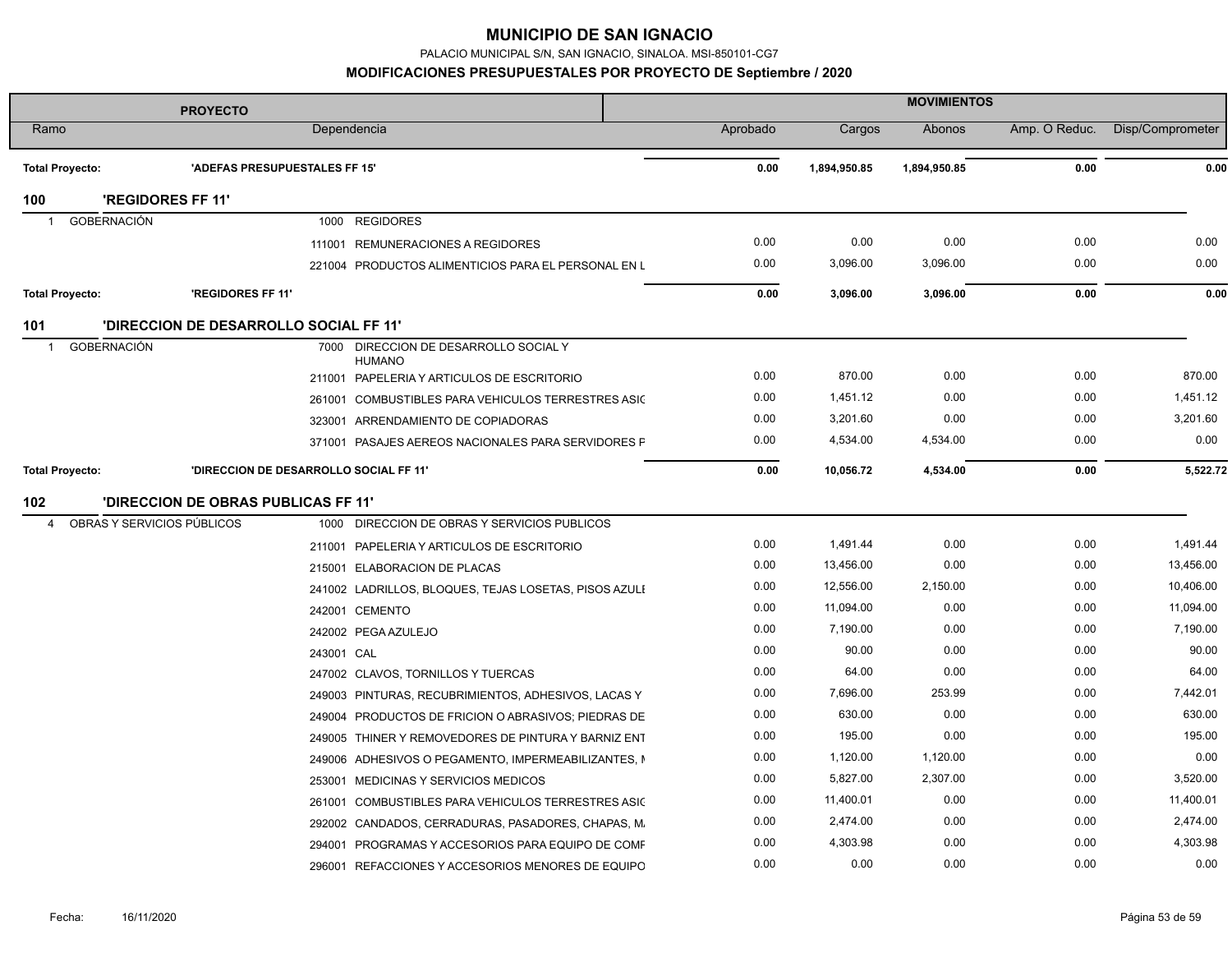PALACIO MUNICIPAL S/N, SAN IGNACIO, SINALOA. MSI-850101-CG7

**MODIFICACIONES PRESUPUESTALES POR PROYECTO DE Septiembre / 2020**

| <b>PROYECTO</b>                      |                                        |            |                                                        | <b>MOVIMIENTOS</b> |          |              |              |               |                  |
|--------------------------------------|----------------------------------------|------------|--------------------------------------------------------|--------------------|----------|--------------|--------------|---------------|------------------|
| Ramo                                 |                                        |            | Dependencia                                            |                    | Aprobado | Cargos       | Abonos       | Amp. O Reduc. | Disp/Comprometer |
| <b>Total Proyecto:</b>               | 'ADEFAS PRESUPUESTALES FF 15'          |            |                                                        |                    | 0.00     | 1,894,950.85 | 1,894,950.85 | 0.00          | 0.00             |
| 100                                  | 'REGIDORES FF 11'                      |            |                                                        |                    |          |              |              |               |                  |
| <b>GOBERNACIÓN</b><br>$\overline{1}$ |                                        |            | 1000 REGIDORES                                         |                    |          |              |              |               |                  |
|                                      |                                        | 111001     | REMUNERACIONES A REGIDORES                             |                    | 0.00     | 0.00         | 0.00         | 0.00          | 0.00             |
|                                      |                                        |            | 221004 PRODUCTOS ALIMENTICIOS PARA EL PERSONAL EN L    |                    | 0.00     | 3,096.00     | 3,096.00     | 0.00          | 0.00             |
| <b>Total Proyecto:</b>               | 'REGIDORES FF 11'                      |            |                                                        |                    | 0.00     | 3,096.00     | 3,096.00     | 0.00          | 0.00             |
| 101                                  | 'DIRECCION DE DESARROLLO SOCIAL FF 11' |            |                                                        |                    |          |              |              |               |                  |
| <b>GOBERNACIÓN</b><br>$\overline{1}$ |                                        |            | 7000 DIRECCION DE DESARROLLO SOCIAL Y<br><b>HUMANO</b> |                    |          |              |              |               |                  |
|                                      |                                        |            | 211001 PAPELERIA Y ARTICULOS DE ESCRITORIO             |                    | 0.00     | 870.00       | 0.00         | 0.00          | 870.00           |
|                                      |                                        |            | 261001 COMBUSTIBLES PARA VEHICULOS TERRESTRES ASIC     |                    | 0.00     | 1,451.12     | 0.00         | 0.00          | 1,451.12         |
|                                      |                                        |            | 323001 ARRENDAMIENTO DE COPIADORAS                     |                    | 0.00     | 3,201.60     | 0.00         | 0.00          | 3,201.60         |
|                                      |                                        |            | 371001 PASAJES AEREOS NACIONALES PARA SERVIDORES F     |                    | 0.00     | 4,534.00     | 4,534.00     | 0.00          | 0.00             |
| <b>Total Proyecto:</b>               | 'DIRECCION DE DESARROLLO SOCIAL FF 11' |            |                                                        |                    | 0.00     | 10,056.72    | 4,534.00     | 0.00          | 5,522.72         |
| 102                                  | 'DIRECCION DE OBRAS PUBLICAS FF 11'    |            |                                                        |                    |          |              |              |               |                  |
| 4                                    | OBRAS Y SERVICIOS PÚBLICOS             | 1000       | DIRECCION DE OBRAS Y SERVICIOS PUBLICOS                |                    |          |              |              |               |                  |
|                                      |                                        | 211001     | PAPELERIA Y ARTICULOS DE ESCRITORIO                    |                    | 0.00     | 1,491.44     | 0.00         | 0.00          | 1,491.44         |
|                                      |                                        |            | 215001 ELABORACION DE PLACAS                           |                    | 0.00     | 13,456.00    | 0.00         | 0.00          | 13,456.00        |
|                                      |                                        |            | 241002 LADRILLOS, BLOQUES, TEJAS LOSETAS, PISOS AZULI  |                    | 0.00     | 12,556.00    | 2,150.00     | 0.00          | 10,406.00        |
|                                      |                                        |            | 242001 CEMENTO                                         |                    | 0.00     | 11,094.00    | 0.00         | 0.00          | 11,094.00        |
|                                      |                                        |            | 242002 PEGA AZULEJO                                    |                    | 0.00     | 7,190.00     | 0.00         | 0.00          | 7,190.00         |
|                                      |                                        | 243001 CAL |                                                        |                    | 0.00     | 90.00        | 0.00         | 0.00          | 90.00            |
|                                      |                                        |            | 247002 CLAVOS, TORNILLOS Y TUERCAS                     |                    | 0.00     | 64.00        | 0.00         | 0.00          | 64.00            |
|                                      |                                        |            | 249003 PINTURAS, RECUBRIMIENTOS, ADHESIVOS, LACAS Y    |                    | 0.00     | 7,696.00     | 253.99       | 0.00          | 7,442.01         |
|                                      |                                        |            | 249004 PRODUCTOS DE FRICION O ABRASIVOS; PIEDRAS DE    |                    | 0.00     | 630.00       | 0.00         | 0.00          | 630.00           |
|                                      |                                        |            | 249005 THINER Y REMOVEDORES DE PINTURA Y BARNIZ ENT    |                    | 0.00     | 195.00       | 0.00         | 0.00          | 195.00           |
|                                      |                                        |            | 249006 ADHESIVOS O PEGAMENTO, IMPERMEABILIZANTES, IN   |                    | 0.00     | 1,120.00     | 1,120.00     | 0.00          | 0.00             |
|                                      |                                        |            | 253001 MEDICINAS Y SERVICIOS MEDICOS                   |                    | 0.00     | 5,827.00     | 2,307.00     | 0.00          | 3,520.00         |
|                                      |                                        | 261001     | COMBUSTIBLES PARA VEHICULOS TERRESTRES ASIC            |                    | 0.00     | 11,400.01    | 0.00         | 0.00          | 11,400.01        |
|                                      |                                        |            | 292002 CANDADOS, CERRADURAS, PASADORES, CHAPAS, M.     |                    | 0.00     | 2,474.00     | 0.00         | 0.00          | 2,474.00         |
|                                      |                                        |            | 294001 PROGRAMAS Y ACCESORIOS PARA EQUIPO DE COMF      |                    | 0.00     | 4,303.98     | 0.00         | 0.00          | 4,303.98         |
|                                      |                                        |            | 296001 REFACCIONES Y ACCESORIOS MENORES DE EQUIPO      |                    | 0.00     | 0.00         | 0.00         | 0.00          | 0.00             |

t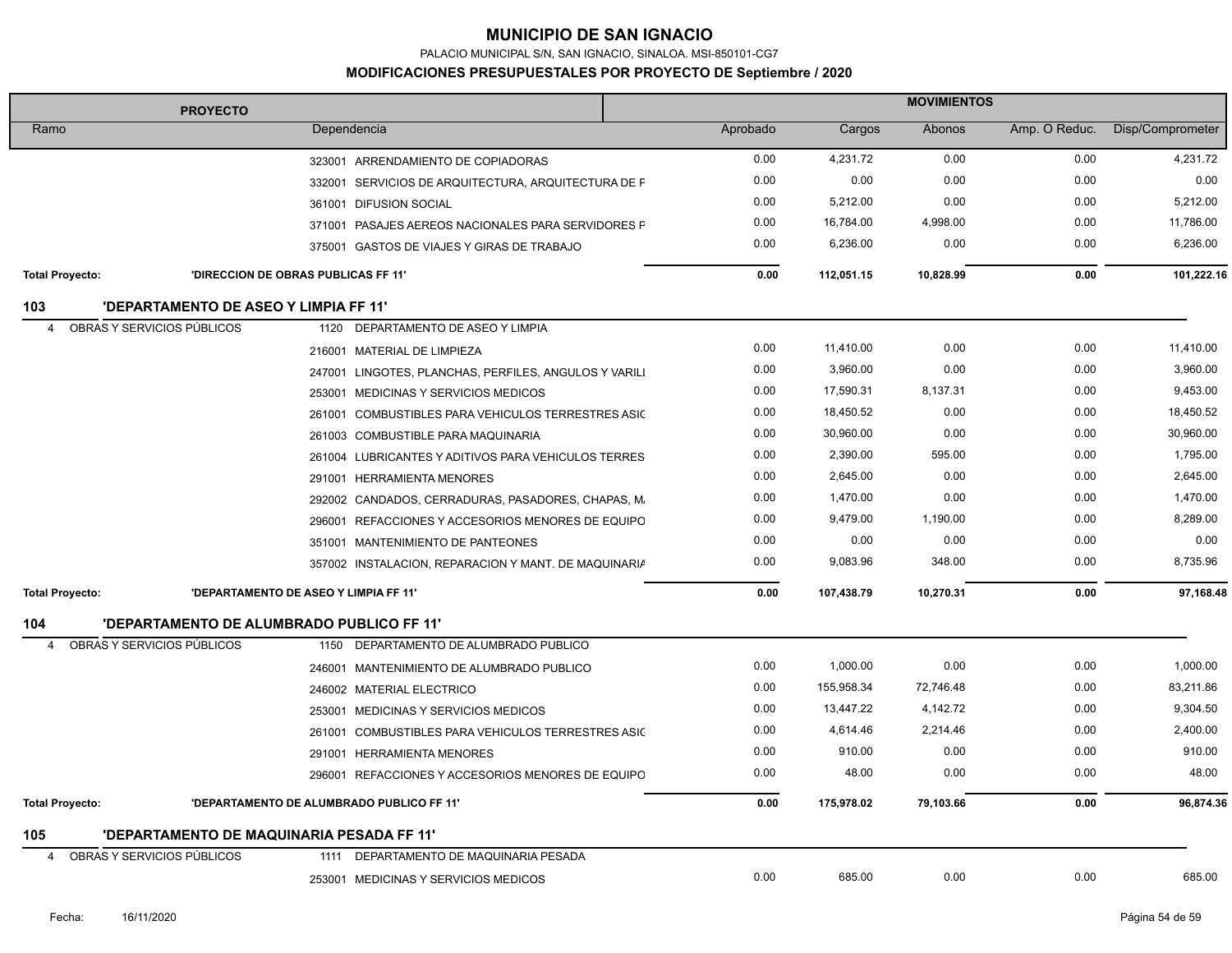PALACIO MUNICIPAL S/N, SAN IGNACIO, SINALOA. MSI-850101-CG7

| <b>PROYECTO</b>                                     | <b>MOVIMIENTOS</b>                                    |          |            |           |               |                  |
|-----------------------------------------------------|-------------------------------------------------------|----------|------------|-----------|---------------|------------------|
| Ramo                                                | Dependencia                                           | Aprobado | Cargos     | Abonos    | Amp. O Reduc. | Disp/Comprometer |
|                                                     | 323001 ARRENDAMIENTO DE COPIADORAS                    | 0.00     | 4,231.72   | 0.00      | 0.00          | 4,231.72         |
|                                                     | 332001 SERVICIOS DE ARQUITECTURA, ARQUITECTURA DE F   | 0.00     | 0.00       | 0.00      | 0.00          | 0.00             |
|                                                     | 361001 DIFUSION SOCIAL                                | 0.00     | 5,212.00   | 0.00      | 0.00          | 5,212.00         |
|                                                     | 371001 PASAJES AEREOS NACIONALES PARA SERVIDORES F    | 0.00     | 16,784.00  | 4,998.00  | 0.00          | 11,786.00        |
|                                                     | 375001 GASTOS DE VIAJES Y GIRAS DE TRABAJO            | 0.00     | 6,236.00   | 0.00      | 0.00          | 6,236.00         |
| <b>Total Proyecto:</b>                              | 'DIRECCION DE OBRAS PUBLICAS FF 11'                   | 0.00     | 112,051.15 | 10,828.99 | 0.00          | 101,222.16       |
| <b>'DEPARTAMENTO DE ASEO Y LIMPIA FF 11'</b><br>103 |                                                       |          |            |           |               |                  |
| OBRAS Y SERVICIOS PÚBLICOS<br>4                     | 1120 DEPARTAMENTO DE ASEO Y LIMPIA                    |          |            |           |               |                  |
|                                                     | 216001 MATERIAL DE LIMPIEZA                           | 0.00     | 11,410.00  | 0.00      | 0.00          | 11,410.00        |
|                                                     | 247001 LINGOTES, PLANCHAS, PERFILES, ANGULOS Y VARILI | 0.00     | 3,960.00   | 0.00      | 0.00          | 3,960.00         |
|                                                     | 253001 MEDICINAS Y SERVICIOS MEDICOS                  | 0.00     | 17,590.31  | 8,137.31  | 0.00          | 9,453.00         |
|                                                     | 261001 COMBUSTIBLES PARA VEHICULOS TERRESTRES ASIC    | 0.00     | 18,450.52  | 0.00      | 0.00          | 18,450.52        |
|                                                     | 261003 COMBUSTIBLE PARA MAQUINARIA                    | 0.00     | 30,960.00  | 0.00      | 0.00          | 30,960.00        |
|                                                     | 261004 LUBRICANTES Y ADITIVOS PARA VEHICULOS TERRES   | 0.00     | 2,390.00   | 595.00    | 0.00          | 1,795.00         |
|                                                     | 291001 HERRAMIENTA MENORES                            | 0.00     | 2,645.00   | 0.00      | 0.00          | 2,645.00         |
|                                                     | 292002 CANDADOS, CERRADURAS, PASADORES, CHAPAS, M.    | 0.00     | 1,470.00   | 0.00      | 0.00          | 1,470.00         |
|                                                     | 296001 REFACCIONES Y ACCESORIOS MENORES DE EQUIPO     | 0.00     | 9,479.00   | 1,190.00  | 0.00          | 8,289.00         |
|                                                     | 351001 MANTENIMIENTO DE PANTEONES                     | 0.00     | 0.00       | 0.00      | 0.00          | 0.00             |
|                                                     | 357002 INSTALACION, REPARACION Y MANT. DE MAQUINARIA  | 0.00     | 9,083.96   | 348.00    | 0.00          | 8,735.96         |
| <b>Total Proyecto:</b>                              | 'DEPARTAMENTO DE ASEO Y LIMPIA FF 11'                 | 0.00     | 107.438.79 | 10,270.31 | 0.00          | 97,168.48        |
| 104                                                 | 'DEPARTAMENTO DE ALUMBRADO PUBLICO FF 11'             |          |            |           |               |                  |
| OBRAS Y SERVICIOS PÚBLICOS<br>$\overline{4}$        | 1150 DEPARTAMENTO DE ALUMBRADO PUBLICO                |          |            |           |               |                  |
|                                                     | 246001 MANTENIMIENTO DE ALUMBRADO PUBLICO             | 0.00     | 1,000.00   | 0.00      | 0.00          | 1,000.00         |
|                                                     | 246002 MATERIAL ELECTRICO                             | 0.00     | 155,958.34 | 72,746.48 | 0.00          | 83,211.86        |
|                                                     | 253001 MEDICINAS Y SERVICIOS MEDICOS                  | 0.00     | 13,447.22  | 4,142.72  | 0.00          | 9,304.50         |
|                                                     | 261001 COMBUSTIBLES PARA VEHICULOS TERRESTRES ASIC    | 0.00     | 4,614.46   | 2,214.46  | 0.00          | 2,400.00         |
|                                                     | 291001 HERRAMIENTA MENORES                            | 0.00     | 910.00     | 0.00      | 0.00          | 910.00           |
|                                                     | 296001 REFACCIONES Y ACCESORIOS MENORES DE EQUIPO     | 0.00     | 48.00      | 0.00      | 0.00          | 48.00            |
| <b>Total Proyecto:</b>                              | 'DEPARTAMENTO DE ALUMBRADO PUBLICO FF 11'             | 0.00     | 175,978.02 | 79,103.66 | 0.00          | 96,874.36        |
| 105                                                 | 'DEPARTAMENTO DE MAQUINARIA PESADA FF 11'             |          |            |           |               |                  |
| OBRAS Y SERVICIOS PÚBLICOS<br>4                     | DEPARTAMENTO DE MAQUINARIA PESADA<br>1111             |          |            |           |               |                  |
|                                                     | 253001 MEDICINAS Y SERVICIOS MEDICOS                  | 0.00     | 685.00     | 0.00      | 0.00          | 685.00           |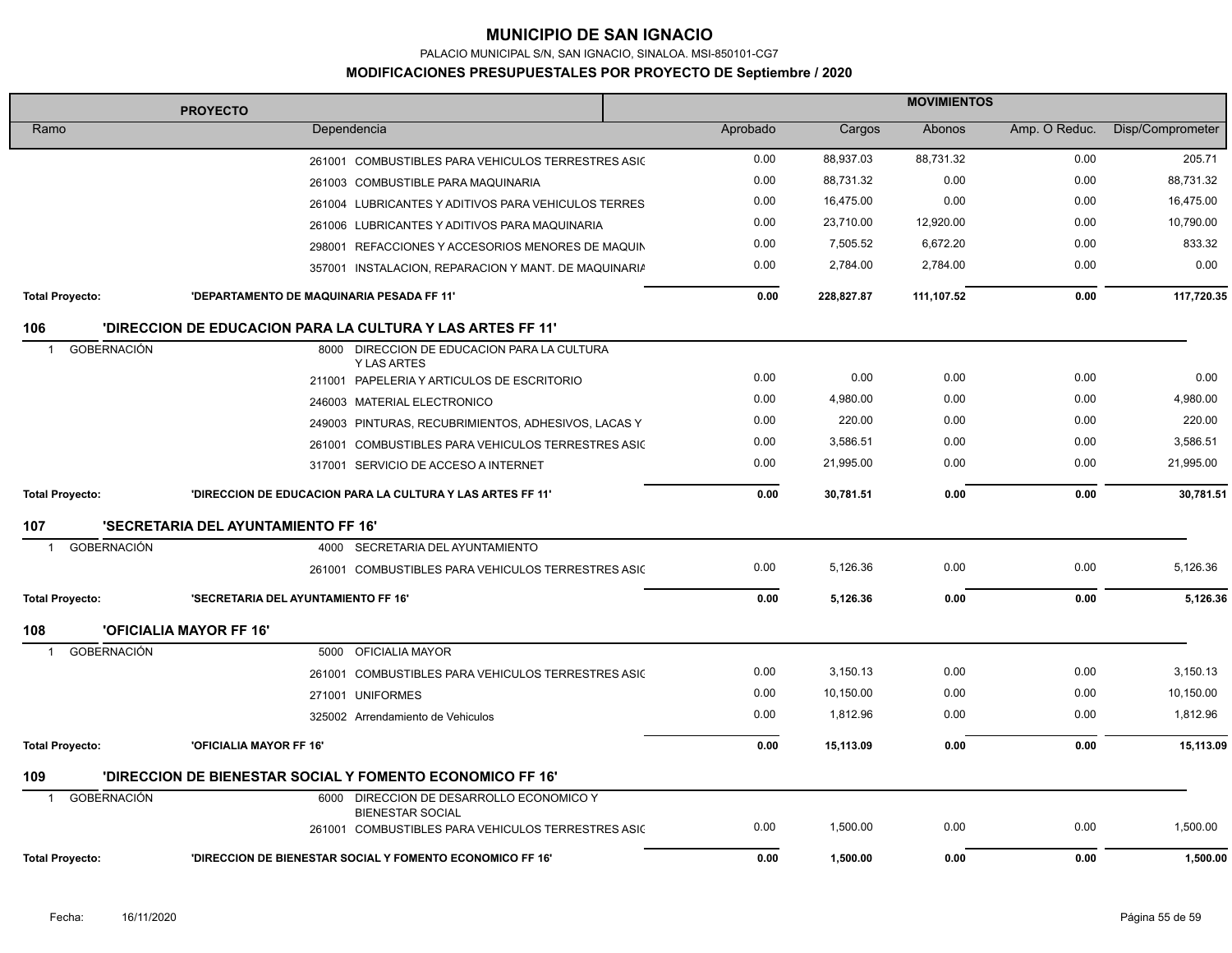PALACIO MUNICIPAL S/N, SAN IGNACIO, SINALOA. MSI-850101-CG7

#### **MODIFICACIONES PRESUPUESTALES POR PROYECTO DE Septiembre / 2020**

| <b>MOVIMIENTOS</b><br><b>PROYECTO</b> |                                                                               |  |          |            |            |               |                  |
|---------------------------------------|-------------------------------------------------------------------------------|--|----------|------------|------------|---------------|------------------|
| Ramo                                  | Dependencia                                                                   |  | Aprobado | Cargos     | Abonos     | Amp. O Reduc. | Disp/Comprometer |
|                                       | 261001 COMBUSTIBLES PARA VEHICULOS TERRESTRES ASIC                            |  | 0.00     | 88,937.03  | 88,731.32  | 0.00          | 205.71           |
|                                       | 261003 COMBUSTIBLE PARA MAQUINARIA                                            |  | 0.00     | 88,731.32  | 0.00       | 0.00          | 88,731.32        |
|                                       | 261004 LUBRICANTES Y ADITIVOS PARA VEHICULOS TERRES                           |  | 0.00     | 16,475.00  | 0.00       | 0.00          | 16,475.00        |
|                                       | 261006 LUBRICANTES Y ADITIVOS PARA MAQUINARIA                                 |  | 0.00     | 23,710.00  | 12,920.00  | 0.00          | 10,790.00        |
|                                       | 298001 REFACCIONES Y ACCESORIOS MENORES DE MAQUIN                             |  | 0.00     | 7,505.52   | 6,672.20   | 0.00          | 833.32           |
|                                       | 357001 INSTALACION, REPARACION Y MANT. DE MAQUINARIA                          |  | 0.00     | 2,784.00   | 2,784.00   | 0.00          | 0.00             |
| <b>Total Proyecto:</b>                | 'DEPARTAMENTO DE MAQUINARIA PESADA FF 11'                                     |  | 0.00     | 228,827.87 | 111,107.52 | 0.00          | 117,720.35       |
| 106                                   | 'DIRECCION DE EDUCACION PARA LA CULTURA Y LAS ARTES FF 11"                    |  |          |            |            |               |                  |
| <b>GOBERNACIÓN</b>                    | 8000 DIRECCION DE EDUCACION PARA LA CULTURA<br><b>Y LAS ARTES</b>             |  |          |            |            |               |                  |
|                                       | 211001 PAPELERIA Y ARTICULOS DE ESCRITORIO                                    |  | 0.00     | 0.00       | 0.00       | 0.00          | 0.00             |
|                                       | 246003 MATERIAL ELECTRONICO                                                   |  | 0.00     | 4,980.00   | 0.00       | 0.00          | 4,980.00         |
|                                       | 249003 PINTURAS, RECUBRIMIENTOS, ADHESIVOS, LACAS Y                           |  | 0.00     | 220.00     | 0.00       | 0.00          | 220.00           |
|                                       | 261001 COMBUSTIBLES PARA VEHICULOS TERRESTRES ASIC                            |  | 0.00     | 3,586.51   | 0.00       | 0.00          | 3,586.51         |
|                                       | 317001 SERVICIO DE ACCESO A INTERNET                                          |  | 0.00     | 21,995.00  | 0.00       | 0.00          | 21,995.00        |
| <b>Total Proyecto:</b>                | 'DIRECCION DE EDUCACION PARA LA CULTURA Y LAS ARTES FF 11'                    |  | 0.00     | 30,781.51  | 0.00       | 0.00          | 30,781.51        |
| 107                                   | 'SECRETARIA DEL AYUNTAMIENTO FF 16'                                           |  |          |            |            |               |                  |
| <b>GOBERNACIÓN</b>                    | 4000 SECRETARIA DEL AYUNTAMIENTO                                              |  |          |            |            |               |                  |
|                                       | 261001 COMBUSTIBLES PARA VEHICULOS TERRESTRES ASIC                            |  | 0.00     | 5,126.36   | 0.00       | 0.00          | 5,126.36         |
| <b>Total Proyecto:</b>                | 'SECRETARIA DEL AYUNTAMIENTO FF 16'                                           |  | 0.00     | 5,126.36   | 0.00       | 0.00          | 5,126.36         |
| 108                                   | <b>'OFICIALIA MAYOR FF 16'</b>                                                |  |          |            |            |               |                  |
| <b>GOBERNACIÓN</b><br>-1              | <b>OFICIALIA MAYOR</b><br>5000                                                |  |          |            |            |               |                  |
|                                       | 261001 COMBUSTIBLES PARA VEHICULOS TERRESTRES ASIC                            |  | 0.00     | 3,150.13   | 0.00       | 0.00          | 3,150.13         |
|                                       | 271001 UNIFORMES                                                              |  | 0.00     | 10,150.00  | 0.00       | 0.00          | 10,150.00        |
|                                       | 325002 Arrendamiento de Vehiculos                                             |  | 0.00     | 1,812.96   | 0.00       | 0.00          | 1,812.96         |
| <b>Total Proyecto:</b>                | 'OFICIALIA MAYOR FF 16'                                                       |  | 0.00     | 15,113.09  | 0.00       | 0.00          | 15,113.09        |
| 109                                   | 'DIRECCION DE BIENESTAR SOCIAL Y FOMENTO ECONOMICO FF 16'                     |  |          |            |            |               |                  |
| <b>GOBERNACIÓN</b><br>- 1             | 6000 DIRECCION DE DESARROLLO ECONOMICO Y                                      |  |          |            |            |               |                  |
|                                       | <b>BIENESTAR SOCIAL</b><br>261001 COMBUSTIBLES PARA VEHICULOS TERRESTRES ASIC |  | 0.00     | 1,500.00   | 0.00       | 0.00          | 1,500.00         |
| <b>Total Proyecto:</b>                | 'DIRECCION DE BIENESTAR SOCIAL Y FOMENTO ECONOMICO FF 16"                     |  | 0.00     | 1,500.00   | 0.00       | 0.00          | 1,500.00         |

İ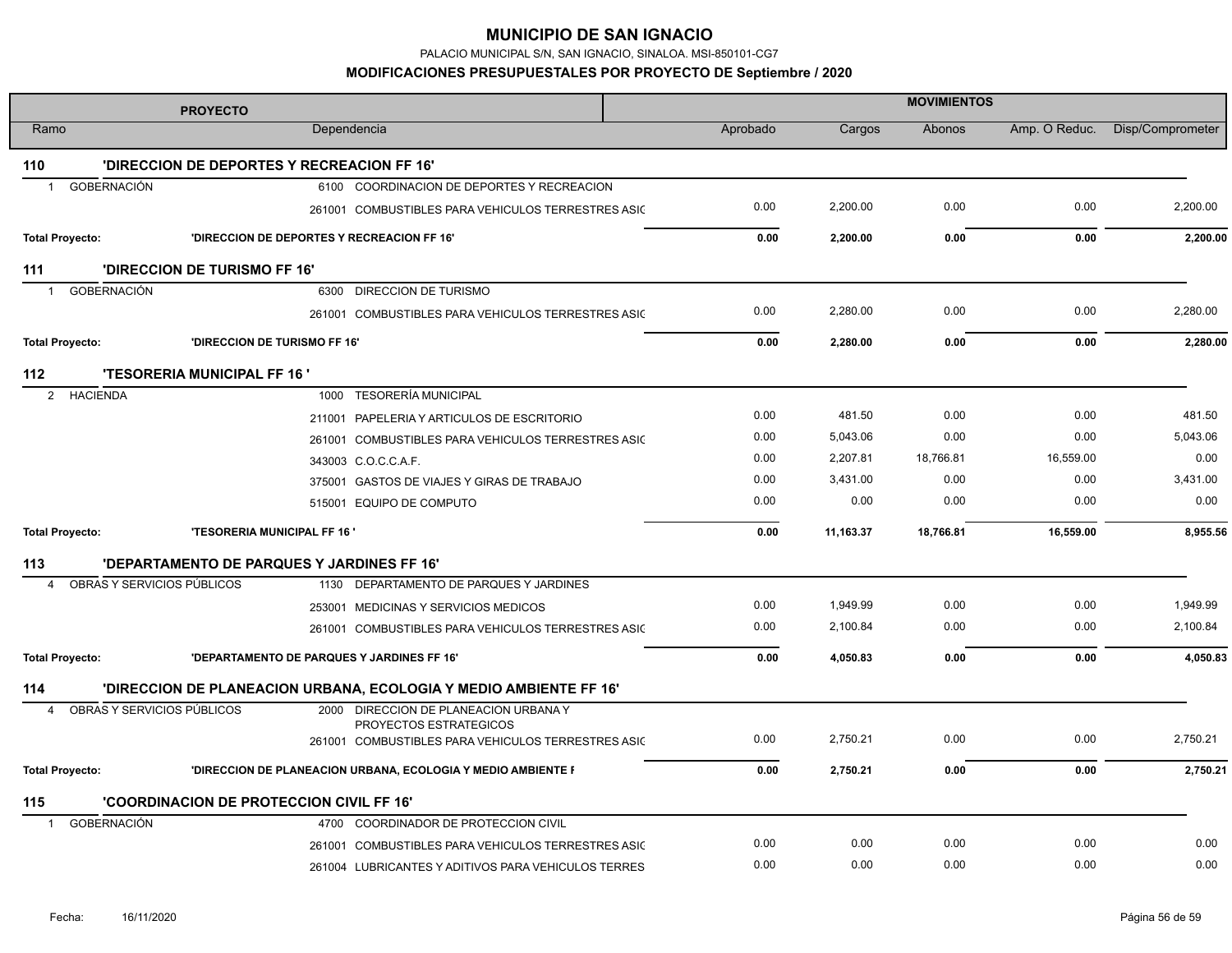PALACIO MUNICIPAL S/N, SAN IGNACIO, SINALOA. MSI-850101-CG7

| <b>PROYECTO</b>                              |                                    |                                                                   | <b>MOVIMIENTOS</b> |           |               |               |                  |  |  |
|----------------------------------------------|------------------------------------|-------------------------------------------------------------------|--------------------|-----------|---------------|---------------|------------------|--|--|
| Ramo                                         |                                    | Dependencia                                                       | Aprobado           | Cargos    | <b>Abonos</b> | Amp. O Reduc. | Disp/Comprometer |  |  |
| 110                                          |                                    | 'DIRECCION DE DEPORTES Y RECREACION FF 16'                        |                    |           |               |               |                  |  |  |
| GOBERNACIÓN<br>$\mathbf 1$                   |                                    | 6100 COORDINACION DE DEPORTES Y RECREACION                        |                    |           |               |               |                  |  |  |
|                                              |                                    | 261001 COMBUSTIBLES PARA VEHICULOS TERRESTRES ASIC                | 0.00               | 2,200.00  | 0.00          | 0.00          | 2,200.00         |  |  |
| <b>Total Proyecto:</b>                       |                                    | 'DIRECCION DE DEPORTES Y RECREACION FF 16'                        | 0.00               | 2,200.00  | 0.00          | 0.00          | 2.200.00         |  |  |
| 111                                          | 'DIRECCION DE TURISMO FF 16'       |                                                                   |                    |           |               |               |                  |  |  |
| GOBERNACIÓN<br>$\mathbf{1}$                  |                                    | 6300 DIRECCION DE TURISMO                                         |                    |           |               |               |                  |  |  |
|                                              |                                    | 261001 COMBUSTIBLES PARA VEHICULOS TERRESTRES ASIC                | 0.00               | 2,280.00  | 0.00          | 0.00          | 2,280.00         |  |  |
| <b>Total Proyecto:</b>                       | 'DIRECCION DE TURISMO FF 16'       |                                                                   | 0.00               | 2,280.00  | 0.00          | 0.00          | 2,280.00         |  |  |
| 112                                          | <b>'TESORERIA MUNICIPAL FF 16'</b> |                                                                   |                    |           |               |               |                  |  |  |
| 2 HACIENDA                                   |                                    | 1000 TESORERÍA MUNICIPAL                                          |                    |           |               |               |                  |  |  |
|                                              |                                    | 211001 PAPELERIA Y ARTICULOS DE ESCRITORIO                        | 0.00               | 481.50    | 0.00          | 0.00          | 481.50           |  |  |
|                                              |                                    | 261001 COMBUSTIBLES PARA VEHICULOS TERRESTRES ASIC                | 0.00               | 5,043.06  | 0.00          | 0.00          | 5,043.06         |  |  |
|                                              |                                    | 343003 C.O.C.C.A.F.                                               | 0.00               | 2,207.81  | 18,766.81     | 16,559.00     | 0.00             |  |  |
|                                              |                                    | 375001 GASTOS DE VIAJES Y GIRAS DE TRABAJO                        | 0.00               | 3,431.00  | 0.00          | 0.00          | 3,431.00         |  |  |
|                                              |                                    | 515001 EQUIPO DE COMPUTO                                          | 0.00               | 0.00      | 0.00          | 0.00          | 0.00             |  |  |
| <b>Total Proyecto:</b>                       | <b>'TESORERIA MUNICIPAL FF 16'</b> |                                                                   | 0.00               | 11,163.37 | 18,766.81     | 16,559.00     | 8,955.56         |  |  |
| 113                                          |                                    | 'DEPARTAMENTO DE PARQUES Y JARDINES FF 16'                        |                    |           |               |               |                  |  |  |
| OBRAS Y SERVICIOS PÚBLICOS<br>$\overline{4}$ |                                    | 1130 DEPARTAMENTO DE PARQUES Y JARDINES                           |                    |           |               |               |                  |  |  |
|                                              |                                    | 253001 MEDICINAS Y SERVICIOS MEDICOS                              | 0.00               | 1,949.99  | 0.00          | 0.00          | 1,949.99         |  |  |
|                                              |                                    | 261001 COMBUSTIBLES PARA VEHICULOS TERRESTRES ASIC                | 0.00               | 2,100.84  | 0.00          | 0.00          | 2,100.84         |  |  |
| <b>Total Proyecto:</b>                       |                                    | 'DEPARTAMENTO DE PARQUES Y JARDINES FF 16'                        | 0.00               | 4,050.83  | 0.00          | 0.00          | 4,050.83         |  |  |
| 114                                          |                                    | 'DIRECCION DE PLANEACION URBANA, ECOLOGIA Y MEDIO AMBIENTE FF 16' |                    |           |               |               |                  |  |  |
| OBRAS Y SERVICIOS PÚBLICOS<br>$\overline{4}$ |                                    | 2000 DIRECCION DE PLANEACION URBANA Y<br>PROYECTOS ESTRATEGICOS   |                    |           |               |               |                  |  |  |
|                                              |                                    | 261001 COMBUSTIBLES PARA VEHICULOS TERRESTRES ASIC                | 0.00               | 2,750.21  | 0.00          | 0.00          | 2,750.21         |  |  |
| <b>Total Proyecto:</b>                       |                                    | 'DIRECCION DE PLANEACION URBANA, ECOLOGIA Y MEDIO AMBIENTE F      | 0.00               | 2,750.21  | 0.00          | 0.00          | 2,750.21         |  |  |
| 115                                          |                                    | <b>'COORDINACION DE PROTECCION CIVIL FF 16'</b>                   |                    |           |               |               |                  |  |  |
| GOBERNACIÓN                                  |                                    | 4700 COORDINADOR DE PROTECCION CIVIL                              |                    |           |               |               |                  |  |  |
|                                              |                                    | 261001 COMBUSTIBLES PARA VEHICULOS TERRESTRES ASIC                | 0.00               | 0.00      | 0.00          | 0.00          | 0.00             |  |  |
|                                              |                                    | 261004 LUBRICANTES Y ADITIVOS PARA VEHICULOS TERRES               | 0.00               | 0.00      | 0.00          | 0.00          | 0.00             |  |  |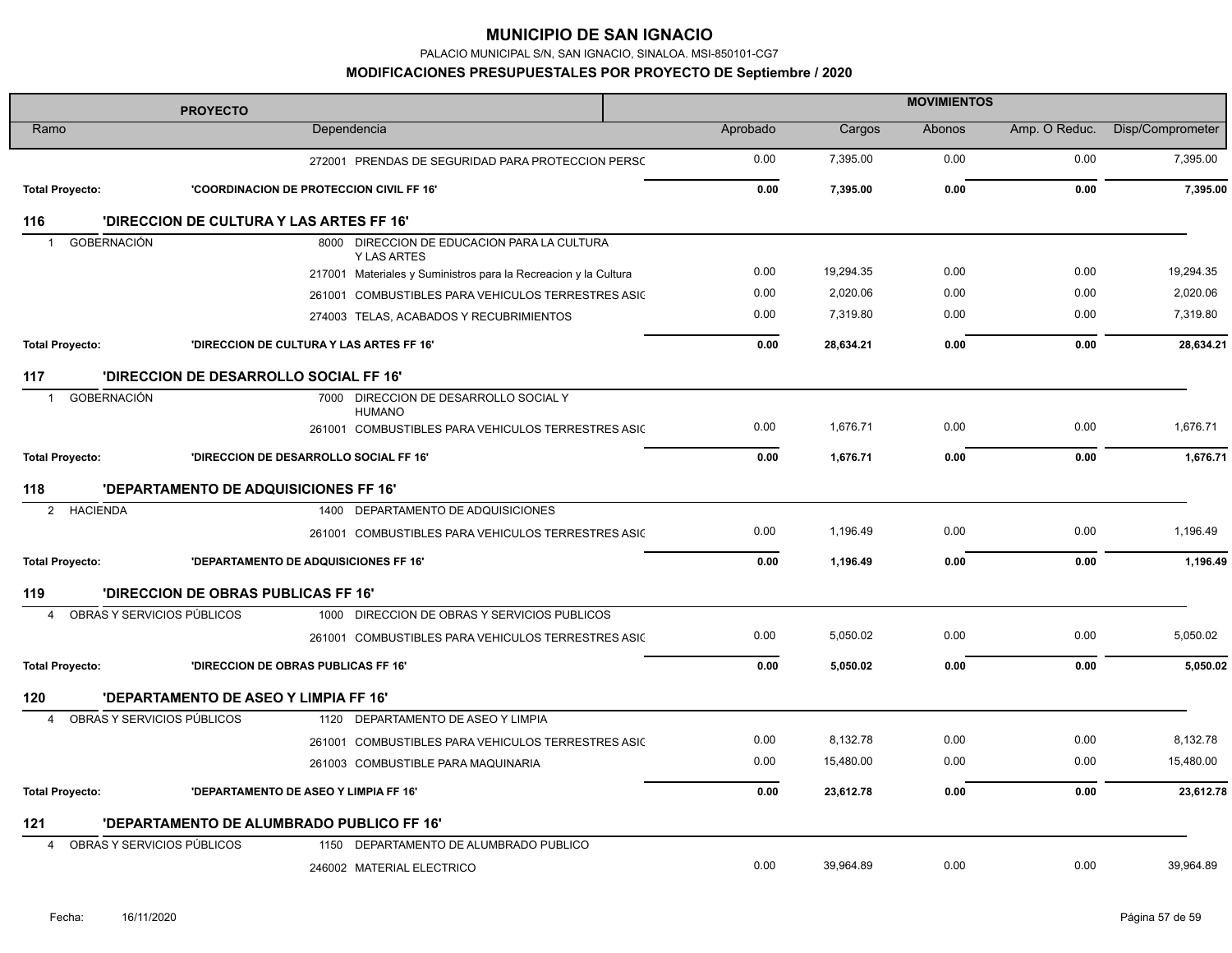PALACIO MUNICIPAL S/N, SAN IGNACIO, SINALOA. MSI-850101-CG7

| <b>PROYECTO</b>                    |                                     |                                                                     | <b>MOVIMIENTOS</b> |           |        |               |                  |  |
|------------------------------------|-------------------------------------|---------------------------------------------------------------------|--------------------|-----------|--------|---------------|------------------|--|
| Ramo                               |                                     | Dependencia                                                         | Aprobado           | Cargos    | Abonos | Amp. O Reduc. | Disp/Comprometer |  |
|                                    |                                     | 272001 PRENDAS DE SEGURIDAD PARA PROTECCION PERSC                   | 0.00               | 7,395.00  | 0.00   | 0.00          | 7,395.00         |  |
| <b>Total Proyecto:</b>             |                                     | 'COORDINACION DE PROTECCION CIVIL FF 16'                            | 0.00               | 7,395.00  | 0.00   | 0.00          | 7,395.00         |  |
| 116                                |                                     | 'DIRECCION DE CULTURA Y LAS ARTES FF 16'                            |                    |           |        |               |                  |  |
| <b>GOBERNACIÓN</b><br>$\mathbf{1}$ |                                     | 8000 DIRECCION DE EDUCACION PARA LA CULTURA<br><b>Y LAS ARTES</b>   |                    |           |        |               |                  |  |
|                                    |                                     | 217001 Materiales y Suministros para la Recreacion y la Cultura     | 0.00               | 19,294.35 | 0.00   | 0.00          | 19,294.35        |  |
|                                    |                                     | 261001 COMBUSTIBLES PARA VEHICULOS TERRESTRES ASIC                  | 0.00               | 2,020.06  | 0.00   | 0.00          | 2,020.06         |  |
|                                    |                                     | 274003 TELAS, ACABADOS Y RECUBRIMIENTOS                             | 0.00               | 7,319.80  | 0.00   | 0.00          | 7,319.80         |  |
| <b>Total Proyecto:</b>             |                                     | 'DIRECCION DE CULTURA Y LAS ARTES FF 16'                            | 0.00               | 28,634.21 | 0.00   | 0.00          | 28,634.21        |  |
| 117                                |                                     | 'DIRECCION DE DESARROLLO SOCIAL FF 16'                              |                    |           |        |               |                  |  |
| <b>GOBERNACIÓN</b><br>$\mathbf{1}$ |                                     | 7000 DIRECCION DE DESARROLLO SOCIAL Y                               |                    |           |        |               |                  |  |
|                                    |                                     | <b>HUMANO</b><br>261001 COMBUSTIBLES PARA VEHICULOS TERRESTRES ASIC | 0.00               | 1,676.71  | 0.00   | 0.00          | 1,676.71         |  |
| <b>Total Proyecto:</b>             |                                     | 'DIRECCION DE DESARROLLO SOCIAL FF 16'                              | 0.00               | 1,676.71  | 0.00   | 0.00          | 1,676.71         |  |
| 118                                |                                     | 'DEPARTAMENTO DE ADQUISICIONES FF 16'                               |                    |           |        |               |                  |  |
| <b>HACIENDA</b><br>$\overline{2}$  |                                     | 1400 DEPARTAMENTO DE ADQUISICIONES                                  |                    |           |        |               |                  |  |
|                                    |                                     | 261001 COMBUSTIBLES PARA VEHICULOS TERRESTRES ASIC                  | 0.00               | 1,196.49  | 0.00   | 0.00          | 1,196.49         |  |
| <b>Total Proyecto:</b>             |                                     | <b>'DEPARTAMENTO DE ADQUISICIONES FF 16'</b>                        | 0.00               | 1,196.49  | 0.00   | 0.00          | 1,196.49         |  |
| 119                                | 'DIRECCION DE OBRAS PUBLICAS FF 16' |                                                                     |                    |           |        |               |                  |  |
| OBRAS Y SERVICIOS PÚBLICOS<br>4    |                                     | 1000 DIRECCION DE OBRAS Y SERVICIOS PUBLICOS                        |                    |           |        |               |                  |  |
|                                    |                                     | 261001 COMBUSTIBLES PARA VEHICULOS TERRESTRES ASIC                  | 0.00               | 5,050.02  | 0.00   | 0.00          | 5,050.02         |  |
| <b>Total Proyecto:</b>             |                                     | <b>'DIRECCION DE OBRAS PUBLICAS FF 16'</b>                          | 0.00               | 5.050.02  | 0.00   | 0.00          | 5.050.02         |  |
| 120                                |                                     | 'DEPARTAMENTO DE ASEO Y LIMPIA FF 16'                               |                    |           |        |               |                  |  |
| OBRAS Y SERVICIOS PÚBLICOS<br>4    |                                     | 1120 DEPARTAMENTO DE ASEO Y LIMPIA                                  |                    |           |        |               |                  |  |
|                                    |                                     | 261001 COMBUSTIBLES PARA VEHICULOS TERRESTRES ASIC                  | 0.00               | 8,132.78  | 0.00   | 0.00          | 8,132.78         |  |
|                                    |                                     | 261003 COMBUSTIBLE PARA MAQUINARIA                                  | 0.00               | 15,480.00 | 0.00   | 0.00          | 15,480.00        |  |
| <b>Total Proyecto:</b>             |                                     | 'DEPARTAMENTO DE ASEO Y LIMPIA FF 16'                               | 0.00               | 23,612.78 | 0.00   | 0.00          | 23,612.78        |  |
| 121                                |                                     | 'DEPARTAMENTO DE ALUMBRADO PUBLICO FF 16'                           |                    |           |        |               |                  |  |
| OBRAS Y SERVICIOS PÚBLICOS<br>4    |                                     | 1150 DEPARTAMENTO DE ALUMBRADO PUBLICO                              |                    |           |        |               |                  |  |
|                                    |                                     | 246002 MATERIAL ELECTRICO                                           | 0.00               | 39,964.89 | 0.00   | 0.00          | 39,964.89        |  |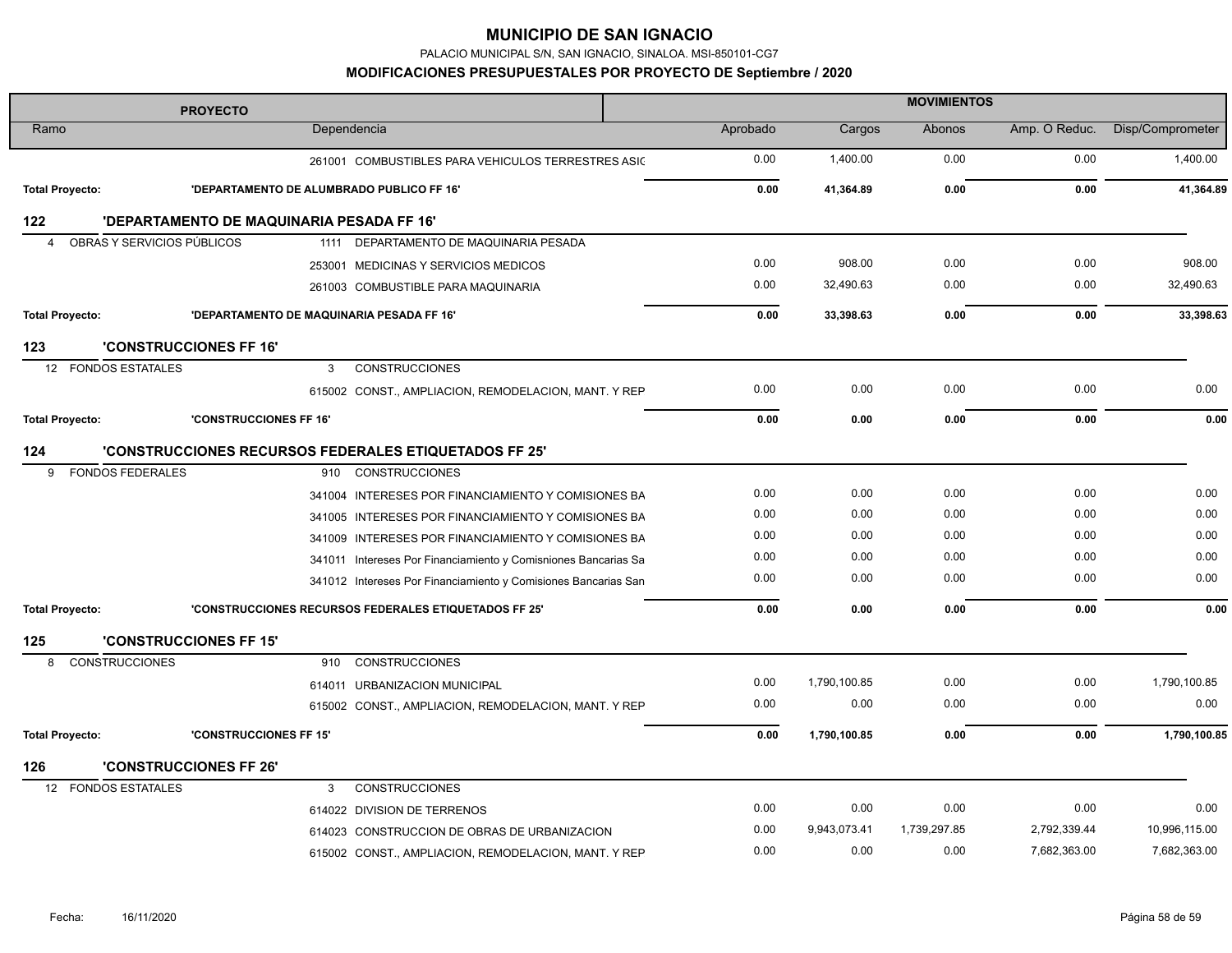PALACIO MUNICIPAL S/N, SAN IGNACIO, SINALOA. MSI-850101-CG7

| <b>PROYECTO</b>        |                                           |                                                                | <b>MOVIMIENTOS</b> |              |              |               |                  |  |
|------------------------|-------------------------------------------|----------------------------------------------------------------|--------------------|--------------|--------------|---------------|------------------|--|
| Ramo                   |                                           | Dependencia                                                    | Aprobado           | Cargos       | Abonos       | Amp. O Reduc. | Disp/Comprometer |  |
|                        |                                           | 261001 COMBUSTIBLES PARA VEHICULOS TERRESTRES ASIC             | 0.00               | 1,400.00     | 0.00         | 0.00          | 1,400.00         |  |
| <b>Total Proyecto:</b> |                                           | 'DEPARTAMENTO DE ALUMBRADO PUBLICO FF 16'                      | 0.00               | 41,364.89    | 0.00         | 0.00          | 41,364.89        |  |
| 122                    | 'DEPARTAMENTO DE MAQUINARIA PESADA FF 16' |                                                                |                    |              |              |               |                  |  |
| $\overline{4}$         | OBRAS Y SERVICIOS PÚBLICOS                | 1111 DEPARTAMENTO DE MAQUINARIA PESADA                         |                    |              |              |               |                  |  |
|                        |                                           | 253001 MEDICINAS Y SERVICIOS MEDICOS                           | 0.00               | 908.00       | 0.00         | 0.00          | 908.00           |  |
|                        |                                           | 261003 COMBUSTIBLE PARA MAQUINARIA                             | 0.00               | 32,490.63    | 0.00         | 0.00          | 32,490.63        |  |
| <b>Total Proyecto:</b> |                                           | 'DEPARTAMENTO DE MAQUINARIA PESADA FF 16'                      | 0.00               | 33,398.63    | 0.00         | 0.00          | 33,398.63        |  |
| 123                    | <b>'CONSTRUCCIONES FF 16'</b>             |                                                                |                    |              |              |               |                  |  |
| 12 <sup>2</sup>        | <b>FONDOS ESTATALES</b>                   | <b>CONSTRUCCIONES</b><br>3                                     |                    |              |              |               |                  |  |
|                        |                                           | 615002 CONST., AMPLIACION, REMODELACION, MANT. Y REP           | 0.00               | 0.00         | 0.00         | 0.00          | 0.00             |  |
| <b>Total Proyecto:</b> | <b>'CONSTRUCCIONES FF 16'</b>             |                                                                | 0.00               | 0.00         | 0.00         | 0.00          | 0.00             |  |
| 124                    |                                           | <b>'CONSTRUCCIONES RECURSOS FEDERALES ETIQUETADOS FF 25'</b>   |                    |              |              |               |                  |  |
| 9                      | <b>FONDOS FEDERALES</b>                   | 910 CONSTRUCCIONES                                             |                    |              |              |               |                  |  |
|                        |                                           | 341004 INTERESES POR FINANCIAMIENTO Y COMISIONES BA            | 0.00               | 0.00         | 0.00         | 0.00          | 0.00             |  |
|                        |                                           | 341005 INTERESES POR FINANCIAMIENTO Y COMISIONES BA            | 0.00               | 0.00         | 0.00         | 0.00          | 0.00             |  |
|                        |                                           | 341009 INTERESES POR FINANCIAMIENTO Y COMISIONES BA            | 0.00               | 0.00         | 0.00         | 0.00          | 0.00             |  |
|                        |                                           | 341011 Intereses Por Financiamiento y Comisniones Bancarias Sa | 0.00               | 0.00         | 0.00         | 0.00          | 0.00             |  |
|                        |                                           | 341012 Intereses Por Financiamiento y Comisiones Bancarias San | 0.00               | 0.00         | 0.00         | 0.00          | 0.00             |  |
| <b>Total Proyecto:</b> |                                           | 'CONSTRUCCIONES RECURSOS FEDERALES ETIQUETADOS FF 25'          | 0.00               | 0.00         | 0.00         | 0.00          | 0.00             |  |
| 125                    | <b>'CONSTRUCCIONES FF 15'</b>             |                                                                |                    |              |              |               |                  |  |
| 8                      | <b>CONSTRUCCIONES</b>                     | <b>CONSTRUCCIONES</b><br>910                                   |                    |              |              |               |                  |  |
|                        |                                           | 614011 URBANIZACION MUNICIPAL                                  | 0.00               | 1,790,100.85 | 0.00         | 0.00          | 1,790,100.85     |  |
|                        |                                           | 615002 CONST., AMPLIACION, REMODELACION, MANT. Y REP           | 0.00               | 0.00         | 0.00         | 0.00          | 0.00             |  |
| <b>Total Proyecto:</b> | <b>'CONSTRUCCIONES FF 15'</b>             |                                                                | 0.00               | 1,790,100.85 | 0.00         | 0.00          | 1,790,100.85     |  |
| 126                    | <b>'CONSTRUCCIONES FF 26'</b>             |                                                                |                    |              |              |               |                  |  |
| 12                     | <b>FONDOS ESTATALES</b>                   | <b>CONSTRUCCIONES</b><br>3                                     |                    |              |              |               |                  |  |
|                        |                                           | 614022 DIVISION DE TERRENOS                                    | 0.00               | 0.00         | 0.00         | 0.00          | 0.00             |  |
|                        |                                           | 614023 CONSTRUCCION DE OBRAS DE URBANIZACION                   | 0.00               | 9,943,073.41 | 1,739,297.85 | 2,792,339.44  | 10,996,115.00    |  |
|                        |                                           | 615002 CONST., AMPLIACION, REMODELACION, MANT. Y REP           | 0.00               | 0.00         | 0.00         | 7,682,363.00  | 7,682,363.00     |  |